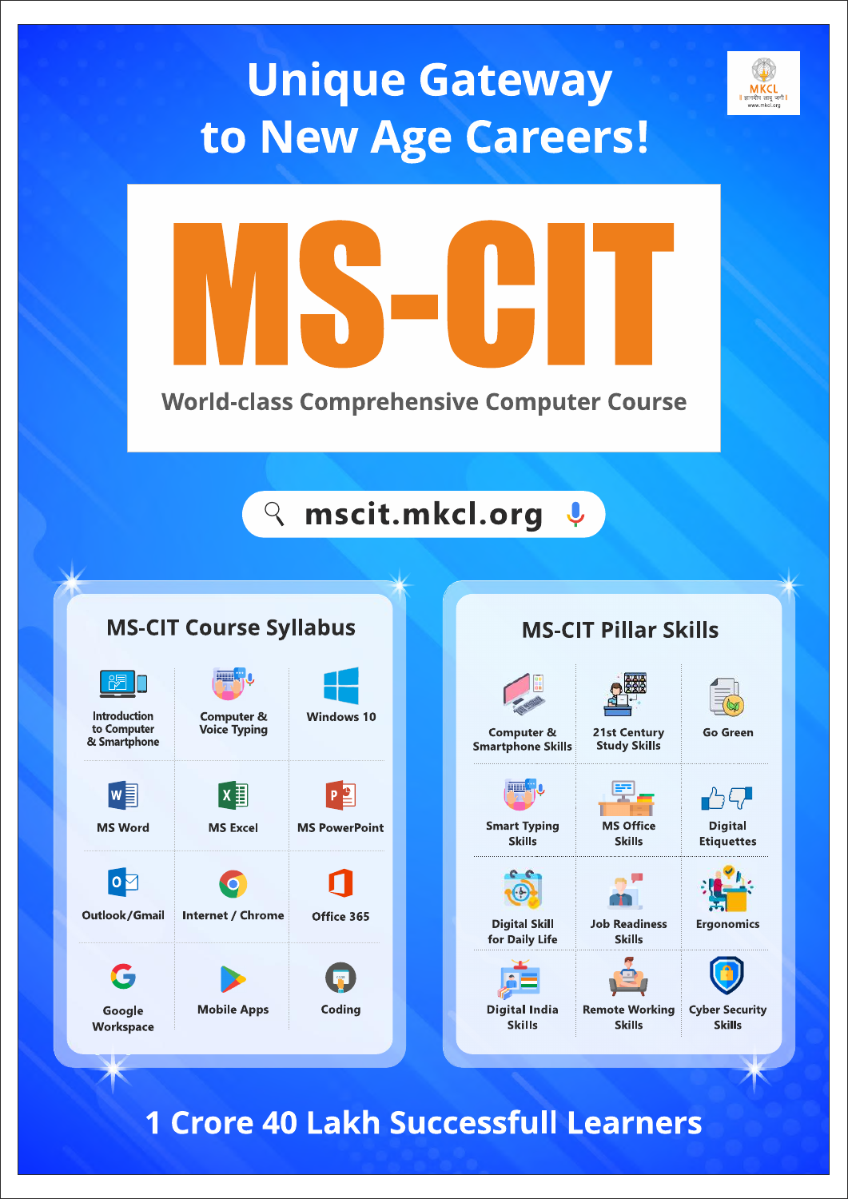# **Unique Gateway** to New Age Careers!



# **Q** mscit.mkcl.org &

## **MS-CIT Course Syllabus**

| <b>Introduction</b><br><b>Computer &amp;</b><br>to Computer<br><b>Voice Typing</b><br>& Smartphone<br><b>MS Word</b><br><b>MS Excel</b> | <b>Windows 10</b>    |
|-----------------------------------------------------------------------------------------------------------------------------------------|----------------------|
|                                                                                                                                         |                      |
|                                                                                                                                         |                      |
|                                                                                                                                         | <b>MS PowerPoint</b> |
|                                                                                                                                         |                      |
| Outlook/Gmail<br><b>Internet / Chrome</b>                                                                                               | Office 365           |
|                                                                                                                                         |                      |
| <b>Mobile Apps</b><br>Google<br>Workspace                                                                                               | Coding               |
|                                                                                                                                         |                      |

# **MS-CIT Pillar Skills**



**Skills** 

**Digital India Remote Working** Skills



**Cyber Security Skills** 

**MKCL** 

1 Crore 40 Lakh Successfull Learners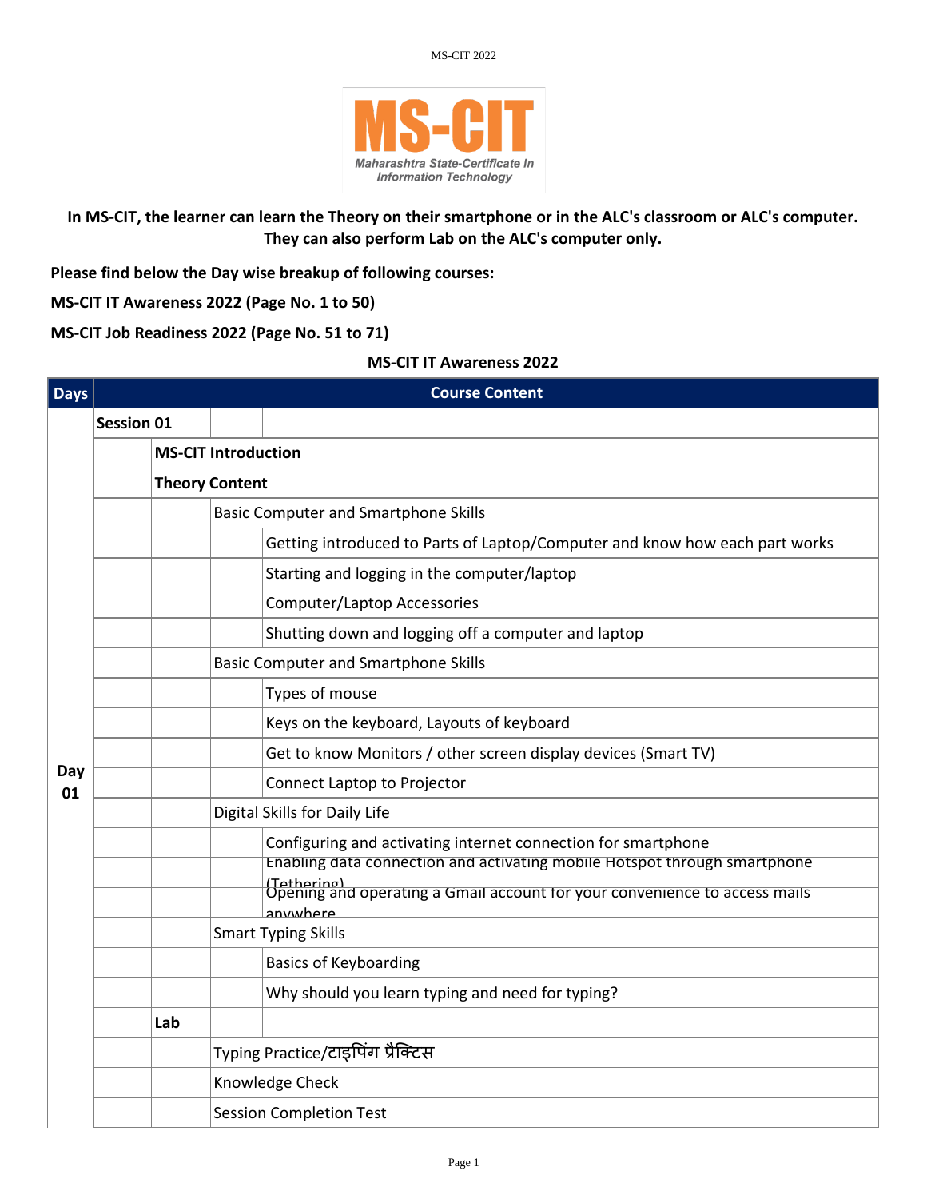

### **In MS-CIT, the learner can learn the Theory on their smartphone or in the ALC's classroom or ALC's computer. They can also perform Lab on the ALC's computer only.**

**Please find below the Day wise breakup of following courses:**

**MS-CIT IT Awareness 2022 (Page No. 1 to 50)**

**MS-CIT Job Readiness 2022 (Page No. 51 to 71)**

#### **MS-CIT IT Awareness 2022**

| <b>Days</b> |                   |                            |                                             | <b>Course Content</b>                                                                                 |  |  |  |
|-------------|-------------------|----------------------------|---------------------------------------------|-------------------------------------------------------------------------------------------------------|--|--|--|
|             | <b>Session 01</b> |                            |                                             |                                                                                                       |  |  |  |
|             |                   | <b>MS-CIT Introduction</b> |                                             |                                                                                                       |  |  |  |
|             |                   |                            | <b>Theory Content</b>                       |                                                                                                       |  |  |  |
|             |                   |                            |                                             | <b>Basic Computer and Smartphone Skills</b>                                                           |  |  |  |
|             |                   |                            |                                             | Getting introduced to Parts of Laptop/Computer and know how each part works                           |  |  |  |
|             |                   |                            |                                             | Starting and logging in the computer/laptop                                                           |  |  |  |
|             |                   |                            |                                             | <b>Computer/Laptop Accessories</b>                                                                    |  |  |  |
|             |                   |                            |                                             | Shutting down and logging off a computer and laptop                                                   |  |  |  |
|             |                   |                            | <b>Basic Computer and Smartphone Skills</b> |                                                                                                       |  |  |  |
|             |                   |                            |                                             | Types of mouse                                                                                        |  |  |  |
|             |                   |                            |                                             | Keys on the keyboard, Layouts of keyboard                                                             |  |  |  |
|             |                   |                            |                                             | Get to know Monitors / other screen display devices (Smart TV)                                        |  |  |  |
| Day<br>01   |                   |                            |                                             | Connect Laptop to Projector                                                                           |  |  |  |
|             |                   |                            | Digital Skills for Daily Life               |                                                                                                       |  |  |  |
|             |                   |                            |                                             | Configuring and activating internet connection for smartphone                                         |  |  |  |
|             |                   |                            |                                             | Enabling data connection and activating mobile Hotspot through smartphone                             |  |  |  |
|             |                   |                            |                                             | (Tethering)<br>Opening and operating a Gmail account for your convenience to access mails<br>anwwhere |  |  |  |
|             |                   |                            | <b>Smart Typing Skills</b>                  |                                                                                                       |  |  |  |
|             |                   |                            |                                             | <b>Basics of Keyboarding</b>                                                                          |  |  |  |
|             |                   |                            |                                             | Why should you learn typing and need for typing?                                                      |  |  |  |
|             |                   | Lab                        |                                             |                                                                                                       |  |  |  |
|             |                   |                            |                                             | Typing Practice/टाइपिंग प्रैक्टिस                                                                     |  |  |  |
|             |                   |                            |                                             | Knowledge Check                                                                                       |  |  |  |
|             |                   |                            |                                             | <b>Session Completion Test</b>                                                                        |  |  |  |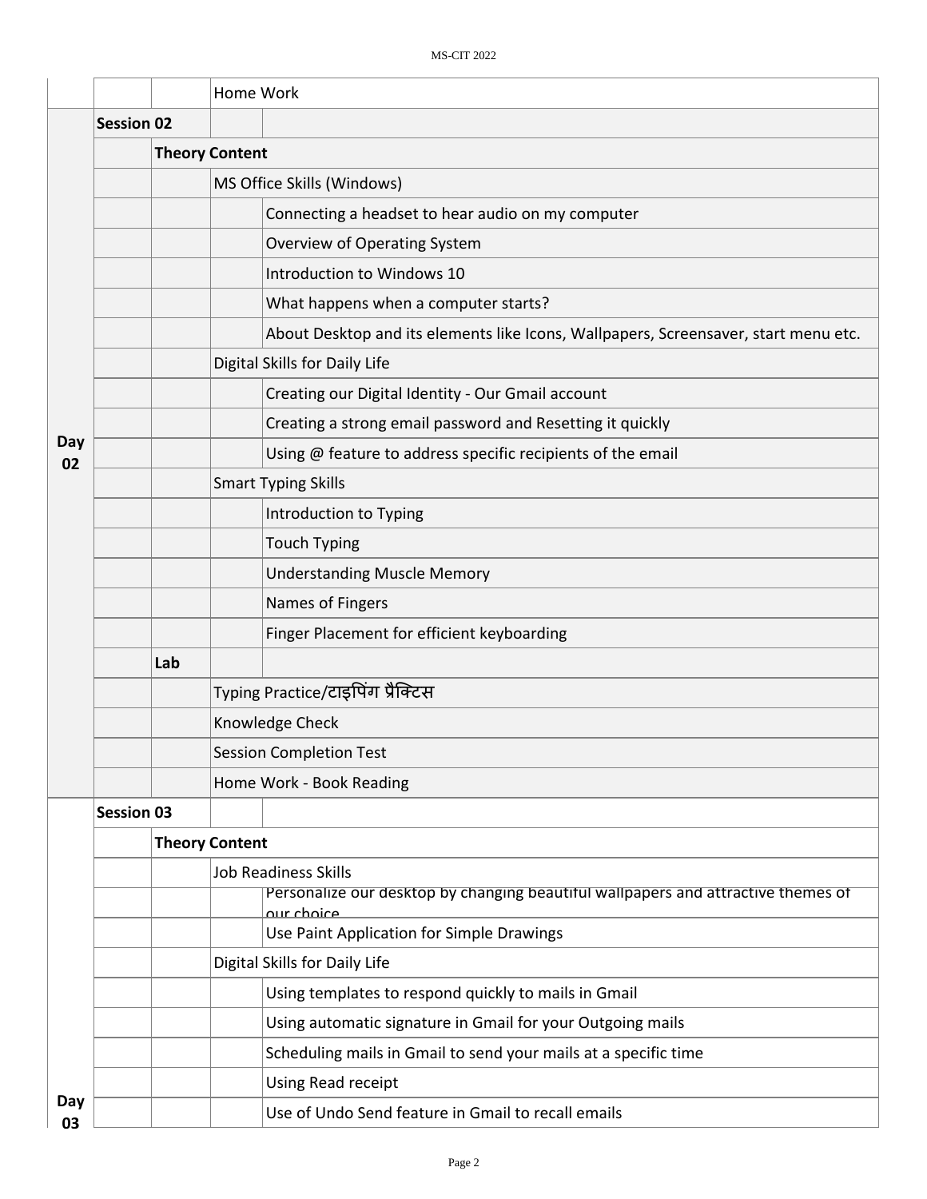|           |                   |                       | Home Work                                                                                       |  |  |
|-----------|-------------------|-----------------------|-------------------------------------------------------------------------------------------------|--|--|
|           | <b>Session 02</b> |                       |                                                                                                 |  |  |
|           |                   | <b>Theory Content</b> |                                                                                                 |  |  |
|           |                   |                       | MS Office Skills (Windows)                                                                      |  |  |
|           |                   |                       | Connecting a headset to hear audio on my computer                                               |  |  |
|           |                   |                       | Overview of Operating System                                                                    |  |  |
|           |                   |                       | Introduction to Windows 10                                                                      |  |  |
|           |                   |                       | What happens when a computer starts?                                                            |  |  |
|           |                   |                       | About Desktop and its elements like Icons, Wallpapers, Screensaver, start menu etc.             |  |  |
|           |                   |                       | Digital Skills for Daily Life                                                                   |  |  |
|           |                   |                       | Creating our Digital Identity - Our Gmail account                                               |  |  |
|           |                   |                       | Creating a strong email password and Resetting it quickly                                       |  |  |
| Day<br>02 |                   |                       | Using @ feature to address specific recipients of the email                                     |  |  |
|           |                   |                       | <b>Smart Typing Skills</b>                                                                      |  |  |
|           |                   |                       | Introduction to Typing                                                                          |  |  |
|           |                   |                       | <b>Touch Typing</b>                                                                             |  |  |
|           |                   |                       | <b>Understanding Muscle Memory</b>                                                              |  |  |
|           |                   |                       | Names of Fingers                                                                                |  |  |
|           |                   |                       | Finger Placement for efficient keyboarding                                                      |  |  |
|           |                   | Lab                   |                                                                                                 |  |  |
|           |                   |                       | Typing Practice/टाइपिंग प्रैक्टिस                                                               |  |  |
|           |                   |                       | Knowledge Check                                                                                 |  |  |
|           |                   |                       | <b>Session Completion Test</b>                                                                  |  |  |
|           |                   |                       | Home Work - Book Reading                                                                        |  |  |
|           | <b>Session 03</b> |                       |                                                                                                 |  |  |
|           |                   | <b>Theory Content</b> |                                                                                                 |  |  |
|           |                   |                       | <b>Job Readiness Skills</b>                                                                     |  |  |
|           |                   |                       | Personalize our desktop by changing beautiful wallpapers and attractive themes of<br>our choice |  |  |
|           |                   |                       | Use Paint Application for Simple Drawings                                                       |  |  |
|           |                   |                       | Digital Skills for Daily Life                                                                   |  |  |
|           |                   |                       | Using templates to respond quickly to mails in Gmail                                            |  |  |
|           |                   |                       | Using automatic signature in Gmail for your Outgoing mails                                      |  |  |
|           |                   |                       | Scheduling mails in Gmail to send your mails at a specific time                                 |  |  |
|           |                   |                       | <b>Using Read receipt</b>                                                                       |  |  |
| Day<br>03 |                   |                       | Use of Undo Send feature in Gmail to recall emails                                              |  |  |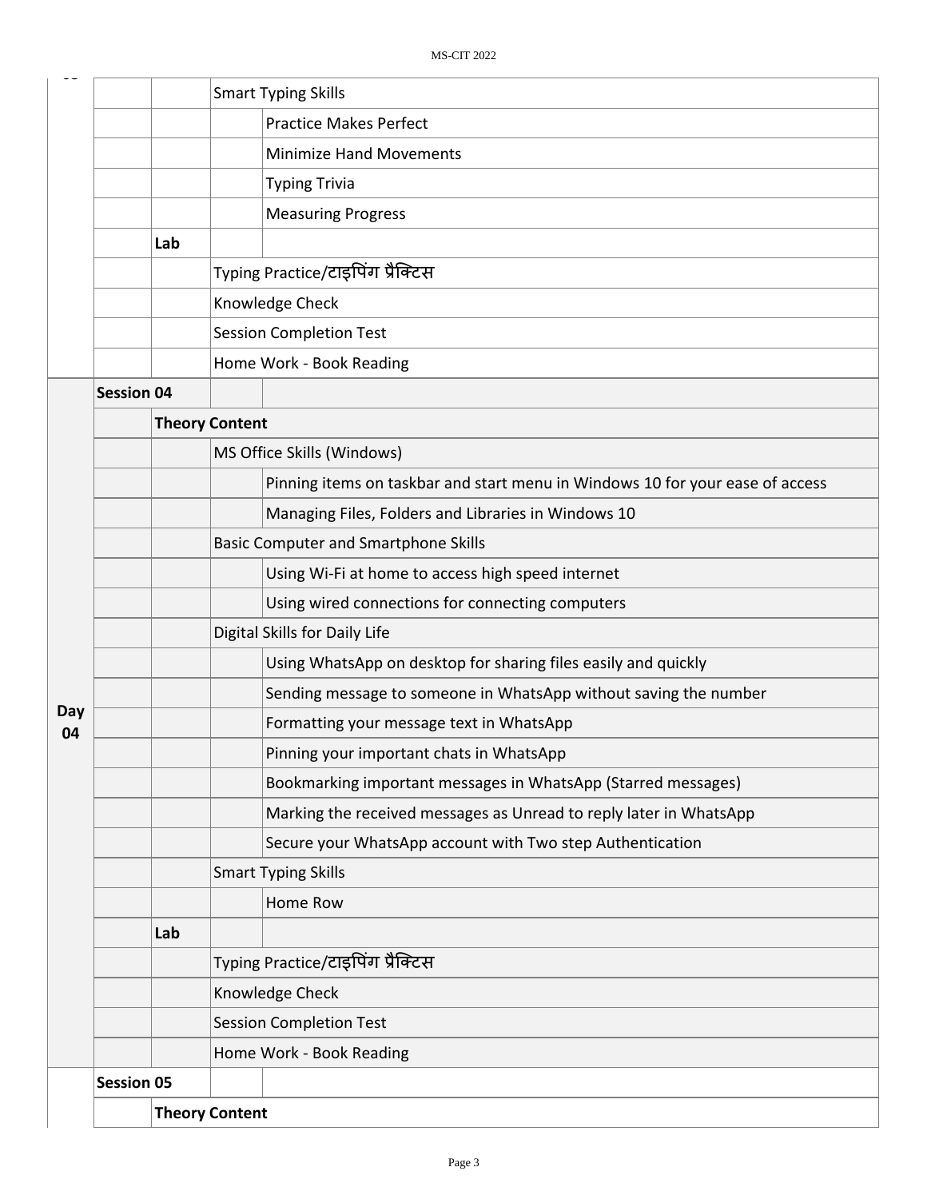|                       |                   |                       |                                   | <b>Smart Typing Skills</b>                                                    |  |
|-----------------------|-------------------|-----------------------|-----------------------------------|-------------------------------------------------------------------------------|--|
|                       |                   |                       |                                   | <b>Practice Makes Perfect</b>                                                 |  |
|                       |                   |                       |                                   | <b>Minimize Hand Movements</b>                                                |  |
|                       |                   |                       |                                   | <b>Typing Trivia</b>                                                          |  |
|                       |                   |                       |                                   | <b>Measuring Progress</b>                                                     |  |
|                       |                   | Lab                   |                                   |                                                                               |  |
|                       |                   |                       |                                   | Typing Practice/टाइपिंग प्रैक्टिस                                             |  |
|                       |                   |                       |                                   | Knowledge Check                                                               |  |
|                       |                   |                       |                                   | <b>Session Completion Test</b>                                                |  |
|                       |                   |                       |                                   | Home Work - Book Reading                                                      |  |
|                       | <b>Session 04</b> |                       |                                   |                                                                               |  |
|                       |                   | <b>Theory Content</b> |                                   |                                                                               |  |
|                       |                   |                       |                                   | MS Office Skills (Windows)                                                    |  |
|                       |                   |                       |                                   | Pinning items on taskbar and start menu in Windows 10 for your ease of access |  |
|                       |                   |                       |                                   | Managing Files, Folders and Libraries in Windows 10                           |  |
|                       |                   |                       |                                   | <b>Basic Computer and Smartphone Skills</b>                                   |  |
|                       |                   |                       |                                   | Using Wi-Fi at home to access high speed internet                             |  |
|                       |                   |                       |                                   | Using wired connections for connecting computers                              |  |
|                       |                   |                       |                                   | Digital Skills for Daily Life                                                 |  |
|                       |                   |                       |                                   | Using WhatsApp on desktop for sharing files easily and quickly                |  |
|                       |                   |                       |                                   | Sending message to someone in WhatsApp without saving the number              |  |
| Day<br>04             |                   |                       |                                   | Formatting your message text in WhatsApp                                      |  |
|                       |                   |                       |                                   | Pinning your important chats in WhatsApp                                      |  |
|                       |                   |                       |                                   | Bookmarking important messages in WhatsApp (Starred messages)                 |  |
|                       |                   |                       |                                   | Marking the received messages as Unread to reply later in WhatsApp            |  |
|                       |                   |                       |                                   | Secure your WhatsApp account with Two step Authentication                     |  |
|                       |                   |                       |                                   | <b>Smart Typing Skills</b>                                                    |  |
|                       |                   |                       |                                   | Home Row                                                                      |  |
|                       |                   | Lab                   |                                   |                                                                               |  |
|                       |                   |                       | Typing Practice/टाइपिंग प्रैक्टिस |                                                                               |  |
|                       |                   |                       |                                   | Knowledge Check                                                               |  |
|                       |                   |                       |                                   | <b>Session Completion Test</b>                                                |  |
|                       |                   |                       |                                   | Home Work - Book Reading                                                      |  |
|                       | <b>Session 05</b> |                       |                                   |                                                                               |  |
| <b>Theory Content</b> |                   |                       |                                   |                                                                               |  |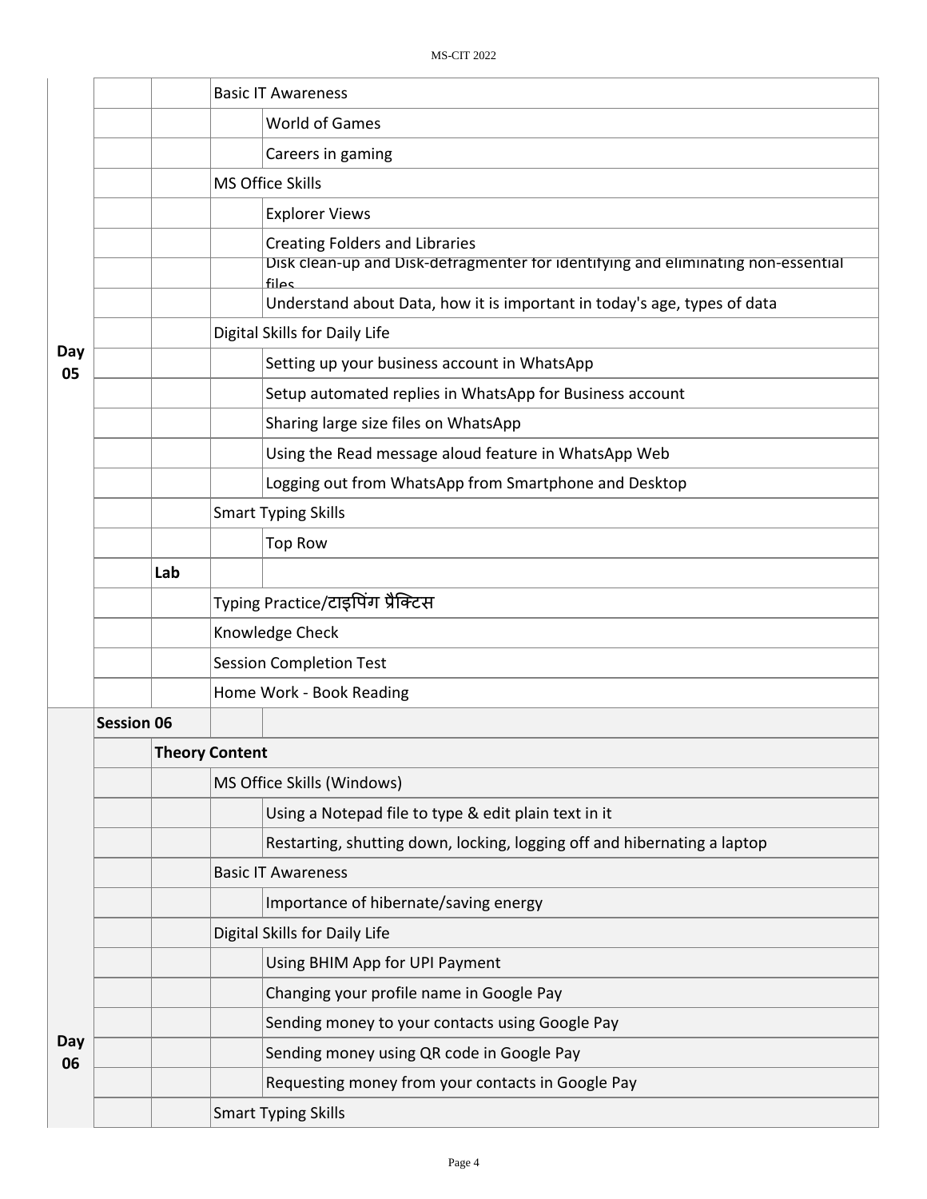|           |                   | <b>Basic IT Awareness</b>                                                                  |  |  |  |  |
|-----------|-------------------|--------------------------------------------------------------------------------------------|--|--|--|--|
|           |                   | <b>World of Games</b>                                                                      |  |  |  |  |
|           |                   | Careers in gaming                                                                          |  |  |  |  |
|           |                   | MS Office Skills                                                                           |  |  |  |  |
|           |                   | <b>Explorer Views</b>                                                                      |  |  |  |  |
|           |                   | <b>Creating Folders and Libraries</b>                                                      |  |  |  |  |
|           |                   | Disk clean-up and Disk-defragmenter for identifying and eliminating non-essential<br>files |  |  |  |  |
|           |                   | Understand about Data, how it is important in today's age, types of data                   |  |  |  |  |
|           |                   | Digital Skills for Daily Life                                                              |  |  |  |  |
| Day<br>05 |                   | Setting up your business account in WhatsApp                                               |  |  |  |  |
|           |                   | Setup automated replies in WhatsApp for Business account                                   |  |  |  |  |
|           |                   | Sharing large size files on WhatsApp                                                       |  |  |  |  |
|           |                   | Using the Read message aloud feature in WhatsApp Web                                       |  |  |  |  |
|           |                   | Logging out from WhatsApp from Smartphone and Desktop                                      |  |  |  |  |
|           |                   | <b>Smart Typing Skills</b>                                                                 |  |  |  |  |
|           |                   | <b>Top Row</b>                                                                             |  |  |  |  |
|           | Lab               |                                                                                            |  |  |  |  |
|           |                   | Typing Practice/टाइपिंग प्रैक्टिस                                                          |  |  |  |  |
|           |                   | Knowledge Check                                                                            |  |  |  |  |
|           |                   | <b>Session Completion Test</b>                                                             |  |  |  |  |
|           |                   | Home Work - Book Reading                                                                   |  |  |  |  |
|           | <b>Session 06</b> |                                                                                            |  |  |  |  |
|           |                   | <b>Theory Content</b>                                                                      |  |  |  |  |
|           |                   | MS Office Skills (Windows)                                                                 |  |  |  |  |
|           |                   | Using a Notepad file to type & edit plain text in it                                       |  |  |  |  |
|           |                   | Restarting, shutting down, locking, logging off and hibernating a laptop                   |  |  |  |  |
|           |                   | <b>Basic IT Awareness</b>                                                                  |  |  |  |  |
|           |                   | Importance of hibernate/saving energy                                                      |  |  |  |  |
|           |                   | Digital Skills for Daily Life                                                              |  |  |  |  |
|           |                   | Using BHIM App for UPI Payment                                                             |  |  |  |  |
|           |                   | Changing your profile name in Google Pay                                                   |  |  |  |  |
| Day       |                   | Sending money to your contacts using Google Pay                                            |  |  |  |  |
| 06        |                   | Sending money using QR code in Google Pay                                                  |  |  |  |  |
|           |                   | Requesting money from your contacts in Google Pay                                          |  |  |  |  |
|           |                   | <b>Smart Typing Skills</b>                                                                 |  |  |  |  |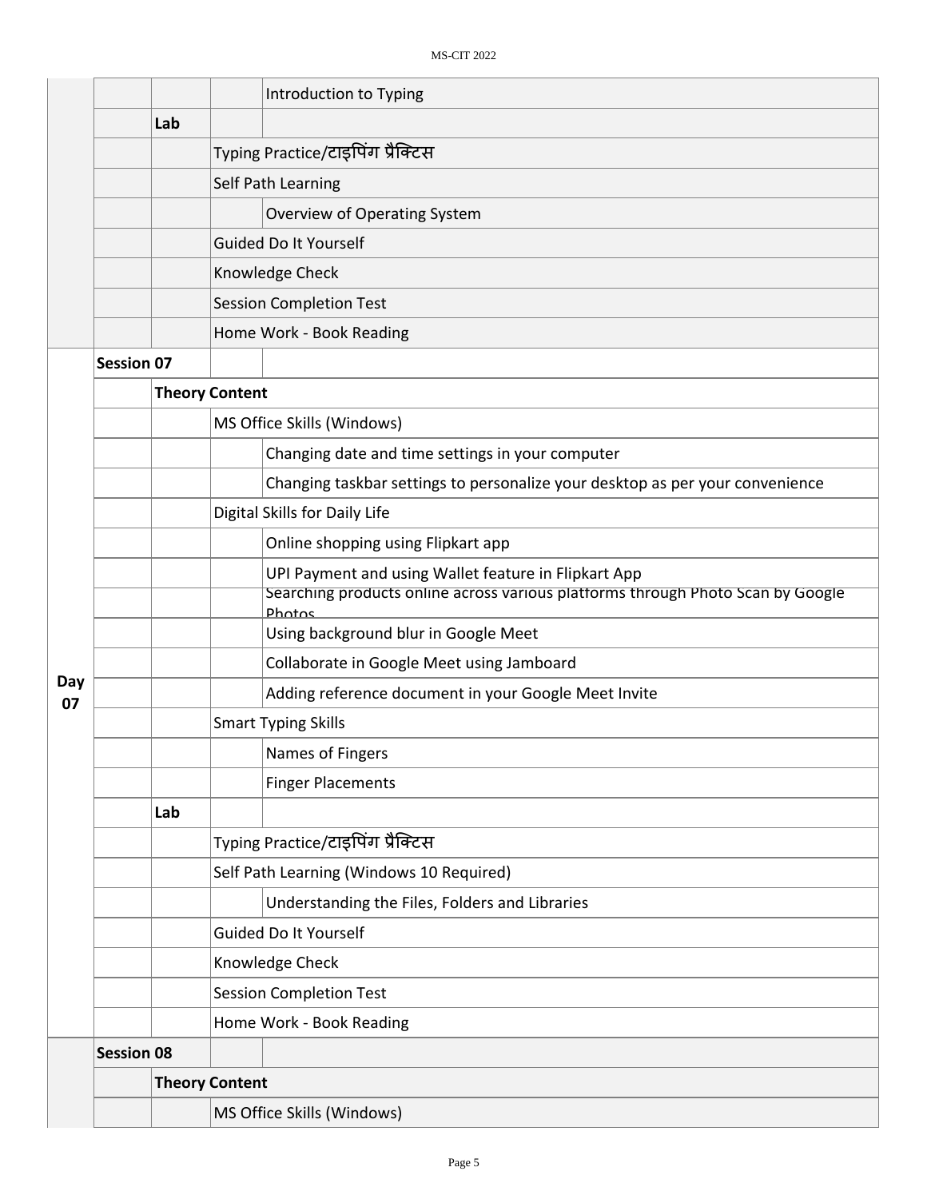|           |                   |     | Introduction to Typing                                                                    |  |  |  |  |
|-----------|-------------------|-----|-------------------------------------------------------------------------------------------|--|--|--|--|
|           |                   | Lab |                                                                                           |  |  |  |  |
|           |                   |     | Typing Practice/टाइपिंग प्रैक्टिस                                                         |  |  |  |  |
|           |                   |     | Self Path Learning                                                                        |  |  |  |  |
|           |                   |     | Overview of Operating System                                                              |  |  |  |  |
|           |                   |     | <b>Guided Do It Yourself</b>                                                              |  |  |  |  |
|           |                   |     | Knowledge Check                                                                           |  |  |  |  |
|           |                   |     | <b>Session Completion Test</b>                                                            |  |  |  |  |
|           |                   |     | Home Work - Book Reading                                                                  |  |  |  |  |
|           | <b>Session 07</b> |     |                                                                                           |  |  |  |  |
|           |                   |     | <b>Theory Content</b>                                                                     |  |  |  |  |
|           |                   |     | MS Office Skills (Windows)                                                                |  |  |  |  |
|           |                   |     | Changing date and time settings in your computer                                          |  |  |  |  |
|           |                   |     | Changing taskbar settings to personalize your desktop as per your convenience             |  |  |  |  |
|           |                   |     | Digital Skills for Daily Life                                                             |  |  |  |  |
|           |                   |     | Online shopping using Flipkart app                                                        |  |  |  |  |
|           |                   |     | UPI Payment and using Wallet feature in Flipkart App                                      |  |  |  |  |
|           |                   |     | Searching products online across various platforms through Photo Scan by Google<br>Photos |  |  |  |  |
|           |                   |     | Using background blur in Google Meet                                                      |  |  |  |  |
|           |                   |     | Collaborate in Google Meet using Jamboard                                                 |  |  |  |  |
| Day<br>07 |                   |     | Adding reference document in your Google Meet Invite                                      |  |  |  |  |
|           |                   |     | <b>Smart Typing Skills</b>                                                                |  |  |  |  |
|           |                   |     | Names of Fingers                                                                          |  |  |  |  |
|           |                   |     | <b>Finger Placements</b>                                                                  |  |  |  |  |
|           |                   | Lab |                                                                                           |  |  |  |  |
|           |                   |     | Typing Practice/टाइपिंग प्रैक्टिस                                                         |  |  |  |  |
|           |                   |     | Self Path Learning (Windows 10 Required)                                                  |  |  |  |  |
|           |                   |     | Understanding the Files, Folders and Libraries                                            |  |  |  |  |
|           |                   |     | <b>Guided Do It Yourself</b>                                                              |  |  |  |  |
|           |                   |     | Knowledge Check                                                                           |  |  |  |  |
|           |                   |     | <b>Session Completion Test</b>                                                            |  |  |  |  |
|           |                   |     | Home Work - Book Reading                                                                  |  |  |  |  |
|           | <b>Session 08</b> |     |                                                                                           |  |  |  |  |
|           |                   |     | <b>Theory Content</b>                                                                     |  |  |  |  |
|           |                   |     | MS Office Skills (Windows)                                                                |  |  |  |  |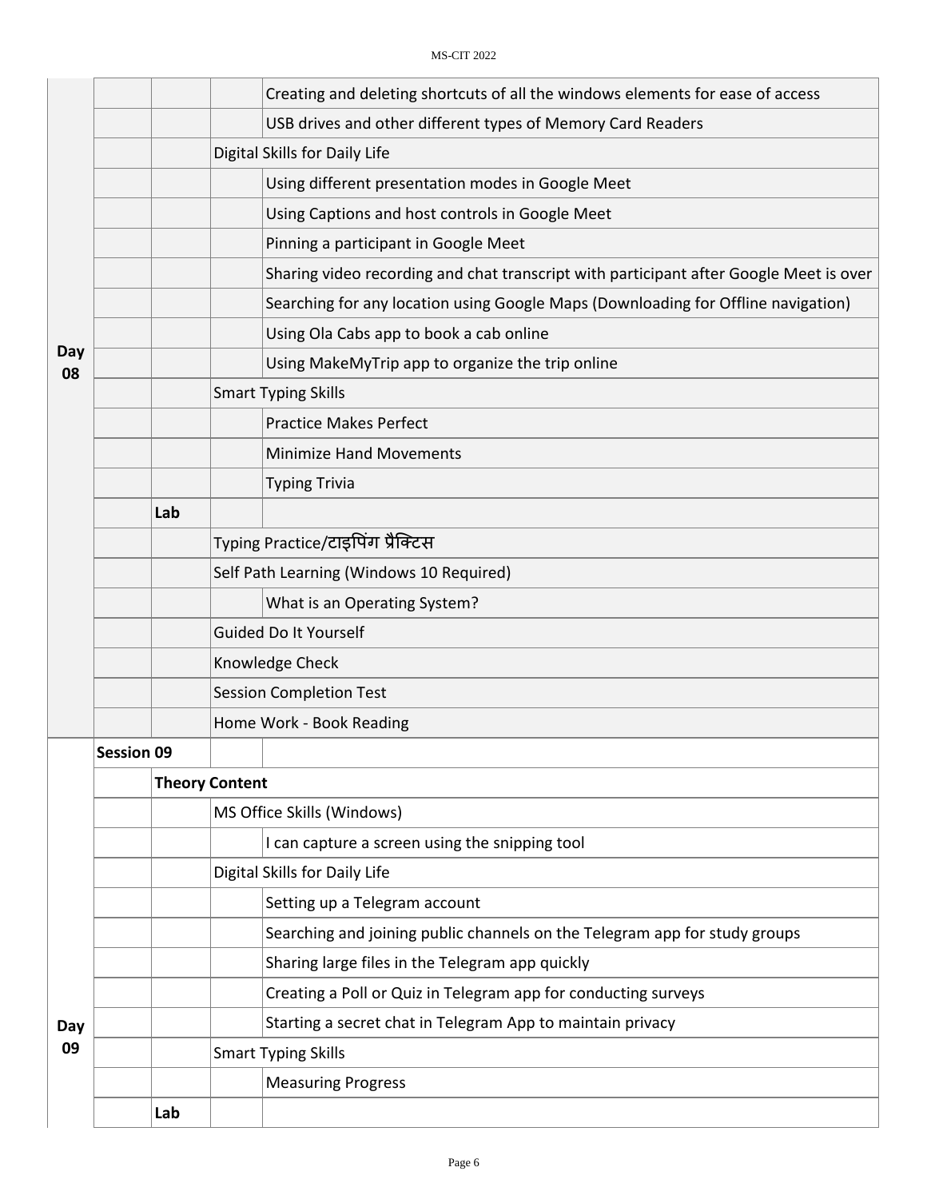|           |                   |     | Creating and deleting shortcuts of all the windows elements for ease of access         |  |  |  |
|-----------|-------------------|-----|----------------------------------------------------------------------------------------|--|--|--|
|           |                   |     | USB drives and other different types of Memory Card Readers                            |  |  |  |
|           |                   |     | Digital Skills for Daily Life                                                          |  |  |  |
|           |                   |     | Using different presentation modes in Google Meet                                      |  |  |  |
|           |                   |     | Using Captions and host controls in Google Meet                                        |  |  |  |
|           |                   |     | Pinning a participant in Google Meet                                                   |  |  |  |
|           |                   |     | Sharing video recording and chat transcript with participant after Google Meet is over |  |  |  |
|           |                   |     | Searching for any location using Google Maps (Downloading for Offline navigation)      |  |  |  |
|           |                   |     | Using Ola Cabs app to book a cab online                                                |  |  |  |
| Day<br>08 |                   |     | Using MakeMyTrip app to organize the trip online                                       |  |  |  |
|           |                   |     | <b>Smart Typing Skills</b>                                                             |  |  |  |
|           |                   |     | <b>Practice Makes Perfect</b>                                                          |  |  |  |
|           |                   |     | <b>Minimize Hand Movements</b>                                                         |  |  |  |
|           |                   |     | <b>Typing Trivia</b>                                                                   |  |  |  |
|           |                   | Lab |                                                                                        |  |  |  |
|           |                   |     | Typing Practice/टाइपिंग प्रैक्टिस                                                      |  |  |  |
|           |                   |     | Self Path Learning (Windows 10 Required)                                               |  |  |  |
|           |                   |     | What is an Operating System?                                                           |  |  |  |
|           |                   |     | <b>Guided Do It Yourself</b>                                                           |  |  |  |
|           |                   |     | Knowledge Check                                                                        |  |  |  |
|           |                   |     | <b>Session Completion Test</b>                                                         |  |  |  |
|           |                   |     | Home Work - Book Reading                                                               |  |  |  |
|           | <b>Session 09</b> |     |                                                                                        |  |  |  |
|           |                   |     | <b>Theory Content</b>                                                                  |  |  |  |
|           |                   |     | MS Office Skills (Windows)                                                             |  |  |  |
|           |                   |     | I can capture a screen using the snipping tool                                         |  |  |  |
|           |                   |     | Digital Skills for Daily Life                                                          |  |  |  |
|           |                   |     | Setting up a Telegram account                                                          |  |  |  |
|           |                   |     | Searching and joining public channels on the Telegram app for study groups             |  |  |  |
|           |                   |     | Sharing large files in the Telegram app quickly                                        |  |  |  |
|           |                   |     | Creating a Poll or Quiz in Telegram app for conducting surveys                         |  |  |  |
| Day       |                   |     | Starting a secret chat in Telegram App to maintain privacy                             |  |  |  |
| 09        |                   |     | <b>Smart Typing Skills</b>                                                             |  |  |  |
|           |                   |     | <b>Measuring Progress</b>                                                              |  |  |  |
|           |                   | Lab |                                                                                        |  |  |  |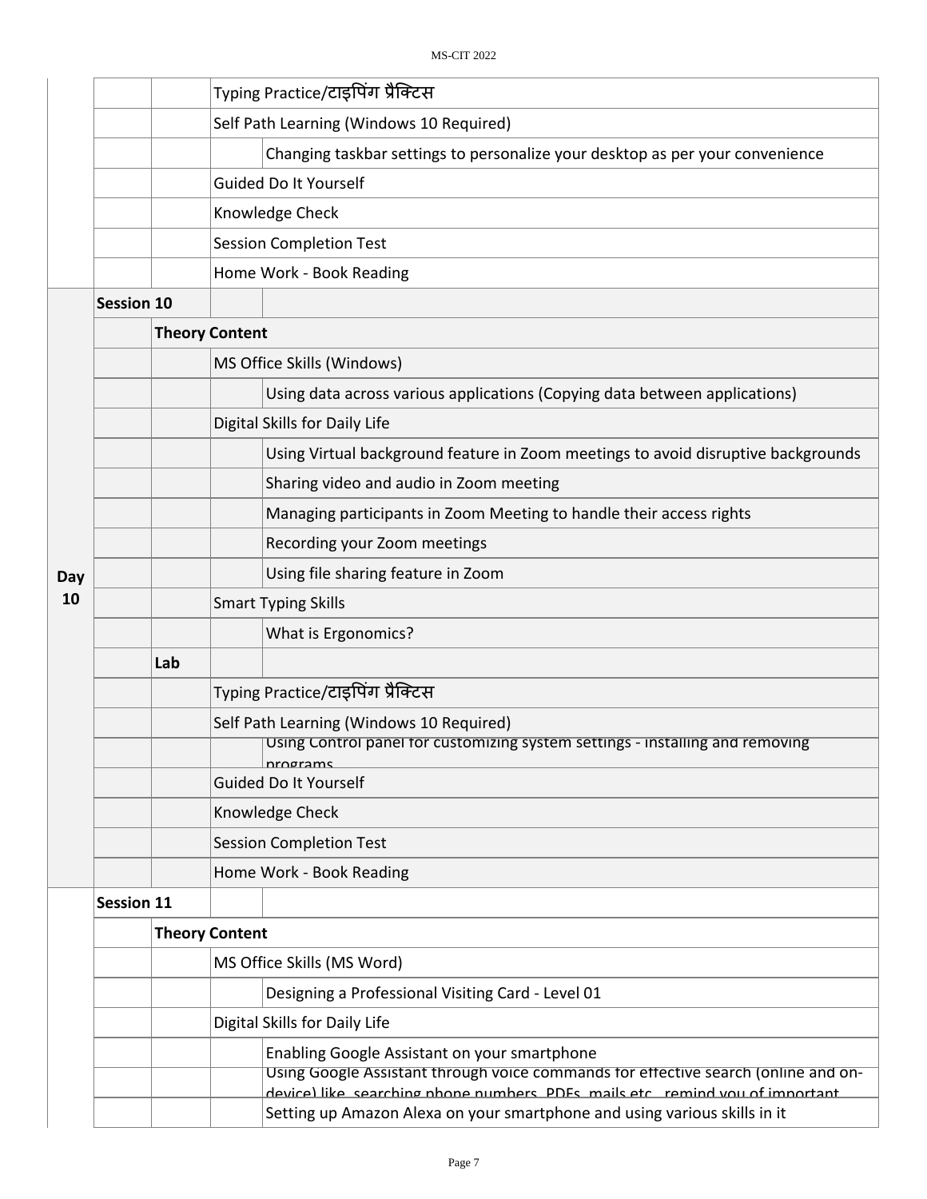|     | Typing Practice/टाइपिंग प्रैक्टिस                                                                                                                                                                                 |                                                                                                                                                                                                                          |  |  |  |  |
|-----|-------------------------------------------------------------------------------------------------------------------------------------------------------------------------------------------------------------------|--------------------------------------------------------------------------------------------------------------------------------------------------------------------------------------------------------------------------|--|--|--|--|
|     | Self Path Learning (Windows 10 Required)                                                                                                                                                                          |                                                                                                                                                                                                                          |  |  |  |  |
|     | Changing taskbar settings to personalize your desktop as per your convenience                                                                                                                                     |                                                                                                                                                                                                                          |  |  |  |  |
|     | Guided Do It Yourself                                                                                                                                                                                             |                                                                                                                                                                                                                          |  |  |  |  |
|     | Knowledge Check                                                                                                                                                                                                   |                                                                                                                                                                                                                          |  |  |  |  |
|     | <b>Session Completion Test</b>                                                                                                                                                                                    |                                                                                                                                                                                                                          |  |  |  |  |
|     | Home Work - Book Reading                                                                                                                                                                                          |                                                                                                                                                                                                                          |  |  |  |  |
|     |                                                                                                                                                                                                                   |                                                                                                                                                                                                                          |  |  |  |  |
|     |                                                                                                                                                                                                                   |                                                                                                                                                                                                                          |  |  |  |  |
|     | MS Office Skills (Windows)                                                                                                                                                                                        |                                                                                                                                                                                                                          |  |  |  |  |
|     | Using data across various applications (Copying data between applications)                                                                                                                                        |                                                                                                                                                                                                                          |  |  |  |  |
|     | Digital Skills for Daily Life                                                                                                                                                                                     |                                                                                                                                                                                                                          |  |  |  |  |
|     | Using Virtual background feature in Zoom meetings to avoid disruptive backgrounds                                                                                                                                 |                                                                                                                                                                                                                          |  |  |  |  |
|     | Sharing video and audio in Zoom meeting                                                                                                                                                                           |                                                                                                                                                                                                                          |  |  |  |  |
|     | Managing participants in Zoom Meeting to handle their access rights                                                                                                                                               |                                                                                                                                                                                                                          |  |  |  |  |
|     | Recording your Zoom meetings                                                                                                                                                                                      |                                                                                                                                                                                                                          |  |  |  |  |
|     | Using file sharing feature in Zoom                                                                                                                                                                                |                                                                                                                                                                                                                          |  |  |  |  |
|     | <b>Smart Typing Skills</b>                                                                                                                                                                                        |                                                                                                                                                                                                                          |  |  |  |  |
|     | What is Ergonomics?                                                                                                                                                                                               |                                                                                                                                                                                                                          |  |  |  |  |
| Lab |                                                                                                                                                                                                                   |                                                                                                                                                                                                                          |  |  |  |  |
|     | Typing Practice/टाइपिंग प्रैक्टिस                                                                                                                                                                                 |                                                                                                                                                                                                                          |  |  |  |  |
|     | Self Path Learning (Windows 10 Required)                                                                                                                                                                          |                                                                                                                                                                                                                          |  |  |  |  |
|     |                                                                                                                                                                                                                   |                                                                                                                                                                                                                          |  |  |  |  |
|     | <b>Guided Do It Yourself</b>                                                                                                                                                                                      |                                                                                                                                                                                                                          |  |  |  |  |
|     | Knowledge Check                                                                                                                                                                                                   |                                                                                                                                                                                                                          |  |  |  |  |
|     | <b>Session Completion Test</b>                                                                                                                                                                                    |                                                                                                                                                                                                                          |  |  |  |  |
|     | Home Work - Book Reading                                                                                                                                                                                          |                                                                                                                                                                                                                          |  |  |  |  |
|     |                                                                                                                                                                                                                   |                                                                                                                                                                                                                          |  |  |  |  |
|     |                                                                                                                                                                                                                   |                                                                                                                                                                                                                          |  |  |  |  |
|     | MS Office Skills (MS Word)                                                                                                                                                                                        |                                                                                                                                                                                                                          |  |  |  |  |
|     | Designing a Professional Visiting Card - Level 01                                                                                                                                                                 |                                                                                                                                                                                                                          |  |  |  |  |
|     | Digital Skills for Daily Life                                                                                                                                                                                     |                                                                                                                                                                                                                          |  |  |  |  |
|     | Enabling Google Assistant on your smartphone<br>Using Google Assistant through voice commands for effective search (online and on-<br>device) like searching nhone numbers PDFs mails etc remind you of imnortant |                                                                                                                                                                                                                          |  |  |  |  |
|     | <b>Session 10</b><br><b>Session 11</b>                                                                                                                                                                            | <b>Theory Content</b><br>Using Control panel for customizing system settings - installing and removing<br>nrograms<br><b>Theory Content</b><br>Setting up Amazon Alexa on your smartphone and using various skills in it |  |  |  |  |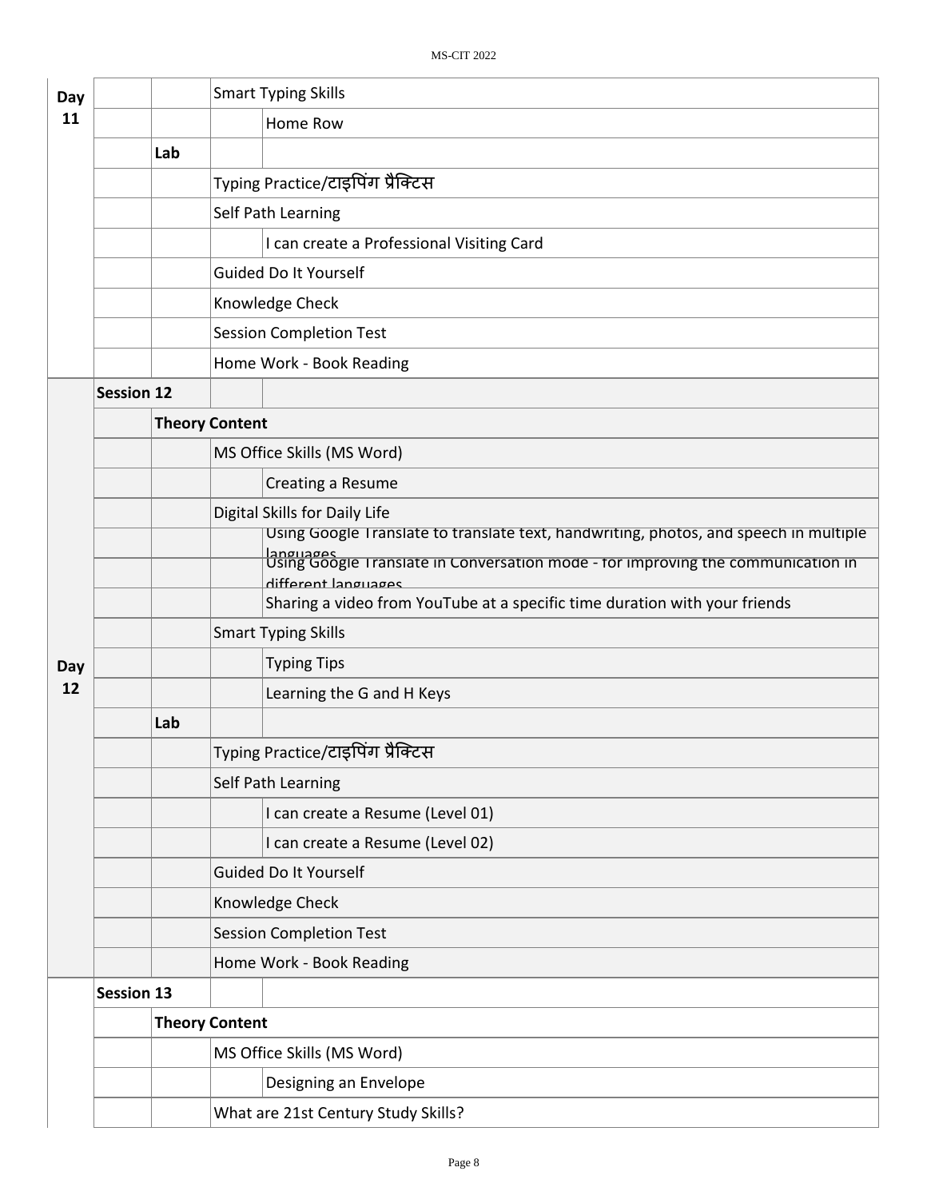| Day |                   |                       | <b>Smart Typing Skills</b>                                                                                                                                                             |  |  |
|-----|-------------------|-----------------------|----------------------------------------------------------------------------------------------------------------------------------------------------------------------------------------|--|--|
| 11  |                   |                       | Home Row                                                                                                                                                                               |  |  |
|     |                   | Lab                   |                                                                                                                                                                                        |  |  |
|     |                   |                       | Typing Practice/टाइपिंग प्रैक्टिस                                                                                                                                                      |  |  |
|     |                   |                       | Self Path Learning                                                                                                                                                                     |  |  |
|     |                   |                       | I can create a Professional Visiting Card                                                                                                                                              |  |  |
|     |                   |                       | Guided Do It Yourself                                                                                                                                                                  |  |  |
|     |                   |                       | Knowledge Check                                                                                                                                                                        |  |  |
|     |                   |                       | <b>Session Completion Test</b>                                                                                                                                                         |  |  |
|     |                   |                       | Home Work - Book Reading                                                                                                                                                               |  |  |
|     | <b>Session 12</b> |                       |                                                                                                                                                                                        |  |  |
|     |                   | <b>Theory Content</b> |                                                                                                                                                                                        |  |  |
|     |                   |                       | MS Office Skills (MS Word)                                                                                                                                                             |  |  |
|     |                   |                       | Creating a Resume                                                                                                                                                                      |  |  |
|     |                   |                       | Digital Skills for Daily Life                                                                                                                                                          |  |  |
|     |                   |                       | Using Google Translate to translate text, handwriting, photos, and speech in multiple<br>languages<br>Using Google Translate in Conversation mode - for improving the communication in |  |  |
|     |                   |                       | different languages                                                                                                                                                                    |  |  |
|     |                   |                       | Sharing a video from YouTube at a specific time duration with your friends                                                                                                             |  |  |
|     |                   |                       | <b>Smart Typing Skills</b>                                                                                                                                                             |  |  |
| Day |                   |                       | <b>Typing Tips</b>                                                                                                                                                                     |  |  |
| 12  |                   |                       | Learning the G and H Keys                                                                                                                                                              |  |  |
|     |                   | Lab                   |                                                                                                                                                                                        |  |  |
|     |                   |                       | Typing Practice/टाइपिंग प्रैक्टिस                                                                                                                                                      |  |  |
|     |                   |                       | Self Path Learning                                                                                                                                                                     |  |  |
|     |                   |                       | I can create a Resume (Level 01)                                                                                                                                                       |  |  |
|     |                   |                       | I can create a Resume (Level 02)                                                                                                                                                       |  |  |
|     |                   |                       | <b>Guided Do It Yourself</b>                                                                                                                                                           |  |  |
|     |                   |                       | Knowledge Check                                                                                                                                                                        |  |  |
|     |                   |                       | <b>Session Completion Test</b>                                                                                                                                                         |  |  |
|     |                   |                       | Home Work - Book Reading                                                                                                                                                               |  |  |
|     | <b>Session 13</b> |                       |                                                                                                                                                                                        |  |  |
|     |                   | <b>Theory Content</b> |                                                                                                                                                                                        |  |  |
|     |                   |                       | MS Office Skills (MS Word)                                                                                                                                                             |  |  |
|     |                   |                       | Designing an Envelope                                                                                                                                                                  |  |  |
|     |                   |                       | What are 21st Century Study Skills?                                                                                                                                                    |  |  |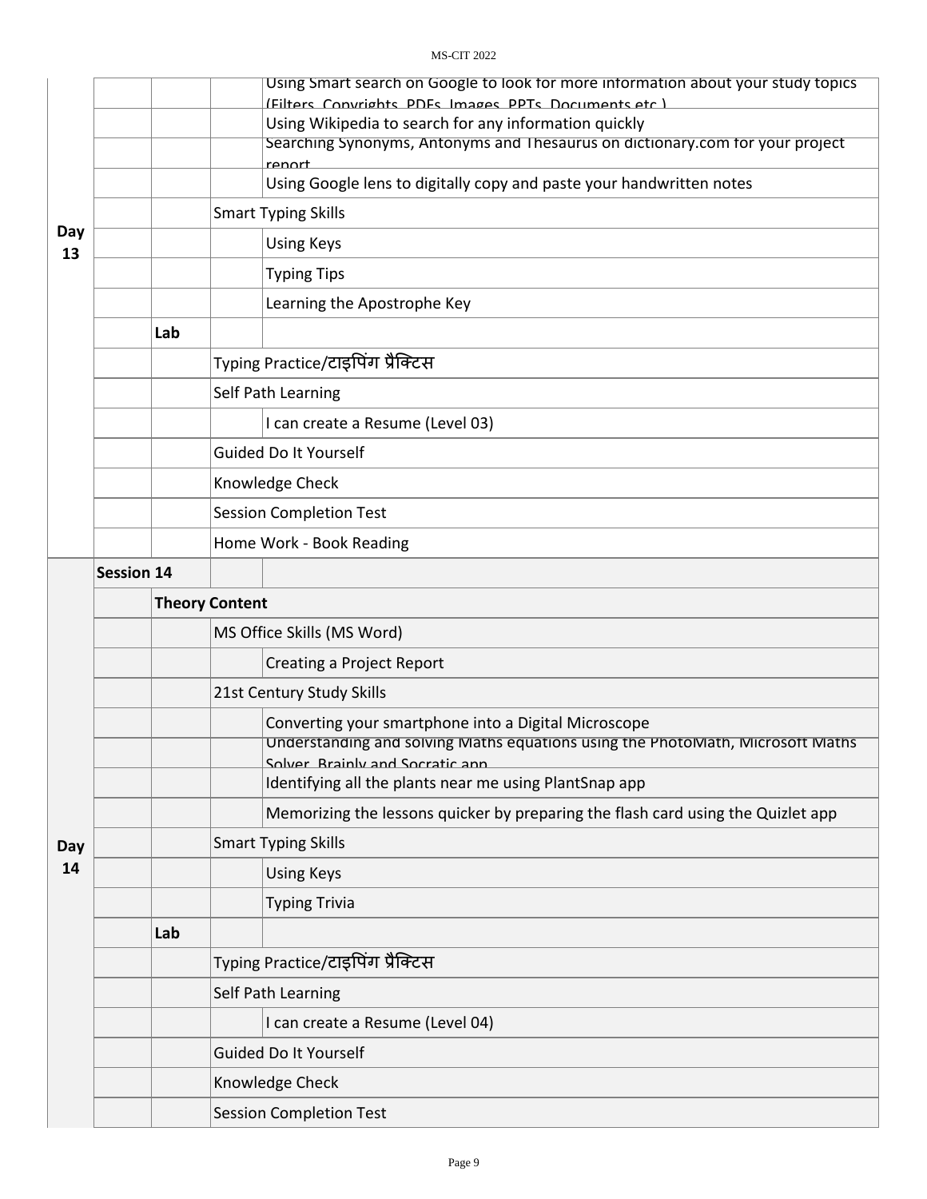#### MS-CIT 2022

|           |                   |                       | Using Smart search on Google to look for more information about your study topics                                                      |  |  |  |
|-----------|-------------------|-----------------------|----------------------------------------------------------------------------------------------------------------------------------------|--|--|--|
|           |                   |                       | (Filters Convrights PDFs Images PPTs Documents etc)                                                                                    |  |  |  |
|           |                   |                       | Using Wikipedia to search for any information quickly<br>Searching Synonyms, Antonyms and Thesaurus on dictionary.com for your project |  |  |  |
| Day<br>13 |                   |                       | renort                                                                                                                                 |  |  |  |
|           |                   |                       | Using Google lens to digitally copy and paste your handwritten notes                                                                   |  |  |  |
|           |                   |                       | <b>Smart Typing Skills</b>                                                                                                             |  |  |  |
|           |                   |                       | <b>Using Keys</b>                                                                                                                      |  |  |  |
|           |                   |                       | <b>Typing Tips</b>                                                                                                                     |  |  |  |
|           |                   |                       | Learning the Apostrophe Key                                                                                                            |  |  |  |
|           | Lab               |                       |                                                                                                                                        |  |  |  |
|           |                   |                       | Typing Practice/टाइपिंग प्रैक्टिस                                                                                                      |  |  |  |
|           |                   |                       | Self Path Learning                                                                                                                     |  |  |  |
|           |                   |                       | I can create a Resume (Level 03)                                                                                                       |  |  |  |
|           |                   |                       | Guided Do It Yourself                                                                                                                  |  |  |  |
|           |                   |                       | Knowledge Check                                                                                                                        |  |  |  |
|           |                   |                       | <b>Session Completion Test</b>                                                                                                         |  |  |  |
|           |                   |                       | Home Work - Book Reading                                                                                                               |  |  |  |
|           | <b>Session 14</b> |                       |                                                                                                                                        |  |  |  |
|           |                   | <b>Theory Content</b> |                                                                                                                                        |  |  |  |
|           |                   |                       | MS Office Skills (MS Word)                                                                                                             |  |  |  |
|           |                   |                       | Creating a Project Report                                                                                                              |  |  |  |
|           |                   |                       |                                                                                                                                        |  |  |  |
|           |                   |                       | 21st Century Study Skills                                                                                                              |  |  |  |
|           |                   |                       | Converting your smartphone into a Digital Microscope<br>Understanding and solving Maths equations using the PhotoMath, Microsoft Maths |  |  |  |
|           |                   |                       | Solver Rrainly and Socratic ann<br>Identifying all the plants near me using PlantSnap app                                              |  |  |  |
|           |                   |                       | Memorizing the lessons quicker by preparing the flash card using the Quizlet app                                                       |  |  |  |
|           |                   |                       | <b>Smart Typing Skills</b>                                                                                                             |  |  |  |
| Day<br>14 |                   |                       | <b>Using Keys</b>                                                                                                                      |  |  |  |
|           |                   |                       | <b>Typing Trivia</b>                                                                                                                   |  |  |  |
|           | Lab               |                       |                                                                                                                                        |  |  |  |
|           |                   |                       | Typing Practice/टाइपिंग प्रैक्टिस                                                                                                      |  |  |  |
|           |                   |                       | Self Path Learning                                                                                                                     |  |  |  |
|           |                   |                       | I can create a Resume (Level 04)                                                                                                       |  |  |  |
|           |                   |                       | Guided Do It Yourself                                                                                                                  |  |  |  |
|           |                   |                       | Knowledge Check                                                                                                                        |  |  |  |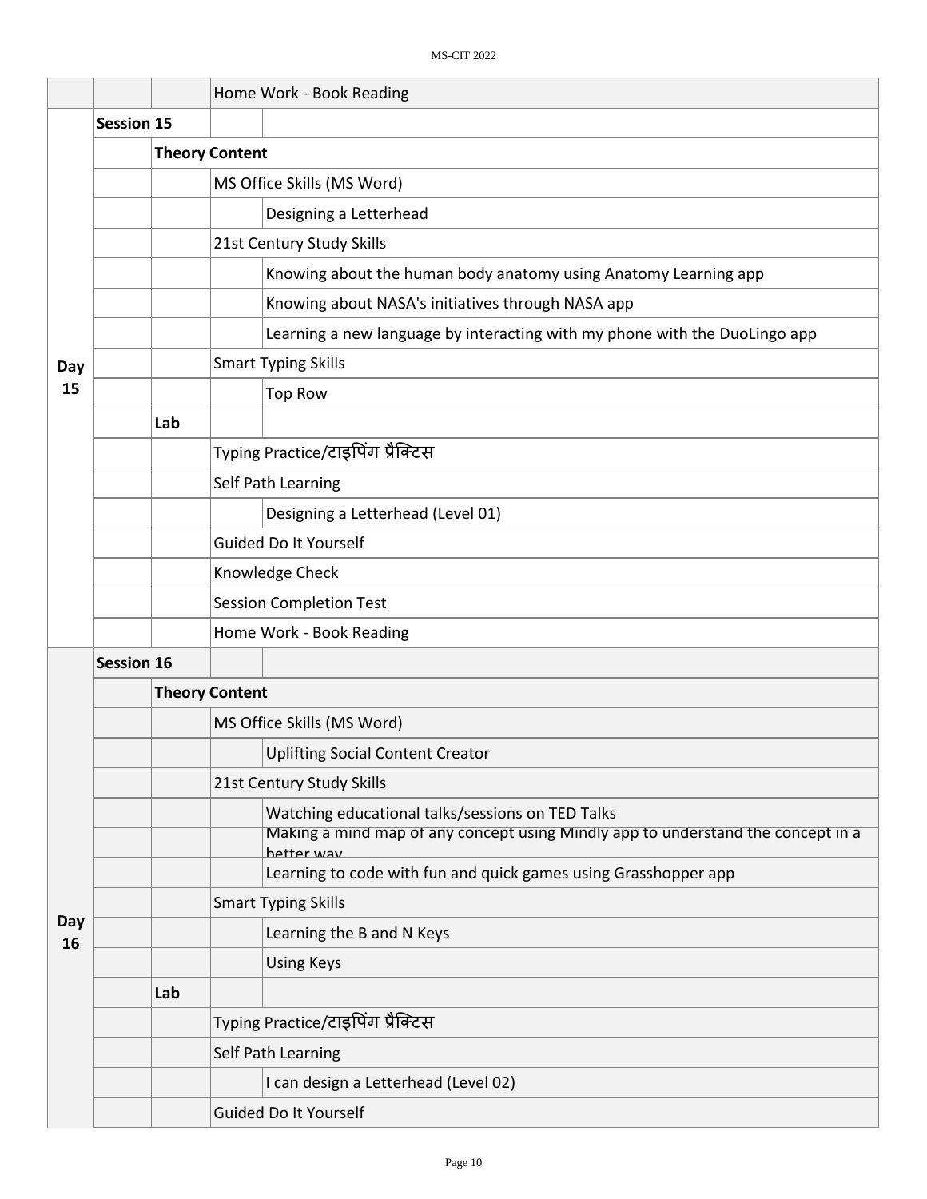|           |                   |     | Home Work - Book Reading                                                                       |  |  |  |
|-----------|-------------------|-----|------------------------------------------------------------------------------------------------|--|--|--|
|           | <b>Session 15</b> |     |                                                                                                |  |  |  |
|           |                   |     | <b>Theory Content</b>                                                                          |  |  |  |
|           |                   |     | MS Office Skills (MS Word)                                                                     |  |  |  |
|           |                   |     | Designing a Letterhead                                                                         |  |  |  |
|           |                   |     | 21st Century Study Skills                                                                      |  |  |  |
|           |                   |     | Knowing about the human body anatomy using Anatomy Learning app                                |  |  |  |
|           |                   |     | Knowing about NASA's initiatives through NASA app                                              |  |  |  |
|           |                   |     | Learning a new language by interacting with my phone with the DuoLingo app                     |  |  |  |
| Day       |                   |     | <b>Smart Typing Skills</b>                                                                     |  |  |  |
| 15        |                   |     | <b>Top Row</b>                                                                                 |  |  |  |
|           |                   | Lab |                                                                                                |  |  |  |
|           |                   |     | Typing Practice/टाइपिंग प्रैक्टिस                                                              |  |  |  |
|           |                   |     | Self Path Learning                                                                             |  |  |  |
|           |                   |     | Designing a Letterhead (Level 01)                                                              |  |  |  |
|           |                   |     | Guided Do It Yourself                                                                          |  |  |  |
|           |                   |     | Knowledge Check                                                                                |  |  |  |
|           |                   |     | <b>Session Completion Test</b>                                                                 |  |  |  |
|           |                   |     | Home Work - Book Reading                                                                       |  |  |  |
|           | <b>Session 16</b> |     |                                                                                                |  |  |  |
|           |                   |     | <b>Theory Content</b>                                                                          |  |  |  |
|           |                   |     | MS Office Skills (MS Word)                                                                     |  |  |  |
|           |                   |     | <b>Uplifting Social Content Creator</b>                                                        |  |  |  |
|           |                   |     | 21st Century Study Skills                                                                      |  |  |  |
|           |                   |     | Watching educational talks/sessions on TED Talks                                               |  |  |  |
|           |                   |     | Making a mind map of any concept using Mindly app to understand the concept in a<br>hetter way |  |  |  |
|           |                   |     | Learning to code with fun and quick games using Grasshopper app                                |  |  |  |
|           |                   |     | <b>Smart Typing Skills</b>                                                                     |  |  |  |
| Day<br>16 |                   |     | Learning the B and N Keys                                                                      |  |  |  |
|           |                   |     | <b>Using Keys</b>                                                                              |  |  |  |
|           |                   | Lab |                                                                                                |  |  |  |
|           |                   |     | Typing Practice/टाइपिंग प्रैक्टिस                                                              |  |  |  |
|           |                   |     | Self Path Learning                                                                             |  |  |  |
|           |                   |     | I can design a Letterhead (Level 02)                                                           |  |  |  |
|           |                   |     | Guided Do It Yourself                                                                          |  |  |  |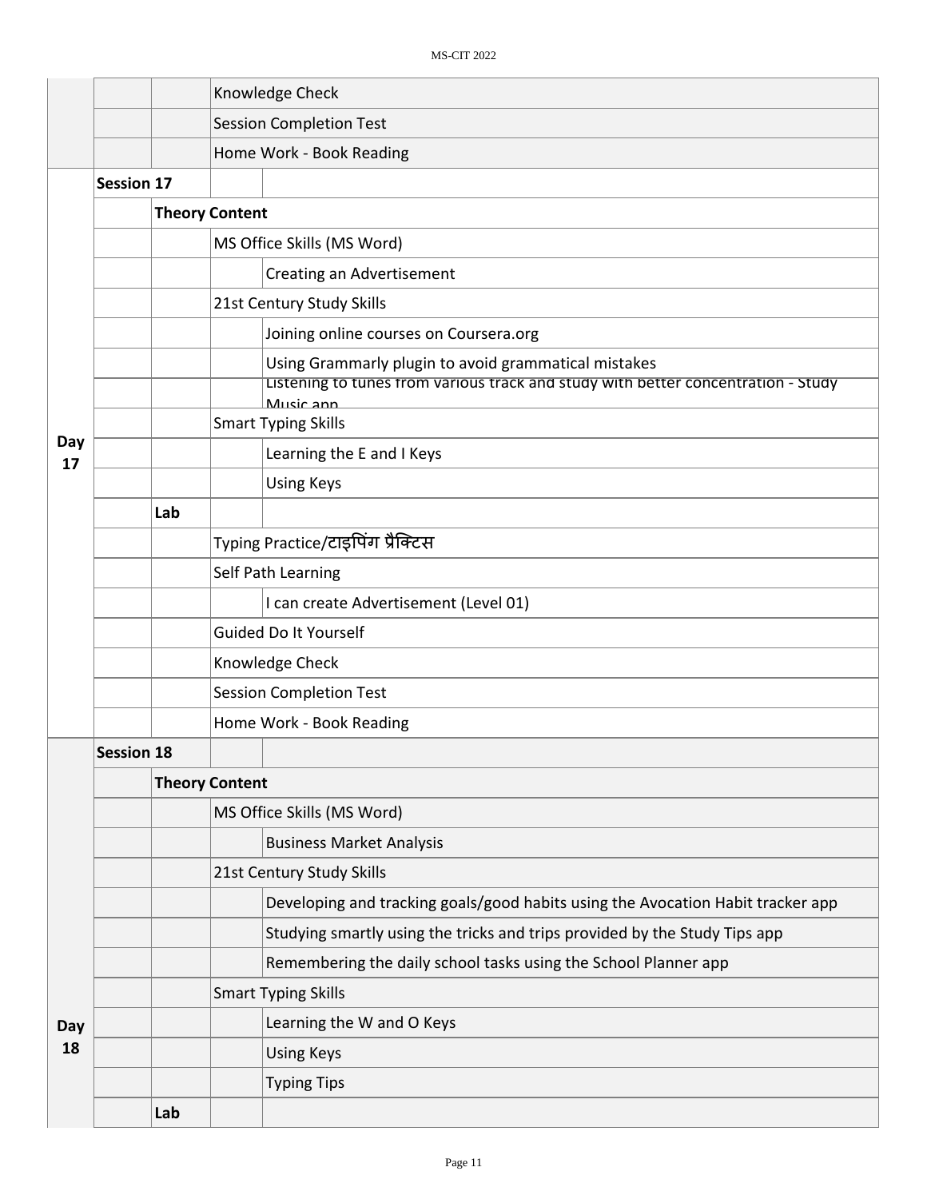|           |                   |     |                                   | Knowledge Check                                                                                                                                        |  |  |
|-----------|-------------------|-----|-----------------------------------|--------------------------------------------------------------------------------------------------------------------------------------------------------|--|--|
|           |                   |     |                                   | <b>Session Completion Test</b>                                                                                                                         |  |  |
|           |                   |     |                                   | Home Work - Book Reading                                                                                                                               |  |  |
|           | <b>Session 17</b> |     |                                   |                                                                                                                                                        |  |  |
|           |                   |     | <b>Theory Content</b>             |                                                                                                                                                        |  |  |
|           |                   |     |                                   | MS Office Skills (MS Word)                                                                                                                             |  |  |
|           |                   |     |                                   | <b>Creating an Advertisement</b>                                                                                                                       |  |  |
|           |                   |     |                                   | 21st Century Study Skills                                                                                                                              |  |  |
|           |                   |     |                                   | Joining online courses on Coursera.org                                                                                                                 |  |  |
|           |                   |     |                                   | Using Grammarly plugin to avoid grammatical mistakes<br>Listening to tunes from various track and study with better concentration - Study<br>Music ann |  |  |
|           |                   |     |                                   | <b>Smart Typing Skills</b>                                                                                                                             |  |  |
| Day<br>17 |                   |     |                                   | Learning the E and I Keys                                                                                                                              |  |  |
|           |                   |     |                                   | <b>Using Keys</b>                                                                                                                                      |  |  |
|           |                   | Lab |                                   |                                                                                                                                                        |  |  |
|           |                   |     | Typing Practice/टाइपिंग प्रैक्टिस |                                                                                                                                                        |  |  |
|           |                   |     |                                   | Self Path Learning                                                                                                                                     |  |  |
|           |                   |     |                                   | I can create Advertisement (Level 01)                                                                                                                  |  |  |
|           |                   |     | Guided Do It Yourself             |                                                                                                                                                        |  |  |
|           |                   |     | Knowledge Check                   |                                                                                                                                                        |  |  |
|           |                   |     | <b>Session Completion Test</b>    |                                                                                                                                                        |  |  |
|           |                   |     | Home Work - Book Reading          |                                                                                                                                                        |  |  |
|           | <b>Session 18</b> |     |                                   |                                                                                                                                                        |  |  |
|           |                   |     | <b>Theory Content</b>             |                                                                                                                                                        |  |  |
|           |                   |     |                                   | MS Office Skills (MS Word)                                                                                                                             |  |  |
|           |                   |     |                                   | <b>Business Market Analysis</b>                                                                                                                        |  |  |
|           |                   |     |                                   | 21st Century Study Skills                                                                                                                              |  |  |
|           |                   |     |                                   | Developing and tracking goals/good habits using the Avocation Habit tracker app                                                                        |  |  |
|           |                   |     |                                   | Studying smartly using the tricks and trips provided by the Study Tips app                                                                             |  |  |
|           |                   |     |                                   | Remembering the daily school tasks using the School Planner app                                                                                        |  |  |
|           |                   |     |                                   | <b>Smart Typing Skills</b>                                                                                                                             |  |  |
| Day       |                   |     |                                   | Learning the W and O Keys                                                                                                                              |  |  |
| 18        |                   |     |                                   | <b>Using Keys</b>                                                                                                                                      |  |  |
|           |                   |     |                                   | <b>Typing Tips</b>                                                                                                                                     |  |  |
|           |                   | Lab |                                   |                                                                                                                                                        |  |  |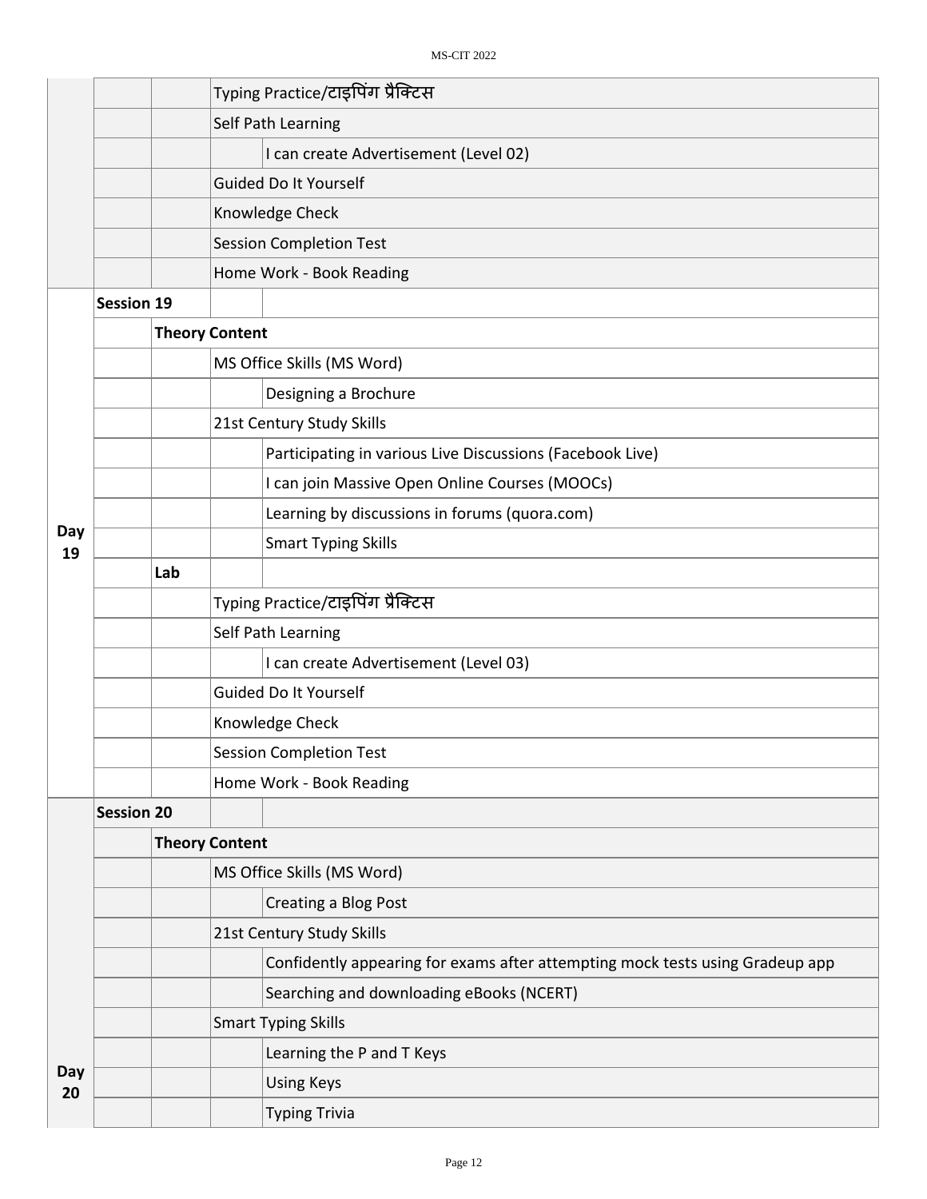|           |                   |     | Typing Practice/टाइपिंग प्रैक्टिस                                             |  |  |  |  |  |  |
|-----------|-------------------|-----|-------------------------------------------------------------------------------|--|--|--|--|--|--|
|           |                   |     | Self Path Learning                                                            |  |  |  |  |  |  |
|           |                   |     | I can create Advertisement (Level 02)                                         |  |  |  |  |  |  |
|           |                   |     | Guided Do It Yourself                                                         |  |  |  |  |  |  |
|           |                   |     | Knowledge Check                                                               |  |  |  |  |  |  |
|           |                   |     | <b>Session Completion Test</b>                                                |  |  |  |  |  |  |
|           |                   |     | Home Work - Book Reading                                                      |  |  |  |  |  |  |
|           | <b>Session 19</b> |     |                                                                               |  |  |  |  |  |  |
|           |                   |     | <b>Theory Content</b>                                                         |  |  |  |  |  |  |
|           |                   |     | MS Office Skills (MS Word)                                                    |  |  |  |  |  |  |
|           |                   |     | Designing a Brochure                                                          |  |  |  |  |  |  |
|           |                   |     | 21st Century Study Skills                                                     |  |  |  |  |  |  |
|           |                   |     | Participating in various Live Discussions (Facebook Live)                     |  |  |  |  |  |  |
|           |                   |     | I can join Massive Open Online Courses (MOOCs)                                |  |  |  |  |  |  |
|           |                   |     | Learning by discussions in forums (quora.com)                                 |  |  |  |  |  |  |
| Day<br>19 |                   |     | <b>Smart Typing Skills</b>                                                    |  |  |  |  |  |  |
|           |                   | Lab |                                                                               |  |  |  |  |  |  |
|           |                   |     | Typing Practice/टाइपिंग प्रैक्टिस                                             |  |  |  |  |  |  |
|           |                   |     | Self Path Learning                                                            |  |  |  |  |  |  |
|           |                   |     | I can create Advertisement (Level 03)                                         |  |  |  |  |  |  |
|           |                   |     | Guided Do It Yourself                                                         |  |  |  |  |  |  |
|           |                   |     | Knowledge Check                                                               |  |  |  |  |  |  |
|           |                   |     | <b>Session Completion Test</b>                                                |  |  |  |  |  |  |
|           |                   |     | Home Work - Book Reading                                                      |  |  |  |  |  |  |
|           | <b>Session 20</b> |     |                                                                               |  |  |  |  |  |  |
|           |                   |     | <b>Theory Content</b>                                                         |  |  |  |  |  |  |
|           |                   |     | MS Office Skills (MS Word)                                                    |  |  |  |  |  |  |
|           |                   |     | <b>Creating a Blog Post</b>                                                   |  |  |  |  |  |  |
|           |                   |     | 21st Century Study Skills                                                     |  |  |  |  |  |  |
|           |                   |     | Confidently appearing for exams after attempting mock tests using Gradeup app |  |  |  |  |  |  |
|           |                   |     | Searching and downloading eBooks (NCERT)                                      |  |  |  |  |  |  |
|           |                   |     | <b>Smart Typing Skills</b>                                                    |  |  |  |  |  |  |
|           |                   |     | Learning the P and T Keys                                                     |  |  |  |  |  |  |
| Day<br>20 |                   |     | <b>Using Keys</b>                                                             |  |  |  |  |  |  |
|           |                   |     | <b>Typing Trivia</b>                                                          |  |  |  |  |  |  |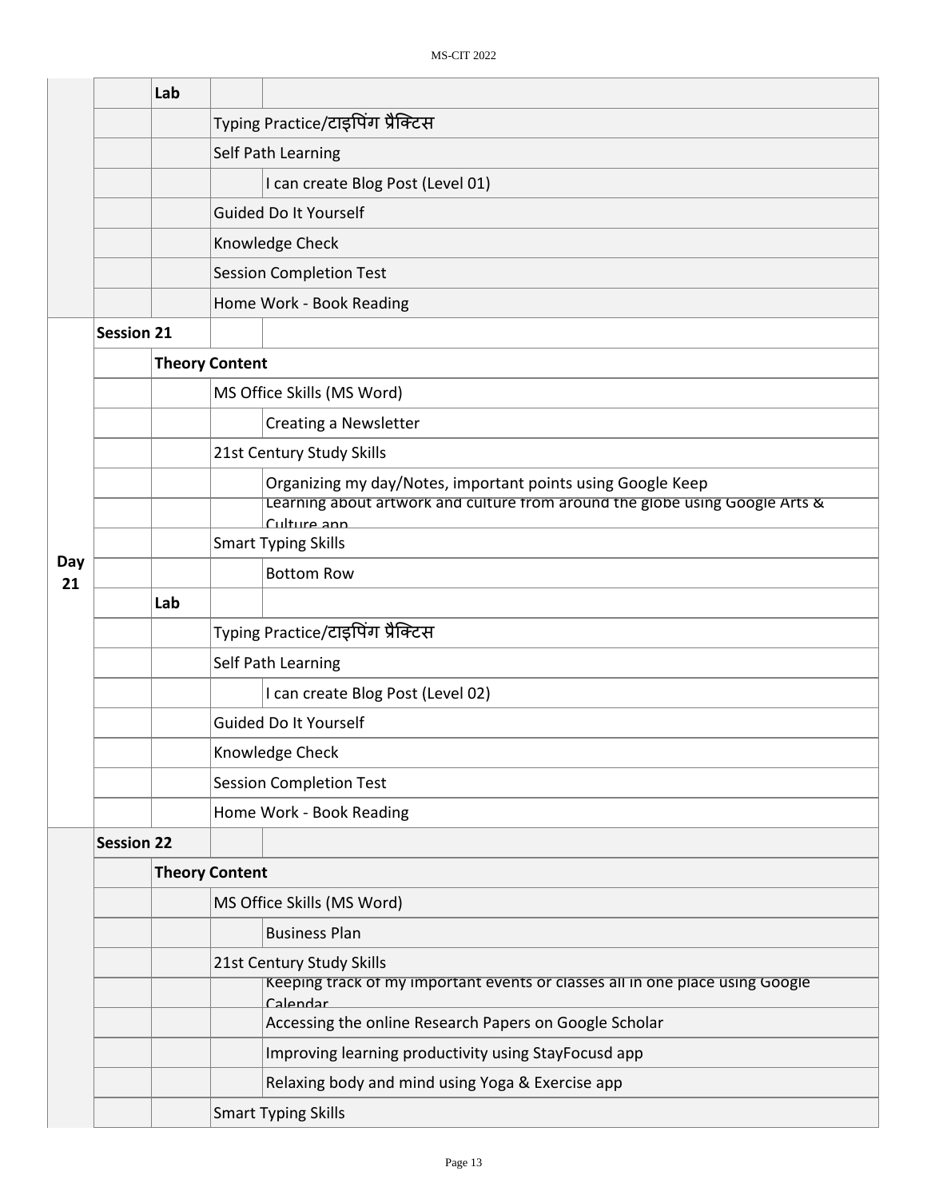|           | Lab               |                       |                                                                                             |  |  |
|-----------|-------------------|-----------------------|---------------------------------------------------------------------------------------------|--|--|
|           |                   |                       | Typing Practice/टाइपिंग प्रैक्टिस                                                           |  |  |
|           |                   |                       | Self Path Learning                                                                          |  |  |
|           |                   |                       | I can create Blog Post (Level 01)                                                           |  |  |
|           |                   |                       | <b>Guided Do It Yourself</b>                                                                |  |  |
|           |                   |                       | Knowledge Check                                                                             |  |  |
|           |                   |                       | <b>Session Completion Test</b>                                                              |  |  |
|           |                   |                       | Home Work - Book Reading                                                                    |  |  |
|           | <b>Session 21</b> |                       |                                                                                             |  |  |
|           |                   | <b>Theory Content</b> |                                                                                             |  |  |
|           |                   |                       | MS Office Skills (MS Word)                                                                  |  |  |
|           |                   |                       | <b>Creating a Newsletter</b>                                                                |  |  |
|           |                   |                       | 21st Century Study Skills                                                                   |  |  |
|           |                   |                       | Organizing my day/Notes, important points using Google Keep                                 |  |  |
|           |                   |                       | Learning about artwork and culture from around the globe using Google Arts &<br>Culture ann |  |  |
|           |                   |                       | <b>Smart Typing Skills</b>                                                                  |  |  |
| Day<br>21 |                   |                       | <b>Bottom Row</b>                                                                           |  |  |
|           | Lab               |                       |                                                                                             |  |  |
|           |                   |                       | Typing Practice/टाइपिंग प्रैक्टिस                                                           |  |  |
|           |                   |                       | Self Path Learning                                                                          |  |  |
|           |                   |                       | I can create Blog Post (Level 02)                                                           |  |  |
|           |                   |                       | Guided Do It Yourself                                                                       |  |  |
|           |                   |                       | Knowledge Check                                                                             |  |  |
|           |                   |                       | <b>Session Completion Test</b>                                                              |  |  |
|           |                   |                       | Home Work - Book Reading                                                                    |  |  |
|           | <b>Session 22</b> |                       |                                                                                             |  |  |
|           |                   | <b>Theory Content</b> |                                                                                             |  |  |
|           |                   |                       | MS Office Skills (MS Word)                                                                  |  |  |
|           |                   |                       | <b>Business Plan</b>                                                                        |  |  |
|           |                   |                       | 21st Century Study Skills                                                                   |  |  |
|           |                   |                       | Keeping track of my important events or classes all in one place using Google<br>Calendar   |  |  |
|           |                   |                       | Accessing the online Research Papers on Google Scholar                                      |  |  |
|           |                   |                       | Improving learning productivity using StayFocusd app                                        |  |  |
|           |                   |                       | Relaxing body and mind using Yoga & Exercise app                                            |  |  |
|           |                   |                       | <b>Smart Typing Skills</b>                                                                  |  |  |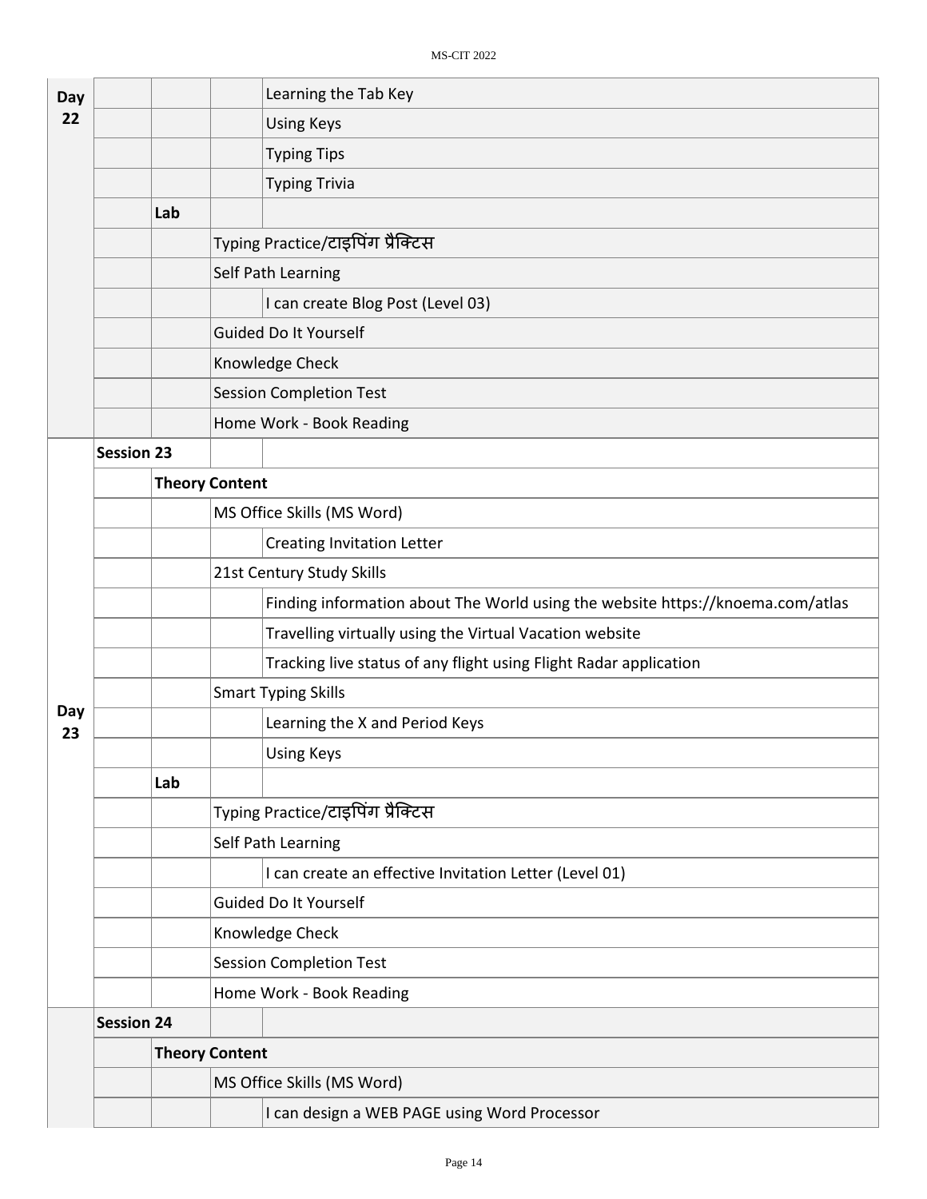| Day |                   |     | Learning the Tab Key                                                           |  |  |  |  |
|-----|-------------------|-----|--------------------------------------------------------------------------------|--|--|--|--|
| 22  |                   |     | <b>Using Keys</b>                                                              |  |  |  |  |
|     |                   |     | <b>Typing Tips</b>                                                             |  |  |  |  |
|     |                   |     | <b>Typing Trivia</b>                                                           |  |  |  |  |
|     |                   | Lab |                                                                                |  |  |  |  |
|     |                   |     | Typing Practice/टाइपिंग प्रैक्टिस                                              |  |  |  |  |
|     |                   |     | Self Path Learning                                                             |  |  |  |  |
|     |                   |     | I can create Blog Post (Level 03)                                              |  |  |  |  |
|     |                   |     | <b>Guided Do It Yourself</b>                                                   |  |  |  |  |
|     |                   |     | Knowledge Check                                                                |  |  |  |  |
|     |                   |     | <b>Session Completion Test</b>                                                 |  |  |  |  |
|     |                   |     | Home Work - Book Reading                                                       |  |  |  |  |
|     | <b>Session 23</b> |     |                                                                                |  |  |  |  |
|     |                   |     | <b>Theory Content</b>                                                          |  |  |  |  |
|     |                   |     | MS Office Skills (MS Word)                                                     |  |  |  |  |
|     |                   |     | <b>Creating Invitation Letter</b>                                              |  |  |  |  |
|     |                   |     | 21st Century Study Skills                                                      |  |  |  |  |
|     |                   |     | Finding information about The World using the website https://knoema.com/atlas |  |  |  |  |
|     |                   |     | Travelling virtually using the Virtual Vacation website                        |  |  |  |  |
|     |                   |     | Tracking live status of any flight using Flight Radar application              |  |  |  |  |
| Day |                   |     | <b>Smart Typing Skills</b>                                                     |  |  |  |  |
| 23  |                   |     | Learning the X and Period Keys                                                 |  |  |  |  |
|     |                   |     | <b>Using Keys</b>                                                              |  |  |  |  |
|     |                   | Lab |                                                                                |  |  |  |  |
|     |                   |     | Typing Practice/टाइपिंग प्रैक्टिस                                              |  |  |  |  |
|     |                   |     | Self Path Learning                                                             |  |  |  |  |
|     |                   |     | I can create an effective Invitation Letter (Level 01)                         |  |  |  |  |
|     |                   |     | Guided Do It Yourself                                                          |  |  |  |  |
|     |                   |     | Knowledge Check                                                                |  |  |  |  |
|     |                   |     | <b>Session Completion Test</b>                                                 |  |  |  |  |
|     |                   |     | Home Work - Book Reading                                                       |  |  |  |  |
|     | <b>Session 24</b> |     |                                                                                |  |  |  |  |
|     |                   |     | <b>Theory Content</b>                                                          |  |  |  |  |
|     |                   |     | MS Office Skills (MS Word)                                                     |  |  |  |  |
|     |                   |     | I can design a WEB PAGE using Word Processor                                   |  |  |  |  |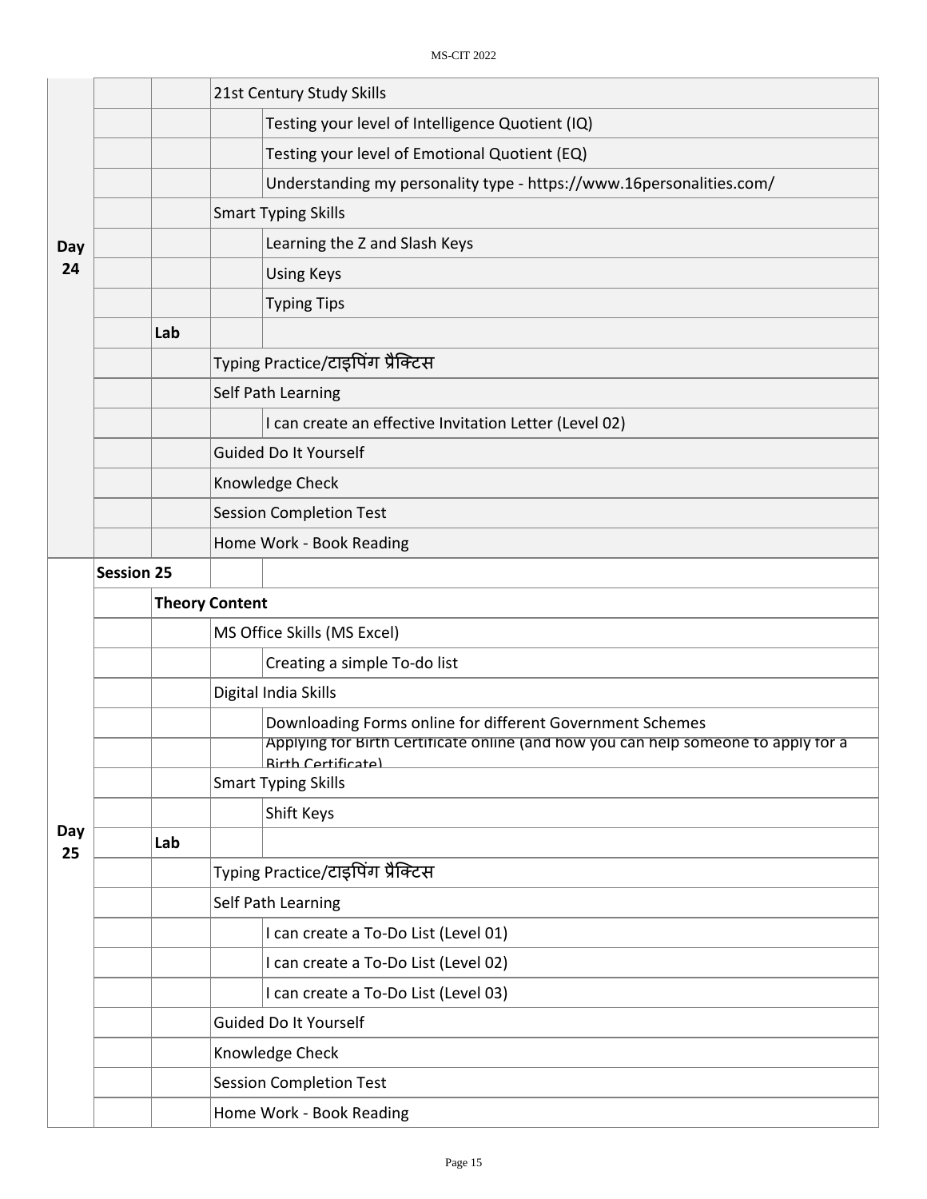|     |                   | 21st Century Study Skills                                                                                                                       |  |  |  |
|-----|-------------------|-------------------------------------------------------------------------------------------------------------------------------------------------|--|--|--|
|     |                   | Testing your level of Intelligence Quotient (IQ)                                                                                                |  |  |  |
|     |                   | Testing your level of Emotional Quotient (EQ)                                                                                                   |  |  |  |
|     |                   | Understanding my personality type - https://www.16personalities.com/                                                                            |  |  |  |
|     |                   | <b>Smart Typing Skills</b>                                                                                                                      |  |  |  |
| Day |                   | Learning the Z and Slash Keys                                                                                                                   |  |  |  |
| 24  |                   | <b>Using Keys</b>                                                                                                                               |  |  |  |
|     |                   | <b>Typing Tips</b>                                                                                                                              |  |  |  |
|     | Lab               |                                                                                                                                                 |  |  |  |
|     |                   | Typing Practice/टाइपिंग प्रैक्टिस                                                                                                               |  |  |  |
|     |                   | Self Path Learning                                                                                                                              |  |  |  |
|     |                   | I can create an effective Invitation Letter (Level 02)                                                                                          |  |  |  |
|     |                   | Guided Do It Yourself                                                                                                                           |  |  |  |
|     |                   | Knowledge Check                                                                                                                                 |  |  |  |
|     |                   | <b>Session Completion Test</b>                                                                                                                  |  |  |  |
|     |                   | Home Work - Book Reading                                                                                                                        |  |  |  |
|     | <b>Session 25</b> |                                                                                                                                                 |  |  |  |
|     |                   | <b>Theory Content</b>                                                                                                                           |  |  |  |
|     |                   | MS Office Skills (MS Excel)                                                                                                                     |  |  |  |
|     |                   | Creating a simple To-do list                                                                                                                    |  |  |  |
|     |                   | Digital India Skills                                                                                                                            |  |  |  |
|     |                   |                                                                                                                                                 |  |  |  |
|     |                   | Downloading Forms online for different Government Schemes<br>Applying for Birth Certificate online (and how you can help someone to apply for a |  |  |  |
|     |                   | <b>Rirth Certificate)</b><br><b>Smart Typing Skills</b>                                                                                         |  |  |  |
|     |                   | Shift Keys                                                                                                                                      |  |  |  |
| Day | Lab               |                                                                                                                                                 |  |  |  |
| 25  |                   | Typing Practice/टाइपिंग प्रैक्टिस                                                                                                               |  |  |  |
|     |                   | Self Path Learning                                                                                                                              |  |  |  |
|     |                   | I can create a To-Do List (Level 01)                                                                                                            |  |  |  |
|     |                   | I can create a To-Do List (Level 02)                                                                                                            |  |  |  |
|     |                   | I can create a To-Do List (Level 03)                                                                                                            |  |  |  |
|     |                   | Guided Do It Yourself                                                                                                                           |  |  |  |
|     |                   | Knowledge Check                                                                                                                                 |  |  |  |
|     |                   | <b>Session Completion Test</b>                                                                                                                  |  |  |  |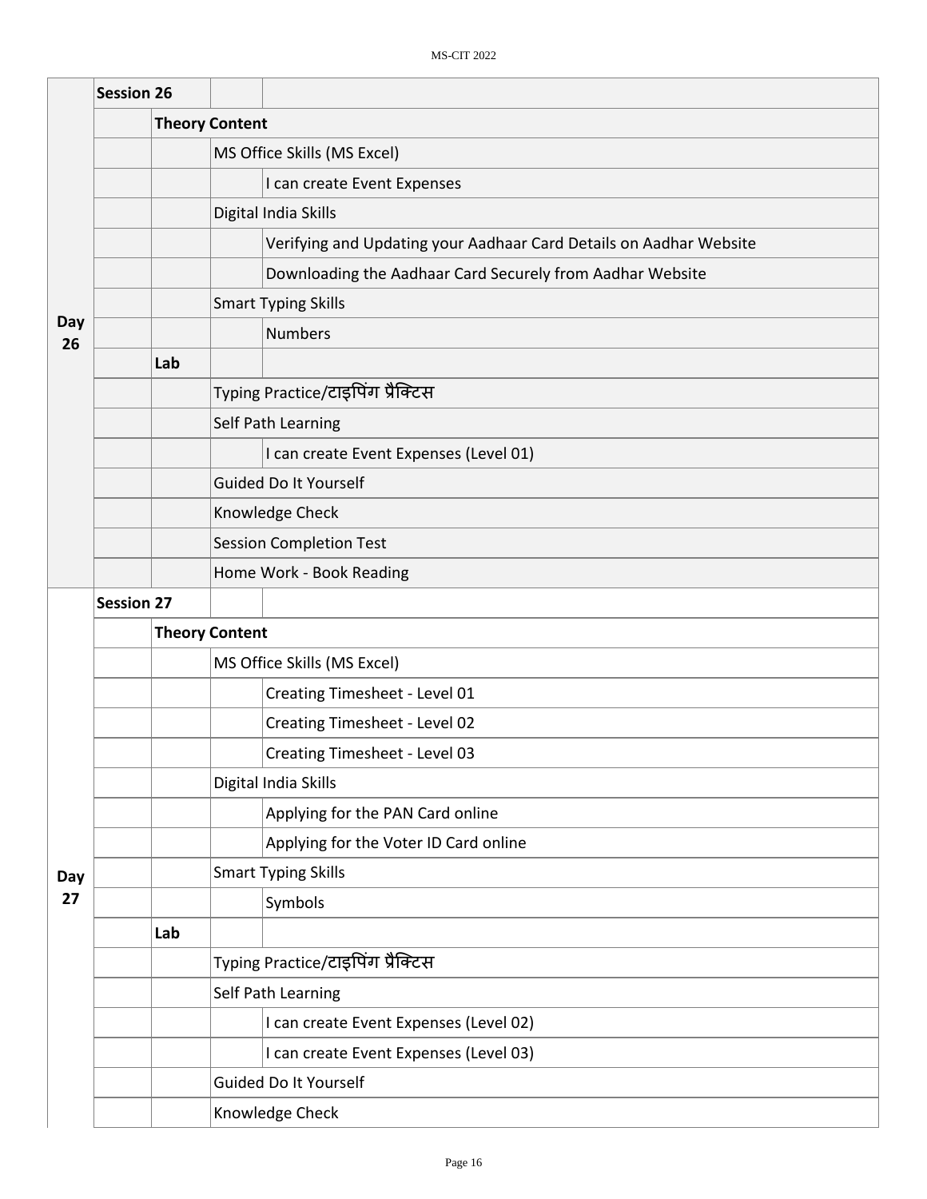|           | <b>Session 26</b> |     |                                                                    |  |  |  |  |  |
|-----------|-------------------|-----|--------------------------------------------------------------------|--|--|--|--|--|
|           |                   |     | <b>Theory Content</b>                                              |  |  |  |  |  |
|           |                   |     | MS Office Skills (MS Excel)                                        |  |  |  |  |  |
|           |                   |     | I can create Event Expenses                                        |  |  |  |  |  |
|           |                   |     | Digital India Skills                                               |  |  |  |  |  |
|           |                   |     | Verifying and Updating your Aadhaar Card Details on Aadhar Website |  |  |  |  |  |
|           |                   |     | Downloading the Aadhaar Card Securely from Aadhar Website          |  |  |  |  |  |
|           |                   |     | <b>Smart Typing Skills</b>                                         |  |  |  |  |  |
| Day<br>26 |                   |     | <b>Numbers</b>                                                     |  |  |  |  |  |
|           |                   | Lab |                                                                    |  |  |  |  |  |
|           |                   |     | Typing Practice/टाइपिंग प्रैक्टिस                                  |  |  |  |  |  |
|           |                   |     | Self Path Learning                                                 |  |  |  |  |  |
|           |                   |     | I can create Event Expenses (Level 01)                             |  |  |  |  |  |
|           |                   |     | <b>Guided Do It Yourself</b>                                       |  |  |  |  |  |
|           |                   |     | Knowledge Check                                                    |  |  |  |  |  |
|           |                   |     | <b>Session Completion Test</b>                                     |  |  |  |  |  |
|           |                   |     | Home Work - Book Reading                                           |  |  |  |  |  |
|           | <b>Session 27</b> |     |                                                                    |  |  |  |  |  |
|           |                   |     | <b>Theory Content</b>                                              |  |  |  |  |  |
|           |                   |     | MS Office Skills (MS Excel)                                        |  |  |  |  |  |
|           |                   |     | Creating Timesheet - Level 01                                      |  |  |  |  |  |
|           |                   |     | Creating Timesheet - Level 02                                      |  |  |  |  |  |
|           |                   |     | Creating Timesheet - Level 03                                      |  |  |  |  |  |
|           |                   |     | Digital India Skills                                               |  |  |  |  |  |
|           |                   |     | Applying for the PAN Card online                                   |  |  |  |  |  |
|           |                   |     | Applying for the Voter ID Card online                              |  |  |  |  |  |
| Day       |                   |     | <b>Smart Typing Skills</b>                                         |  |  |  |  |  |
| 27        |                   |     | Symbols                                                            |  |  |  |  |  |
|           |                   | Lab |                                                                    |  |  |  |  |  |
|           |                   |     | Typing Practice/टाइपिंग प्रैक्टिस                                  |  |  |  |  |  |
|           |                   |     | Self Path Learning                                                 |  |  |  |  |  |
|           |                   |     | I can create Event Expenses (Level 02)                             |  |  |  |  |  |
|           |                   |     | I can create Event Expenses (Level 03)                             |  |  |  |  |  |
|           |                   |     | <b>Guided Do It Yourself</b>                                       |  |  |  |  |  |
|           |                   |     | Knowledge Check                                                    |  |  |  |  |  |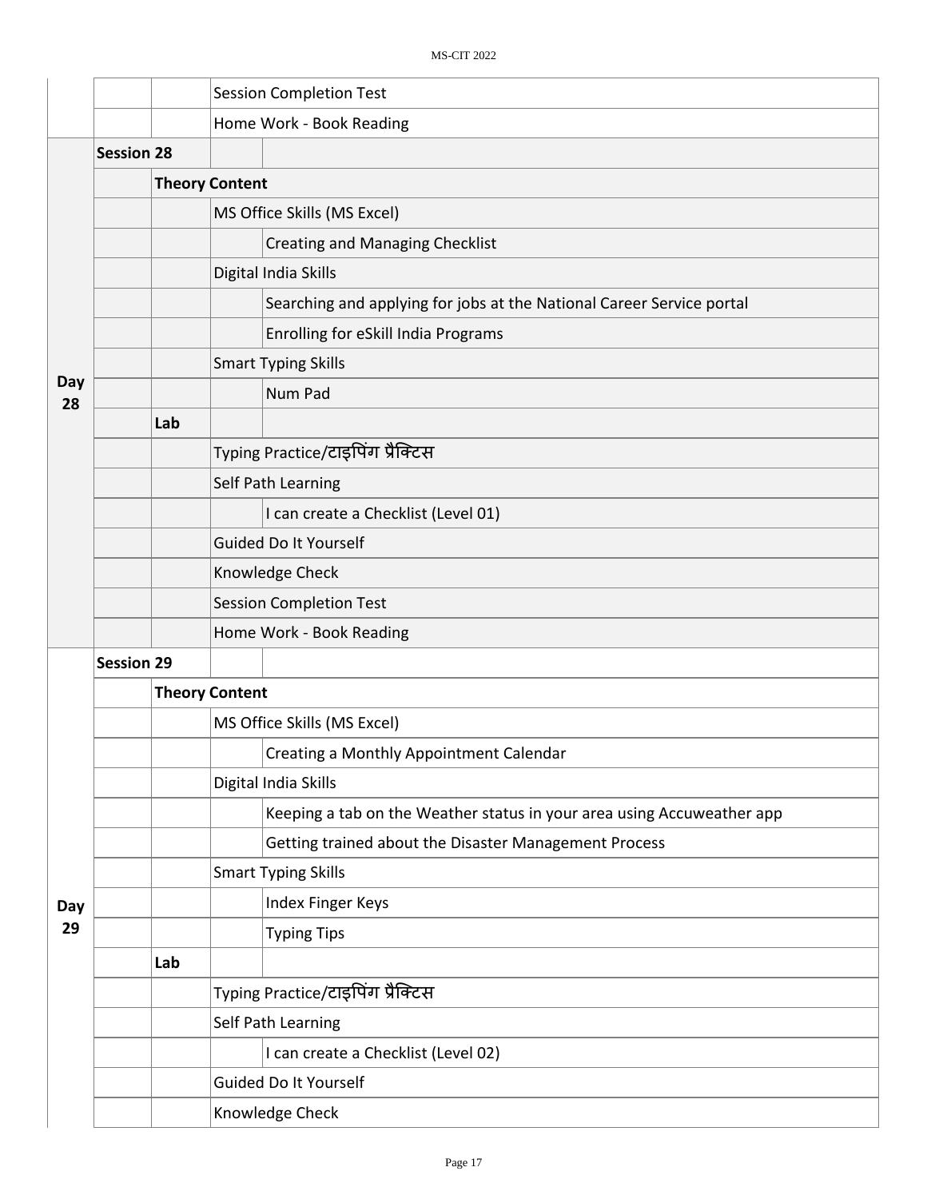|           |                   |     | <b>Session Completion Test</b> |                                                                        |  |  |  |  |
|-----------|-------------------|-----|--------------------------------|------------------------------------------------------------------------|--|--|--|--|
|           |                   |     | Home Work - Book Reading       |                                                                        |  |  |  |  |
|           | <b>Session 28</b> |     |                                |                                                                        |  |  |  |  |
|           |                   |     | <b>Theory Content</b>          |                                                                        |  |  |  |  |
|           |                   |     | MS Office Skills (MS Excel)    |                                                                        |  |  |  |  |
|           |                   |     |                                | <b>Creating and Managing Checklist</b>                                 |  |  |  |  |
|           |                   |     |                                | Digital India Skills                                                   |  |  |  |  |
|           |                   |     |                                | Searching and applying for jobs at the National Career Service portal  |  |  |  |  |
|           |                   |     |                                | Enrolling for eSkill India Programs                                    |  |  |  |  |
|           |                   |     |                                | <b>Smart Typing Skills</b>                                             |  |  |  |  |
| Day<br>28 |                   |     |                                | Num Pad                                                                |  |  |  |  |
|           |                   | Lab |                                |                                                                        |  |  |  |  |
|           |                   |     |                                | Typing Practice/टाइपिंग प्रैक्टिस                                      |  |  |  |  |
|           |                   |     |                                | Self Path Learning                                                     |  |  |  |  |
|           |                   |     |                                | I can create a Checklist (Level 01)                                    |  |  |  |  |
|           |                   |     | Guided Do It Yourself          |                                                                        |  |  |  |  |
|           |                   |     | Knowledge Check                |                                                                        |  |  |  |  |
|           |                   |     | <b>Session Completion Test</b> |                                                                        |  |  |  |  |
|           |                   |     | Home Work - Book Reading       |                                                                        |  |  |  |  |
|           | <b>Session 29</b> |     |                                |                                                                        |  |  |  |  |
|           |                   |     | <b>Theory Content</b>          |                                                                        |  |  |  |  |
|           |                   |     |                                | MS Office Skills (MS Excel)                                            |  |  |  |  |
|           |                   |     |                                | Creating a Monthly Appointment Calendar                                |  |  |  |  |
|           |                   |     |                                | Digital India Skills                                                   |  |  |  |  |
|           |                   |     |                                | Keeping a tab on the Weather status in your area using Accuweather app |  |  |  |  |
|           |                   |     |                                | Getting trained about the Disaster Management Process                  |  |  |  |  |
|           |                   |     |                                | <b>Smart Typing Skills</b>                                             |  |  |  |  |
| Day       |                   |     |                                | Index Finger Keys                                                      |  |  |  |  |
| 29        |                   |     |                                | <b>Typing Tips</b>                                                     |  |  |  |  |
|           |                   | Lab |                                |                                                                        |  |  |  |  |
|           |                   |     |                                | Typing Practice/टाइपिंग प्रैक्टिस                                      |  |  |  |  |
|           |                   |     |                                | Self Path Learning                                                     |  |  |  |  |
|           |                   |     |                                | I can create a Checklist (Level 02)                                    |  |  |  |  |
|           |                   |     |                                | Guided Do It Yourself                                                  |  |  |  |  |
|           |                   |     |                                | Knowledge Check                                                        |  |  |  |  |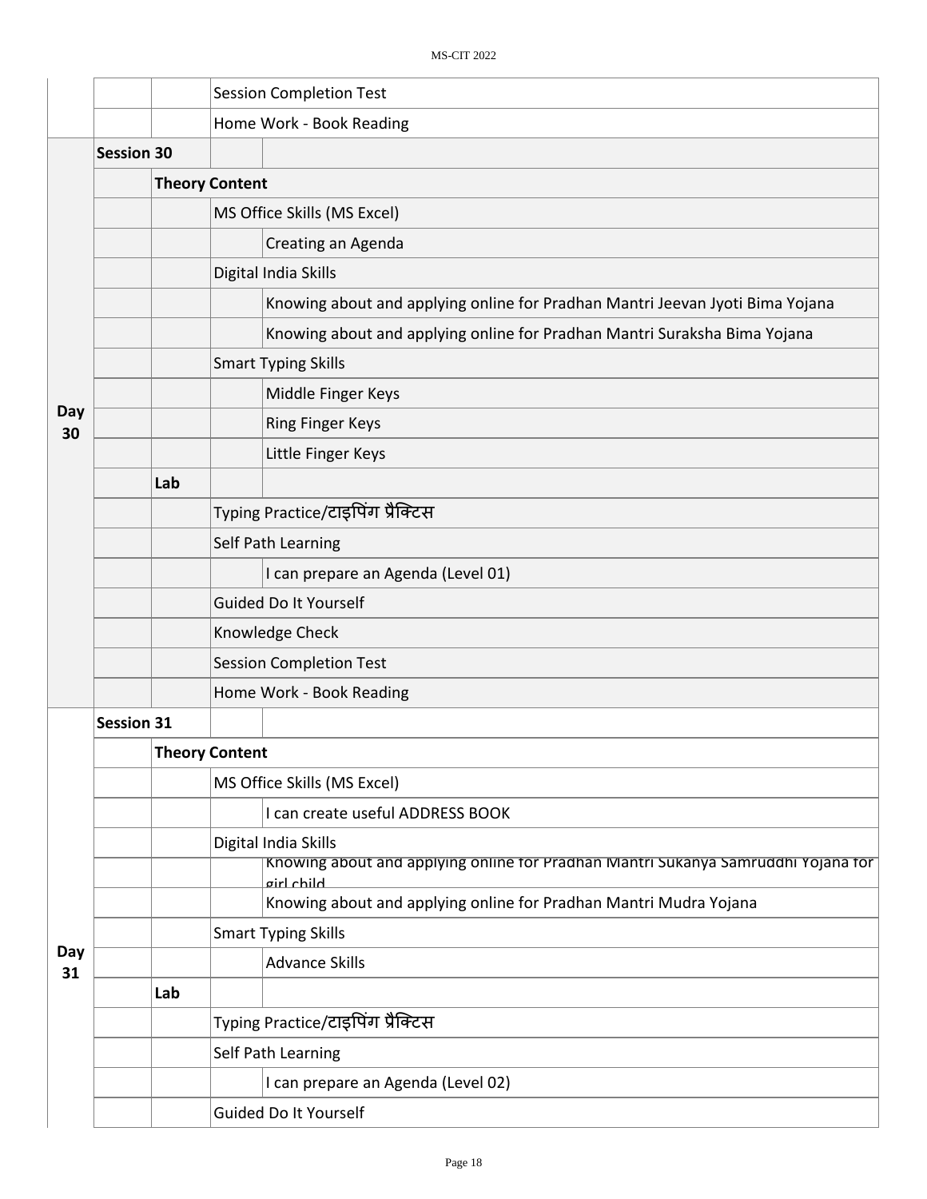|                          |                   | <b>Session Completion Test</b>                                                                  |  |  |  |  |
|--------------------------|-------------------|-------------------------------------------------------------------------------------------------|--|--|--|--|
| Home Work - Book Reading |                   |                                                                                                 |  |  |  |  |
|                          | <b>Session 30</b> |                                                                                                 |  |  |  |  |
|                          |                   | <b>Theory Content</b>                                                                           |  |  |  |  |
|                          |                   | MS Office Skills (MS Excel)                                                                     |  |  |  |  |
|                          |                   | Creating an Agenda                                                                              |  |  |  |  |
|                          |                   | Digital India Skills                                                                            |  |  |  |  |
|                          |                   | Knowing about and applying online for Pradhan Mantri Jeevan Jyoti Bima Yojana                   |  |  |  |  |
|                          |                   |                                                                                                 |  |  |  |  |
|                          |                   | Knowing about and applying online for Pradhan Mantri Suraksha Bima Yojana                       |  |  |  |  |
|                          |                   | <b>Smart Typing Skills</b>                                                                      |  |  |  |  |
| Day                      |                   | Middle Finger Keys                                                                              |  |  |  |  |
| 30                       |                   | <b>Ring Finger Keys</b>                                                                         |  |  |  |  |
|                          |                   | Little Finger Keys                                                                              |  |  |  |  |
|                          | Lab               |                                                                                                 |  |  |  |  |
|                          |                   | Typing Practice/टाइपिंग प्रैक्टिस                                                               |  |  |  |  |
|                          |                   | Self Path Learning                                                                              |  |  |  |  |
|                          |                   | I can prepare an Agenda (Level 01)                                                              |  |  |  |  |
|                          |                   | Guided Do It Yourself                                                                           |  |  |  |  |
|                          |                   | Knowledge Check                                                                                 |  |  |  |  |
|                          |                   | <b>Session Completion Test</b>                                                                  |  |  |  |  |
|                          |                   | Home Work - Book Reading                                                                        |  |  |  |  |
|                          | <b>Session 31</b> |                                                                                                 |  |  |  |  |
|                          |                   | <b>Theory Content</b>                                                                           |  |  |  |  |
|                          |                   | MS Office Skills (MS Excel)                                                                     |  |  |  |  |
|                          |                   | I can create useful ADDRESS BOOK                                                                |  |  |  |  |
|                          |                   | Digital India Skills                                                                            |  |  |  |  |
|                          |                   | Knowing about and applying online for Pradhan Mantri Sukanya Samruddhi Yojana for<br>airl child |  |  |  |  |
|                          |                   | Knowing about and applying online for Pradhan Mantri Mudra Yojana                               |  |  |  |  |
|                          |                   | <b>Smart Typing Skills</b>                                                                      |  |  |  |  |
| Day<br>31                |                   | <b>Advance Skills</b>                                                                           |  |  |  |  |
|                          | Lab               |                                                                                                 |  |  |  |  |
|                          |                   | Typing Practice/टाइपिंग प्रैक्टिस                                                               |  |  |  |  |
|                          |                   | Self Path Learning                                                                              |  |  |  |  |
|                          |                   | I can prepare an Agenda (Level 02)                                                              |  |  |  |  |
|                          |                   | Guided Do It Yourself                                                                           |  |  |  |  |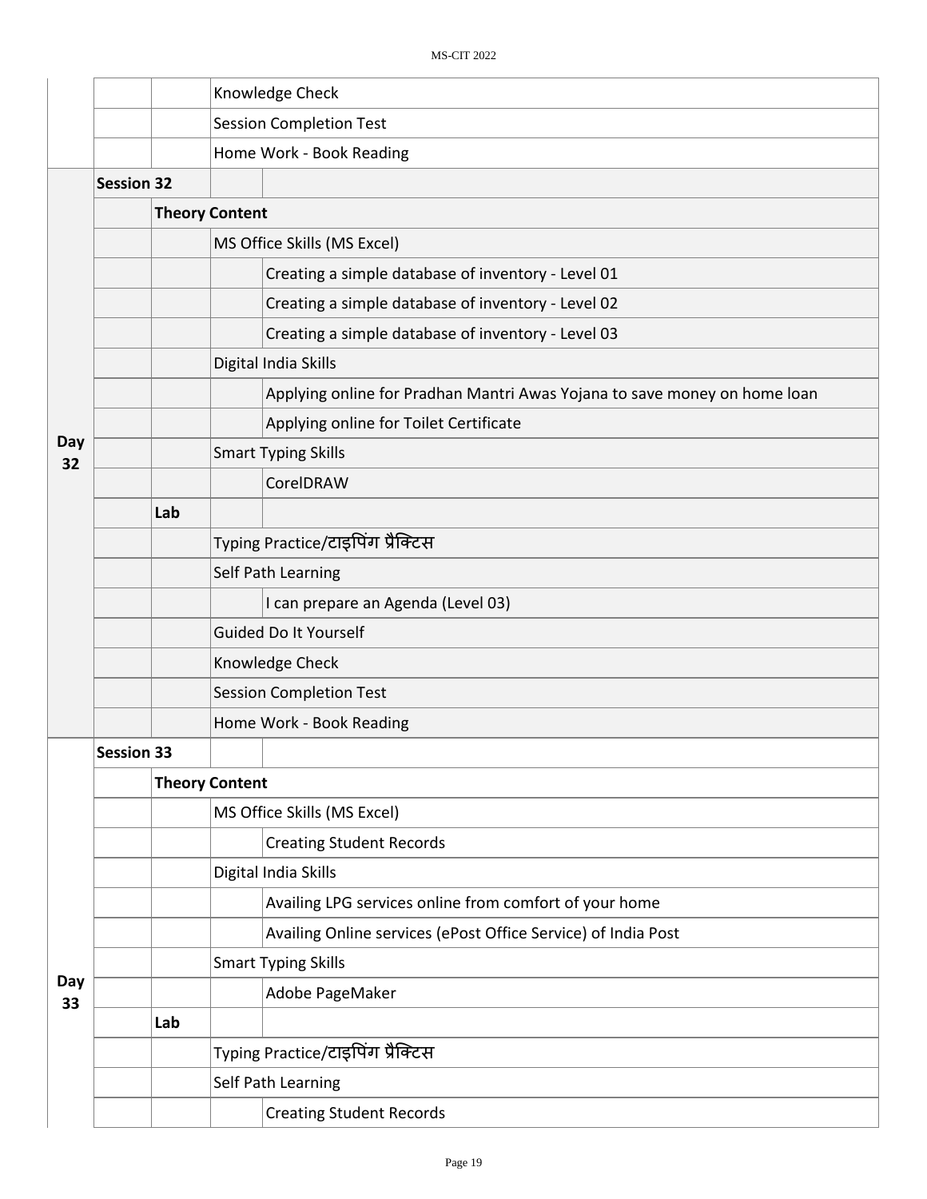|           |                   |     | Knowledge Check                |                                                                           |  |  |  |
|-----------|-------------------|-----|--------------------------------|---------------------------------------------------------------------------|--|--|--|
|           |                   |     |                                | <b>Session Completion Test</b>                                            |  |  |  |
|           |                   |     |                                | Home Work - Book Reading                                                  |  |  |  |
|           | <b>Session 32</b> |     |                                |                                                                           |  |  |  |
|           |                   |     | <b>Theory Content</b>          |                                                                           |  |  |  |
|           |                   |     |                                | MS Office Skills (MS Excel)                                               |  |  |  |
|           |                   |     |                                | Creating a simple database of inventory - Level 01                        |  |  |  |
|           |                   |     |                                | Creating a simple database of inventory - Level 02                        |  |  |  |
|           |                   |     |                                | Creating a simple database of inventory - Level 03                        |  |  |  |
|           |                   |     |                                | Digital India Skills                                                      |  |  |  |
|           |                   |     |                                | Applying online for Pradhan Mantri Awas Yojana to save money on home loan |  |  |  |
|           |                   |     |                                | Applying online for Toilet Certificate                                    |  |  |  |
| Day<br>32 |                   |     |                                | <b>Smart Typing Skills</b>                                                |  |  |  |
|           |                   |     |                                | CorelDRAW                                                                 |  |  |  |
|           |                   | Lab |                                |                                                                           |  |  |  |
|           |                   |     |                                | Typing Practice/टाइपिंग प्रैक्टिस                                         |  |  |  |
|           |                   |     |                                | Self Path Learning                                                        |  |  |  |
|           |                   |     |                                | I can prepare an Agenda (Level 03)                                        |  |  |  |
|           |                   |     | Guided Do It Yourself          |                                                                           |  |  |  |
|           |                   |     | Knowledge Check                |                                                                           |  |  |  |
|           |                   |     | <b>Session Completion Test</b> |                                                                           |  |  |  |
|           |                   |     |                                | Home Work - Book Reading                                                  |  |  |  |
|           | <b>Session 33</b> |     |                                |                                                                           |  |  |  |
|           |                   |     | <b>Theory Content</b>          |                                                                           |  |  |  |
|           |                   |     |                                | MS Office Skills (MS Excel)                                               |  |  |  |
|           |                   |     |                                | <b>Creating Student Records</b>                                           |  |  |  |
|           |                   |     |                                | Digital India Skills                                                      |  |  |  |
|           |                   |     |                                | Availing LPG services online from comfort of your home                    |  |  |  |
|           |                   |     |                                | Availing Online services (ePost Office Service) of India Post             |  |  |  |
| Day       |                   |     |                                | <b>Smart Typing Skills</b>                                                |  |  |  |
| 33        |                   |     |                                | Adobe PageMaker                                                           |  |  |  |
|           |                   | Lab |                                |                                                                           |  |  |  |
|           |                   |     |                                | Typing Practice/टाइपिंग प्रैक्टिस                                         |  |  |  |
|           |                   |     |                                | Self Path Learning                                                        |  |  |  |
|           |                   |     |                                | <b>Creating Student Records</b>                                           |  |  |  |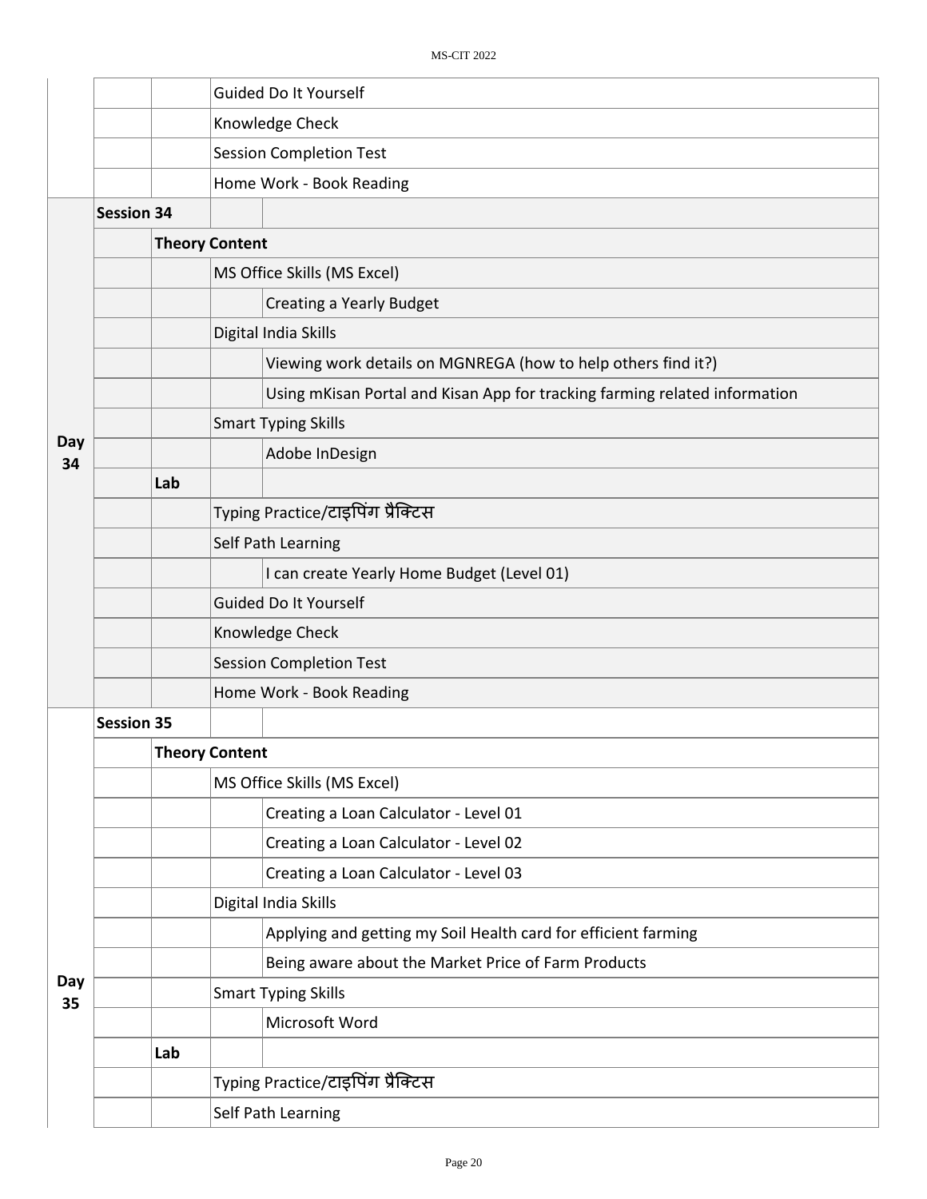|           |                   |                       |                                | Guided Do It Yourself                                                      |  |  |  |
|-----------|-------------------|-----------------------|--------------------------------|----------------------------------------------------------------------------|--|--|--|
|           |                   |                       |                                | Knowledge Check                                                            |  |  |  |
|           |                   |                       |                                | <b>Session Completion Test</b>                                             |  |  |  |
|           |                   |                       |                                | Home Work - Book Reading                                                   |  |  |  |
|           | <b>Session 34</b> |                       |                                |                                                                            |  |  |  |
|           |                   | <b>Theory Content</b> |                                |                                                                            |  |  |  |
|           |                   |                       |                                | MS Office Skills (MS Excel)                                                |  |  |  |
|           |                   |                       |                                | <b>Creating a Yearly Budget</b>                                            |  |  |  |
|           |                   |                       |                                | Digital India Skills                                                       |  |  |  |
|           |                   |                       |                                | Viewing work details on MGNREGA (how to help others find it?)              |  |  |  |
|           |                   |                       |                                | Using mKisan Portal and Kisan App for tracking farming related information |  |  |  |
|           |                   |                       |                                | <b>Smart Typing Skills</b>                                                 |  |  |  |
| Day<br>34 |                   |                       |                                | Adobe InDesign                                                             |  |  |  |
|           |                   | Lab                   |                                |                                                                            |  |  |  |
|           |                   |                       |                                | Typing Practice/टाइपिंग प्रैक्टिस                                          |  |  |  |
|           |                   |                       |                                | Self Path Learning                                                         |  |  |  |
|           |                   |                       |                                | I can create Yearly Home Budget (Level 01)                                 |  |  |  |
|           |                   |                       |                                | Guided Do It Yourself                                                      |  |  |  |
|           |                   |                       | Knowledge Check                |                                                                            |  |  |  |
|           |                   |                       | <b>Session Completion Test</b> |                                                                            |  |  |  |
|           |                   |                       |                                | Home Work - Book Reading                                                   |  |  |  |
|           | <b>Session 35</b> |                       |                                |                                                                            |  |  |  |
|           |                   |                       | <b>Theory Content</b>          |                                                                            |  |  |  |
|           |                   |                       |                                | MS Office Skills (MS Excel)                                                |  |  |  |
|           |                   |                       |                                | Creating a Loan Calculator - Level 01                                      |  |  |  |
|           |                   |                       |                                | Creating a Loan Calculator - Level 02                                      |  |  |  |
|           |                   |                       |                                | Creating a Loan Calculator - Level 03                                      |  |  |  |
|           |                   |                       |                                | Digital India Skills                                                       |  |  |  |
|           |                   |                       |                                | Applying and getting my Soil Health card for efficient farming             |  |  |  |
|           |                   |                       |                                | Being aware about the Market Price of Farm Products                        |  |  |  |
| Day<br>35 |                   |                       |                                | <b>Smart Typing Skills</b>                                                 |  |  |  |
|           |                   |                       |                                | Microsoft Word                                                             |  |  |  |
|           |                   | Lab                   |                                |                                                                            |  |  |  |
|           |                   |                       |                                | Typing Practice/टाइपिंग प्रैक्टिस                                          |  |  |  |
|           |                   |                       |                                | Self Path Learning                                                         |  |  |  |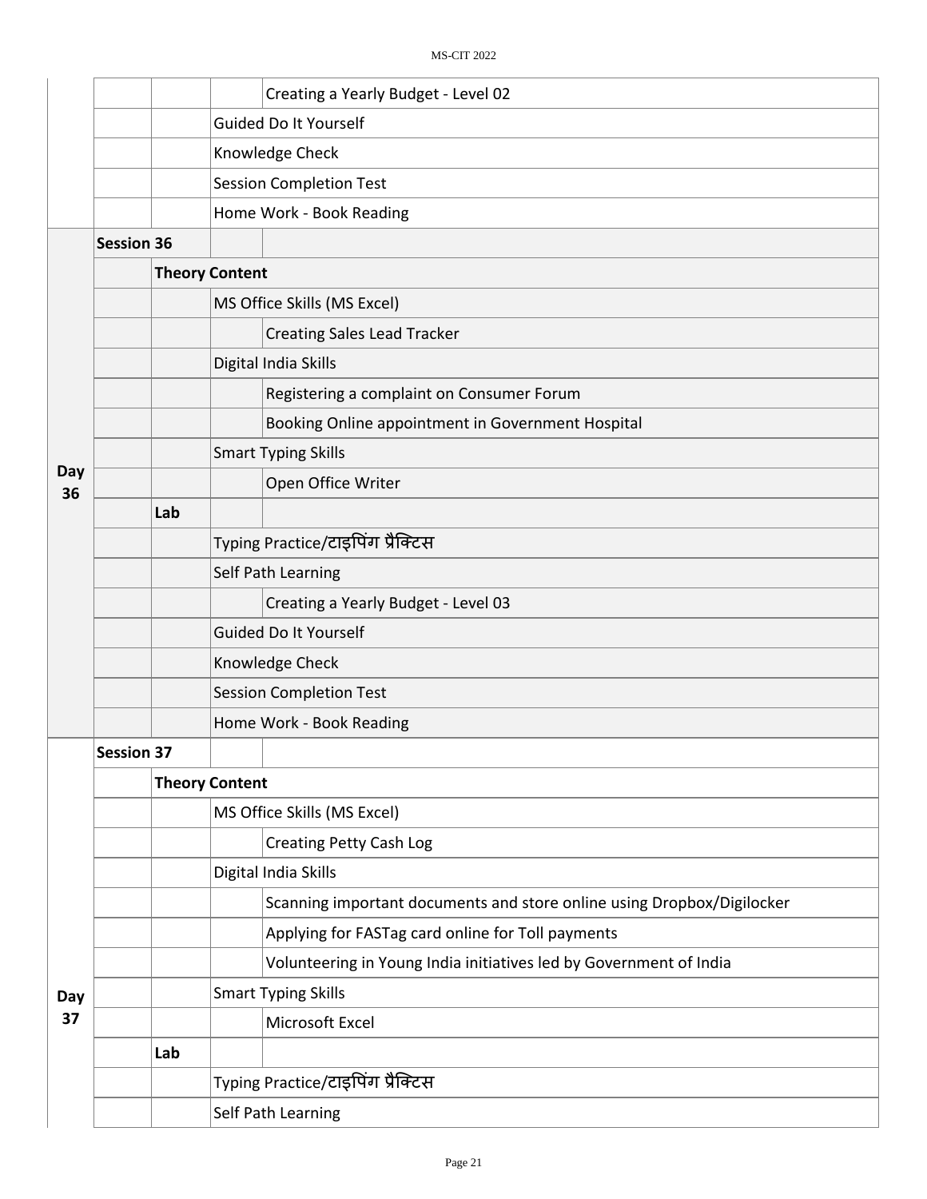|           |                   |     | Creating a Yearly Budget - Level 02                                    |  |  |  |  |  |
|-----------|-------------------|-----|------------------------------------------------------------------------|--|--|--|--|--|
|           |                   |     | Guided Do It Yourself                                                  |  |  |  |  |  |
|           |                   |     | Knowledge Check                                                        |  |  |  |  |  |
|           |                   |     | <b>Session Completion Test</b>                                         |  |  |  |  |  |
|           |                   |     | Home Work - Book Reading                                               |  |  |  |  |  |
|           | <b>Session 36</b> |     |                                                                        |  |  |  |  |  |
|           |                   |     | <b>Theory Content</b>                                                  |  |  |  |  |  |
|           |                   |     | MS Office Skills (MS Excel)                                            |  |  |  |  |  |
|           |                   |     | <b>Creating Sales Lead Tracker</b>                                     |  |  |  |  |  |
|           |                   |     | Digital India Skills                                                   |  |  |  |  |  |
|           |                   |     | Registering a complaint on Consumer Forum                              |  |  |  |  |  |
|           |                   |     | Booking Online appointment in Government Hospital                      |  |  |  |  |  |
|           |                   |     | <b>Smart Typing Skills</b>                                             |  |  |  |  |  |
| Day<br>36 |                   |     | Open Office Writer                                                     |  |  |  |  |  |
|           |                   | Lab |                                                                        |  |  |  |  |  |
|           |                   |     | Typing Practice/टाइपिंग प्रैक्टिस                                      |  |  |  |  |  |
|           |                   |     | Self Path Learning                                                     |  |  |  |  |  |
|           |                   |     | Creating a Yearly Budget - Level 03                                    |  |  |  |  |  |
|           |                   |     | Guided Do It Yourself                                                  |  |  |  |  |  |
|           |                   |     | Knowledge Check                                                        |  |  |  |  |  |
|           |                   |     | <b>Session Completion Test</b>                                         |  |  |  |  |  |
|           |                   |     | Home Work - Book Reading                                               |  |  |  |  |  |
|           | <b>Session 37</b> |     |                                                                        |  |  |  |  |  |
|           |                   |     | <b>Theory Content</b>                                                  |  |  |  |  |  |
|           |                   |     | MS Office Skills (MS Excel)                                            |  |  |  |  |  |
|           |                   |     | <b>Creating Petty Cash Log</b>                                         |  |  |  |  |  |
|           |                   |     | Digital India Skills                                                   |  |  |  |  |  |
|           |                   |     | Scanning important documents and store online using Dropbox/Digilocker |  |  |  |  |  |
|           |                   |     | Applying for FASTag card online for Toll payments                      |  |  |  |  |  |
|           |                   |     | Volunteering in Young India initiatives led by Government of India     |  |  |  |  |  |
| Day       |                   |     | <b>Smart Typing Skills</b>                                             |  |  |  |  |  |
| 37        |                   |     | Microsoft Excel                                                        |  |  |  |  |  |
|           |                   | Lab |                                                                        |  |  |  |  |  |
|           |                   |     | Typing Practice/टाइपिंग प्रैक्टिस                                      |  |  |  |  |  |
|           |                   |     | Self Path Learning                                                     |  |  |  |  |  |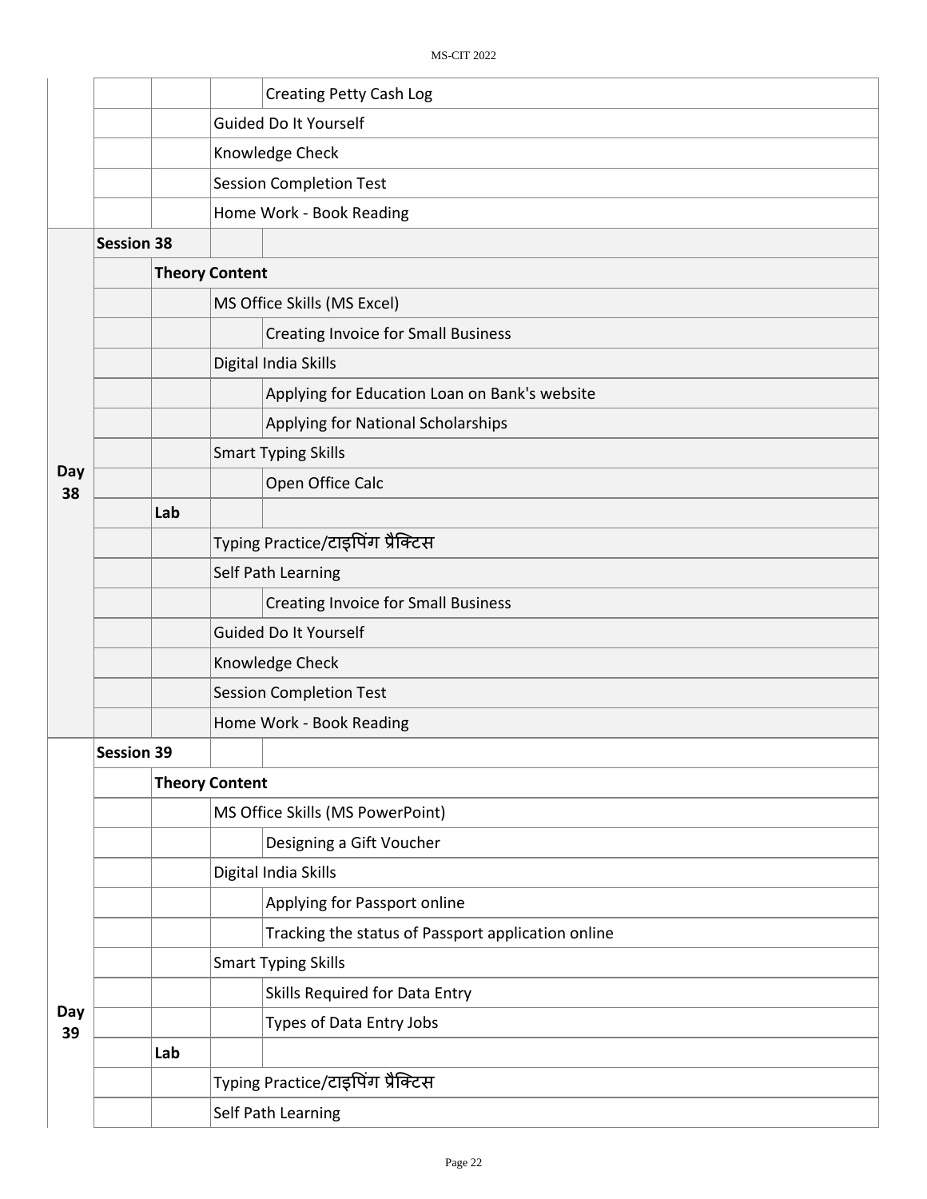|           |                   |     |                                   | <b>Creating Petty Cash Log</b>                     |  |  |
|-----------|-------------------|-----|-----------------------------------|----------------------------------------------------|--|--|
|           |                   |     |                                   | Guided Do It Yourself                              |  |  |
|           |                   |     |                                   | Knowledge Check                                    |  |  |
|           |                   |     |                                   | <b>Session Completion Test</b>                     |  |  |
|           |                   |     |                                   | Home Work - Book Reading                           |  |  |
|           | <b>Session 38</b> |     |                                   |                                                    |  |  |
|           |                   |     | <b>Theory Content</b>             |                                                    |  |  |
|           |                   |     | MS Office Skills (MS Excel)       |                                                    |  |  |
|           |                   |     |                                   | <b>Creating Invoice for Small Business</b>         |  |  |
|           |                   |     |                                   | Digital India Skills                               |  |  |
|           |                   |     |                                   | Applying for Education Loan on Bank's website      |  |  |
|           |                   |     |                                   | Applying for National Scholarships                 |  |  |
|           |                   |     |                                   | <b>Smart Typing Skills</b>                         |  |  |
| Day<br>38 |                   |     |                                   | Open Office Calc                                   |  |  |
|           |                   | Lab |                                   |                                                    |  |  |
|           |                   |     | Typing Practice/टाइपिंग प्रैक्टिस |                                                    |  |  |
|           |                   |     | Self Path Learning                |                                                    |  |  |
|           |                   |     |                                   | <b>Creating Invoice for Small Business</b>         |  |  |
|           |                   |     | Guided Do It Yourself             |                                                    |  |  |
|           |                   |     | Knowledge Check                   |                                                    |  |  |
|           |                   |     | <b>Session Completion Test</b>    |                                                    |  |  |
|           |                   |     |                                   | Home Work - Book Reading                           |  |  |
|           | <b>Session 39</b> |     |                                   |                                                    |  |  |
|           |                   |     | <b>Theory Content</b>             |                                                    |  |  |
|           |                   |     |                                   | MS Office Skills (MS PowerPoint)                   |  |  |
|           |                   |     |                                   | Designing a Gift Voucher                           |  |  |
|           |                   |     |                                   | Digital India Skills                               |  |  |
|           |                   |     |                                   | Applying for Passport online                       |  |  |
|           |                   |     |                                   | Tracking the status of Passport application online |  |  |
|           |                   |     |                                   | <b>Smart Typing Skills</b>                         |  |  |
| Day       |                   |     |                                   | Skills Required for Data Entry                     |  |  |
| 39        |                   |     |                                   | Types of Data Entry Jobs                           |  |  |
|           |                   | Lab |                                   |                                                    |  |  |
|           |                   |     |                                   | Typing Practice/टाइपिंग प्रैक्टिस                  |  |  |
|           |                   |     |                                   | Self Path Learning                                 |  |  |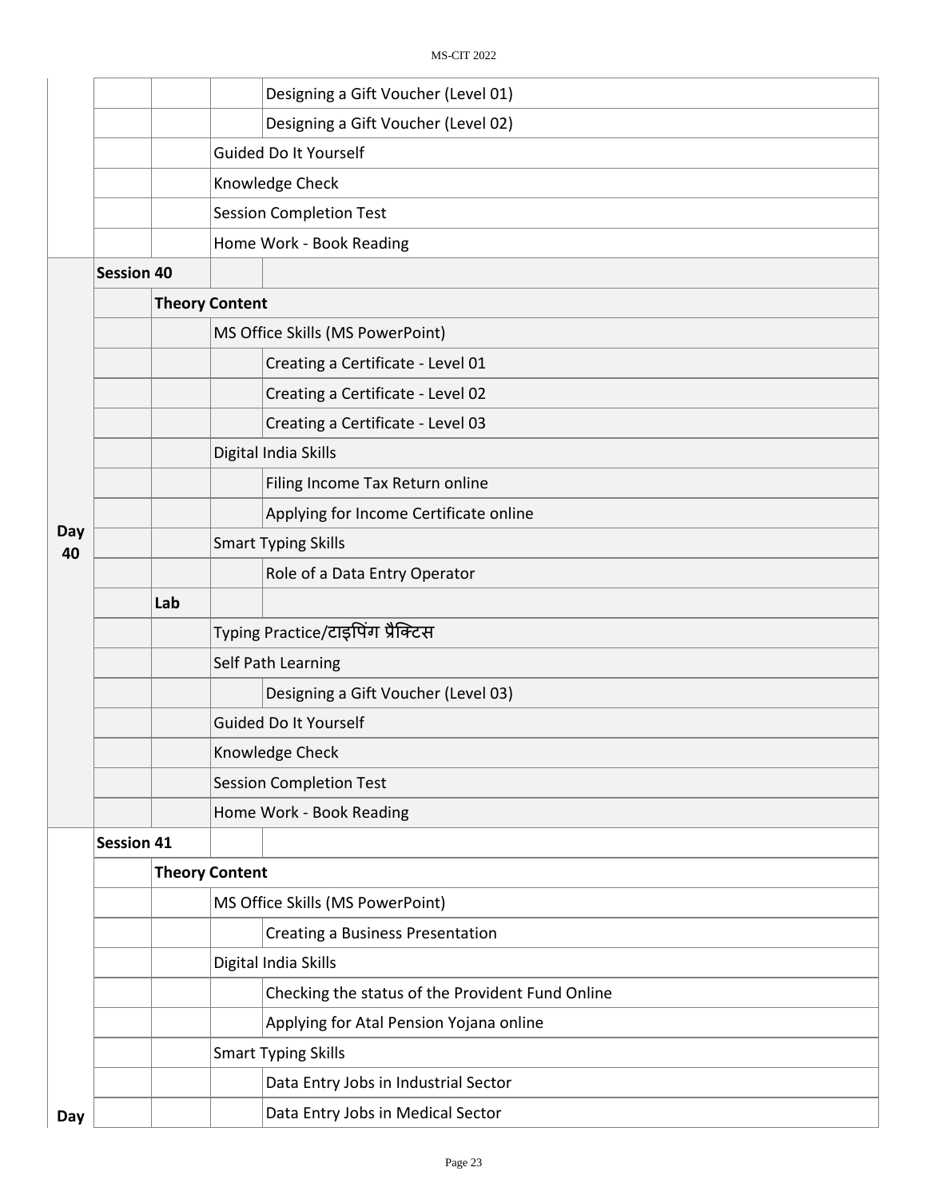|           |                   |     |                                         | Designing a Gift Voucher (Level 01)              |  |  |  |  |
|-----------|-------------------|-----|-----------------------------------------|--------------------------------------------------|--|--|--|--|
|           |                   |     |                                         | Designing a Gift Voucher (Level 02)              |  |  |  |  |
|           |                   |     |                                         | Guided Do It Yourself                            |  |  |  |  |
|           |                   |     | Knowledge Check                         |                                                  |  |  |  |  |
|           |                   |     |                                         | <b>Session Completion Test</b>                   |  |  |  |  |
|           |                   |     |                                         | Home Work - Book Reading                         |  |  |  |  |
|           | <b>Session 40</b> |     |                                         |                                                  |  |  |  |  |
|           |                   |     | <b>Theory Content</b>                   |                                                  |  |  |  |  |
|           |                   |     |                                         | MS Office Skills (MS PowerPoint)                 |  |  |  |  |
|           |                   |     |                                         | Creating a Certificate - Level 01                |  |  |  |  |
|           |                   |     |                                         | Creating a Certificate - Level 02                |  |  |  |  |
|           |                   |     |                                         | Creating a Certificate - Level 03                |  |  |  |  |
|           |                   |     |                                         | Digital India Skills                             |  |  |  |  |
|           |                   |     |                                         | Filing Income Tax Return online                  |  |  |  |  |
|           |                   |     |                                         | Applying for Income Certificate online           |  |  |  |  |
| Day<br>40 |                   |     |                                         | <b>Smart Typing Skills</b>                       |  |  |  |  |
|           |                   |     |                                         | Role of a Data Entry Operator                    |  |  |  |  |
|           |                   | Lab |                                         |                                                  |  |  |  |  |
|           |                   |     | Typing Practice/टाइपिंग प्रैक्टिस       |                                                  |  |  |  |  |
|           |                   |     |                                         | Self Path Learning                               |  |  |  |  |
|           |                   |     |                                         | Designing a Gift Voucher (Level 03)              |  |  |  |  |
|           |                   |     |                                         | <b>Guided Do It Yourself</b>                     |  |  |  |  |
|           |                   |     | Knowledge Check                         |                                                  |  |  |  |  |
|           |                   |     | <b>Session Completion Test</b>          |                                                  |  |  |  |  |
|           |                   |     |                                         | Home Work - Book Reading                         |  |  |  |  |
|           | <b>Session 41</b> |     |                                         |                                                  |  |  |  |  |
|           |                   |     | <b>Theory Content</b>                   |                                                  |  |  |  |  |
|           |                   |     |                                         | MS Office Skills (MS PowerPoint)                 |  |  |  |  |
|           |                   |     | <b>Creating a Business Presentation</b> |                                                  |  |  |  |  |
|           |                   |     |                                         | Digital India Skills                             |  |  |  |  |
|           |                   |     |                                         | Checking the status of the Provident Fund Online |  |  |  |  |
|           |                   |     |                                         | Applying for Atal Pension Yojana online          |  |  |  |  |
|           |                   |     |                                         | <b>Smart Typing Skills</b>                       |  |  |  |  |
|           |                   |     |                                         | Data Entry Jobs in Industrial Sector             |  |  |  |  |
| Day       |                   |     |                                         | Data Entry Jobs in Medical Sector                |  |  |  |  |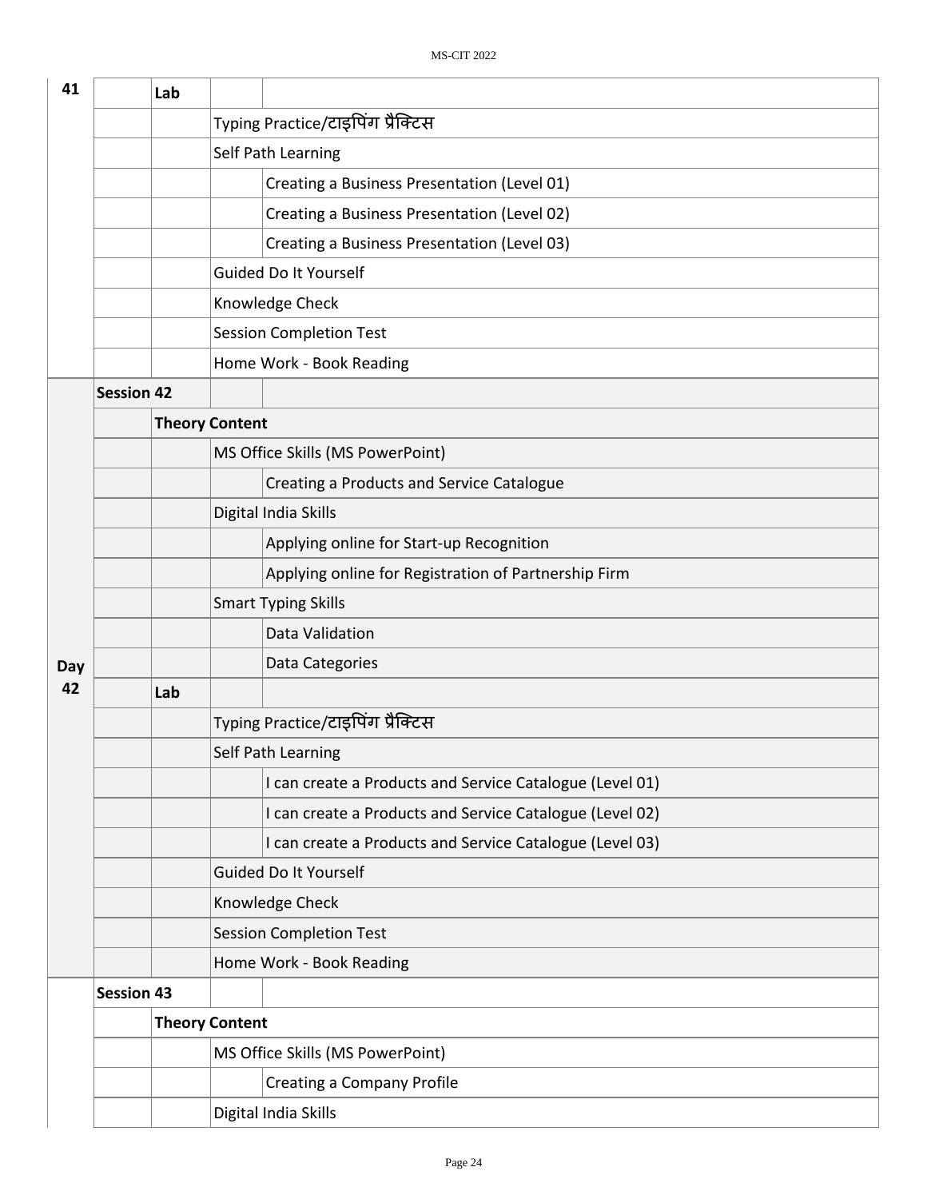| 41  |                   | Lab |                                                          |  |  |
|-----|-------------------|-----|----------------------------------------------------------|--|--|
|     |                   |     | Typing Practice/टाइपिंग प्रैक्टिस                        |  |  |
|     |                   |     | Self Path Learning                                       |  |  |
|     |                   |     | Creating a Business Presentation (Level 01)              |  |  |
|     |                   |     | Creating a Business Presentation (Level 02)              |  |  |
|     |                   |     | Creating a Business Presentation (Level 03)              |  |  |
|     |                   |     | <b>Guided Do It Yourself</b>                             |  |  |
|     |                   |     | Knowledge Check                                          |  |  |
|     |                   |     | <b>Session Completion Test</b>                           |  |  |
|     |                   |     | Home Work - Book Reading                                 |  |  |
|     | <b>Session 42</b> |     |                                                          |  |  |
|     |                   |     | <b>Theory Content</b>                                    |  |  |
|     |                   |     | MS Office Skills (MS PowerPoint)                         |  |  |
|     |                   |     | Creating a Products and Service Catalogue                |  |  |
|     |                   |     | Digital India Skills                                     |  |  |
|     |                   |     | Applying online for Start-up Recognition                 |  |  |
|     |                   |     | Applying online for Registration of Partnership Firm     |  |  |
|     |                   |     | <b>Smart Typing Skills</b>                               |  |  |
|     |                   |     | Data Validation                                          |  |  |
| Day |                   |     | Data Categories                                          |  |  |
| 42  |                   | Lab |                                                          |  |  |
|     |                   |     | Typing Practice/टाइपिंग प्रैक्टिस                        |  |  |
|     |                   |     | Self Path Learning                                       |  |  |
|     |                   |     | I can create a Products and Service Catalogue (Level 01) |  |  |
|     |                   |     | I can create a Products and Service Catalogue (Level 02) |  |  |
|     |                   |     | I can create a Products and Service Catalogue (Level 03) |  |  |
|     |                   |     | <b>Guided Do It Yourself</b>                             |  |  |
|     |                   |     | Knowledge Check                                          |  |  |
|     |                   |     | <b>Session Completion Test</b>                           |  |  |
|     |                   |     | Home Work - Book Reading                                 |  |  |
|     | <b>Session 43</b> |     |                                                          |  |  |
|     |                   |     | <b>Theory Content</b>                                    |  |  |
|     |                   |     | MS Office Skills (MS PowerPoint)                         |  |  |
|     |                   |     | <b>Creating a Company Profile</b>                        |  |  |
|     |                   |     | Digital India Skills                                     |  |  |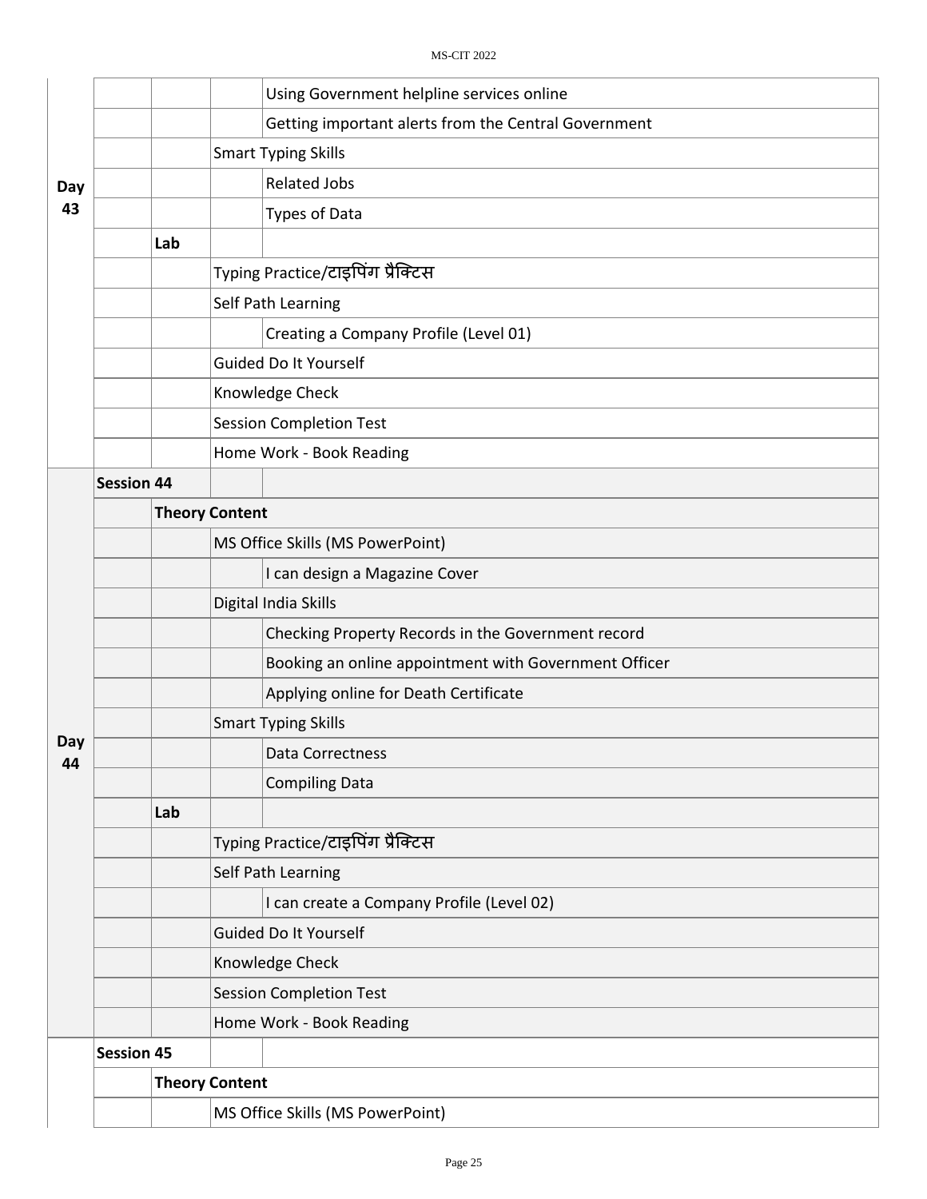| Day       |                                  |     |                                   | Using Government helpline services online             |  |
|-----------|----------------------------------|-----|-----------------------------------|-------------------------------------------------------|--|
|           |                                  |     |                                   | Getting important alerts from the Central Government  |  |
|           |                                  |     |                                   | <b>Smart Typing Skills</b>                            |  |
|           |                                  |     |                                   | <b>Related Jobs</b>                                   |  |
| 43        |                                  |     |                                   | Types of Data                                         |  |
|           |                                  | Lab |                                   |                                                       |  |
|           |                                  |     |                                   | Typing Practice/टाइपिंग प्रैक्टिस                     |  |
|           |                                  |     |                                   | Self Path Learning                                    |  |
|           |                                  |     |                                   | Creating a Company Profile (Level 01)                 |  |
|           |                                  |     |                                   | Guided Do It Yourself                                 |  |
|           |                                  |     |                                   | Knowledge Check                                       |  |
|           |                                  |     |                                   | <b>Session Completion Test</b>                        |  |
|           |                                  |     |                                   | Home Work - Book Reading                              |  |
|           | <b>Session 44</b>                |     |                                   |                                                       |  |
|           |                                  |     | <b>Theory Content</b>             |                                                       |  |
|           |                                  |     |                                   | MS Office Skills (MS PowerPoint)                      |  |
|           |                                  |     |                                   | I can design a Magazine Cover                         |  |
|           |                                  |     |                                   | Digital India Skills                                  |  |
|           |                                  |     |                                   | Checking Property Records in the Government record    |  |
|           |                                  |     |                                   | Booking an online appointment with Government Officer |  |
|           |                                  |     |                                   | Applying online for Death Certificate                 |  |
|           |                                  |     |                                   | <b>Smart Typing Skills</b>                            |  |
| Day<br>44 |                                  |     |                                   | Data Correctness                                      |  |
|           |                                  |     |                                   | <b>Compiling Data</b>                                 |  |
|           |                                  | Lab |                                   |                                                       |  |
|           |                                  |     | Typing Practice/टाइपिंग प्रैक्टिस |                                                       |  |
|           |                                  |     | Self Path Learning                |                                                       |  |
|           |                                  |     |                                   | I can create a Company Profile (Level 02)             |  |
|           |                                  |     | Guided Do It Yourself             |                                                       |  |
|           |                                  |     | Knowledge Check                   |                                                       |  |
|           |                                  |     | <b>Session Completion Test</b>    |                                                       |  |
|           |                                  |     |                                   | Home Work - Book Reading                              |  |
|           | <b>Session 45</b>                |     |                                   |                                                       |  |
|           |                                  |     | <b>Theory Content</b>             |                                                       |  |
|           | MS Office Skills (MS PowerPoint) |     |                                   |                                                       |  |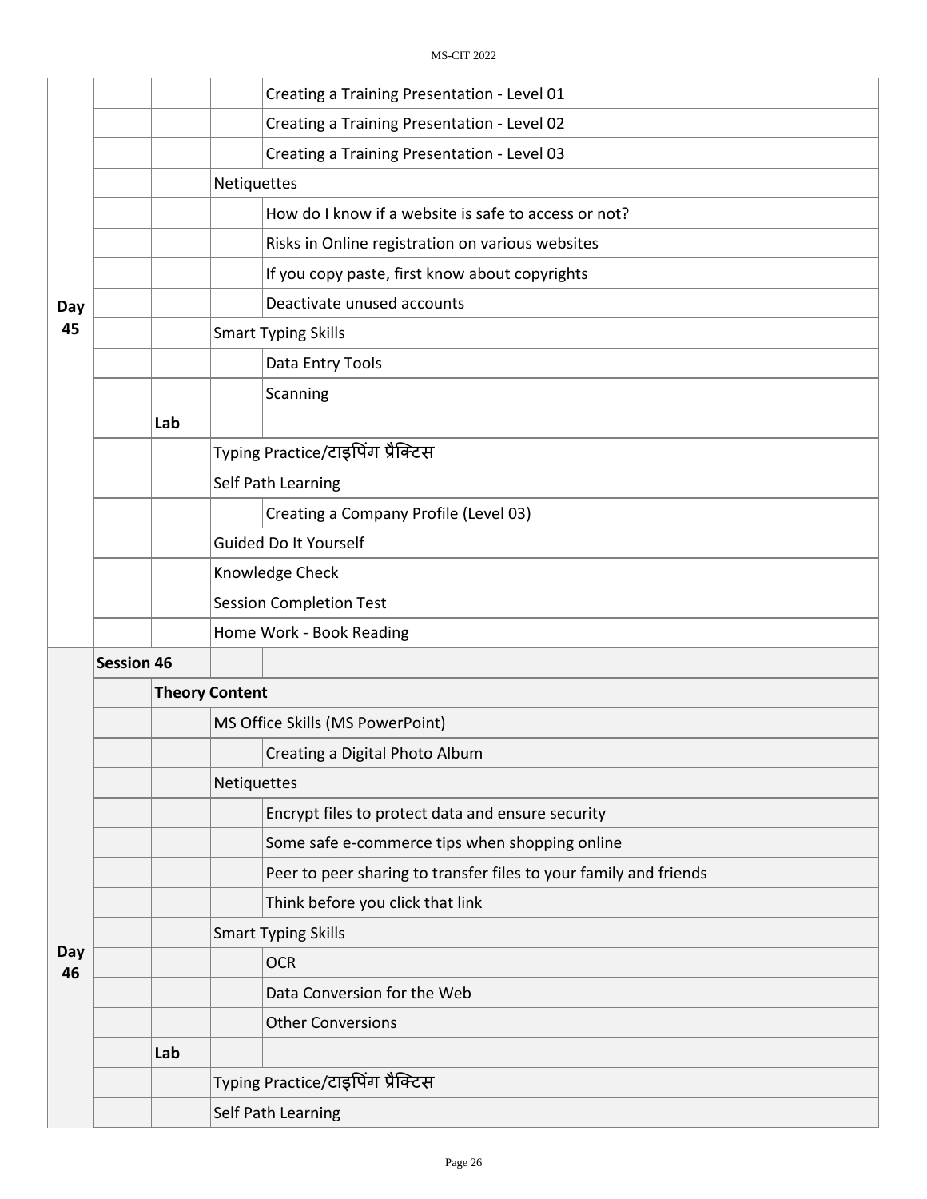|           |                   |                       |                                | Creating a Training Presentation - Level 01                       |  |  |
|-----------|-------------------|-----------------------|--------------------------------|-------------------------------------------------------------------|--|--|
|           |                   |                       |                                | Creating a Training Presentation - Level 02                       |  |  |
|           |                   |                       |                                | Creating a Training Presentation - Level 03                       |  |  |
|           |                   |                       | Netiquettes                    |                                                                   |  |  |
|           |                   |                       |                                | How do I know if a website is safe to access or not?              |  |  |
|           |                   |                       |                                | Risks in Online registration on various websites                  |  |  |
|           |                   |                       |                                | If you copy paste, first know about copyrights                    |  |  |
| Day       |                   |                       |                                | Deactivate unused accounts                                        |  |  |
| 45        |                   |                       |                                | <b>Smart Typing Skills</b>                                        |  |  |
|           |                   |                       |                                | Data Entry Tools                                                  |  |  |
|           |                   |                       |                                | Scanning                                                          |  |  |
|           |                   | Lab                   |                                |                                                                   |  |  |
|           |                   |                       |                                | Typing Practice/टाइपिंग प्रैक्टिस                                 |  |  |
|           |                   |                       |                                | Self Path Learning                                                |  |  |
|           |                   |                       |                                | Creating a Company Profile (Level 03)                             |  |  |
|           |                   |                       | Guided Do It Yourself          |                                                                   |  |  |
|           |                   |                       | Knowledge Check                |                                                                   |  |  |
|           |                   |                       | <b>Session Completion Test</b> |                                                                   |  |  |
|           |                   |                       | Home Work - Book Reading       |                                                                   |  |  |
|           | <b>Session 46</b> |                       |                                |                                                                   |  |  |
|           |                   | <b>Theory Content</b> |                                |                                                                   |  |  |
|           |                   |                       |                                | MS Office Skills (MS PowerPoint)                                  |  |  |
|           |                   |                       |                                | Creating a Digital Photo Album                                    |  |  |
|           |                   |                       | Netiquettes                    |                                                                   |  |  |
|           |                   |                       |                                | Encrypt files to protect data and ensure security                 |  |  |
|           |                   |                       |                                | Some safe e-commerce tips when shopping online                    |  |  |
|           |                   |                       |                                | Peer to peer sharing to transfer files to your family and friends |  |  |
|           |                   |                       |                                | Think before you click that link                                  |  |  |
|           |                   |                       |                                | <b>Smart Typing Skills</b>                                        |  |  |
| Day<br>46 |                   |                       |                                | <b>OCR</b>                                                        |  |  |
|           |                   |                       |                                | Data Conversion for the Web                                       |  |  |
|           |                   |                       |                                | <b>Other Conversions</b>                                          |  |  |
|           |                   | Lab                   |                                |                                                                   |  |  |
|           |                   |                       |                                | Typing Practice/टाइपिंग प्रैक्टिस                                 |  |  |
|           |                   |                       |                                | Self Path Learning                                                |  |  |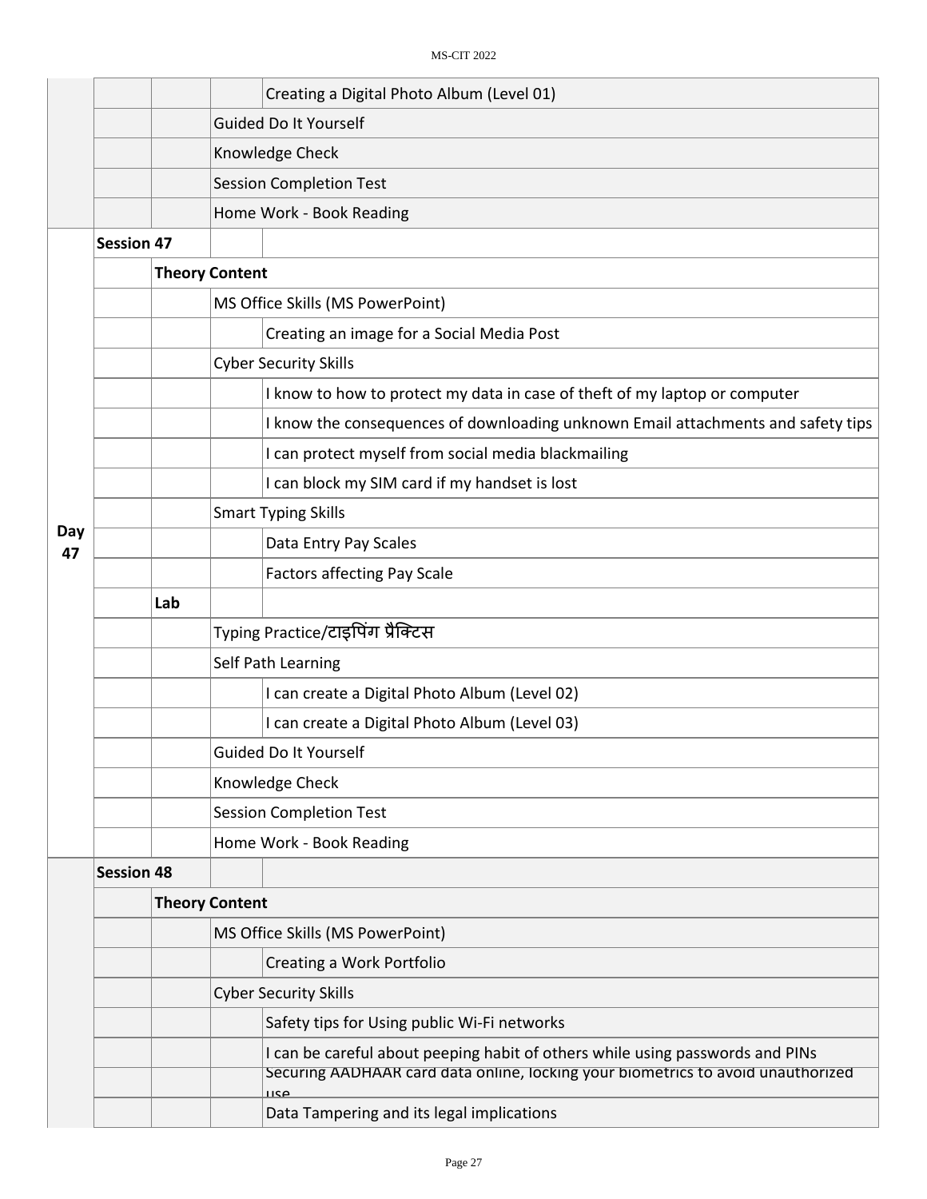|           |                   | Creating a Digital Photo Album (Level 01)                                                                                                                                 |  |
|-----------|-------------------|---------------------------------------------------------------------------------------------------------------------------------------------------------------------------|--|
|           |                   | Guided Do It Yourself                                                                                                                                                     |  |
|           |                   | Knowledge Check                                                                                                                                                           |  |
|           |                   | <b>Session Completion Test</b>                                                                                                                                            |  |
|           |                   | Home Work - Book Reading                                                                                                                                                  |  |
|           | <b>Session 47</b> |                                                                                                                                                                           |  |
|           |                   | <b>Theory Content</b>                                                                                                                                                     |  |
|           |                   | MS Office Skills (MS PowerPoint)                                                                                                                                          |  |
|           |                   | Creating an image for a Social Media Post                                                                                                                                 |  |
|           |                   | <b>Cyber Security Skills</b>                                                                                                                                              |  |
|           |                   | I know to how to protect my data in case of theft of my laptop or computer                                                                                                |  |
|           |                   | I know the consequences of downloading unknown Email attachments and safety tips                                                                                          |  |
|           |                   | I can protect myself from social media blackmailing                                                                                                                       |  |
|           |                   | I can block my SIM card if my handset is lost                                                                                                                             |  |
|           |                   | <b>Smart Typing Skills</b>                                                                                                                                                |  |
| Day<br>47 |                   | Data Entry Pay Scales                                                                                                                                                     |  |
|           |                   | <b>Factors affecting Pay Scale</b>                                                                                                                                        |  |
|           | Lab               |                                                                                                                                                                           |  |
|           |                   | Typing Practice/टाइपिंग प्रैक्टिस                                                                                                                                         |  |
|           |                   | Self Path Learning                                                                                                                                                        |  |
|           |                   | I can create a Digital Photo Album (Level 02)                                                                                                                             |  |
|           |                   | I can create a Digital Photo Album (Level 03)                                                                                                                             |  |
|           |                   | Guided Do It Yourself                                                                                                                                                     |  |
|           |                   | Knowledge Check                                                                                                                                                           |  |
|           |                   | <b>Session Completion Test</b>                                                                                                                                            |  |
|           |                   | Home Work - Book Reading                                                                                                                                                  |  |
|           | <b>Session 48</b> |                                                                                                                                                                           |  |
|           |                   | <b>Theory Content</b>                                                                                                                                                     |  |
|           |                   | MS Office Skills (MS PowerPoint)                                                                                                                                          |  |
|           |                   | Creating a Work Portfolio                                                                                                                                                 |  |
|           |                   | <b>Cyber Security Skills</b>                                                                                                                                              |  |
|           |                   | Safety tips for Using public Wi-Fi networks                                                                                                                               |  |
|           |                   | I can be careful about peeping habit of others while using passwords and PINs<br>Securing AADHAAR card data online, locking your biometrics to avoid unauthorized<br>۱۱۲۵ |  |
|           |                   | Data Tampering and its legal implications                                                                                                                                 |  |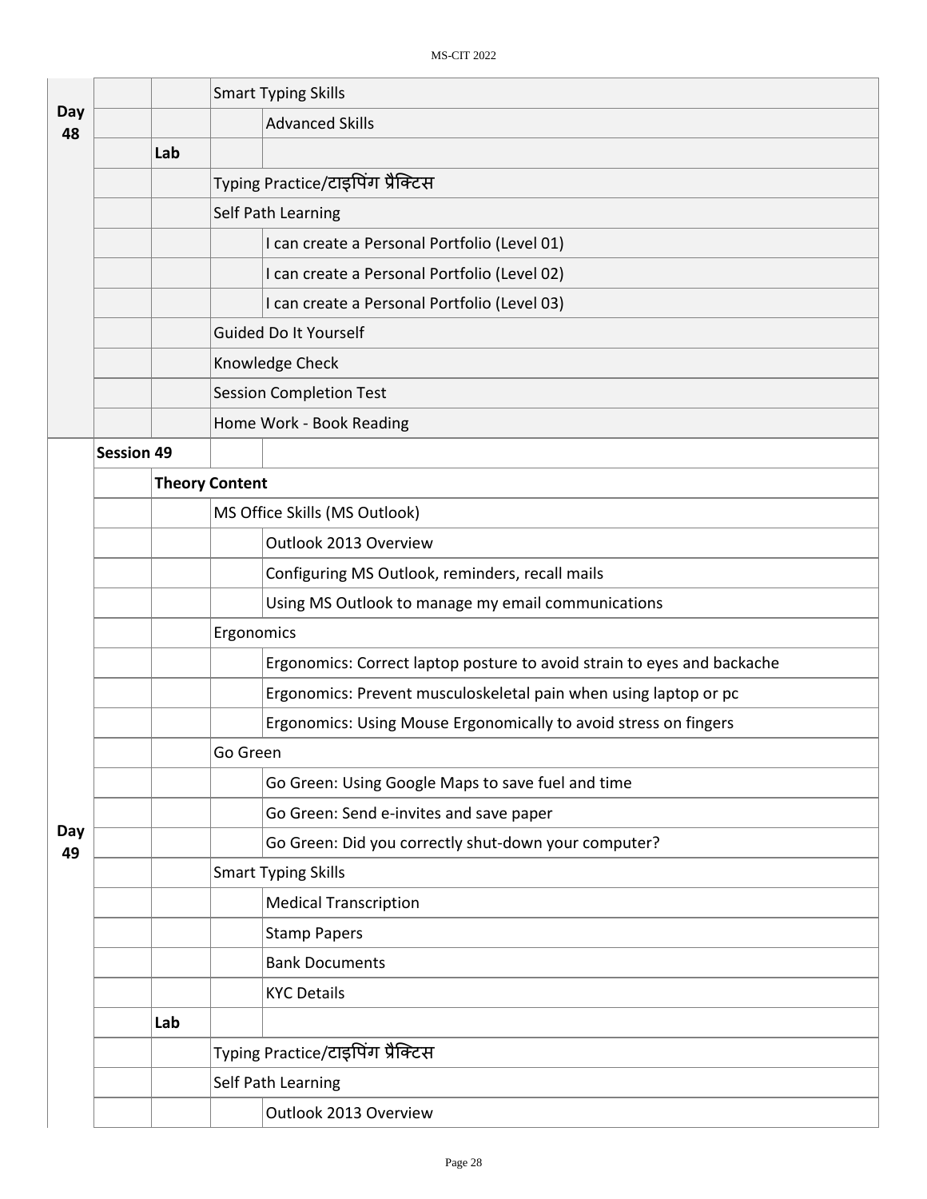|           |                   |     | <b>Smart Typing Skills</b>                                              |  |  |
|-----------|-------------------|-----|-------------------------------------------------------------------------|--|--|
| Day<br>48 |                   |     | <b>Advanced Skills</b>                                                  |  |  |
|           |                   | Lab |                                                                         |  |  |
|           |                   |     | Typing Practice/टाइपिंग प्रैक्टिस                                       |  |  |
|           |                   |     | Self Path Learning                                                      |  |  |
|           |                   |     | I can create a Personal Portfolio (Level 01)                            |  |  |
|           |                   |     | I can create a Personal Portfolio (Level 02)                            |  |  |
|           |                   |     | I can create a Personal Portfolio (Level 03)                            |  |  |
|           |                   |     | Guided Do It Yourself                                                   |  |  |
|           |                   |     | Knowledge Check                                                         |  |  |
|           |                   |     | <b>Session Completion Test</b>                                          |  |  |
|           |                   |     | Home Work - Book Reading                                                |  |  |
|           | <b>Session 49</b> |     |                                                                         |  |  |
|           |                   |     | <b>Theory Content</b>                                                   |  |  |
|           |                   |     | MS Office Skills (MS Outlook)                                           |  |  |
|           |                   |     | Outlook 2013 Overview                                                   |  |  |
|           |                   |     | Configuring MS Outlook, reminders, recall mails                         |  |  |
|           |                   |     | Using MS Outlook to manage my email communications                      |  |  |
|           |                   |     | Ergonomics                                                              |  |  |
|           |                   |     | Ergonomics: Correct laptop posture to avoid strain to eyes and backache |  |  |
|           |                   |     | Ergonomics: Prevent musculoskeletal pain when using laptop or pc        |  |  |
|           |                   |     | Ergonomics: Using Mouse Ergonomically to avoid stress on fingers        |  |  |
|           |                   |     | Go Green                                                                |  |  |
|           |                   |     | Go Green: Using Google Maps to save fuel and time                       |  |  |
|           |                   |     | Go Green: Send e-invites and save paper                                 |  |  |
| Day<br>49 |                   |     | Go Green: Did you correctly shut-down your computer?                    |  |  |
|           |                   |     | <b>Smart Typing Skills</b>                                              |  |  |
|           |                   |     | <b>Medical Transcription</b>                                            |  |  |
|           |                   |     | <b>Stamp Papers</b>                                                     |  |  |
|           |                   |     | <b>Bank Documents</b>                                                   |  |  |
|           |                   |     | <b>KYC Details</b>                                                      |  |  |
|           |                   | Lab |                                                                         |  |  |
|           |                   |     | Typing Practice/टाइपिंग प्रैक्टिस                                       |  |  |
|           |                   |     | Self Path Learning                                                      |  |  |
|           |                   |     | Outlook 2013 Overview                                                   |  |  |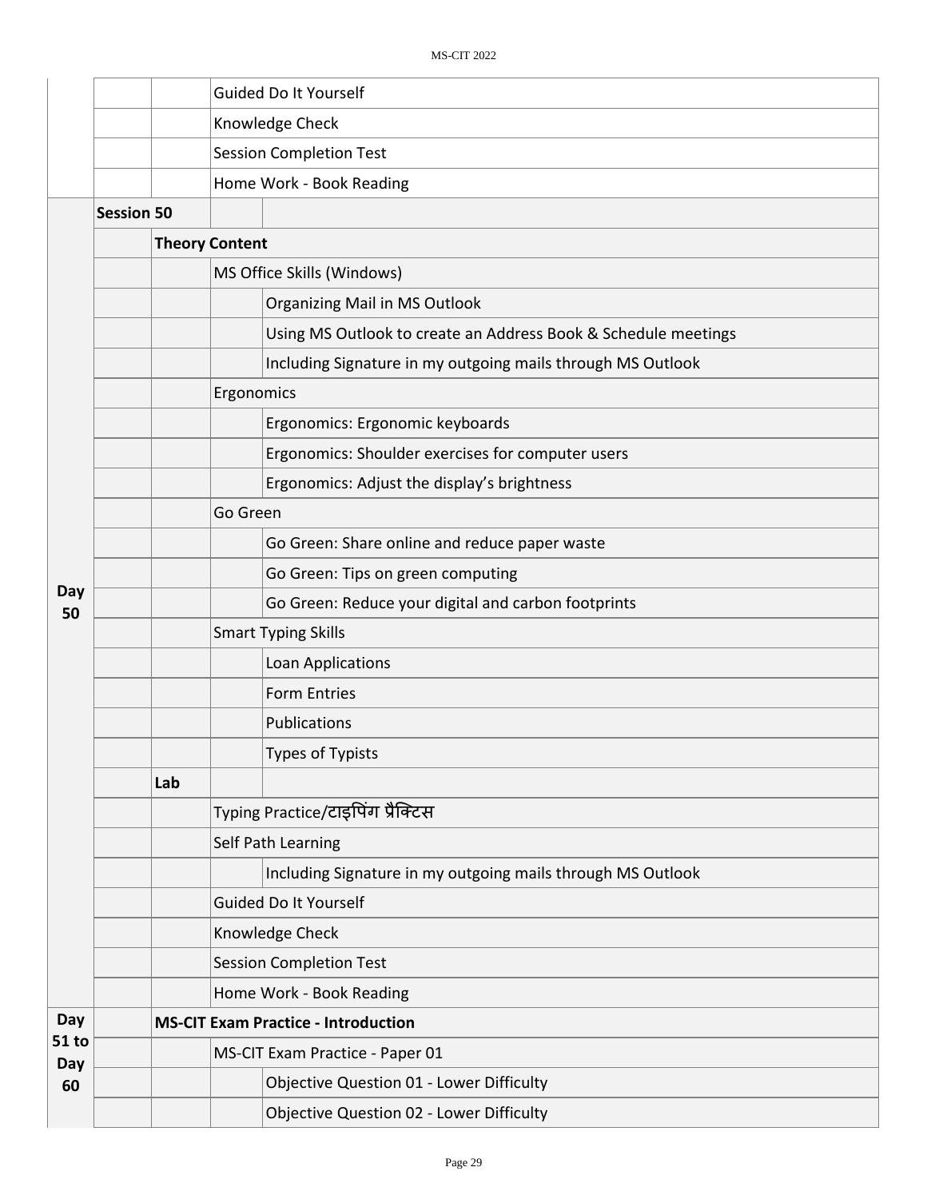|              |                   | Guided Do It Yourself                      |                                                                |  |  |  |  |
|--------------|-------------------|--------------------------------------------|----------------------------------------------------------------|--|--|--|--|
|              |                   |                                            | Knowledge Check                                                |  |  |  |  |
|              |                   |                                            | <b>Session Completion Test</b>                                 |  |  |  |  |
|              |                   |                                            | Home Work - Book Reading                                       |  |  |  |  |
|              | <b>Session 50</b> |                                            |                                                                |  |  |  |  |
|              |                   | <b>Theory Content</b>                      |                                                                |  |  |  |  |
|              |                   |                                            | MS Office Skills (Windows)                                     |  |  |  |  |
|              |                   |                                            | <b>Organizing Mail in MS Outlook</b>                           |  |  |  |  |
|              |                   |                                            | Using MS Outlook to create an Address Book & Schedule meetings |  |  |  |  |
|              |                   |                                            | Including Signature in my outgoing mails through MS Outlook    |  |  |  |  |
|              |                   |                                            | Ergonomics                                                     |  |  |  |  |
|              |                   |                                            | Ergonomics: Ergonomic keyboards                                |  |  |  |  |
|              |                   |                                            | Ergonomics: Shoulder exercises for computer users              |  |  |  |  |
|              |                   |                                            | Ergonomics: Adjust the display's brightness                    |  |  |  |  |
|              |                   |                                            | Go Green                                                       |  |  |  |  |
|              |                   |                                            | Go Green: Share online and reduce paper waste                  |  |  |  |  |
|              |                   |                                            | Go Green: Tips on green computing                              |  |  |  |  |
| Day<br>50    |                   |                                            | Go Green: Reduce your digital and carbon footprints            |  |  |  |  |
|              |                   |                                            | <b>Smart Typing Skills</b>                                     |  |  |  |  |
|              |                   |                                            | Loan Applications                                              |  |  |  |  |
|              |                   |                                            | <b>Form Entries</b>                                            |  |  |  |  |
|              |                   |                                            | Publications                                                   |  |  |  |  |
|              |                   |                                            | Types of Typists                                               |  |  |  |  |
|              |                   | Lab                                        |                                                                |  |  |  |  |
|              |                   |                                            | Typing Practice/टाइपिंग प्रैक्टिस                              |  |  |  |  |
|              |                   |                                            | Self Path Learning                                             |  |  |  |  |
|              |                   |                                            | Including Signature in my outgoing mails through MS Outlook    |  |  |  |  |
|              |                   |                                            | <b>Guided Do It Yourself</b>                                   |  |  |  |  |
|              |                   |                                            | Knowledge Check                                                |  |  |  |  |
|              |                   |                                            | <b>Session Completion Test</b>                                 |  |  |  |  |
|              |                   |                                            | Home Work - Book Reading                                       |  |  |  |  |
| Day          |                   | <b>MS-CIT Exam Practice - Introduction</b> |                                                                |  |  |  |  |
| 51 to<br>Day |                   |                                            | MS-CIT Exam Practice - Paper 01                                |  |  |  |  |
| 60           |                   |                                            | Objective Question 01 - Lower Difficulty                       |  |  |  |  |
|              |                   |                                            | Objective Question 02 - Lower Difficulty                       |  |  |  |  |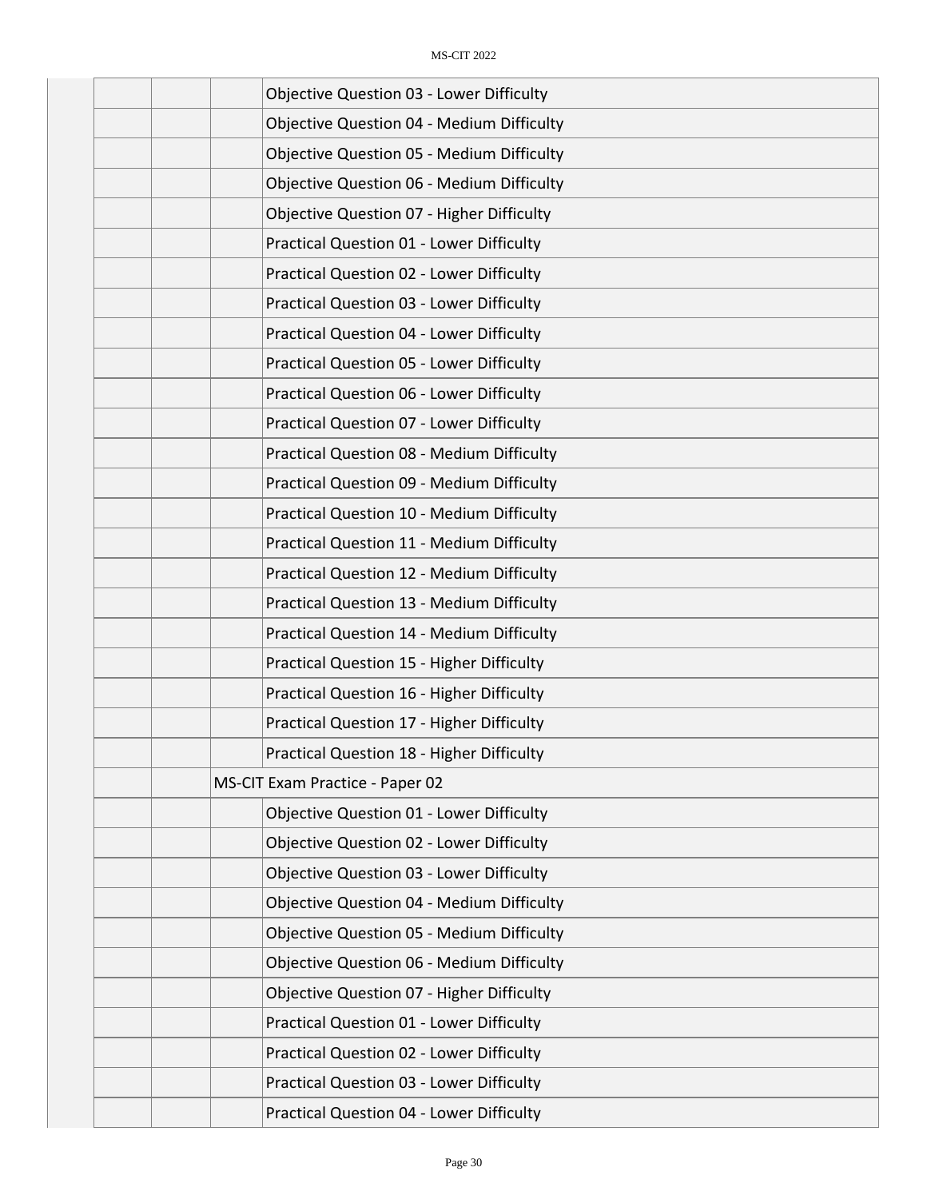| <b>Objective Question 03 - Lower Difficulty</b>  |
|--------------------------------------------------|
| <b>Objective Question 04 - Medium Difficulty</b> |
| <b>Objective Question 05 - Medium Difficulty</b> |
| <b>Objective Question 06 - Medium Difficulty</b> |
| <b>Objective Question 07 - Higher Difficulty</b> |
| Practical Question 01 - Lower Difficulty         |
| Practical Question 02 - Lower Difficulty         |
| Practical Question 03 - Lower Difficulty         |
| Practical Question 04 - Lower Difficulty         |
| Practical Question 05 - Lower Difficulty         |
| Practical Question 06 - Lower Difficulty         |
| Practical Question 07 - Lower Difficulty         |
| <b>Practical Question 08 - Medium Difficulty</b> |
| Practical Question 09 - Medium Difficulty        |
| Practical Question 10 - Medium Difficulty        |
| Practical Question 11 - Medium Difficulty        |
| Practical Question 12 - Medium Difficulty        |
| Practical Question 13 - Medium Difficulty        |
| <b>Practical Question 14 - Medium Difficulty</b> |
| Practical Question 15 - Higher Difficulty        |
| Practical Question 16 - Higher Difficulty        |
| Practical Question 17 - Higher Difficulty        |
| <b>Practical Question 18 - Higher Difficulty</b> |
| MS-CIT Exam Practice - Paper 02                  |
| Objective Question 01 - Lower Difficulty         |
| <b>Objective Question 02 - Lower Difficulty</b>  |
| <b>Objective Question 03 - Lower Difficulty</b>  |
| <b>Objective Question 04 - Medium Difficulty</b> |
| <b>Objective Question 05 - Medium Difficulty</b> |
| <b>Objective Question 06 - Medium Difficulty</b> |
| Objective Question 07 - Higher Difficulty        |
| Practical Question 01 - Lower Difficulty         |
| Practical Question 02 - Lower Difficulty         |
| Practical Question 03 - Lower Difficulty         |
| Practical Question 04 - Lower Difficulty         |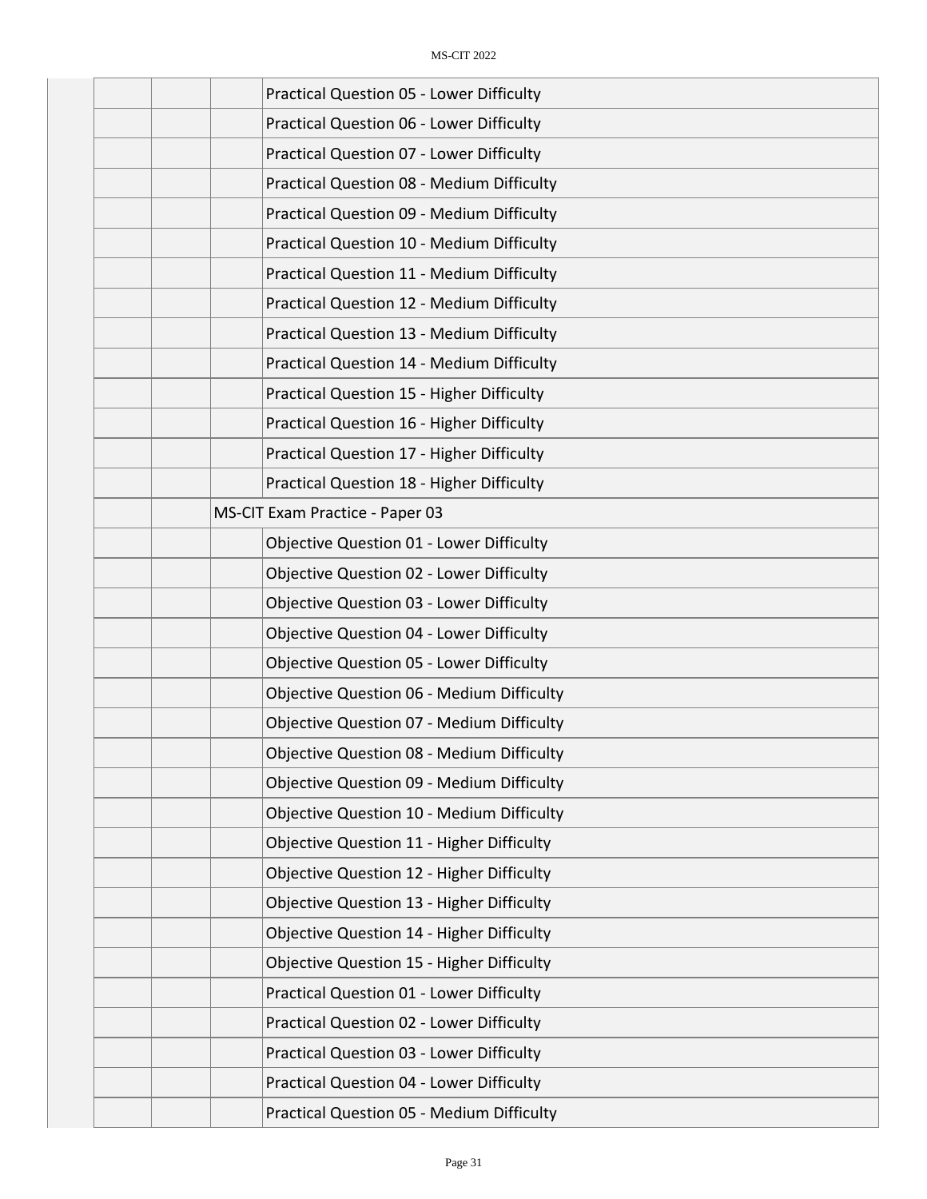|  | Practical Question 05 - Lower Difficulty         |
|--|--------------------------------------------------|
|  | <b>Practical Question 06 - Lower Difficulty</b>  |
|  | Practical Question 07 - Lower Difficulty         |
|  | Practical Question 08 - Medium Difficulty        |
|  | Practical Question 09 - Medium Difficulty        |
|  | Practical Question 10 - Medium Difficulty        |
|  | Practical Question 11 - Medium Difficulty        |
|  | Practical Question 12 - Medium Difficulty        |
|  | <b>Practical Question 13 - Medium Difficulty</b> |
|  | <b>Practical Question 14 - Medium Difficulty</b> |
|  | Practical Question 15 - Higher Difficulty        |
|  | Practical Question 16 - Higher Difficulty        |
|  | Practical Question 17 - Higher Difficulty        |
|  | Practical Question 18 - Higher Difficulty        |
|  | MS-CIT Exam Practice - Paper 03                  |
|  | Objective Question 01 - Lower Difficulty         |
|  | Objective Question 02 - Lower Difficulty         |
|  | <b>Objective Question 03 - Lower Difficulty</b>  |
|  | <b>Objective Question 04 - Lower Difficulty</b>  |
|  | <b>Objective Question 05 - Lower Difficulty</b>  |
|  | <b>Objective Question 06 - Medium Difficulty</b> |
|  | <b>Objective Question 07 - Medium Difficulty</b> |
|  | <b>Objective Question 08 - Medium Difficulty</b> |
|  | <b>Objective Question 09 - Medium Difficulty</b> |
|  | Objective Question 10 - Medium Difficulty        |
|  | <b>Objective Question 11 - Higher Difficulty</b> |
|  | Objective Question 12 - Higher Difficulty        |
|  | Objective Question 13 - Higher Difficulty        |
|  | <b>Objective Question 14 - Higher Difficulty</b> |
|  | <b>Objective Question 15 - Higher Difficulty</b> |
|  | Practical Question 01 - Lower Difficulty         |
|  | Practical Question 02 - Lower Difficulty         |
|  | Practical Question 03 - Lower Difficulty         |
|  | Practical Question 04 - Lower Difficulty         |
|  | <b>Practical Question 05 - Medium Difficulty</b> |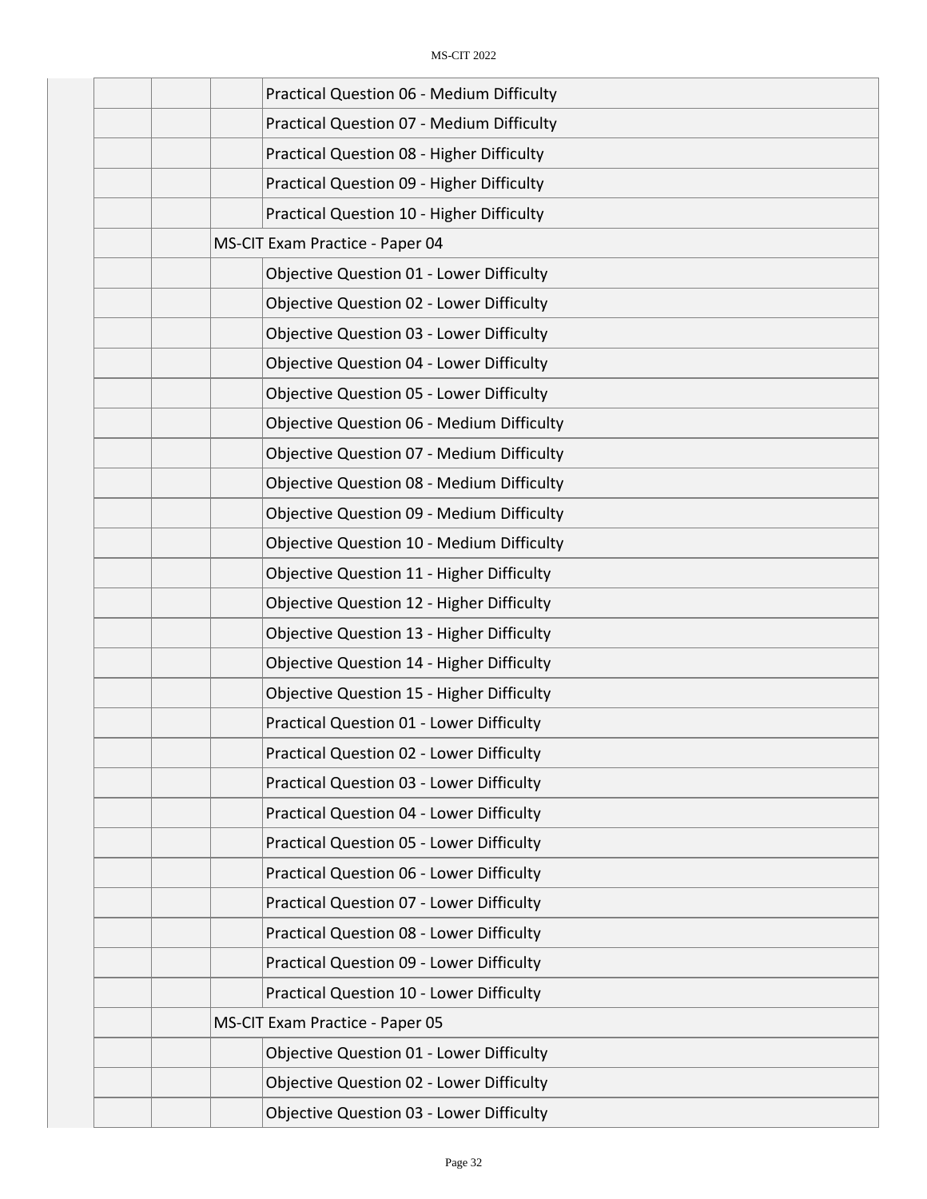| Practical Question 06 - Medium Difficulty        |
|--------------------------------------------------|
| Practical Question 07 - Medium Difficulty        |
| Practical Question 08 - Higher Difficulty        |
| Practical Question 09 - Higher Difficulty        |
| Practical Question 10 - Higher Difficulty        |
| MS-CIT Exam Practice - Paper 04                  |
| Objective Question 01 - Lower Difficulty         |
| <b>Objective Question 02 - Lower Difficulty</b>  |
| <b>Objective Question 03 - Lower Difficulty</b>  |
| <b>Objective Question 04 - Lower Difficulty</b>  |
| <b>Objective Question 05 - Lower Difficulty</b>  |
| <b>Objective Question 06 - Medium Difficulty</b> |
| <b>Objective Question 07 - Medium Difficulty</b> |
| <b>Objective Question 08 - Medium Difficulty</b> |
| <b>Objective Question 09 - Medium Difficulty</b> |
| Objective Question 10 - Medium Difficulty        |
| <b>Objective Question 11 - Higher Difficulty</b> |
| Objective Question 12 - Higher Difficulty        |
| Objective Question 13 - Higher Difficulty        |
| Objective Question 14 - Higher Difficulty        |
| <b>Objective Question 15 - Higher Difficulty</b> |
| Practical Question 01 - Lower Difficulty         |
| <b>Practical Question 02 - Lower Difficulty</b>  |
| Practical Question 03 - Lower Difficulty         |
| <b>Practical Question 04 - Lower Difficulty</b>  |
| <b>Practical Question 05 - Lower Difficulty</b>  |
| Practical Question 06 - Lower Difficulty         |
| <b>Practical Question 07 - Lower Difficulty</b>  |
| <b>Practical Question 08 - Lower Difficulty</b>  |
| Practical Question 09 - Lower Difficulty         |
| Practical Question 10 - Lower Difficulty         |
| MS-CIT Exam Practice - Paper 05                  |
| Objective Question 01 - Lower Difficulty         |
| Objective Question 02 - Lower Difficulty         |
| Objective Question 03 - Lower Difficulty         |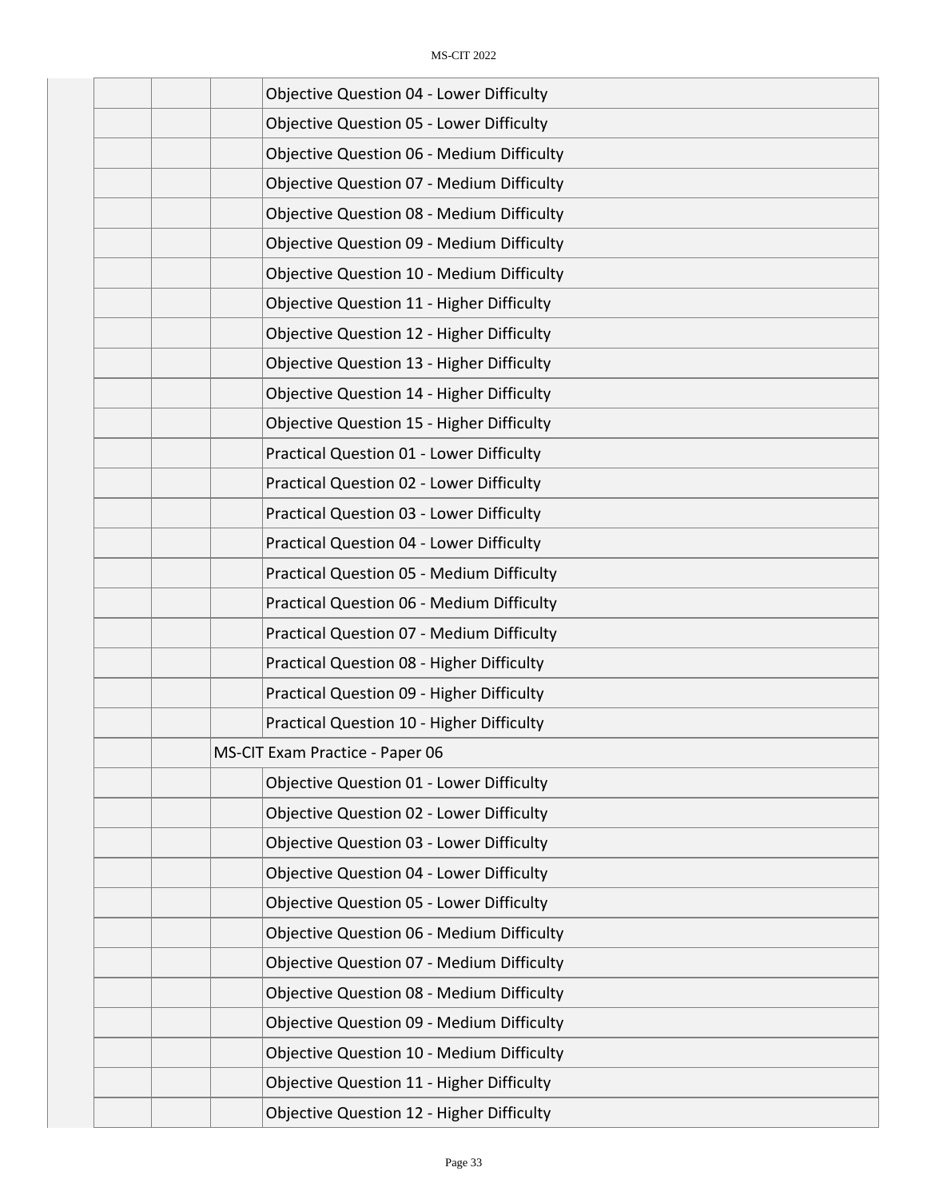|  | <b>Objective Question 04 - Lower Difficulty</b>  |
|--|--------------------------------------------------|
|  | <b>Objective Question 05 - Lower Difficulty</b>  |
|  | <b>Objective Question 06 - Medium Difficulty</b> |
|  | <b>Objective Question 07 - Medium Difficulty</b> |
|  | <b>Objective Question 08 - Medium Difficulty</b> |
|  | <b>Objective Question 09 - Medium Difficulty</b> |
|  | <b>Objective Question 10 - Medium Difficulty</b> |
|  | Objective Question 11 - Higher Difficulty        |
|  | Objective Question 12 - Higher Difficulty        |
|  | Objective Question 13 - Higher Difficulty        |
|  | <b>Objective Question 14 - Higher Difficulty</b> |
|  | <b>Objective Question 15 - Higher Difficulty</b> |
|  | Practical Question 01 - Lower Difficulty         |
|  | Practical Question 02 - Lower Difficulty         |
|  | <b>Practical Question 03 - Lower Difficulty</b>  |
|  | Practical Question 04 - Lower Difficulty         |
|  | <b>Practical Question 05 - Medium Difficulty</b> |
|  | Practical Question 06 - Medium Difficulty        |
|  | Practical Question 07 - Medium Difficulty        |
|  | Practical Question 08 - Higher Difficulty        |
|  | Practical Question 09 - Higher Difficulty        |
|  | Practical Question 10 - Higher Difficulty        |
|  | MS-CIT Exam Practice - Paper 06                  |
|  | <b>Objective Question 01 - Lower Difficulty</b>  |
|  | <b>Objective Question 02 - Lower Difficulty</b>  |
|  | <b>Objective Question 03 - Lower Difficulty</b>  |
|  | <b>Objective Question 04 - Lower Difficulty</b>  |
|  | <b>Objective Question 05 - Lower Difficulty</b>  |
|  | Objective Question 06 - Medium Difficulty        |
|  | <b>Objective Question 07 - Medium Difficulty</b> |
|  | Objective Question 08 - Medium Difficulty        |
|  | <b>Objective Question 09 - Medium Difficulty</b> |
|  | Objective Question 10 - Medium Difficulty        |
|  | Objective Question 11 - Higher Difficulty        |
|  | Objective Question 12 - Higher Difficulty        |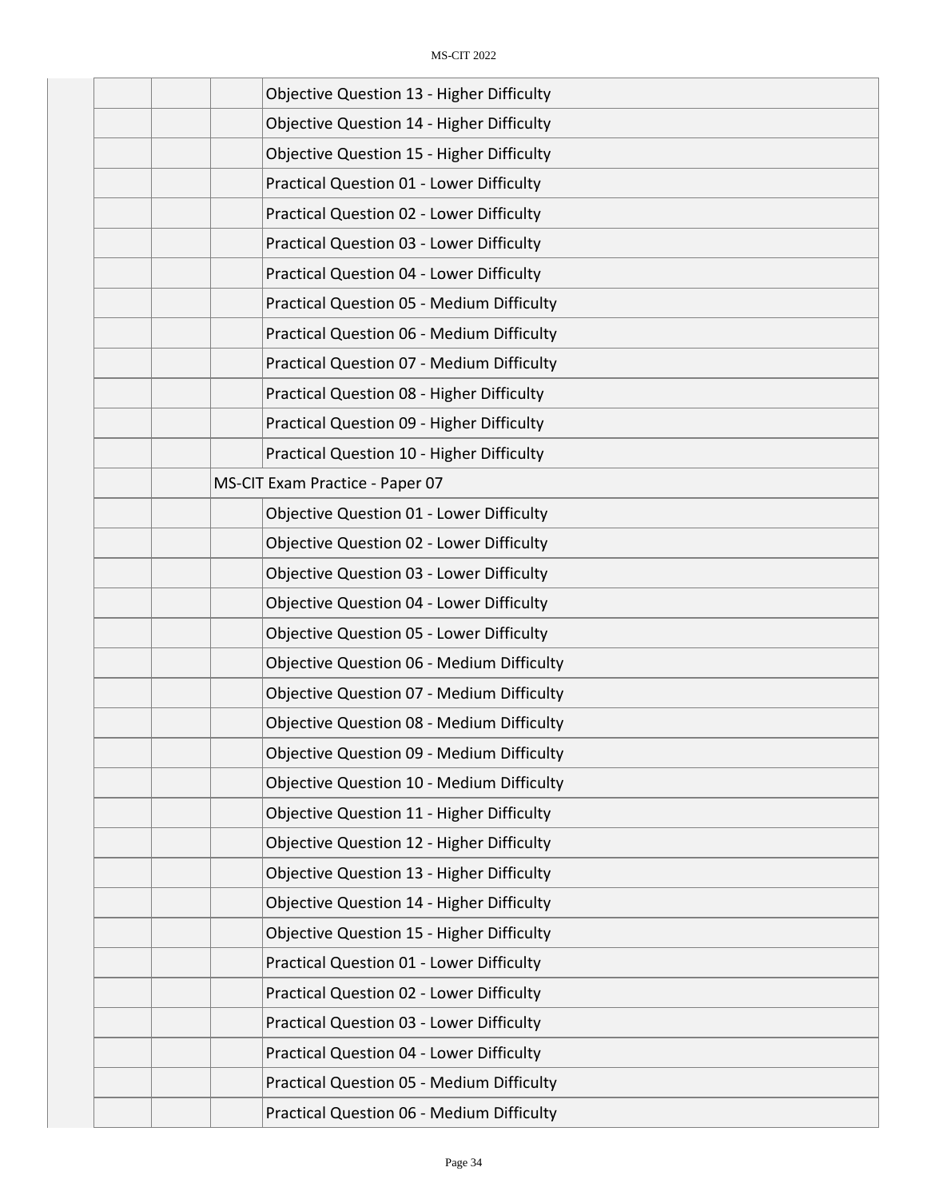| Objective Question 13 - Higher Difficulty        |
|--------------------------------------------------|
| Objective Question 14 - Higher Difficulty        |
| <b>Objective Question 15 - Higher Difficulty</b> |
| <b>Practical Question 01 - Lower Difficulty</b>  |
| Practical Question 02 - Lower Difficulty         |
| Practical Question 03 - Lower Difficulty         |
| <b>Practical Question 04 - Lower Difficulty</b>  |
| <b>Practical Question 05 - Medium Difficulty</b> |
| Practical Question 06 - Medium Difficulty        |
| Practical Question 07 - Medium Difficulty        |
| Practical Question 08 - Higher Difficulty        |
| Practical Question 09 - Higher Difficulty        |
| Practical Question 10 - Higher Difficulty        |
| MS-CIT Exam Practice - Paper 07                  |
| Objective Question 01 - Lower Difficulty         |
| <b>Objective Question 02 - Lower Difficulty</b>  |
| <b>Objective Question 03 - Lower Difficulty</b>  |
| <b>Objective Question 04 - Lower Difficulty</b>  |
| <b>Objective Question 05 - Lower Difficulty</b>  |
| <b>Objective Question 06 - Medium Difficulty</b> |
| <b>Objective Question 07 - Medium Difficulty</b> |
| <b>Objective Question 08 - Medium Difficulty</b> |
| <b>Objective Question 09 - Medium Difficulty</b> |
| <b>Objective Question 10 - Medium Difficulty</b> |
| Objective Question 11 - Higher Difficulty        |
| <b>Objective Question 12 - Higher Difficulty</b> |
| Objective Question 13 - Higher Difficulty        |
| <b>Objective Question 14 - Higher Difficulty</b> |
| <b>Objective Question 15 - Higher Difficulty</b> |
| Practical Question 01 - Lower Difficulty         |
| Practical Question 02 - Lower Difficulty         |
| Practical Question 03 - Lower Difficulty         |
| Practical Question 04 - Lower Difficulty         |
| <b>Practical Question 05 - Medium Difficulty</b> |
| Practical Question 06 - Medium Difficulty        |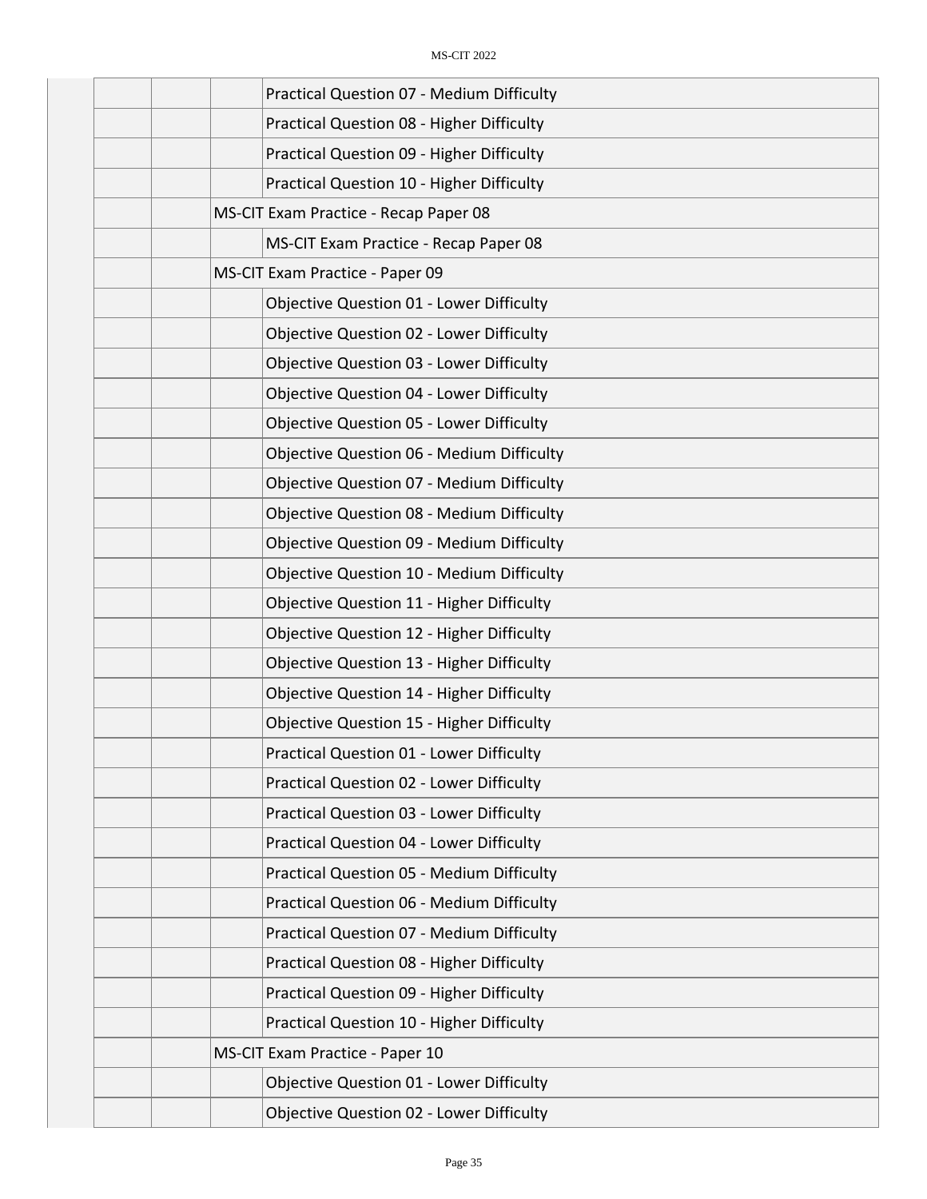|  | Practical Question 07 - Medium Difficulty        |
|--|--------------------------------------------------|
|  | Practical Question 08 - Higher Difficulty        |
|  | Practical Question 09 - Higher Difficulty        |
|  | Practical Question 10 - Higher Difficulty        |
|  | MS-CIT Exam Practice - Recap Paper 08            |
|  | MS-CIT Exam Practice - Recap Paper 08            |
|  | MS-CIT Exam Practice - Paper 09                  |
|  | Objective Question 01 - Lower Difficulty         |
|  | Objective Question 02 - Lower Difficulty         |
|  | <b>Objective Question 03 - Lower Difficulty</b>  |
|  | <b>Objective Question 04 - Lower Difficulty</b>  |
|  | <b>Objective Question 05 - Lower Difficulty</b>  |
|  | <b>Objective Question 06 - Medium Difficulty</b> |
|  | <b>Objective Question 07 - Medium Difficulty</b> |
|  | <b>Objective Question 08 - Medium Difficulty</b> |
|  | <b>Objective Question 09 - Medium Difficulty</b> |
|  | Objective Question 10 - Medium Difficulty        |
|  | Objective Question 11 - Higher Difficulty        |
|  | Objective Question 12 - Higher Difficulty        |
|  | Objective Question 13 - Higher Difficulty        |
|  | Objective Question 14 - Higher Difficulty        |
|  | <b>Objective Question 15 - Higher Difficulty</b> |
|  | <b>Practical Question 01 - Lower Difficulty</b>  |
|  | Practical Question 02 - Lower Difficulty         |
|  | Practical Question 03 - Lower Difficulty         |
|  | Practical Question 04 - Lower Difficulty         |
|  | <b>Practical Question 05 - Medium Difficulty</b> |
|  | Practical Question 06 - Medium Difficulty        |
|  | Practical Question 07 - Medium Difficulty        |
|  | Practical Question 08 - Higher Difficulty        |
|  | Practical Question 09 - Higher Difficulty        |
|  | Practical Question 10 - Higher Difficulty        |
|  | MS-CIT Exam Practice - Paper 10                  |
|  | Objective Question 01 - Lower Difficulty         |
|  | Objective Question 02 - Lower Difficulty         |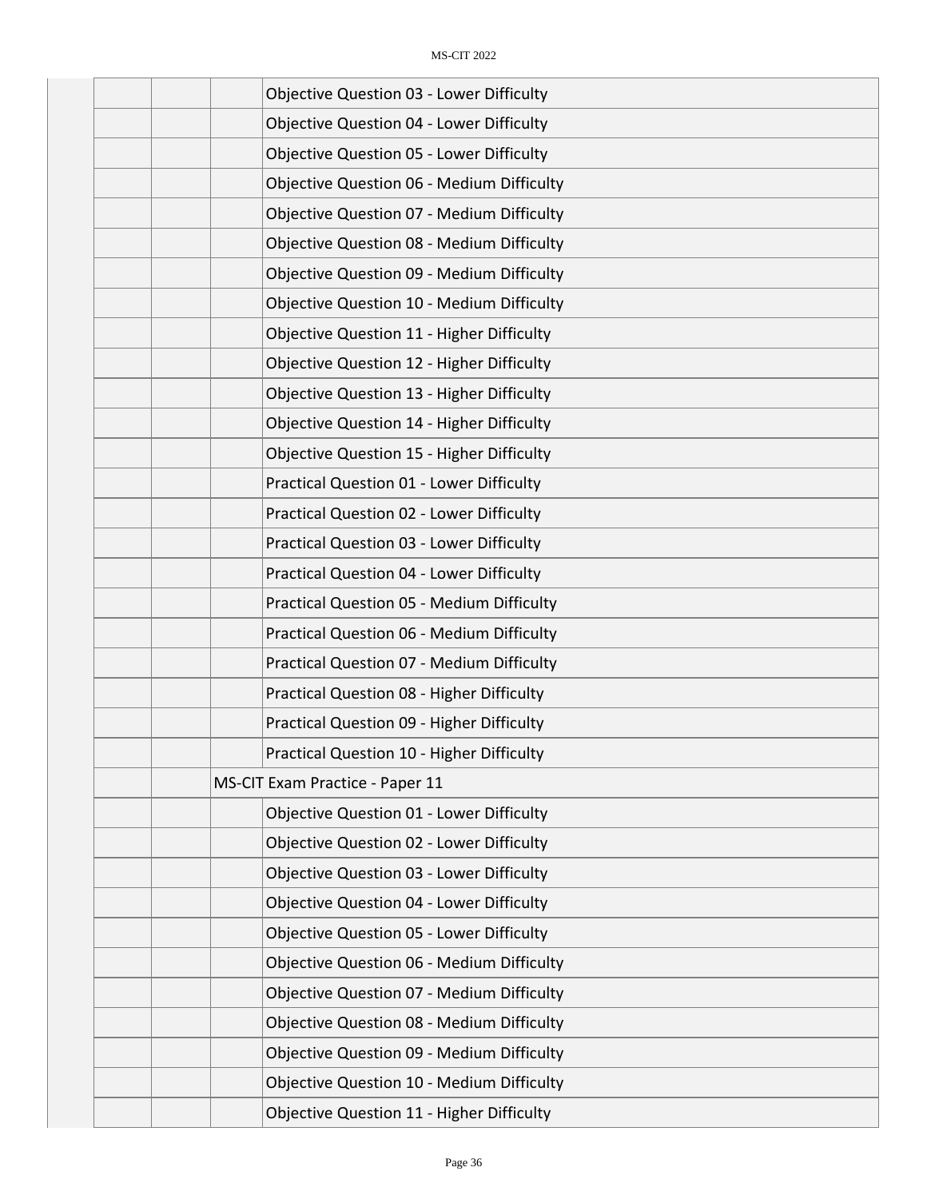| <b>Objective Question 03 - Lower Difficulty</b>  |
|--------------------------------------------------|
| <b>Objective Question 04 - Lower Difficulty</b>  |
| <b>Objective Question 05 - Lower Difficulty</b>  |
| <b>Objective Question 06 - Medium Difficulty</b> |
| <b>Objective Question 07 - Medium Difficulty</b> |
| <b>Objective Question 08 - Medium Difficulty</b> |
| <b>Objective Question 09 - Medium Difficulty</b> |
| <b>Objective Question 10 - Medium Difficulty</b> |
| <b>Objective Question 11 - Higher Difficulty</b> |
| Objective Question 12 - Higher Difficulty        |
| <b>Objective Question 13 - Higher Difficulty</b> |
| <b>Objective Question 14 - Higher Difficulty</b> |
| <b>Objective Question 15 - Higher Difficulty</b> |
| Practical Question 01 - Lower Difficulty         |
| Practical Question 02 - Lower Difficulty         |
| Practical Question 03 - Lower Difficulty         |
| Practical Question 04 - Lower Difficulty         |
| <b>Practical Question 05 - Medium Difficulty</b> |
| Practical Question 06 - Medium Difficulty        |
| Practical Question 07 - Medium Difficulty        |
| Practical Question 08 - Higher Difficulty        |
| Practical Question 09 - Higher Difficulty        |
| Practical Question 10 - Higher Difficulty        |
| MS-CIT Exam Practice - Paper 11                  |
| <b>Objective Question 01 - Lower Difficulty</b>  |
| Objective Question 02 - Lower Difficulty         |
| <b>Objective Question 03 - Lower Difficulty</b>  |
| <b>Objective Question 04 - Lower Difficulty</b>  |
| <b>Objective Question 05 - Lower Difficulty</b>  |
| <b>Objective Question 06 - Medium Difficulty</b> |
| <b>Objective Question 07 - Medium Difficulty</b> |
| Objective Question 08 - Medium Difficulty        |
| <b>Objective Question 09 - Medium Difficulty</b> |
| Objective Question 10 - Medium Difficulty        |
| <b>Objective Question 11 - Higher Difficulty</b> |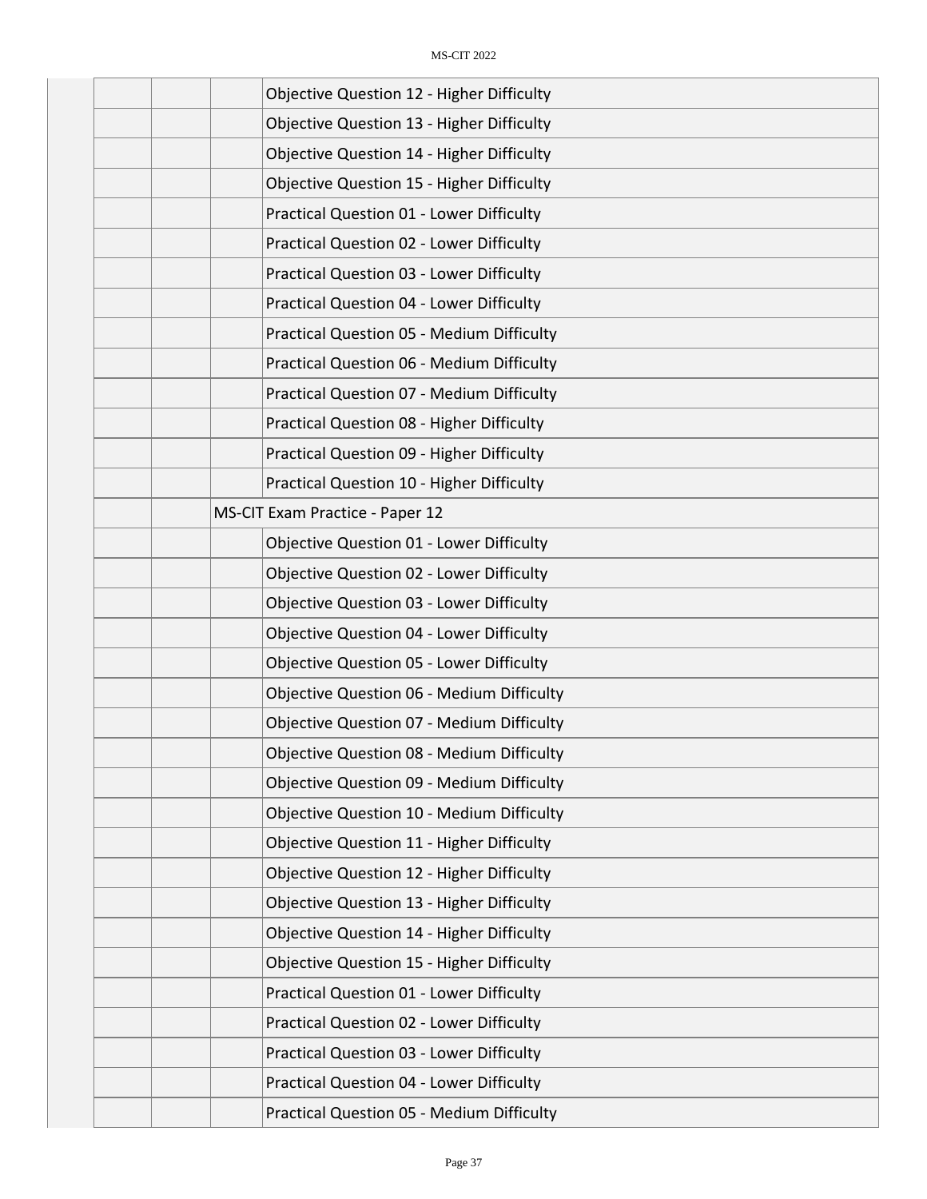| Objective Question 12 - Higher Difficulty        |
|--------------------------------------------------|
| Objective Question 13 - Higher Difficulty        |
| Objective Question 14 - Higher Difficulty        |
| <b>Objective Question 15 - Higher Difficulty</b> |
| Practical Question 01 - Lower Difficulty         |
| Practical Question 02 - Lower Difficulty         |
| Practical Question 03 - Lower Difficulty         |
| Practical Question 04 - Lower Difficulty         |
| <b>Practical Question 05 - Medium Difficulty</b> |
| Practical Question 06 - Medium Difficulty        |
| Practical Question 07 - Medium Difficulty        |
| Practical Question 08 - Higher Difficulty        |
| Practical Question 09 - Higher Difficulty        |
| Practical Question 10 - Higher Difficulty        |
| MS-CIT Exam Practice - Paper 12                  |
| Objective Question 01 - Lower Difficulty         |
| Objective Question 02 - Lower Difficulty         |
| <b>Objective Question 03 - Lower Difficulty</b>  |
| <b>Objective Question 04 - Lower Difficulty</b>  |
| <b>Objective Question 05 - Lower Difficulty</b>  |
| <b>Objective Question 06 - Medium Difficulty</b> |
| <b>Objective Question 07 - Medium Difficulty</b> |
| <b>Objective Question 08 - Medium Difficulty</b> |
| <b>Objective Question 09 - Medium Difficulty</b> |
| <b>Objective Question 10 - Medium Difficulty</b> |
| Objective Question 11 - Higher Difficulty        |
| Objective Question 12 - Higher Difficulty        |
| Objective Question 13 - Higher Difficulty        |
| Objective Question 14 - Higher Difficulty        |
| <b>Objective Question 15 - Higher Difficulty</b> |
| <b>Practical Question 01 - Lower Difficulty</b>  |
| Practical Question 02 - Lower Difficulty         |
| Practical Question 03 - Lower Difficulty         |
| Practical Question 04 - Lower Difficulty         |
| <b>Practical Question 05 - Medium Difficulty</b> |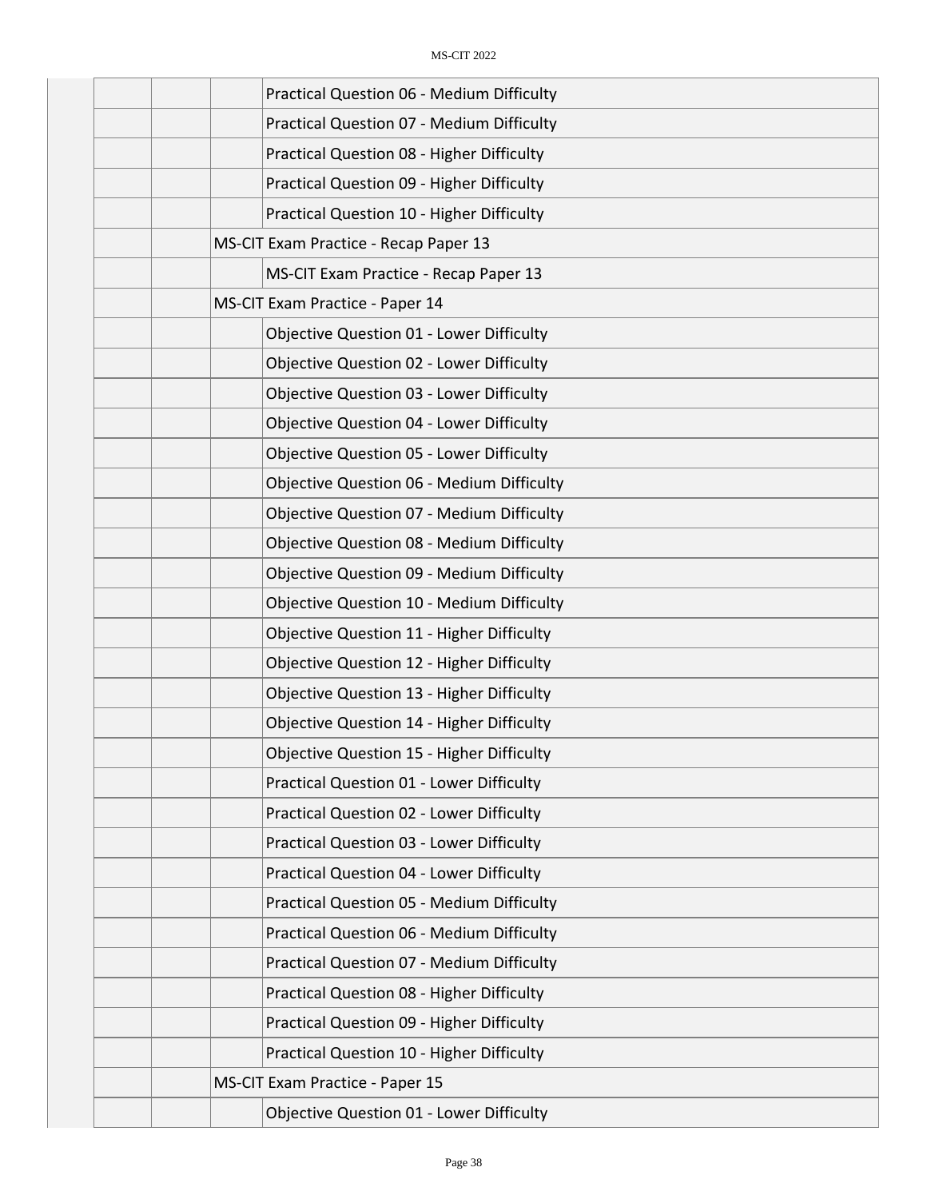| Practical Question 06 - Medium Difficulty        |
|--------------------------------------------------|
| Practical Question 07 - Medium Difficulty        |
| Practical Question 08 - Higher Difficulty        |
| Practical Question 09 - Higher Difficulty        |
| Practical Question 10 - Higher Difficulty        |
| MS-CIT Exam Practice - Recap Paper 13            |
| MS-CIT Exam Practice - Recap Paper 13            |
| MS-CIT Exam Practice - Paper 14                  |
| <b>Objective Question 01 - Lower Difficulty</b>  |
| Objective Question 02 - Lower Difficulty         |
| <b>Objective Question 03 - Lower Difficulty</b>  |
| <b>Objective Question 04 - Lower Difficulty</b>  |
| <b>Objective Question 05 - Lower Difficulty</b>  |
| <b>Objective Question 06 - Medium Difficulty</b> |
| <b>Objective Question 07 - Medium Difficulty</b> |
| <b>Objective Question 08 - Medium Difficulty</b> |
| <b>Objective Question 09 - Medium Difficulty</b> |
| <b>Objective Question 10 - Medium Difficulty</b> |
| <b>Objective Question 11 - Higher Difficulty</b> |
| Objective Question 12 - Higher Difficulty        |
| Objective Question 13 - Higher Difficulty        |
| Objective Question 14 - Higher Difficulty        |
| <b>Objective Question 15 - Higher Difficulty</b> |
| <b>Practical Question 01 - Lower Difficulty</b>  |
| Practical Question 02 - Lower Difficulty         |
| Practical Question 03 - Lower Difficulty         |
| Practical Question 04 - Lower Difficulty         |
| <b>Practical Question 05 - Medium Difficulty</b> |
| Practical Question 06 - Medium Difficulty        |
| Practical Question 07 - Medium Difficulty        |
| Practical Question 08 - Higher Difficulty        |
| Practical Question 09 - Higher Difficulty        |
| Practical Question 10 - Higher Difficulty        |
| MS-CIT Exam Practice - Paper 15                  |
| <b>Objective Question 01 - Lower Difficulty</b>  |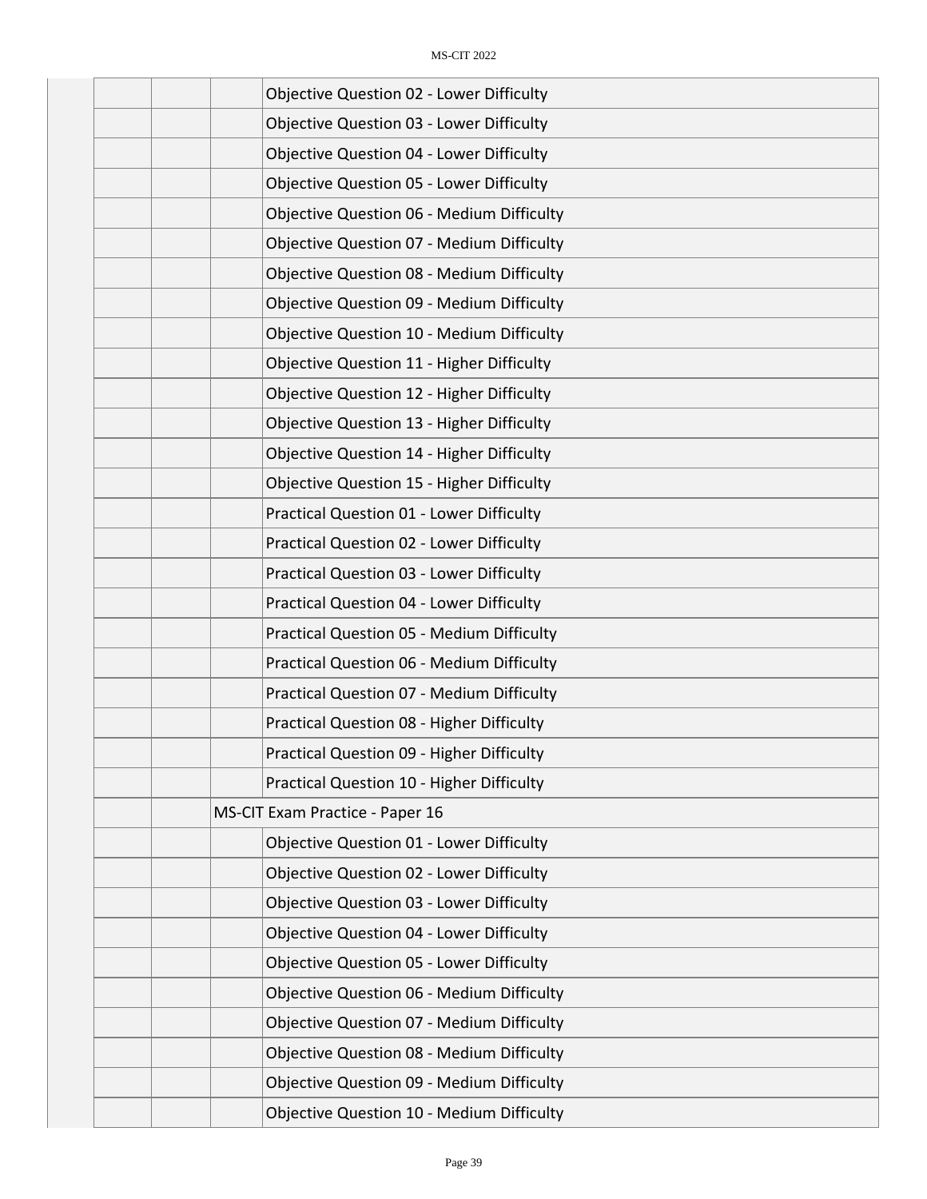|  | Objective Question 02 - Lower Difficulty         |
|--|--------------------------------------------------|
|  | <b>Objective Question 03 - Lower Difficulty</b>  |
|  | <b>Objective Question 04 - Lower Difficulty</b>  |
|  | <b>Objective Question 05 - Lower Difficulty</b>  |
|  | <b>Objective Question 06 - Medium Difficulty</b> |
|  | <b>Objective Question 07 - Medium Difficulty</b> |
|  | <b>Objective Question 08 - Medium Difficulty</b> |
|  | <b>Objective Question 09 - Medium Difficulty</b> |
|  | <b>Objective Question 10 - Medium Difficulty</b> |
|  | Objective Question 11 - Higher Difficulty        |
|  | Objective Question 12 - Higher Difficulty        |
|  | Objective Question 13 - Higher Difficulty        |
|  | <b>Objective Question 14 - Higher Difficulty</b> |
|  | <b>Objective Question 15 - Higher Difficulty</b> |
|  | Practical Question 01 - Lower Difficulty         |
|  | Practical Question 02 - Lower Difficulty         |
|  | Practical Question 03 - Lower Difficulty         |
|  | Practical Question 04 - Lower Difficulty         |
|  | <b>Practical Question 05 - Medium Difficulty</b> |
|  | Practical Question 06 - Medium Difficulty        |
|  | Practical Question 07 - Medium Difficulty        |
|  | Practical Question 08 - Higher Difficulty        |
|  | Practical Question 09 - Higher Difficulty        |
|  | Practical Question 10 - Higher Difficulty        |
|  | MS-CIT Exam Practice - Paper 16                  |
|  | Objective Question 01 - Lower Difficulty         |
|  | Objective Question 02 - Lower Difficulty         |
|  | <b>Objective Question 03 - Lower Difficulty</b>  |
|  | <b>Objective Question 04 - Lower Difficulty</b>  |
|  | <b>Objective Question 05 - Lower Difficulty</b>  |
|  | <b>Objective Question 06 - Medium Difficulty</b> |
|  | <b>Objective Question 07 - Medium Difficulty</b> |
|  | <b>Objective Question 08 - Medium Difficulty</b> |
|  | <b>Objective Question 09 - Medium Difficulty</b> |
|  | <b>Objective Question 10 - Medium Difficulty</b> |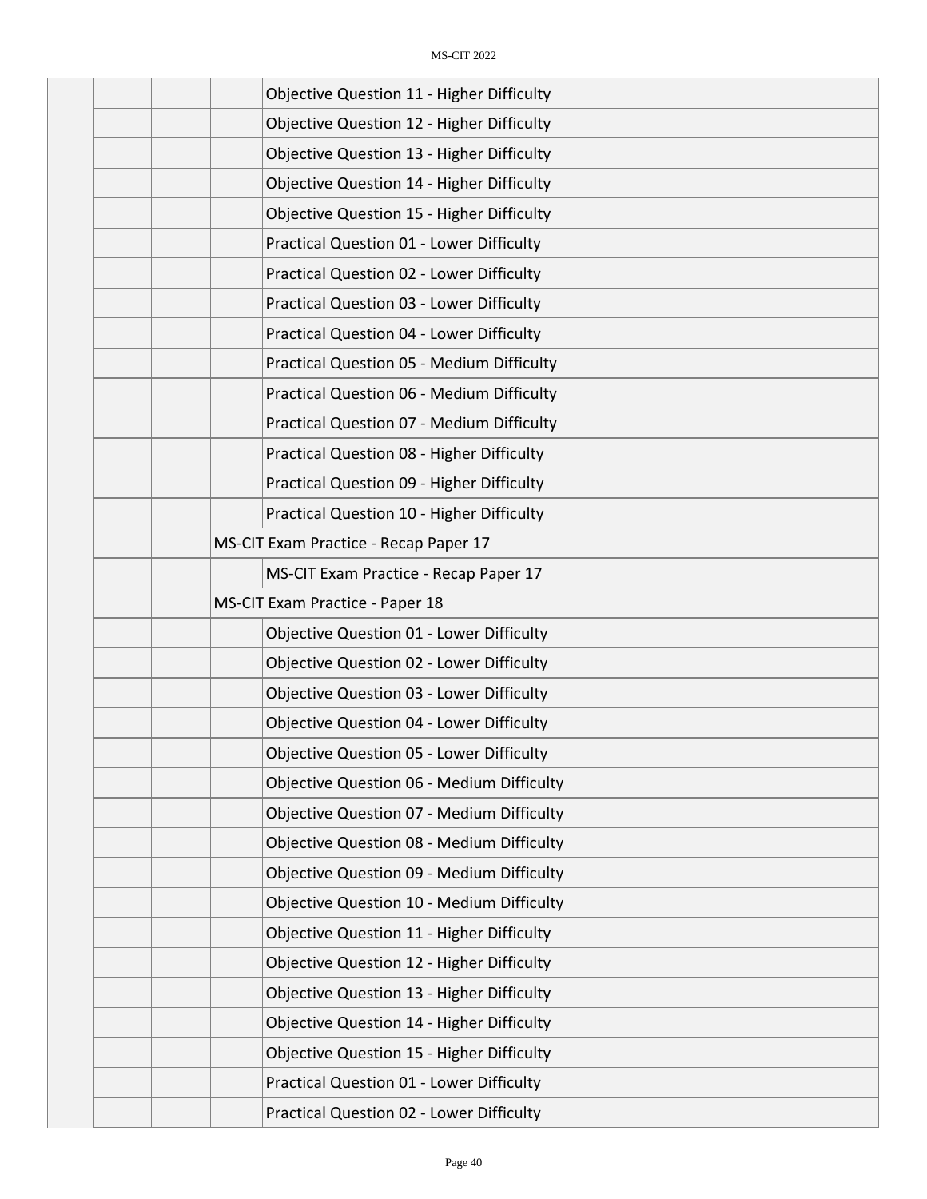|  | <b>Objective Question 11 - Higher Difficulty</b> |
|--|--------------------------------------------------|
|  | Objective Question 12 - Higher Difficulty        |
|  | Objective Question 13 - Higher Difficulty        |
|  | Objective Question 14 - Higher Difficulty        |
|  | <b>Objective Question 15 - Higher Difficulty</b> |
|  | Practical Question 01 - Lower Difficulty         |
|  | <b>Practical Question 02 - Lower Difficulty</b>  |
|  | Practical Question 03 - Lower Difficulty         |
|  | Practical Question 04 - Lower Difficulty         |
|  | <b>Practical Question 05 - Medium Difficulty</b> |
|  | Practical Question 06 - Medium Difficulty        |
|  | Practical Question 07 - Medium Difficulty        |
|  | Practical Question 08 - Higher Difficulty        |
|  | Practical Question 09 - Higher Difficulty        |
|  | Practical Question 10 - Higher Difficulty        |
|  | MS-CIT Exam Practice - Recap Paper 17            |
|  | MS-CIT Exam Practice - Recap Paper 17            |
|  | MS-CIT Exam Practice - Paper 18                  |
|  | Objective Question 01 - Lower Difficulty         |
|  | Objective Question 02 - Lower Difficulty         |
|  | <b>Objective Question 03 - Lower Difficulty</b>  |
|  | Objective Question 04 - Lower Difficulty         |
|  | <b>Objective Question 05 - Lower Difficulty</b>  |
|  | <b>Objective Question 06 - Medium Difficulty</b> |
|  | <b>Objective Question 07 - Medium Difficulty</b> |
|  | <b>Objective Question 08 - Medium Difficulty</b> |
|  | <b>Objective Question 09 - Medium Difficulty</b> |
|  | Objective Question 10 - Medium Difficulty        |
|  | <b>Objective Question 11 - Higher Difficulty</b> |
|  | Objective Question 12 - Higher Difficulty        |
|  | Objective Question 13 - Higher Difficulty        |
|  | Objective Question 14 - Higher Difficulty        |
|  | <b>Objective Question 15 - Higher Difficulty</b> |
|  | Practical Question 01 - Lower Difficulty         |
|  | Practical Question 02 - Lower Difficulty         |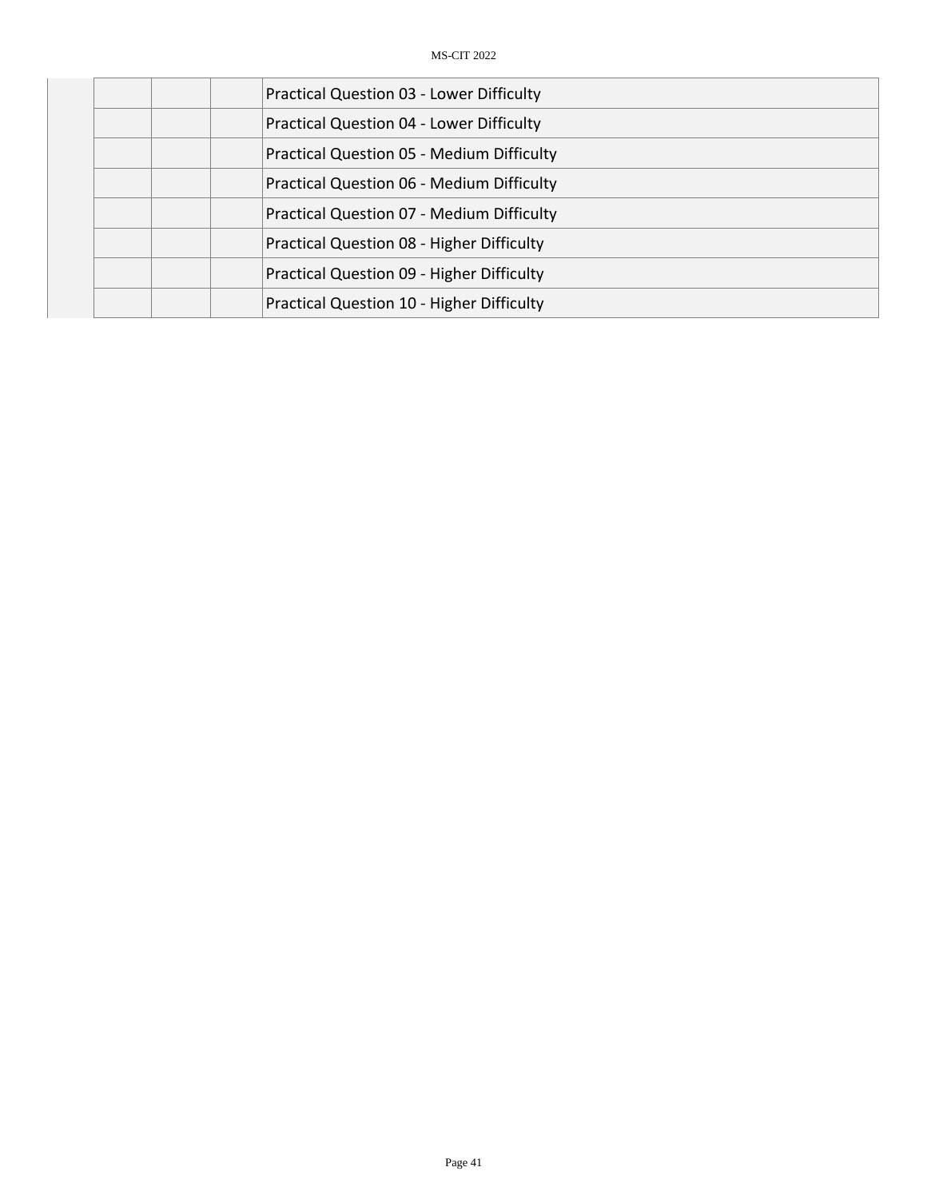| <b>Practical Question 03 - Lower Difficulty</b>  |
|--------------------------------------------------|
| <b>Practical Question 04 - Lower Difficulty</b>  |
| <b>Practical Question 05 - Medium Difficulty</b> |
| <b>Practical Question 06 - Medium Difficulty</b> |
| <b>Practical Question 07 - Medium Difficulty</b> |
| Practical Question 08 - Higher Difficulty        |
| <b>Practical Question 09 - Higher Difficulty</b> |
| Practical Question 10 - Higher Difficulty        |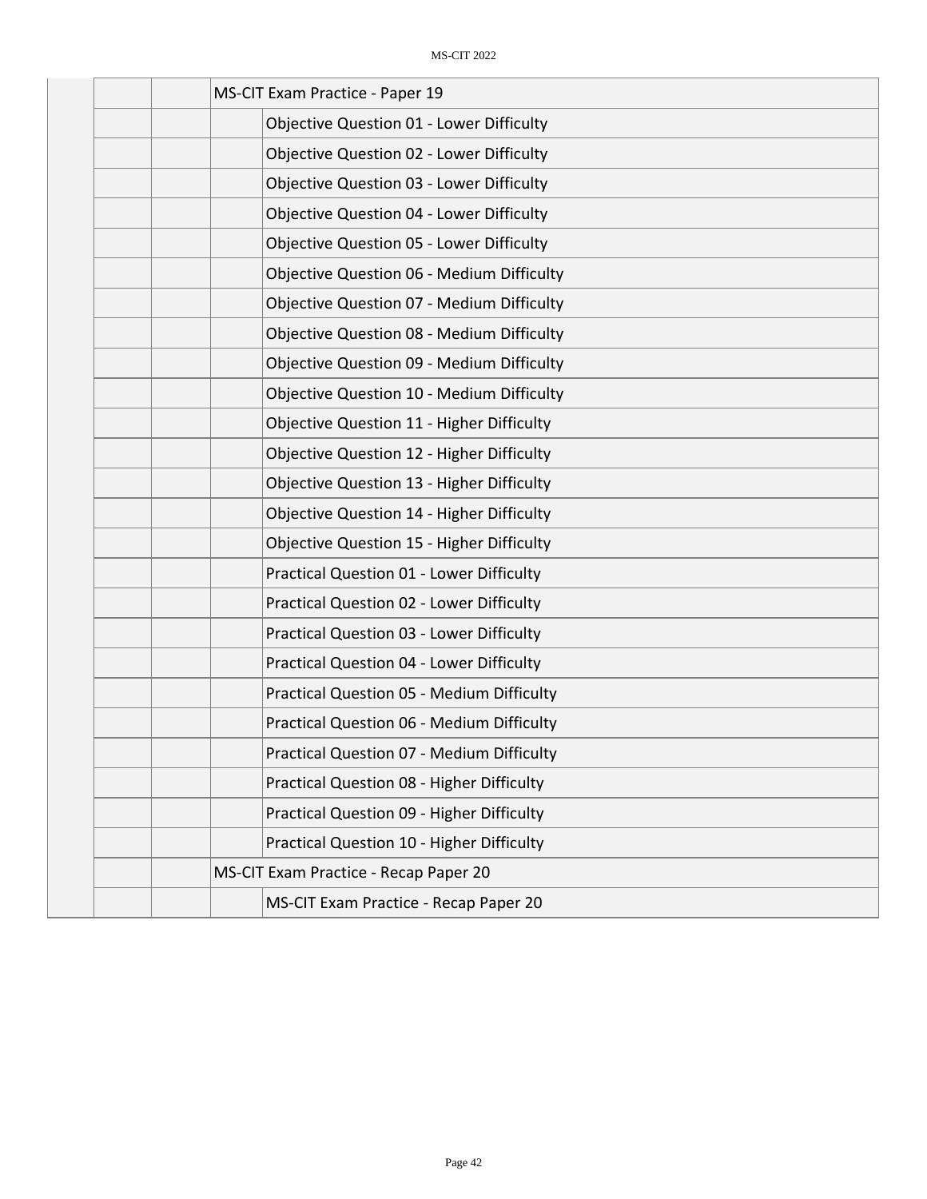| MS-CIT Exam Practice - Paper 19                  |
|--------------------------------------------------|
| <b>Objective Question 01 - Lower Difficulty</b>  |
| <b>Objective Question 02 - Lower Difficulty</b>  |
| <b>Objective Question 03 - Lower Difficulty</b>  |
| <b>Objective Question 04 - Lower Difficulty</b>  |
| <b>Objective Question 05 - Lower Difficulty</b>  |
| <b>Objective Question 06 - Medium Difficulty</b> |
| <b>Objective Question 07 - Medium Difficulty</b> |
| <b>Objective Question 08 - Medium Difficulty</b> |
| <b>Objective Question 09 - Medium Difficulty</b> |
| <b>Objective Question 10 - Medium Difficulty</b> |
| Objective Question 11 - Higher Difficulty        |
| Objective Question 12 - Higher Difficulty        |
| Objective Question 13 - Higher Difficulty        |
| Objective Question 14 - Higher Difficulty        |
| <b>Objective Question 15 - Higher Difficulty</b> |
| <b>Practical Question 01 - Lower Difficulty</b>  |
| Practical Question 02 - Lower Difficulty         |
| Practical Question 03 - Lower Difficulty         |
| Practical Question 04 - Lower Difficulty         |
| <b>Practical Question 05 - Medium Difficulty</b> |
| Practical Question 06 - Medium Difficulty        |
| Practical Question 07 - Medium Difficulty        |
| Practical Question 08 - Higher Difficulty        |
| Practical Question 09 - Higher Difficulty        |
| Practical Question 10 - Higher Difficulty        |
| MS-CIT Exam Practice - Recap Paper 20            |
| MS-CIT Exam Practice - Recap Paper 20            |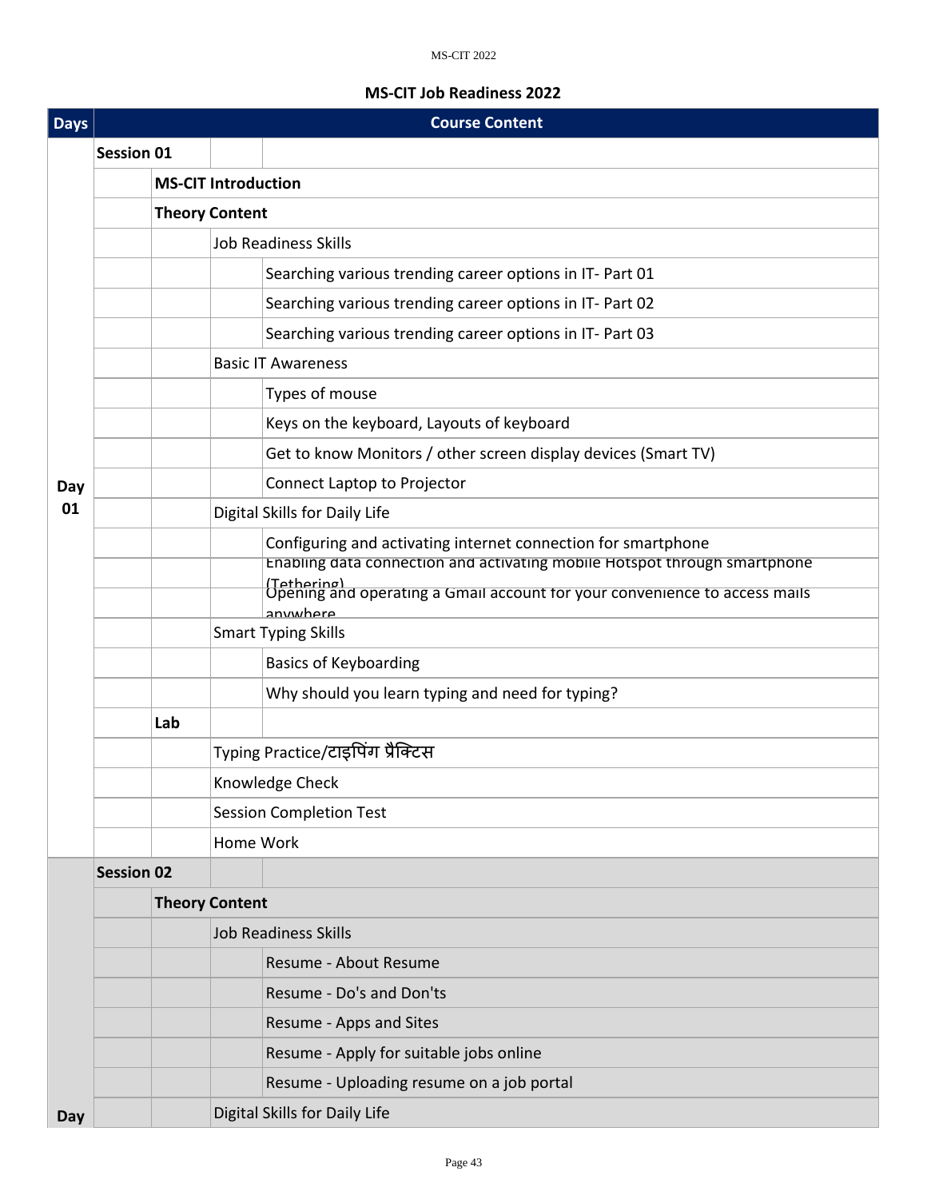## MS-CIT 2022

## **MS-CIT Job Readiness 2022**

| <b>Days</b> |                   | <b>Course Content</b>       |                                   |                                                                                                       |  |  |
|-------------|-------------------|-----------------------------|-----------------------------------|-------------------------------------------------------------------------------------------------------|--|--|
|             | <b>Session 01</b> |                             |                                   |                                                                                                       |  |  |
|             |                   | <b>MS-CIT Introduction</b>  |                                   |                                                                                                       |  |  |
|             |                   | <b>Theory Content</b>       |                                   |                                                                                                       |  |  |
|             |                   | <b>Job Readiness Skills</b> |                                   |                                                                                                       |  |  |
|             |                   |                             |                                   | Searching various trending career options in IT- Part 01                                              |  |  |
|             |                   |                             |                                   | Searching various trending career options in IT- Part 02                                              |  |  |
|             |                   |                             |                                   | Searching various trending career options in IT- Part 03                                              |  |  |
|             |                   |                             |                                   | <b>Basic IT Awareness</b>                                                                             |  |  |
|             |                   |                             |                                   | Types of mouse                                                                                        |  |  |
|             |                   |                             |                                   | Keys on the keyboard, Layouts of keyboard                                                             |  |  |
|             |                   |                             |                                   | Get to know Monitors / other screen display devices (Smart TV)                                        |  |  |
| Day         |                   |                             |                                   | Connect Laptop to Projector                                                                           |  |  |
| 01          |                   |                             |                                   | Digital Skills for Daily Life                                                                         |  |  |
|             |                   |                             |                                   | Configuring and activating internet connection for smartphone                                         |  |  |
|             |                   |                             |                                   | Enabling data connection and activating mobile Hotspot through smartphone                             |  |  |
|             |                   |                             |                                   | (Tethering)<br>Opening and operating a Gmail account for your convenience to access mails<br>anwwhere |  |  |
|             |                   |                             |                                   | <b>Smart Typing Skills</b>                                                                            |  |  |
|             |                   |                             |                                   | <b>Basics of Keyboarding</b>                                                                          |  |  |
|             |                   |                             |                                   | Why should you learn typing and need for typing?                                                      |  |  |
|             |                   | Lab                         |                                   |                                                                                                       |  |  |
|             |                   |                             | Typing Practice/टाइपिंग प्रैक्टिस |                                                                                                       |  |  |
|             |                   |                             | Knowledge Check                   |                                                                                                       |  |  |
|             |                   |                             | <b>Session Completion Test</b>    |                                                                                                       |  |  |
|             |                   |                             | Home Work                         |                                                                                                       |  |  |
|             | <b>Session 02</b> |                             |                                   |                                                                                                       |  |  |
|             |                   | <b>Theory Content</b>       |                                   |                                                                                                       |  |  |
|             |                   |                             | <b>Job Readiness Skills</b>       |                                                                                                       |  |  |
|             |                   |                             |                                   | Resume - About Resume                                                                                 |  |  |
|             |                   |                             |                                   | Resume - Do's and Don'ts                                                                              |  |  |
|             |                   |                             |                                   | Resume - Apps and Sites                                                                               |  |  |
|             |                   |                             |                                   | Resume - Apply for suitable jobs online                                                               |  |  |
|             |                   |                             |                                   | Resume - Uploading resume on a job portal                                                             |  |  |
| Day         |                   |                             |                                   | Digital Skills for Daily Life                                                                         |  |  |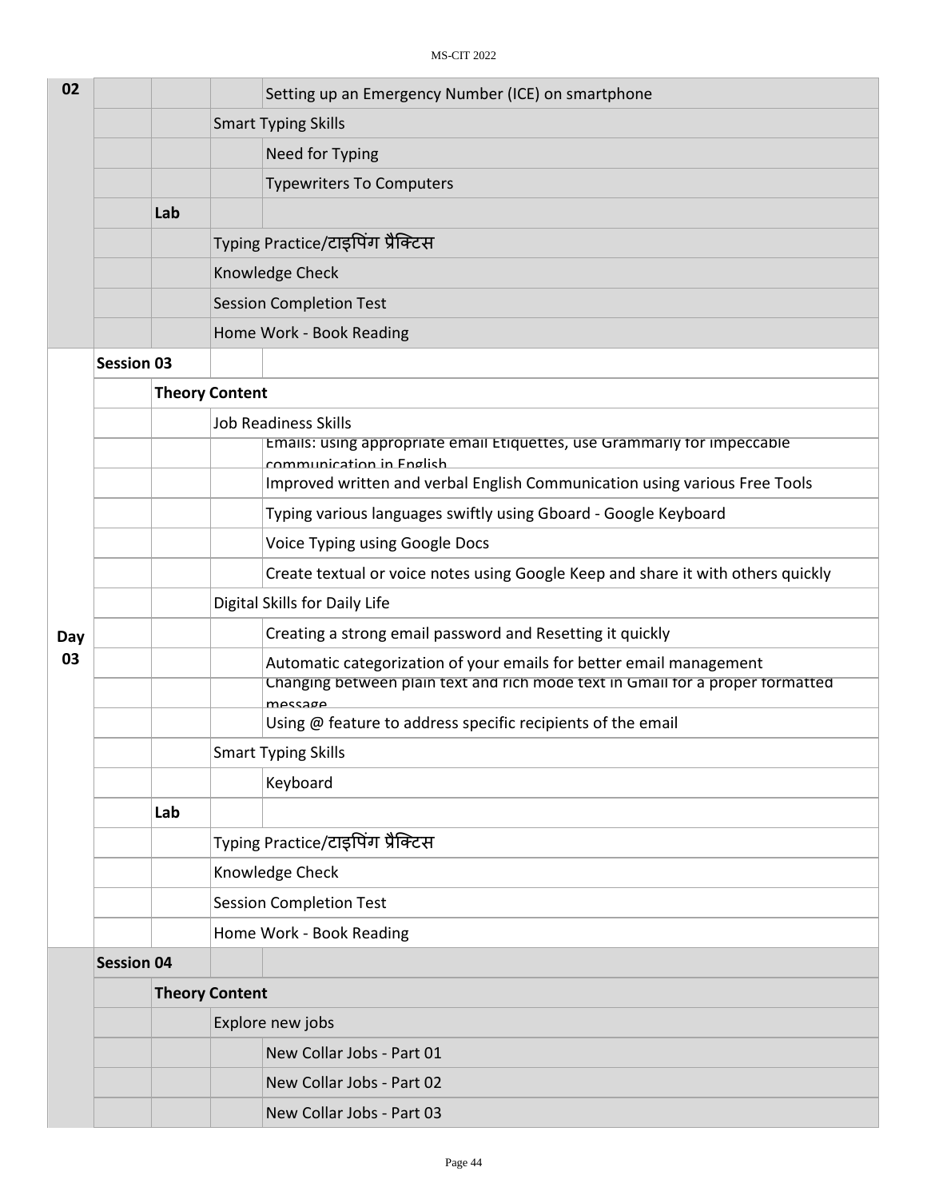| 02  |                   |     |                                   | Setting up an Emergency Number (ICE) on smartphone                                                   |  |  |
|-----|-------------------|-----|-----------------------------------|------------------------------------------------------------------------------------------------------|--|--|
|     |                   |     | <b>Smart Typing Skills</b>        |                                                                                                      |  |  |
|     |                   |     |                                   | Need for Typing                                                                                      |  |  |
|     |                   |     |                                   | <b>Typewriters To Computers</b>                                                                      |  |  |
|     |                   | Lab |                                   |                                                                                                      |  |  |
|     |                   |     |                                   | Typing Practice/टाइपिंग प्रैक्टिस                                                                    |  |  |
|     |                   |     |                                   | Knowledge Check                                                                                      |  |  |
|     |                   |     |                                   | <b>Session Completion Test</b>                                                                       |  |  |
|     |                   |     | Home Work - Book Reading          |                                                                                                      |  |  |
|     | <b>Session 03</b> |     |                                   |                                                                                                      |  |  |
|     |                   |     | <b>Theory Content</b>             |                                                                                                      |  |  |
|     |                   |     |                                   | <b>Job Readiness Skills</b>                                                                          |  |  |
|     |                   |     |                                   | Emails: using appropriate email Etiquettes, use Grammarly for impeccable<br>communication in English |  |  |
|     |                   |     |                                   | Improved written and verbal English Communication using various Free Tools                           |  |  |
|     |                   |     |                                   | Typing various languages swiftly using Gboard - Google Keyboard                                      |  |  |
|     |                   |     |                                   | Voice Typing using Google Docs                                                                       |  |  |
|     |                   |     |                                   | Create textual or voice notes using Google Keep and share it with others quickly                     |  |  |
|     |                   |     |                                   | Digital Skills for Daily Life                                                                        |  |  |
| Day |                   |     |                                   | Creating a strong email password and Resetting it quickly                                            |  |  |
| 03  |                   |     |                                   | Automatic categorization of your emails for better email management                                  |  |  |
|     |                   |     |                                   | Changing between plain text and rich mode text in Gmail for a proper formatted<br>message            |  |  |
|     |                   |     |                                   | Using @ feature to address specific recipients of the email                                          |  |  |
|     |                   |     |                                   | <b>Smart Typing Skills</b>                                                                           |  |  |
|     |                   |     |                                   | Keyboard                                                                                             |  |  |
|     |                   | Lab |                                   |                                                                                                      |  |  |
|     |                   |     | Typing Practice/टाइपिंग प्रैक्टिस |                                                                                                      |  |  |
|     |                   |     | Knowledge Check                   |                                                                                                      |  |  |
|     |                   |     |                                   | <b>Session Completion Test</b>                                                                       |  |  |
|     |                   |     |                                   | Home Work - Book Reading                                                                             |  |  |
|     | <b>Session 04</b> |     |                                   |                                                                                                      |  |  |
|     |                   |     | <b>Theory Content</b>             |                                                                                                      |  |  |
|     |                   |     | Explore new jobs                  |                                                                                                      |  |  |
|     |                   |     |                                   | New Collar Jobs - Part 01                                                                            |  |  |
|     |                   |     |                                   | New Collar Jobs - Part 02                                                                            |  |  |
|     |                   |     |                                   | New Collar Jobs - Part 03                                                                            |  |  |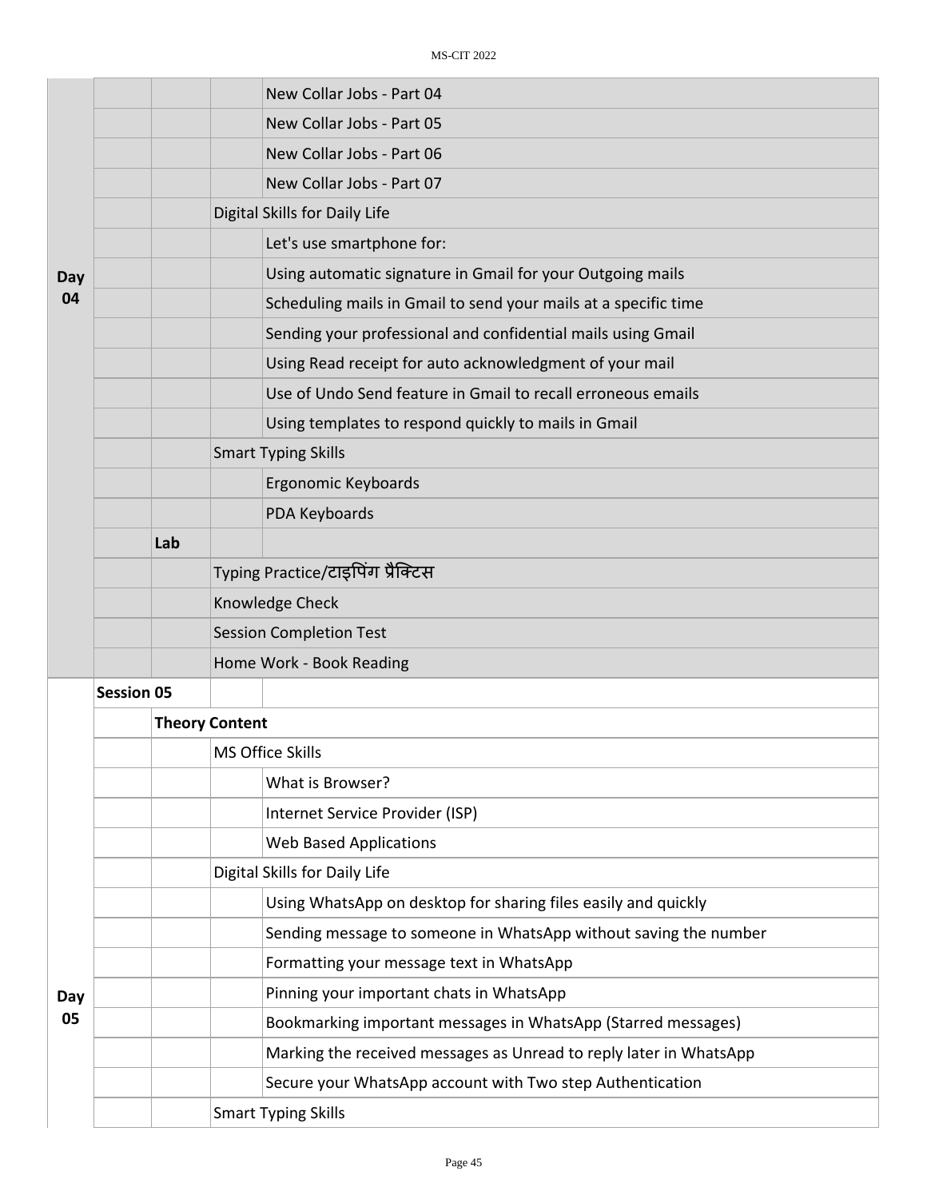|           |                   |                       | New Collar Jobs - Part 04                                          |  |  |
|-----------|-------------------|-----------------------|--------------------------------------------------------------------|--|--|
|           |                   |                       | New Collar Jobs - Part 05                                          |  |  |
|           |                   |                       | New Collar Jobs - Part 06                                          |  |  |
|           |                   |                       | New Collar Jobs - Part 07                                          |  |  |
|           |                   |                       | Digital Skills for Daily Life                                      |  |  |
|           |                   |                       | Let's use smartphone for:                                          |  |  |
| Day       |                   |                       | Using automatic signature in Gmail for your Outgoing mails         |  |  |
| 04        |                   |                       | Scheduling mails in Gmail to send your mails at a specific time    |  |  |
|           |                   |                       | Sending your professional and confidential mails using Gmail       |  |  |
|           |                   |                       | Using Read receipt for auto acknowledgment of your mail            |  |  |
|           |                   |                       | Use of Undo Send feature in Gmail to recall erroneous emails       |  |  |
|           |                   |                       | Using templates to respond quickly to mails in Gmail               |  |  |
|           |                   |                       | <b>Smart Typing Skills</b>                                         |  |  |
|           |                   |                       | Ergonomic Keyboards                                                |  |  |
|           |                   |                       | PDA Keyboards                                                      |  |  |
|           | Lab               |                       |                                                                    |  |  |
|           |                   |                       | Typing Practice/टाइपिंग प्रैक्टिस                                  |  |  |
|           |                   |                       | Knowledge Check                                                    |  |  |
|           |                   |                       | <b>Session Completion Test</b>                                     |  |  |
|           |                   |                       | Home Work - Book Reading                                           |  |  |
|           | <b>Session 05</b> |                       |                                                                    |  |  |
|           |                   | <b>Theory Content</b> |                                                                    |  |  |
|           |                   |                       | <b>MS Office Skills</b>                                            |  |  |
|           |                   |                       | What is Browser?                                                   |  |  |
|           |                   |                       | Internet Service Provider (ISP)                                    |  |  |
|           |                   |                       | <b>Web Based Applications</b>                                      |  |  |
|           |                   |                       | Digital Skills for Daily Life                                      |  |  |
|           |                   |                       | Using WhatsApp on desktop for sharing files easily and quickly     |  |  |
| Day<br>05 |                   |                       | Sending message to someone in WhatsApp without saving the number   |  |  |
|           |                   |                       | Formatting your message text in WhatsApp                           |  |  |
|           |                   |                       | Pinning your important chats in WhatsApp                           |  |  |
|           |                   |                       | Bookmarking important messages in WhatsApp (Starred messages)      |  |  |
|           |                   |                       | Marking the received messages as Unread to reply later in WhatsApp |  |  |
|           |                   |                       | Secure your WhatsApp account with Two step Authentication          |  |  |
|           |                   |                       | <b>Smart Typing Skills</b>                                         |  |  |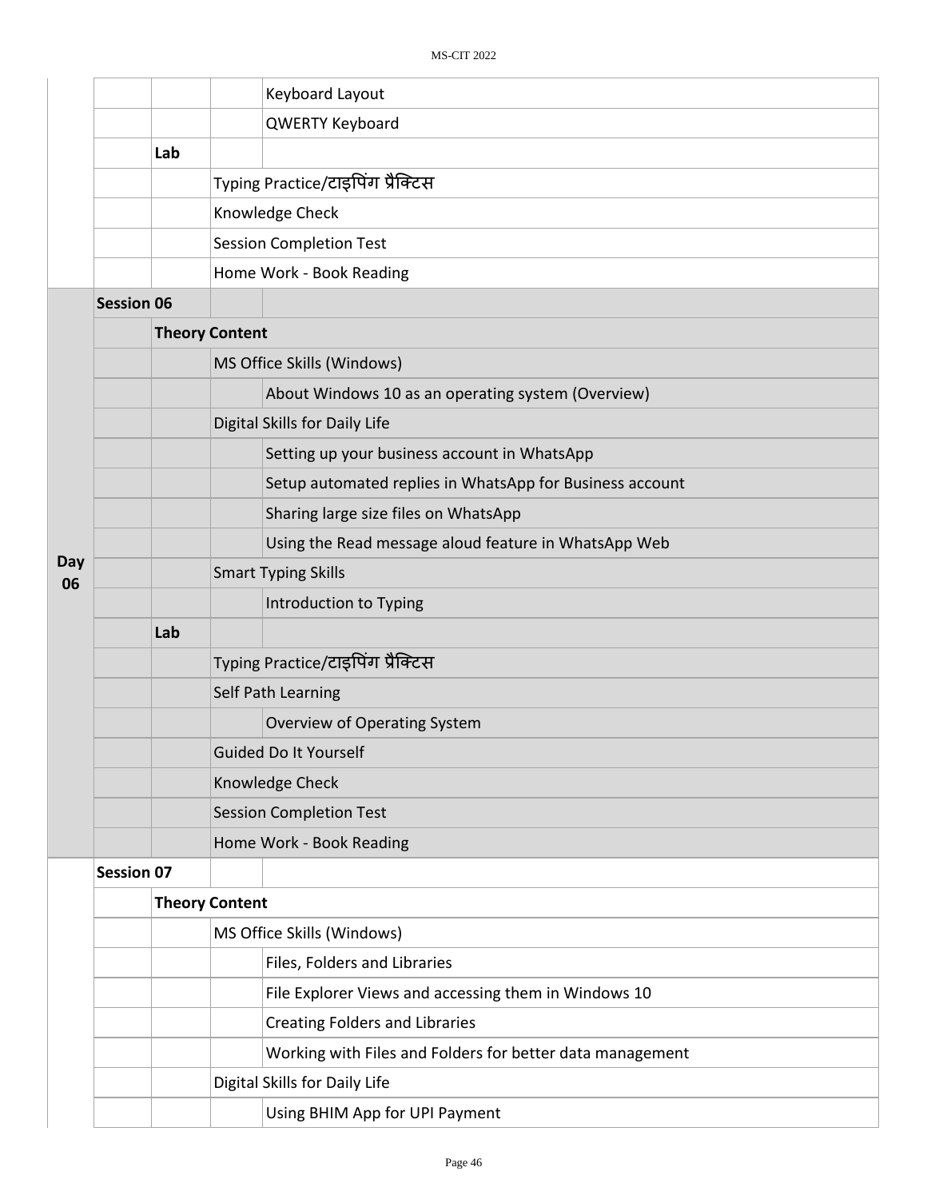|           |                   |                       |                          | Keyboard Layout                                           |  |  |  |
|-----------|-------------------|-----------------------|--------------------------|-----------------------------------------------------------|--|--|--|
|           |                   |                       |                          | <b>QWERTY Keyboard</b>                                    |  |  |  |
|           |                   | Lab                   |                          |                                                           |  |  |  |
|           |                   |                       |                          | Typing Practice/टाइपिंग प्रैक्टिस                         |  |  |  |
|           |                   |                       |                          | Knowledge Check                                           |  |  |  |
|           |                   |                       |                          | <b>Session Completion Test</b>                            |  |  |  |
|           |                   |                       |                          | Home Work - Book Reading                                  |  |  |  |
|           | <b>Session 06</b> |                       |                          |                                                           |  |  |  |
|           |                   | <b>Theory Content</b> |                          |                                                           |  |  |  |
|           |                   |                       |                          | MS Office Skills (Windows)                                |  |  |  |
|           |                   |                       |                          | About Windows 10 as an operating system (Overview)        |  |  |  |
|           |                   |                       |                          | Digital Skills for Daily Life                             |  |  |  |
|           |                   |                       |                          | Setting up your business account in WhatsApp              |  |  |  |
|           |                   |                       |                          | Setup automated replies in WhatsApp for Business account  |  |  |  |
|           |                   |                       |                          | Sharing large size files on WhatsApp                      |  |  |  |
|           |                   |                       |                          | Using the Read message aloud feature in WhatsApp Web      |  |  |  |
| Day<br>06 |                   |                       |                          | <b>Smart Typing Skills</b>                                |  |  |  |
|           |                   |                       |                          | Introduction to Typing                                    |  |  |  |
|           |                   | Lab                   |                          |                                                           |  |  |  |
|           |                   |                       |                          | Typing Practice/टाइपिंग प्रैक्टिस                         |  |  |  |
|           |                   |                       |                          | Self Path Learning                                        |  |  |  |
|           |                   |                       |                          | <b>Overview of Operating System</b>                       |  |  |  |
|           |                   |                       |                          | Guided Do It Yourself                                     |  |  |  |
|           |                   |                       |                          | Knowledge Check                                           |  |  |  |
|           |                   |                       |                          | <b>Session Completion Test</b>                            |  |  |  |
|           |                   |                       | Home Work - Book Reading |                                                           |  |  |  |
|           | <b>Session 07</b> |                       |                          |                                                           |  |  |  |
|           |                   |                       | <b>Theory Content</b>    |                                                           |  |  |  |
|           |                   |                       |                          | MS Office Skills (Windows)                                |  |  |  |
|           |                   |                       |                          | Files, Folders and Libraries                              |  |  |  |
|           |                   |                       |                          | File Explorer Views and accessing them in Windows 10      |  |  |  |
|           |                   |                       |                          | <b>Creating Folders and Libraries</b>                     |  |  |  |
|           |                   |                       |                          | Working with Files and Folders for better data management |  |  |  |
|           |                   |                       |                          | Digital Skills for Daily Life                             |  |  |  |
|           |                   |                       |                          | Using BHIM App for UPI Payment                            |  |  |  |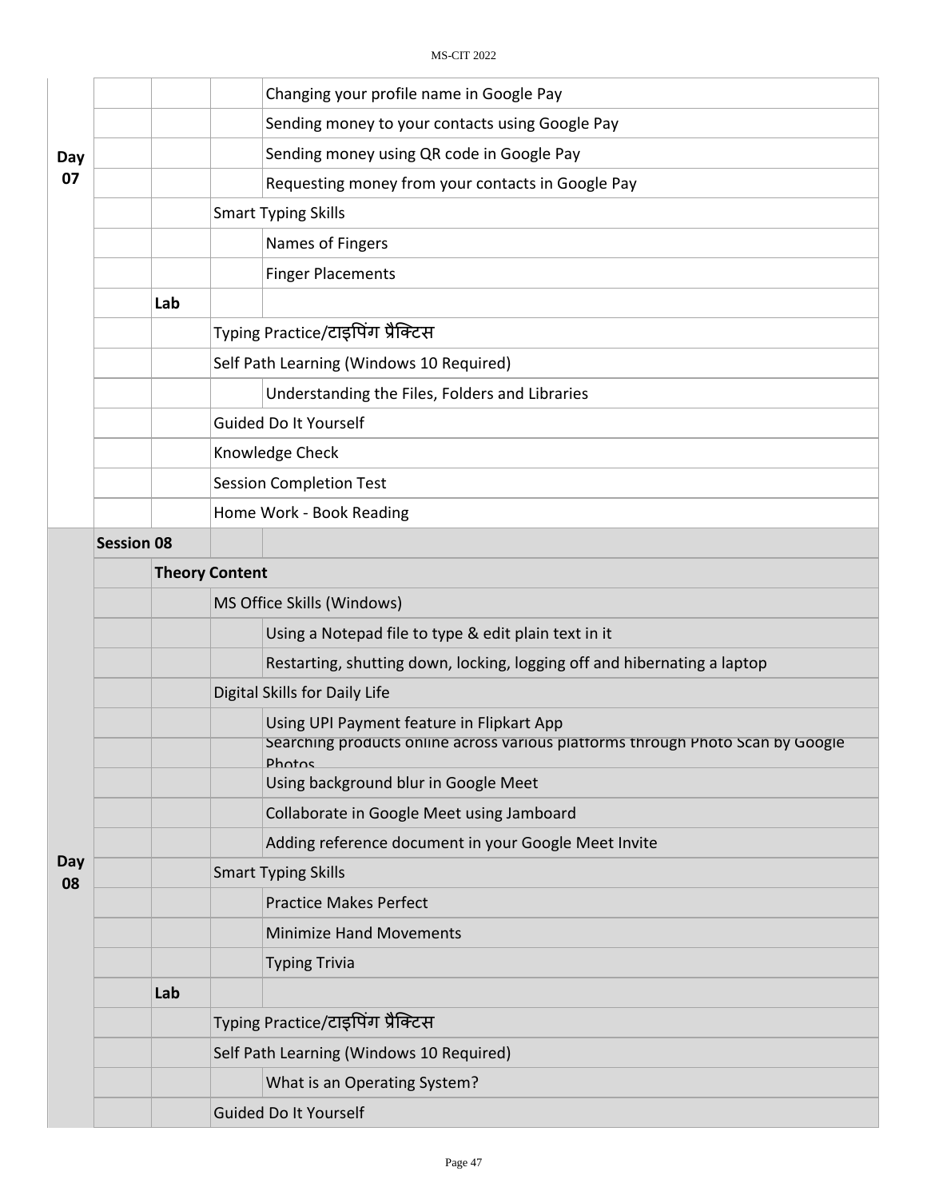|     |                   |                       | Changing your profile name in Google Pay                                                                                     |  |  |  |
|-----|-------------------|-----------------------|------------------------------------------------------------------------------------------------------------------------------|--|--|--|
|     |                   |                       | Sending money to your contacts using Google Pay                                                                              |  |  |  |
| Day |                   |                       | Sending money using QR code in Google Pay                                                                                    |  |  |  |
| 07  |                   |                       | Requesting money from your contacts in Google Pay                                                                            |  |  |  |
|     |                   |                       | <b>Smart Typing Skills</b>                                                                                                   |  |  |  |
|     |                   |                       | Names of Fingers                                                                                                             |  |  |  |
|     |                   |                       | <b>Finger Placements</b>                                                                                                     |  |  |  |
|     |                   | Lab                   |                                                                                                                              |  |  |  |
|     |                   |                       | Typing Practice/टाइपिंग प्रैक्टिस                                                                                            |  |  |  |
|     |                   |                       | Self Path Learning (Windows 10 Required)                                                                                     |  |  |  |
|     |                   |                       | Understanding the Files, Folders and Libraries                                                                               |  |  |  |
|     |                   |                       | <b>Guided Do It Yourself</b>                                                                                                 |  |  |  |
|     |                   |                       | Knowledge Check                                                                                                              |  |  |  |
|     |                   |                       | <b>Session Completion Test</b>                                                                                               |  |  |  |
|     |                   |                       | Home Work - Book Reading                                                                                                     |  |  |  |
|     | <b>Session 08</b> |                       |                                                                                                                              |  |  |  |
|     |                   | <b>Theory Content</b> |                                                                                                                              |  |  |  |
|     |                   |                       | MS Office Skills (Windows)                                                                                                   |  |  |  |
|     |                   |                       | Using a Notepad file to type & edit plain text in it                                                                         |  |  |  |
|     |                   |                       | Restarting, shutting down, locking, logging off and hibernating a laptop                                                     |  |  |  |
|     |                   |                       | Digital Skills for Daily Life                                                                                                |  |  |  |
|     |                   |                       | Using UPI Payment feature in Flipkart App<br>Searching products online across various platforms through Photo Scan by Google |  |  |  |
|     |                   |                       | <b>Photos</b>                                                                                                                |  |  |  |
|     |                   |                       | Using background blur in Google Meet                                                                                         |  |  |  |
|     |                   |                       | Collaborate in Google Meet using Jamboard                                                                                    |  |  |  |
| Day |                   |                       | Adding reference document in your Google Meet Invite                                                                         |  |  |  |
| 08  |                   |                       | <b>Smart Typing Skills</b>                                                                                                   |  |  |  |
|     |                   |                       | <b>Practice Makes Perfect</b>                                                                                                |  |  |  |
|     |                   |                       | <b>Minimize Hand Movements</b>                                                                                               |  |  |  |
|     |                   |                       | <b>Typing Trivia</b>                                                                                                         |  |  |  |
|     |                   | Lab                   |                                                                                                                              |  |  |  |
|     |                   |                       | Typing Practice/टाइपिंग प्रैक्टिस                                                                                            |  |  |  |
|     |                   |                       | Self Path Learning (Windows 10 Required)                                                                                     |  |  |  |
|     |                   |                       | What is an Operating System?                                                                                                 |  |  |  |
|     |                   |                       | <b>Guided Do It Yourself</b>                                                                                                 |  |  |  |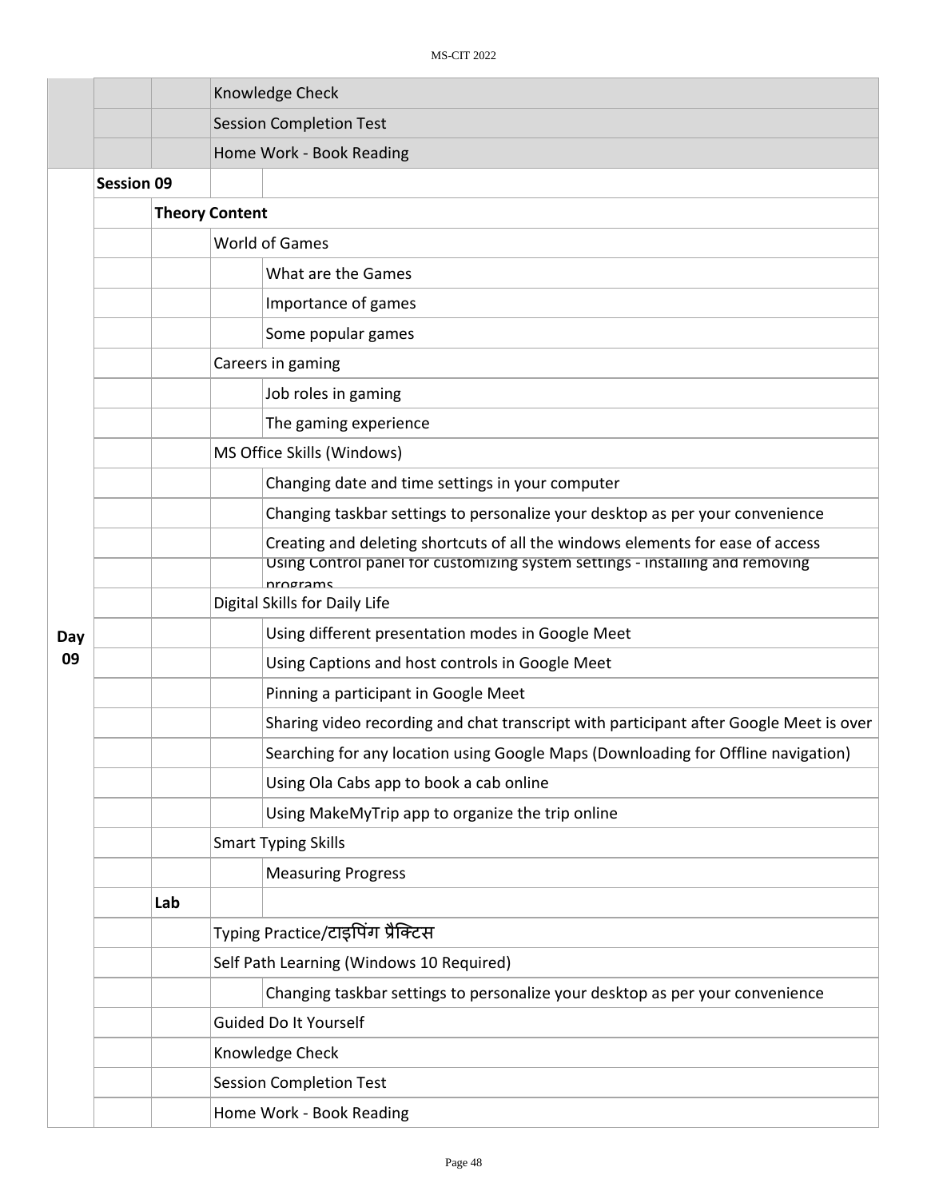|     |                   |     |                       | Knowledge Check                                                                                                                                                             |
|-----|-------------------|-----|-----------------------|-----------------------------------------------------------------------------------------------------------------------------------------------------------------------------|
|     |                   |     |                       | <b>Session Completion Test</b>                                                                                                                                              |
|     |                   |     |                       | Home Work - Book Reading                                                                                                                                                    |
|     | <b>Session 09</b> |     |                       |                                                                                                                                                                             |
|     |                   |     | <b>Theory Content</b> |                                                                                                                                                                             |
|     |                   |     |                       | <b>World of Games</b>                                                                                                                                                       |
|     |                   |     |                       | What are the Games                                                                                                                                                          |
|     |                   |     |                       | Importance of games                                                                                                                                                         |
|     |                   |     |                       | Some popular games                                                                                                                                                          |
|     |                   |     |                       | Careers in gaming                                                                                                                                                           |
|     |                   |     |                       | Job roles in gaming                                                                                                                                                         |
|     |                   |     |                       | The gaming experience                                                                                                                                                       |
|     |                   |     |                       | MS Office Skills (Windows)                                                                                                                                                  |
|     |                   |     |                       | Changing date and time settings in your computer                                                                                                                            |
|     |                   |     |                       | Changing taskbar settings to personalize your desktop as per your convenience                                                                                               |
|     |                   |     |                       | Creating and deleting shortcuts of all the windows elements for ease of access<br>Using Control panel for customizing system settings - installing and removing<br>nrograms |
|     |                   |     |                       | Digital Skills for Daily Life                                                                                                                                               |
| Day |                   |     |                       | Using different presentation modes in Google Meet                                                                                                                           |
| 09  |                   |     |                       | Using Captions and host controls in Google Meet                                                                                                                             |
|     |                   |     |                       | Pinning a participant in Google Meet                                                                                                                                        |
|     |                   |     |                       | Sharing video recording and chat transcript with participant after Google Meet is over                                                                                      |
|     |                   |     |                       | Searching for any location using Google Maps (Downloading for Offline navigation)                                                                                           |
|     |                   |     |                       | Using Ola Cabs app to book a cab online                                                                                                                                     |
|     |                   |     |                       | Using MakeMyTrip app to organize the trip online                                                                                                                            |
|     |                   |     |                       | <b>Smart Typing Skills</b>                                                                                                                                                  |
|     |                   |     |                       | <b>Measuring Progress</b>                                                                                                                                                   |
|     |                   | Lab |                       |                                                                                                                                                                             |
|     |                   |     |                       | Typing Practice/टाइपिंग प्रैक्टिस                                                                                                                                           |
|     |                   |     |                       | Self Path Learning (Windows 10 Required)                                                                                                                                    |
|     |                   |     |                       | Changing taskbar settings to personalize your desktop as per your convenience                                                                                               |
|     |                   |     |                       | Guided Do It Yourself                                                                                                                                                       |
|     |                   |     |                       | Knowledge Check                                                                                                                                                             |
|     |                   |     |                       | <b>Session Completion Test</b>                                                                                                                                              |
|     |                   |     |                       | Home Work - Book Reading                                                                                                                                                    |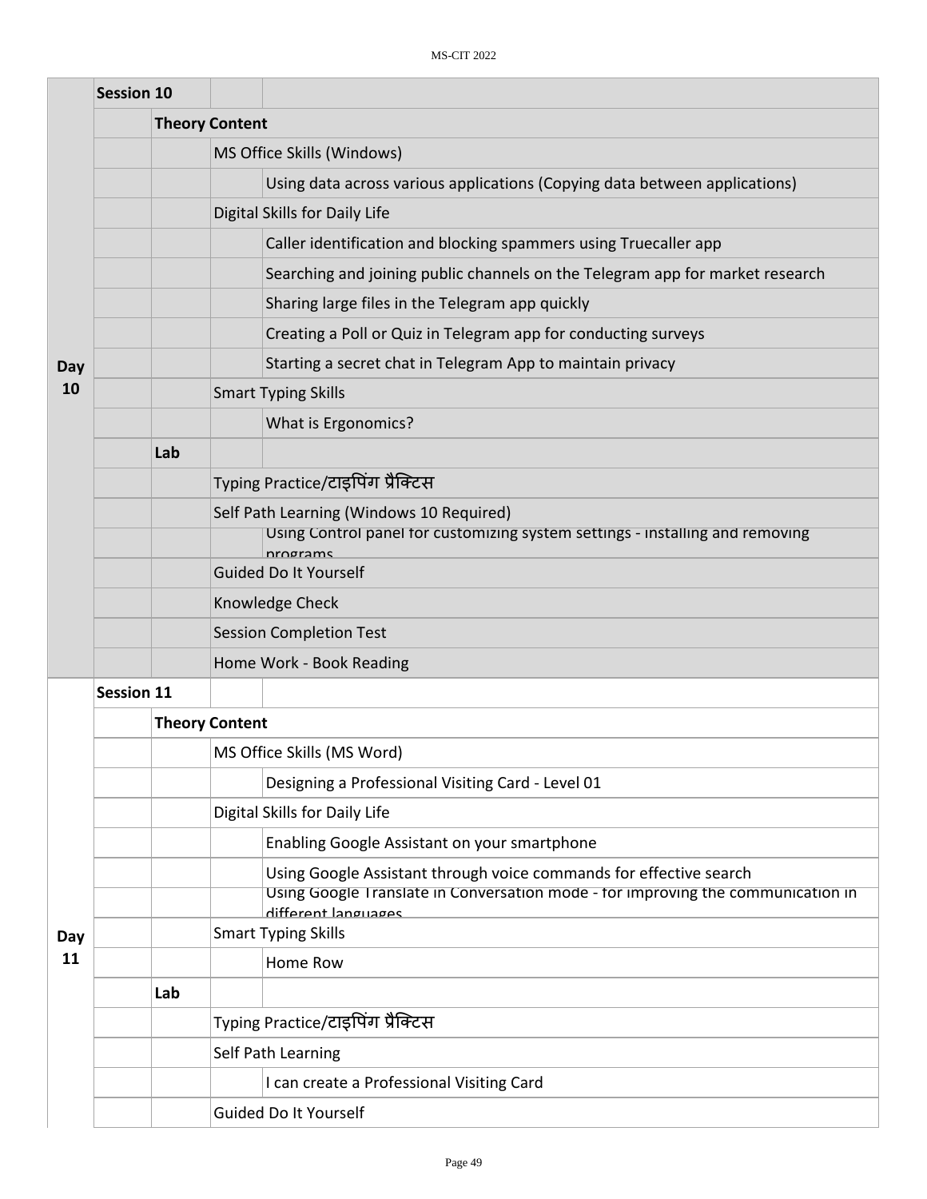|     | <b>Session 10</b> |     |                                                                                           |                                                                                                         |
|-----|-------------------|-----|-------------------------------------------------------------------------------------------|---------------------------------------------------------------------------------------------------------|
|     |                   |     | <b>Theory Content</b>                                                                     |                                                                                                         |
|     |                   |     |                                                                                           | MS Office Skills (Windows)                                                                              |
|     |                   |     |                                                                                           | Using data across various applications (Copying data between applications)                              |
|     |                   |     |                                                                                           | Digital Skills for Daily Life                                                                           |
|     |                   |     |                                                                                           | Caller identification and blocking spammers using Truecaller app                                        |
|     |                   |     |                                                                                           | Searching and joining public channels on the Telegram app for market research                           |
|     |                   |     |                                                                                           | Sharing large files in the Telegram app quickly                                                         |
|     |                   |     |                                                                                           | Creating a Poll or Quiz in Telegram app for conducting surveys                                          |
| Day |                   |     |                                                                                           | Starting a secret chat in Telegram App to maintain privacy                                              |
| 10  |                   |     |                                                                                           | <b>Smart Typing Skills</b>                                                                              |
|     |                   |     |                                                                                           | What is Ergonomics?                                                                                     |
|     |                   | Lab |                                                                                           |                                                                                                         |
|     |                   |     |                                                                                           | Typing Practice/टाइपिंग प्रैक्टिस                                                                       |
|     |                   |     | Self Path Learning (Windows 10 Required)                                                  |                                                                                                         |
|     |                   |     | Using Control panel for customizing system settings - installing and removing<br>nrograms |                                                                                                         |
|     |                   |     | <b>Guided Do It Yourself</b>                                                              |                                                                                                         |
|     |                   |     | Knowledge Check                                                                           |                                                                                                         |
|     |                   |     |                                                                                           | <b>Session Completion Test</b>                                                                          |
|     |                   |     |                                                                                           | Home Work - Book Reading                                                                                |
|     | <b>Session 11</b> |     |                                                                                           |                                                                                                         |
|     |                   |     | <b>Theory Content</b>                                                                     |                                                                                                         |
|     |                   |     |                                                                                           | MS Office Skills (MS Word)                                                                              |
|     |                   |     |                                                                                           | Designing a Professional Visiting Card - Level 01                                                       |
|     |                   |     |                                                                                           | Digital Skills for Daily Life                                                                           |
|     |                   |     |                                                                                           | Enabling Google Assistant on your smartphone                                                            |
|     |                   |     |                                                                                           | Using Google Assistant through voice commands for effective search                                      |
|     |                   |     |                                                                                           | Using Google Translate in Conversation mode - for improving the communication in<br>different languages |
| Day |                   |     |                                                                                           | <b>Smart Typing Skills</b>                                                                              |
| 11  |                   |     |                                                                                           | Home Row                                                                                                |
|     |                   | Lab |                                                                                           |                                                                                                         |
|     |                   |     |                                                                                           | Typing Practice/टाइपिंग प्रैक्टिस                                                                       |
|     |                   |     |                                                                                           | Self Path Learning                                                                                      |
|     |                   |     |                                                                                           | I can create a Professional Visiting Card                                                               |
|     |                   |     |                                                                                           | Guided Do It Yourself                                                                                   |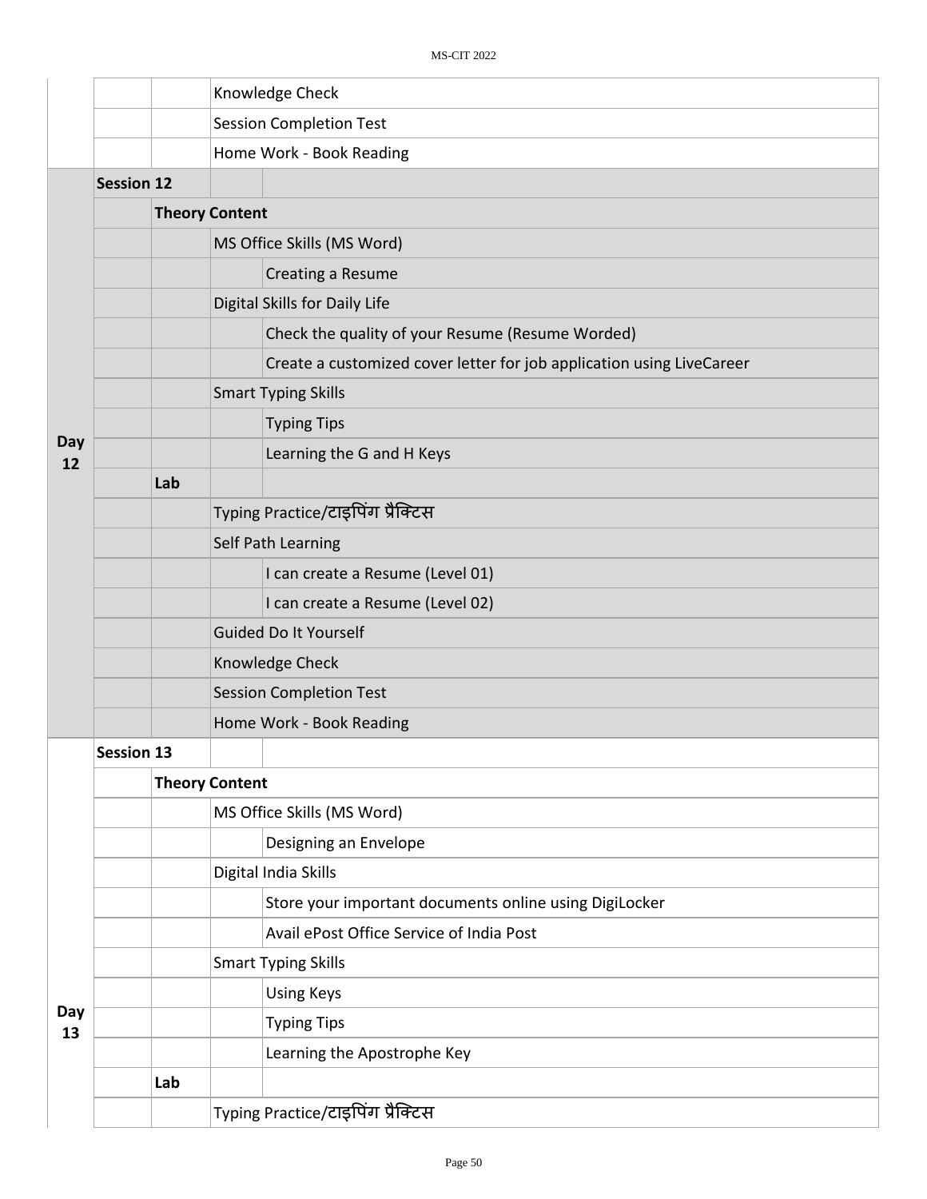|           |                   |     | Knowledge Check                   |                                                                       |  |  |  |
|-----------|-------------------|-----|-----------------------------------|-----------------------------------------------------------------------|--|--|--|
|           |                   |     |                                   | <b>Session Completion Test</b>                                        |  |  |  |
|           |                   |     |                                   | Home Work - Book Reading                                              |  |  |  |
|           | <b>Session 12</b> |     |                                   |                                                                       |  |  |  |
|           |                   |     | <b>Theory Content</b>             |                                                                       |  |  |  |
|           |                   |     |                                   | MS Office Skills (MS Word)                                            |  |  |  |
|           |                   |     |                                   | Creating a Resume                                                     |  |  |  |
|           |                   |     |                                   | Digital Skills for Daily Life                                         |  |  |  |
|           |                   |     |                                   | Check the quality of your Resume (Resume Worded)                      |  |  |  |
|           |                   |     |                                   | Create a customized cover letter for job application using LiveCareer |  |  |  |
|           |                   |     |                                   | <b>Smart Typing Skills</b>                                            |  |  |  |
|           |                   |     |                                   | <b>Typing Tips</b>                                                    |  |  |  |
| Day<br>12 |                   |     |                                   | Learning the G and H Keys                                             |  |  |  |
|           |                   | Lab |                                   |                                                                       |  |  |  |
|           |                   |     | Typing Practice/टाइपिंग प्रैक्टिस |                                                                       |  |  |  |
|           |                   |     |                                   | Self Path Learning                                                    |  |  |  |
|           |                   |     |                                   | I can create a Resume (Level 01)                                      |  |  |  |
|           |                   |     |                                   | I can create a Resume (Level 02)                                      |  |  |  |
|           |                   |     | <b>Guided Do It Yourself</b>      |                                                                       |  |  |  |
|           |                   |     | Knowledge Check                   |                                                                       |  |  |  |
|           |                   |     | <b>Session Completion Test</b>    |                                                                       |  |  |  |
|           |                   |     | Home Work - Book Reading          |                                                                       |  |  |  |
|           | <b>Session 13</b> |     |                                   |                                                                       |  |  |  |
|           |                   |     | <b>Theory Content</b>             |                                                                       |  |  |  |
|           |                   |     |                                   | MS Office Skills (MS Word)                                            |  |  |  |
|           |                   |     |                                   | Designing an Envelope                                                 |  |  |  |
|           |                   |     |                                   | Digital India Skills                                                  |  |  |  |
|           |                   |     |                                   | Store your important documents online using DigiLocker                |  |  |  |
|           |                   |     |                                   | Avail ePost Office Service of India Post                              |  |  |  |
|           |                   |     |                                   | <b>Smart Typing Skills</b>                                            |  |  |  |
| Day       |                   |     |                                   | <b>Using Keys</b>                                                     |  |  |  |
| 13        |                   |     |                                   | <b>Typing Tips</b>                                                    |  |  |  |
|           |                   |     |                                   | Learning the Apostrophe Key                                           |  |  |  |
|           |                   | Lab |                                   |                                                                       |  |  |  |
|           |                   |     |                                   | Typing Practice/टाइपिंग प्रैक्टिस                                     |  |  |  |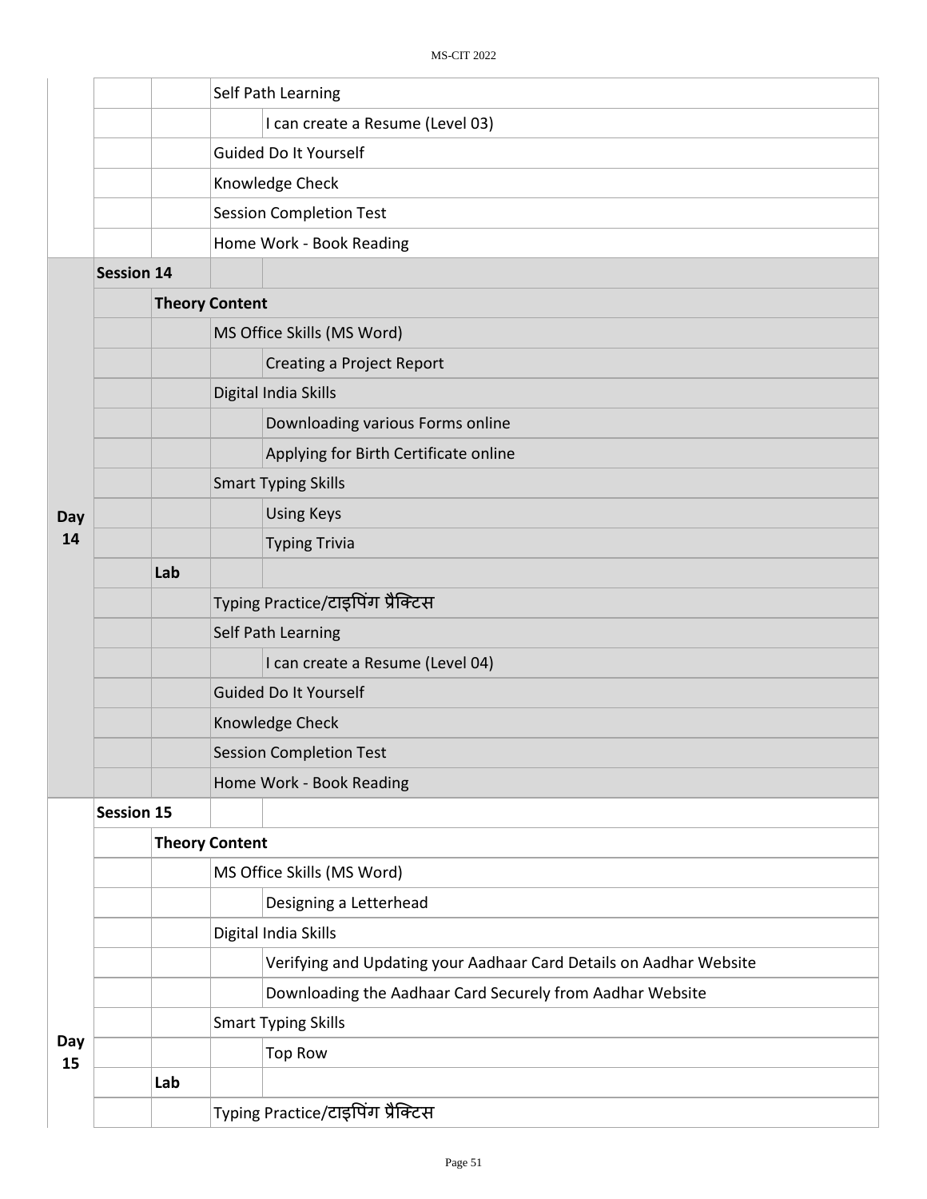|           |                   |     | Self Path Learning                                                 |  |  |  |  |  |
|-----------|-------------------|-----|--------------------------------------------------------------------|--|--|--|--|--|
|           |                   |     | I can create a Resume (Level 03)                                   |  |  |  |  |  |
|           |                   |     | Guided Do It Yourself                                              |  |  |  |  |  |
|           |                   |     | Knowledge Check                                                    |  |  |  |  |  |
|           |                   |     | <b>Session Completion Test</b>                                     |  |  |  |  |  |
|           |                   |     | Home Work - Book Reading                                           |  |  |  |  |  |
|           | <b>Session 14</b> |     |                                                                    |  |  |  |  |  |
|           |                   |     | <b>Theory Content</b>                                              |  |  |  |  |  |
|           |                   |     | MS Office Skills (MS Word)                                         |  |  |  |  |  |
|           |                   |     | <b>Creating a Project Report</b>                                   |  |  |  |  |  |
|           |                   |     | Digital India Skills                                               |  |  |  |  |  |
|           |                   |     | Downloading various Forms online                                   |  |  |  |  |  |
|           |                   |     | Applying for Birth Certificate online                              |  |  |  |  |  |
|           |                   |     | <b>Smart Typing Skills</b>                                         |  |  |  |  |  |
| Day       |                   |     | <b>Using Keys</b>                                                  |  |  |  |  |  |
| 14        |                   |     | <b>Typing Trivia</b>                                               |  |  |  |  |  |
|           |                   | Lab |                                                                    |  |  |  |  |  |
|           |                   |     | Typing Practice/टाइपिंग प्रैक्टिस                                  |  |  |  |  |  |
|           |                   |     | Self Path Learning                                                 |  |  |  |  |  |
|           |                   |     | I can create a Resume (Level 04)                                   |  |  |  |  |  |
|           |                   |     | <b>Guided Do It Yourself</b>                                       |  |  |  |  |  |
|           |                   |     | Knowledge Check                                                    |  |  |  |  |  |
|           |                   |     | <b>Session Completion Test</b>                                     |  |  |  |  |  |
|           |                   |     | Home Work - Book Reading                                           |  |  |  |  |  |
|           | <b>Session 15</b> |     |                                                                    |  |  |  |  |  |
|           |                   |     | <b>Theory Content</b>                                              |  |  |  |  |  |
|           |                   |     | MS Office Skills (MS Word)                                         |  |  |  |  |  |
|           |                   |     | Designing a Letterhead                                             |  |  |  |  |  |
|           |                   |     | Digital India Skills                                               |  |  |  |  |  |
|           |                   |     | Verifying and Updating your Aadhaar Card Details on Aadhar Website |  |  |  |  |  |
|           |                   |     | Downloading the Aadhaar Card Securely from Aadhar Website          |  |  |  |  |  |
|           |                   |     | <b>Smart Typing Skills</b>                                         |  |  |  |  |  |
| Day<br>15 |                   |     | <b>Top Row</b>                                                     |  |  |  |  |  |
|           |                   | Lab |                                                                    |  |  |  |  |  |
|           |                   |     | Typing Practice/टाइपिंग प्रैक्टिस                                  |  |  |  |  |  |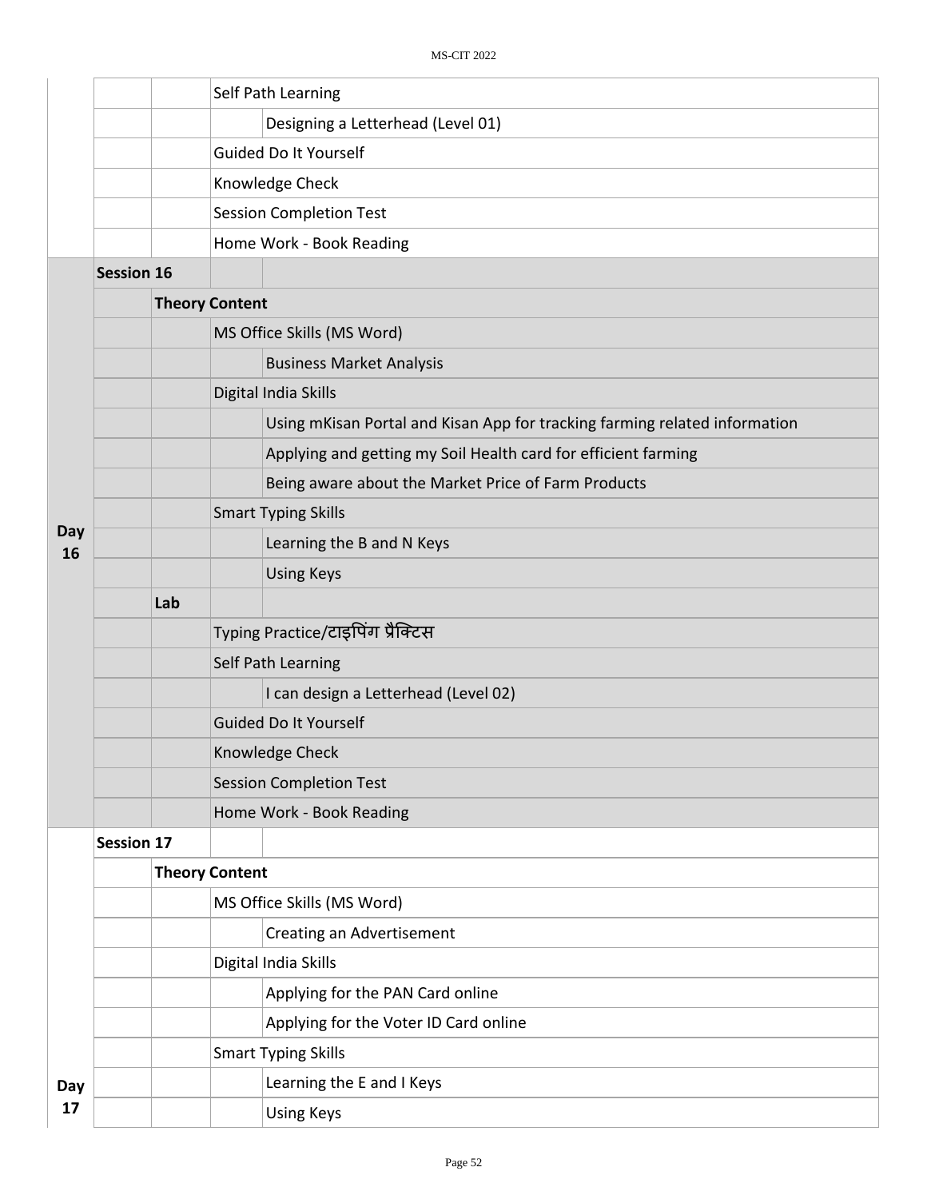|           |                   |     |                           | Self Path Learning                                                         |  |  |  |
|-----------|-------------------|-----|---------------------------|----------------------------------------------------------------------------|--|--|--|
|           |                   |     |                           | Designing a Letterhead (Level 01)                                          |  |  |  |
|           |                   |     |                           | Guided Do It Yourself                                                      |  |  |  |
|           |                   |     |                           | Knowledge Check                                                            |  |  |  |
|           |                   |     |                           | <b>Session Completion Test</b>                                             |  |  |  |
|           |                   |     |                           | Home Work - Book Reading                                                   |  |  |  |
|           | <b>Session 16</b> |     |                           |                                                                            |  |  |  |
|           |                   |     | <b>Theory Content</b>     |                                                                            |  |  |  |
|           |                   |     |                           | MS Office Skills (MS Word)                                                 |  |  |  |
|           |                   |     |                           | <b>Business Market Analysis</b>                                            |  |  |  |
|           |                   |     |                           | Digital India Skills                                                       |  |  |  |
|           |                   |     |                           | Using mKisan Portal and Kisan App for tracking farming related information |  |  |  |
|           |                   |     |                           | Applying and getting my Soil Health card for efficient farming             |  |  |  |
|           |                   |     |                           | Being aware about the Market Price of Farm Products                        |  |  |  |
|           |                   |     |                           | <b>Smart Typing Skills</b>                                                 |  |  |  |
| Day<br>16 |                   |     |                           | Learning the B and N Keys                                                  |  |  |  |
|           |                   |     |                           | <b>Using Keys</b>                                                          |  |  |  |
|           |                   | Lab |                           |                                                                            |  |  |  |
|           |                   |     |                           | Typing Practice/टाइपिंग प्रैक्टिस                                          |  |  |  |
|           |                   |     |                           | Self Path Learning                                                         |  |  |  |
|           |                   |     |                           | I can design a Letterhead (Level 02)                                       |  |  |  |
|           |                   |     |                           | <b>Guided Do It Yourself</b>                                               |  |  |  |
|           |                   |     |                           | Knowledge Check                                                            |  |  |  |
|           |                   |     |                           | <b>Session Completion Test</b>                                             |  |  |  |
|           |                   |     |                           | Home Work - Book Reading                                                   |  |  |  |
|           | <b>Session 17</b> |     |                           |                                                                            |  |  |  |
|           |                   |     | <b>Theory Content</b>     |                                                                            |  |  |  |
|           |                   |     |                           | MS Office Skills (MS Word)                                                 |  |  |  |
|           |                   |     | Creating an Advertisement |                                                                            |  |  |  |
|           |                   |     |                           | Digital India Skills                                                       |  |  |  |
|           |                   |     |                           | Applying for the PAN Card online                                           |  |  |  |
|           |                   |     |                           | Applying for the Voter ID Card online                                      |  |  |  |
|           |                   |     |                           | <b>Smart Typing Skills</b>                                                 |  |  |  |
| Day       |                   |     |                           | Learning the E and I Keys                                                  |  |  |  |
| 17        |                   |     |                           | <b>Using Keys</b>                                                          |  |  |  |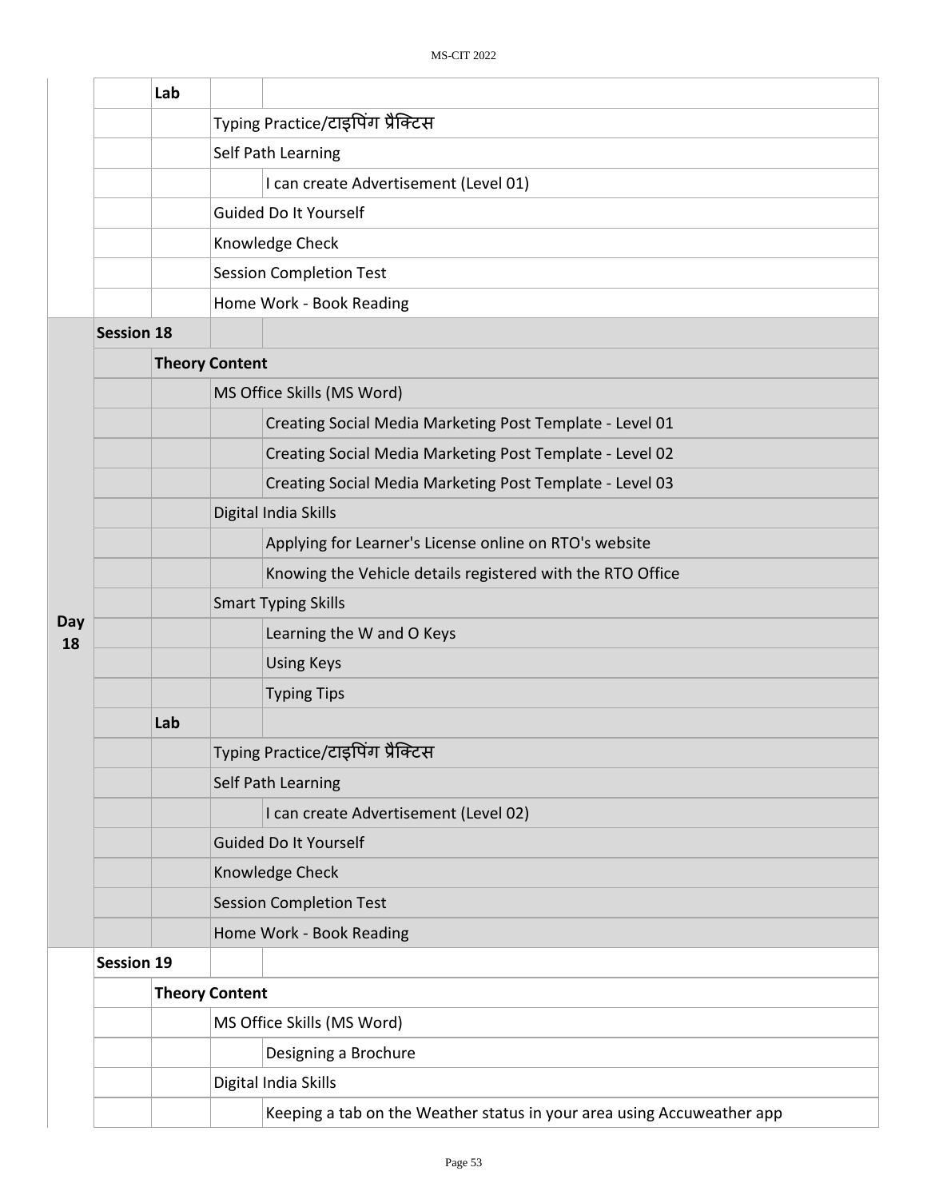|           |                   | Lab |                       |                                                                        |  |  |  |  |  |
|-----------|-------------------|-----|-----------------------|------------------------------------------------------------------------|--|--|--|--|--|
|           |                   |     |                       | Typing Practice/टाइपिंग प्रैक्टिस                                      |  |  |  |  |  |
|           |                   |     |                       | Self Path Learning                                                     |  |  |  |  |  |
|           |                   |     |                       | I can create Advertisement (Level 01)                                  |  |  |  |  |  |
|           |                   |     |                       | Guided Do It Yourself                                                  |  |  |  |  |  |
|           |                   |     |                       | Knowledge Check                                                        |  |  |  |  |  |
|           |                   |     |                       | <b>Session Completion Test</b>                                         |  |  |  |  |  |
|           |                   |     |                       | Home Work - Book Reading                                               |  |  |  |  |  |
|           | <b>Session 18</b> |     |                       |                                                                        |  |  |  |  |  |
|           |                   |     | <b>Theory Content</b> |                                                                        |  |  |  |  |  |
|           |                   |     |                       | MS Office Skills (MS Word)                                             |  |  |  |  |  |
|           |                   |     |                       | Creating Social Media Marketing Post Template - Level 01               |  |  |  |  |  |
|           |                   |     |                       | Creating Social Media Marketing Post Template - Level 02               |  |  |  |  |  |
|           |                   |     |                       | Creating Social Media Marketing Post Template - Level 03               |  |  |  |  |  |
|           |                   |     |                       | Digital India Skills                                                   |  |  |  |  |  |
|           |                   |     |                       | Applying for Learner's License online on RTO's website                 |  |  |  |  |  |
|           |                   |     |                       | Knowing the Vehicle details registered with the RTO Office             |  |  |  |  |  |
|           |                   |     |                       | <b>Smart Typing Skills</b>                                             |  |  |  |  |  |
| Day<br>18 |                   |     |                       | Learning the W and O Keys                                              |  |  |  |  |  |
|           |                   |     |                       | <b>Using Keys</b>                                                      |  |  |  |  |  |
|           |                   |     |                       | <b>Typing Tips</b>                                                     |  |  |  |  |  |
|           |                   | Lab |                       |                                                                        |  |  |  |  |  |
|           |                   |     |                       | Typing Practice/टाइपिंग प्रैक्टिस                                      |  |  |  |  |  |
|           |                   |     |                       | Self Path Learning                                                     |  |  |  |  |  |
|           |                   |     |                       | I can create Advertisement (Level 02)                                  |  |  |  |  |  |
|           |                   |     |                       | <b>Guided Do It Yourself</b>                                           |  |  |  |  |  |
|           |                   |     |                       | Knowledge Check                                                        |  |  |  |  |  |
|           |                   |     |                       | <b>Session Completion Test</b>                                         |  |  |  |  |  |
|           |                   |     |                       | Home Work - Book Reading                                               |  |  |  |  |  |
|           | <b>Session 19</b> |     |                       |                                                                        |  |  |  |  |  |
|           |                   |     | <b>Theory Content</b> |                                                                        |  |  |  |  |  |
|           |                   |     |                       | MS Office Skills (MS Word)                                             |  |  |  |  |  |
|           |                   |     |                       | Designing a Brochure                                                   |  |  |  |  |  |
|           |                   |     |                       | Digital India Skills                                                   |  |  |  |  |  |
|           |                   |     |                       | Keeping a tab on the Weather status in your area using Accuweather app |  |  |  |  |  |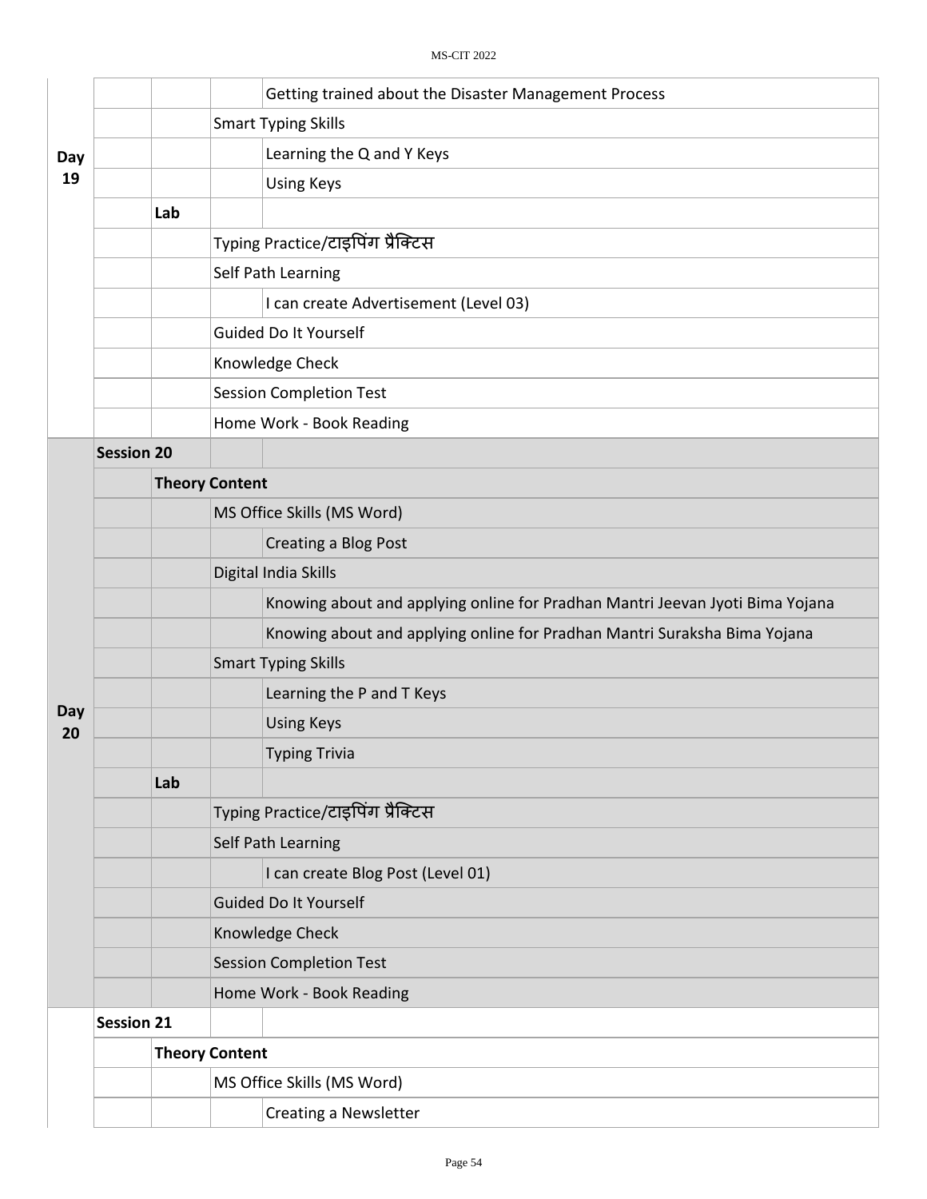|           |                   |                       | Getting trained about the Disaster Management Process                         |  |  |  |
|-----------|-------------------|-----------------------|-------------------------------------------------------------------------------|--|--|--|
|           |                   |                       | <b>Smart Typing Skills</b>                                                    |  |  |  |
| Day       |                   |                       | Learning the Q and Y Keys                                                     |  |  |  |
| 19        |                   |                       | <b>Using Keys</b>                                                             |  |  |  |
|           |                   | Lab                   |                                                                               |  |  |  |
|           |                   |                       | Typing Practice/टाइपिंग प्रैक्टिस                                             |  |  |  |
|           |                   |                       | Self Path Learning                                                            |  |  |  |
|           |                   |                       | I can create Advertisement (Level 03)                                         |  |  |  |
|           |                   |                       | Guided Do It Yourself                                                         |  |  |  |
|           |                   |                       | Knowledge Check                                                               |  |  |  |
|           |                   |                       | <b>Session Completion Test</b>                                                |  |  |  |
|           |                   |                       | Home Work - Book Reading                                                      |  |  |  |
|           | <b>Session 20</b> |                       |                                                                               |  |  |  |
|           |                   | <b>Theory Content</b> |                                                                               |  |  |  |
|           |                   |                       | MS Office Skills (MS Word)                                                    |  |  |  |
|           |                   |                       | Creating a Blog Post                                                          |  |  |  |
|           |                   |                       | Digital India Skills                                                          |  |  |  |
|           |                   |                       | Knowing about and applying online for Pradhan Mantri Jeevan Jyoti Bima Yojana |  |  |  |
|           |                   |                       | Knowing about and applying online for Pradhan Mantri Suraksha Bima Yojana     |  |  |  |
|           |                   |                       | <b>Smart Typing Skills</b>                                                    |  |  |  |
|           |                   |                       | Learning the P and T Keys                                                     |  |  |  |
| Day<br>20 |                   |                       | <b>Using Keys</b>                                                             |  |  |  |
|           |                   |                       | <b>Typing Trivia</b>                                                          |  |  |  |
|           |                   | Lab                   |                                                                               |  |  |  |
|           |                   |                       | Typing Practice/टाइपिंग प्रैक्टिस                                             |  |  |  |
|           |                   |                       | Self Path Learning                                                            |  |  |  |
|           |                   |                       | I can create Blog Post (Level 01)                                             |  |  |  |
|           |                   |                       | Guided Do It Yourself                                                         |  |  |  |
|           |                   |                       | Knowledge Check                                                               |  |  |  |
|           |                   |                       | <b>Session Completion Test</b>                                                |  |  |  |
|           |                   |                       | Home Work - Book Reading                                                      |  |  |  |
|           | <b>Session 21</b> |                       |                                                                               |  |  |  |
|           |                   | <b>Theory Content</b> |                                                                               |  |  |  |
|           |                   |                       | MS Office Skills (MS Word)                                                    |  |  |  |
|           |                   |                       | <b>Creating a Newsletter</b>                                                  |  |  |  |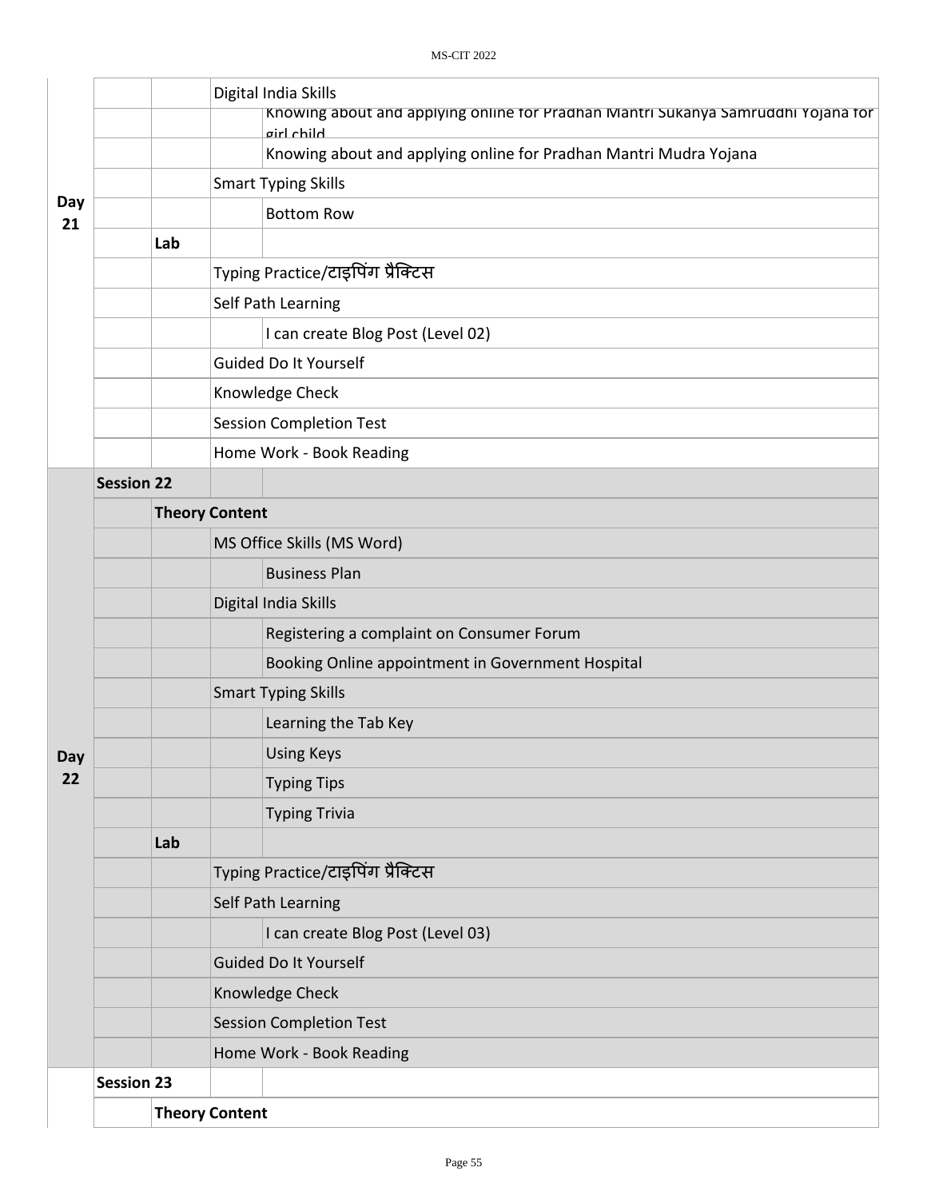|           |                   |     |                                                                   | Digital India Skills<br>Knowing about and applying online for Pradhan Mantri Sukanya Samruddhi Yojana for<br>airl child |  |  |  |  |
|-----------|-------------------|-----|-------------------------------------------------------------------|-------------------------------------------------------------------------------------------------------------------------|--|--|--|--|
|           |                   |     | Knowing about and applying online for Pradhan Mantri Mudra Yojana |                                                                                                                         |  |  |  |  |
|           |                   |     | <b>Smart Typing Skills</b>                                        |                                                                                                                         |  |  |  |  |
| Day<br>21 |                   |     |                                                                   | <b>Bottom Row</b>                                                                                                       |  |  |  |  |
|           |                   | Lab |                                                                   |                                                                                                                         |  |  |  |  |
|           |                   |     |                                                                   | Typing Practice/टाइपिंग प्रैक्टिस                                                                                       |  |  |  |  |
|           |                   |     | Self Path Learning                                                |                                                                                                                         |  |  |  |  |
|           |                   |     | I can create Blog Post (Level 02)                                 |                                                                                                                         |  |  |  |  |
|           |                   |     | Guided Do It Yourself                                             |                                                                                                                         |  |  |  |  |
|           |                   |     | Knowledge Check                                                   |                                                                                                                         |  |  |  |  |
|           |                   |     | <b>Session Completion Test</b>                                    |                                                                                                                         |  |  |  |  |
|           |                   |     |                                                                   | Home Work - Book Reading                                                                                                |  |  |  |  |
|           | <b>Session 22</b> |     |                                                                   |                                                                                                                         |  |  |  |  |
|           |                   |     | <b>Theory Content</b>                                             |                                                                                                                         |  |  |  |  |
|           |                   |     |                                                                   | MS Office Skills (MS Word)                                                                                              |  |  |  |  |
|           |                   |     |                                                                   | <b>Business Plan</b>                                                                                                    |  |  |  |  |
|           |                   |     |                                                                   | Digital India Skills                                                                                                    |  |  |  |  |
|           |                   |     |                                                                   | Registering a complaint on Consumer Forum                                                                               |  |  |  |  |
|           |                   |     |                                                                   | Booking Online appointment in Government Hospital                                                                       |  |  |  |  |
|           |                   |     |                                                                   | <b>Smart Typing Skills</b>                                                                                              |  |  |  |  |
|           |                   |     |                                                                   | Learning the Tab Key                                                                                                    |  |  |  |  |
| Day       |                   |     |                                                                   | <b>Using Keys</b>                                                                                                       |  |  |  |  |
| 22        |                   |     |                                                                   | <b>Typing Tips</b>                                                                                                      |  |  |  |  |
|           |                   |     |                                                                   | <b>Typing Trivia</b>                                                                                                    |  |  |  |  |
|           |                   | Lab |                                                                   |                                                                                                                         |  |  |  |  |
|           |                   |     |                                                                   | Typing Practice/टाइपिंग प्रैक्टिस                                                                                       |  |  |  |  |
|           |                   |     | Self Path Learning                                                |                                                                                                                         |  |  |  |  |
|           |                   |     |                                                                   | I can create Blog Post (Level 03)                                                                                       |  |  |  |  |
|           |                   |     |                                                                   | <b>Guided Do It Yourself</b>                                                                                            |  |  |  |  |
|           |                   |     |                                                                   | Knowledge Check                                                                                                         |  |  |  |  |
|           |                   |     |                                                                   | <b>Session Completion Test</b>                                                                                          |  |  |  |  |
|           |                   |     |                                                                   | Home Work - Book Reading                                                                                                |  |  |  |  |
|           | <b>Session 23</b> |     |                                                                   |                                                                                                                         |  |  |  |  |
|           |                   |     | <b>Theory Content</b>                                             |                                                                                                                         |  |  |  |  |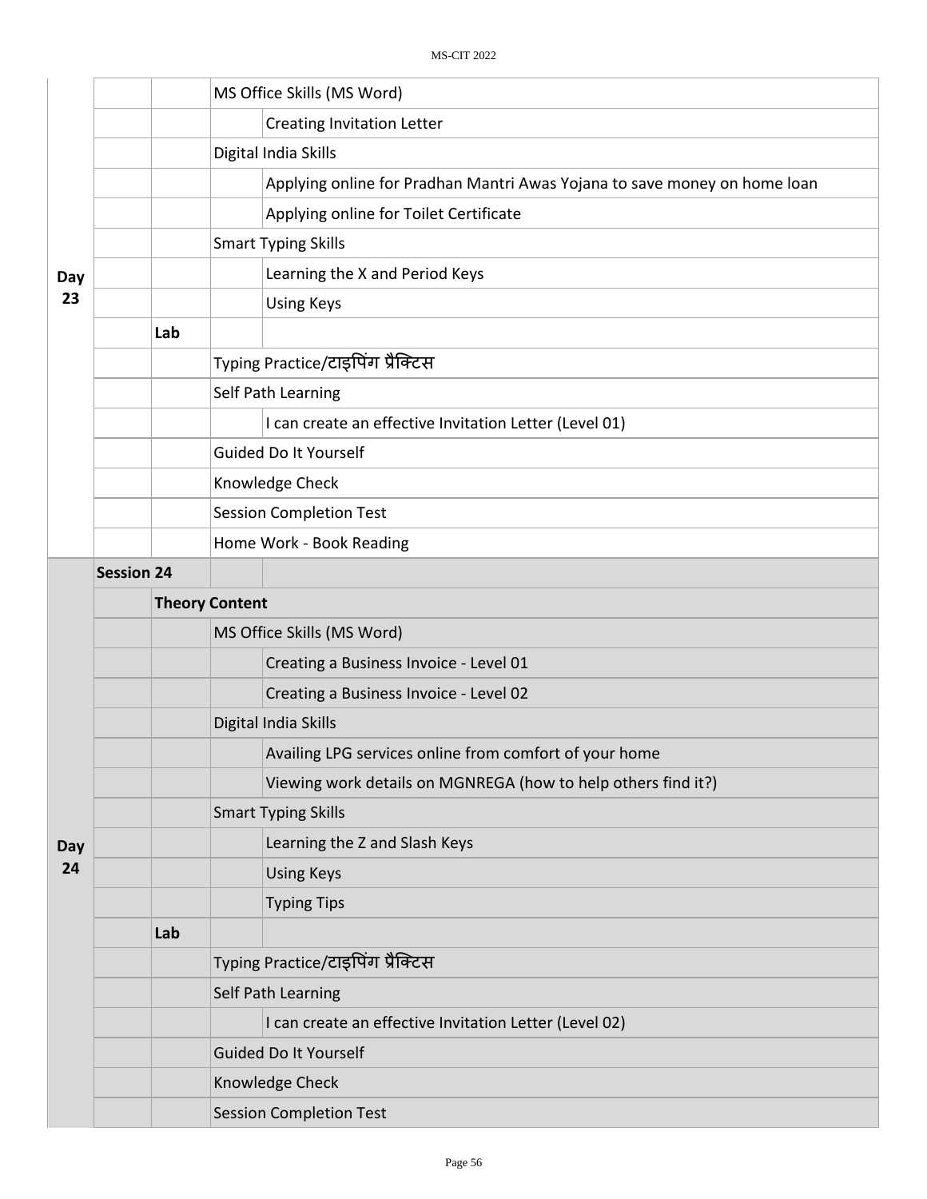|     |                   | MS Office Skills (MS Word)                                                |  |  |  |  |
|-----|-------------------|---------------------------------------------------------------------------|--|--|--|--|
|     |                   | <b>Creating Invitation Letter</b>                                         |  |  |  |  |
|     |                   | Digital India Skills                                                      |  |  |  |  |
|     |                   | Applying online for Pradhan Mantri Awas Yojana to save money on home loan |  |  |  |  |
|     |                   | Applying online for Toilet Certificate                                    |  |  |  |  |
|     |                   | <b>Smart Typing Skills</b>                                                |  |  |  |  |
| Day |                   | Learning the X and Period Keys                                            |  |  |  |  |
| 23  |                   | <b>Using Keys</b>                                                         |  |  |  |  |
|     | Lab               |                                                                           |  |  |  |  |
|     |                   | Typing Practice/टाइपिंग प्रैक्टिस                                         |  |  |  |  |
|     |                   | Self Path Learning                                                        |  |  |  |  |
|     |                   | I can create an effective Invitation Letter (Level 01)                    |  |  |  |  |
|     |                   | Guided Do It Yourself                                                     |  |  |  |  |
|     |                   | Knowledge Check                                                           |  |  |  |  |
|     |                   | <b>Session Completion Test</b>                                            |  |  |  |  |
|     |                   | Home Work - Book Reading                                                  |  |  |  |  |
|     | <b>Session 24</b> |                                                                           |  |  |  |  |
|     |                   | <b>Theory Content</b>                                                     |  |  |  |  |
|     |                   | MS Office Skills (MS Word)                                                |  |  |  |  |
|     |                   | Creating a Business Invoice - Level 01                                    |  |  |  |  |
|     |                   | Creating a Business Invoice - Level 02                                    |  |  |  |  |
|     |                   | Digital India Skills                                                      |  |  |  |  |
|     |                   | Availing LPG services online from comfort of your home                    |  |  |  |  |
|     |                   | Viewing work details on MGNREGA (how to help others find it?)             |  |  |  |  |
|     |                   | <b>Smart Typing Skills</b>                                                |  |  |  |  |
| Day |                   | Learning the Z and Slash Keys                                             |  |  |  |  |
| 24  |                   | <b>Using Keys</b>                                                         |  |  |  |  |
|     |                   | <b>Typing Tips</b>                                                        |  |  |  |  |
|     | Lab               |                                                                           |  |  |  |  |
|     |                   | Typing Practice/टाइपिंग प्रैक्टिस                                         |  |  |  |  |
|     |                   | Self Path Learning                                                        |  |  |  |  |
|     |                   | I can create an effective Invitation Letter (Level 02)                    |  |  |  |  |
|     |                   | <b>Guided Do It Yourself</b>                                              |  |  |  |  |
|     |                   | Knowledge Check                                                           |  |  |  |  |
|     |                   | <b>Session Completion Test</b>                                            |  |  |  |  |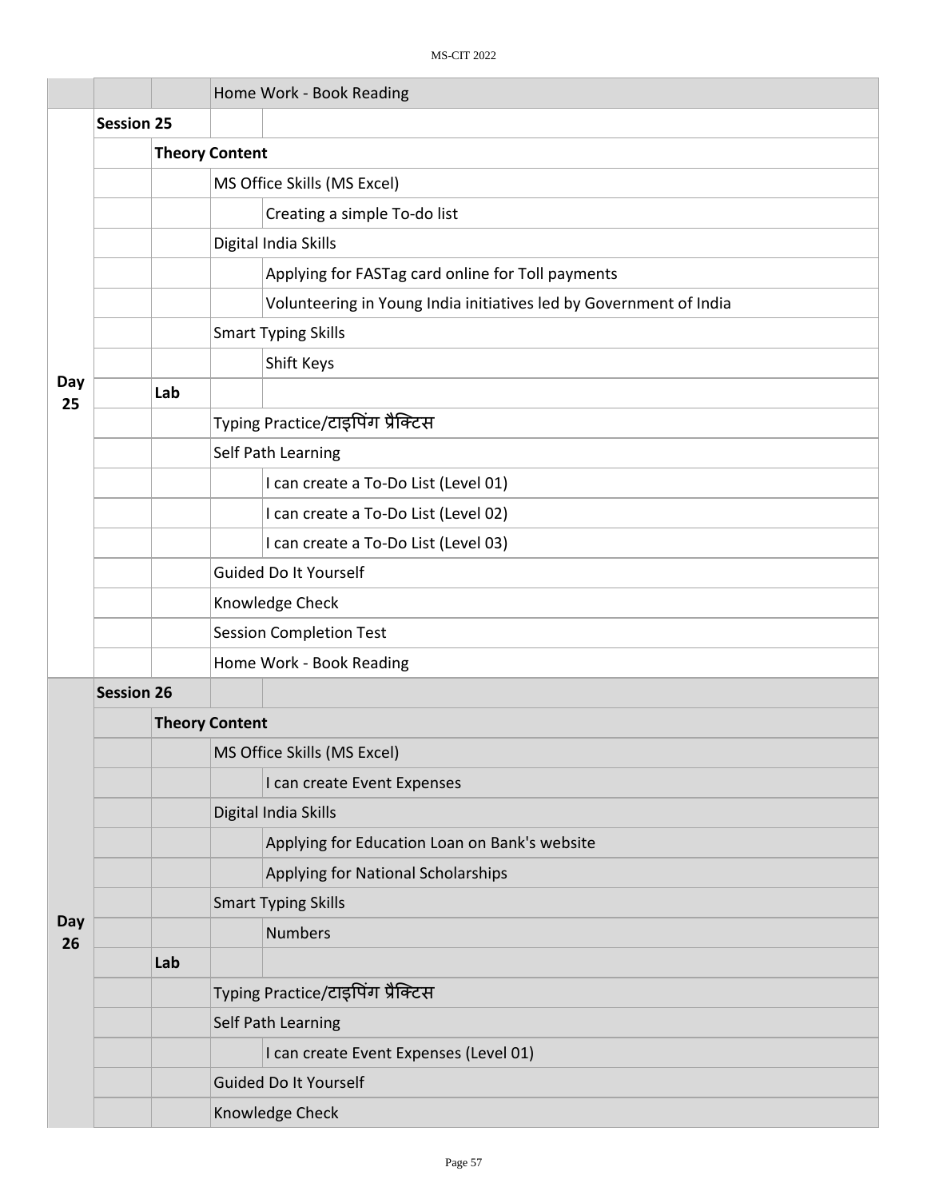|           |                   |     |                                   | Home Work - Book Reading                                           |  |  |  |
|-----------|-------------------|-----|-----------------------------------|--------------------------------------------------------------------|--|--|--|
|           | <b>Session 25</b> |     |                                   |                                                                    |  |  |  |
|           |                   |     | <b>Theory Content</b>             |                                                                    |  |  |  |
|           |                   |     |                                   | MS Office Skills (MS Excel)                                        |  |  |  |
|           |                   |     |                                   | Creating a simple To-do list                                       |  |  |  |
|           |                   |     |                                   | Digital India Skills                                               |  |  |  |
|           |                   |     |                                   | Applying for FASTag card online for Toll payments                  |  |  |  |
|           |                   |     |                                   | Volunteering in Young India initiatives led by Government of India |  |  |  |
|           |                   |     |                                   | <b>Smart Typing Skills</b>                                         |  |  |  |
|           |                   |     |                                   | Shift Keys                                                         |  |  |  |
| Day<br>25 |                   | Lab |                                   |                                                                    |  |  |  |
|           |                   |     |                                   | Typing Practice/टाइपिंग प्रैक्टिस                                  |  |  |  |
|           |                   |     |                                   | Self Path Learning                                                 |  |  |  |
|           |                   |     |                                   | I can create a To-Do List (Level 01)                               |  |  |  |
|           |                   |     |                                   | I can create a To-Do List (Level 02)                               |  |  |  |
|           |                   |     |                                   | I can create a To-Do List (Level 03)                               |  |  |  |
|           |                   |     | Guided Do It Yourself             |                                                                    |  |  |  |
|           |                   |     | Knowledge Check                   |                                                                    |  |  |  |
|           |                   |     | <b>Session Completion Test</b>    |                                                                    |  |  |  |
|           |                   |     |                                   | Home Work - Book Reading                                           |  |  |  |
|           | <b>Session 26</b> |     |                                   |                                                                    |  |  |  |
|           |                   |     | <b>Theory Content</b>             |                                                                    |  |  |  |
|           |                   |     | MS Office Skills (MS Excel)       |                                                                    |  |  |  |
|           |                   |     |                                   | I can create Event Expenses                                        |  |  |  |
|           |                   |     |                                   | Digital India Skills                                               |  |  |  |
|           |                   |     |                                   | Applying for Education Loan on Bank's website                      |  |  |  |
|           |                   |     |                                   | Applying for National Scholarships                                 |  |  |  |
|           |                   |     |                                   | <b>Smart Typing Skills</b>                                         |  |  |  |
| Day<br>26 |                   |     |                                   | <b>Numbers</b>                                                     |  |  |  |
|           |                   | Lab |                                   |                                                                    |  |  |  |
|           |                   |     | Typing Practice/टाइपिंग प्रैक्टिस |                                                                    |  |  |  |
|           |                   |     |                                   | Self Path Learning                                                 |  |  |  |
|           |                   |     |                                   | I can create Event Expenses (Level 01)                             |  |  |  |
|           |                   |     |                                   | Guided Do It Yourself                                              |  |  |  |
|           |                   |     |                                   | Knowledge Check                                                    |  |  |  |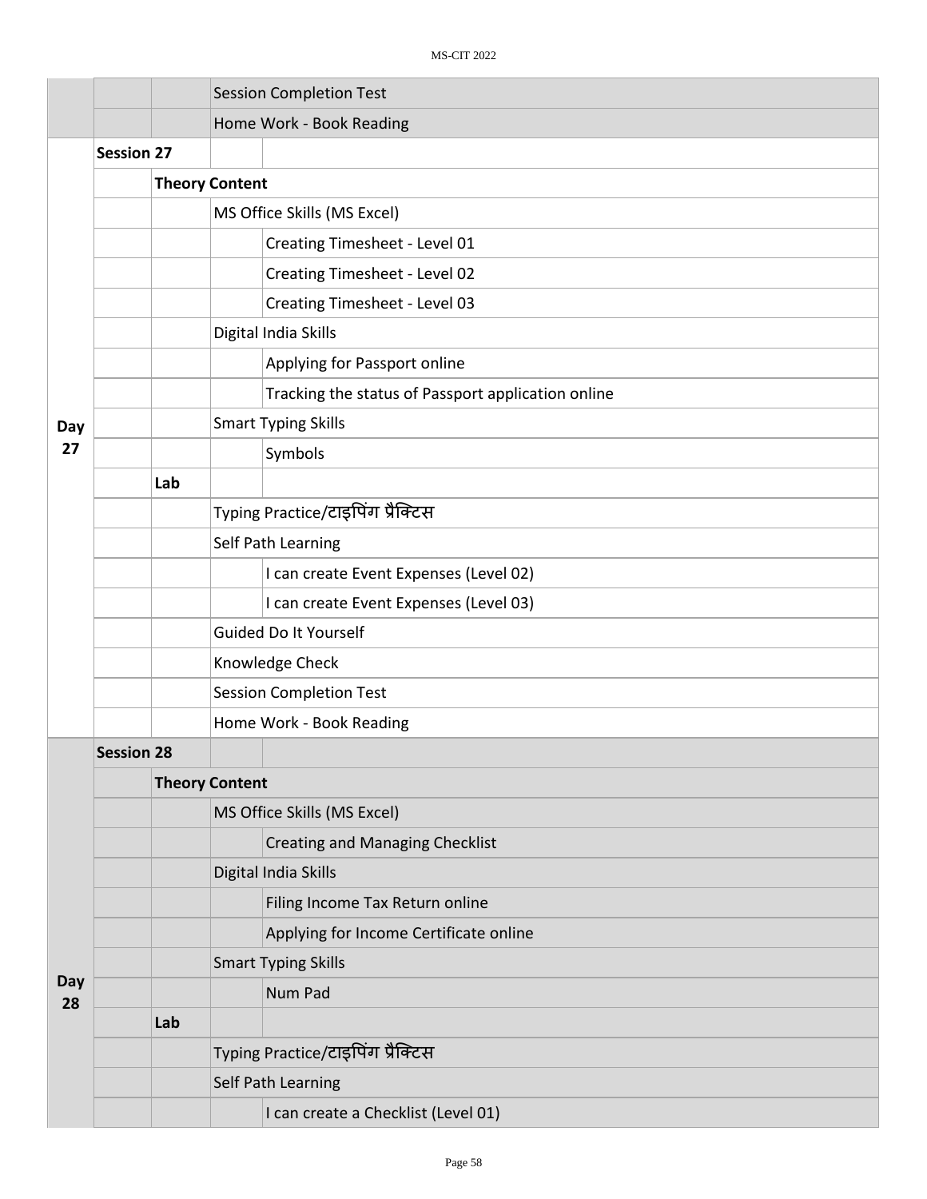|           |                   |     | <b>Session Completion Test</b>                     |  |  |  |
|-----------|-------------------|-----|----------------------------------------------------|--|--|--|
|           |                   |     | Home Work - Book Reading                           |  |  |  |
|           | <b>Session 27</b> |     |                                                    |  |  |  |
|           |                   |     | <b>Theory Content</b>                              |  |  |  |
|           |                   |     | MS Office Skills (MS Excel)                        |  |  |  |
|           |                   |     | Creating Timesheet - Level 01                      |  |  |  |
|           |                   |     | Creating Timesheet - Level 02                      |  |  |  |
|           |                   |     | Creating Timesheet - Level 03                      |  |  |  |
|           |                   |     | Digital India Skills                               |  |  |  |
|           |                   |     | Applying for Passport online                       |  |  |  |
|           |                   |     | Tracking the status of Passport application online |  |  |  |
| Day       |                   |     | <b>Smart Typing Skills</b>                         |  |  |  |
| 27        |                   |     | Symbols                                            |  |  |  |
|           |                   | Lab |                                                    |  |  |  |
|           |                   |     | Typing Practice/टाइपिंग प्रैक्टिस                  |  |  |  |
|           |                   |     | Self Path Learning                                 |  |  |  |
|           |                   |     | I can create Event Expenses (Level 02)             |  |  |  |
|           |                   |     | I can create Event Expenses (Level 03)             |  |  |  |
|           |                   |     | Guided Do It Yourself                              |  |  |  |
|           |                   |     | Knowledge Check                                    |  |  |  |
|           |                   |     | <b>Session Completion Test</b>                     |  |  |  |
|           |                   |     | Home Work - Book Reading                           |  |  |  |
|           | <b>Session 28</b> |     |                                                    |  |  |  |
|           |                   |     | <b>Theory Content</b>                              |  |  |  |
|           |                   |     | MS Office Skills (MS Excel)                        |  |  |  |
|           |                   |     | <b>Creating and Managing Checklist</b>             |  |  |  |
|           |                   |     | Digital India Skills                               |  |  |  |
|           |                   |     | Filing Income Tax Return online                    |  |  |  |
|           |                   |     | Applying for Income Certificate online             |  |  |  |
|           |                   |     | <b>Smart Typing Skills</b>                         |  |  |  |
| Day<br>28 |                   |     | Num Pad                                            |  |  |  |
|           |                   | Lab |                                                    |  |  |  |
|           |                   |     | Typing Practice/टाइपिंग प्रैक्टिस                  |  |  |  |
|           |                   |     | Self Path Learning                                 |  |  |  |
|           |                   |     | I can create a Checklist (Level 01)                |  |  |  |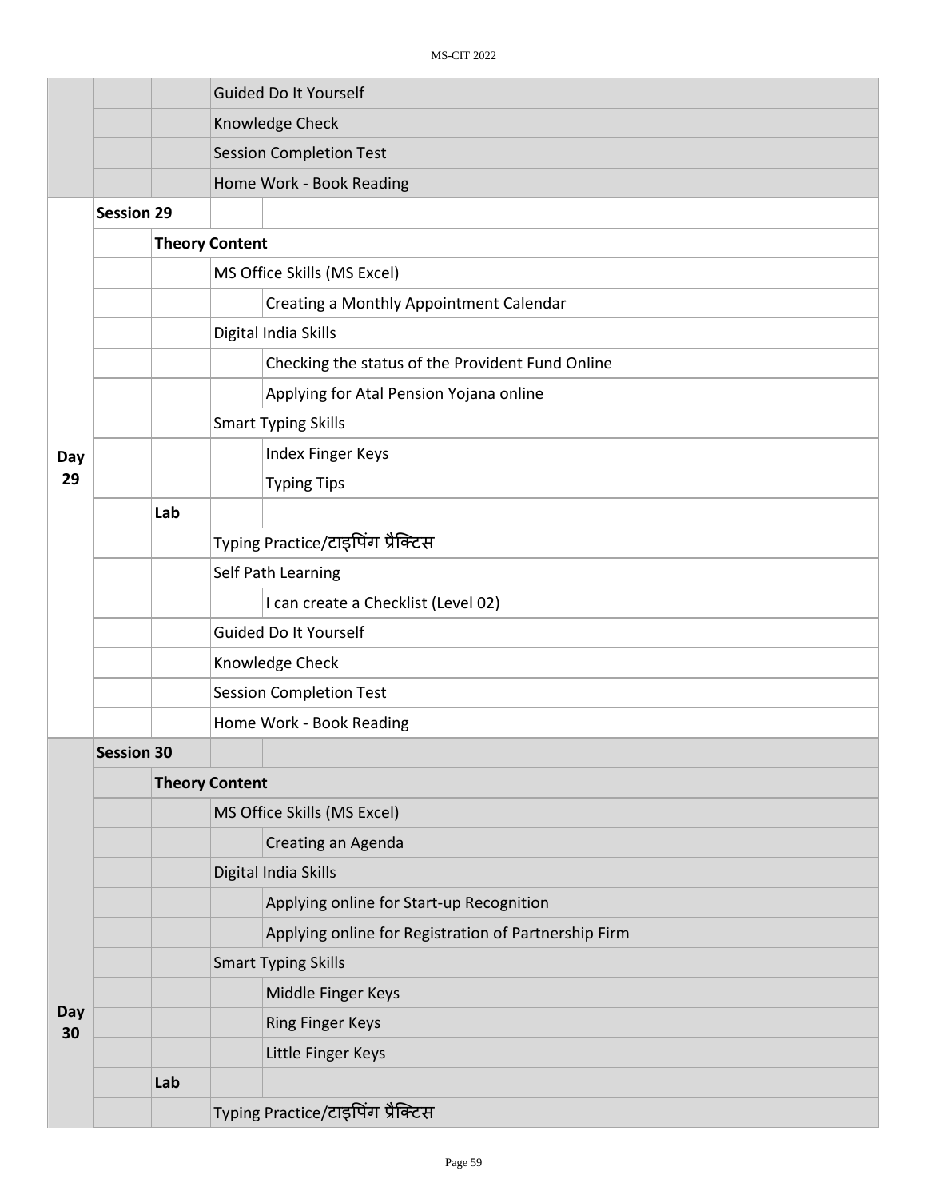|     |                   |                       | <b>Guided Do It Yourself</b>                         |  |  |  |  |
|-----|-------------------|-----------------------|------------------------------------------------------|--|--|--|--|
|     |                   |                       | Knowledge Check                                      |  |  |  |  |
|     |                   |                       | <b>Session Completion Test</b>                       |  |  |  |  |
|     |                   |                       | Home Work - Book Reading                             |  |  |  |  |
|     | <b>Session 29</b> |                       |                                                      |  |  |  |  |
|     |                   | <b>Theory Content</b> |                                                      |  |  |  |  |
|     |                   |                       | MS Office Skills (MS Excel)                          |  |  |  |  |
|     |                   |                       | Creating a Monthly Appointment Calendar              |  |  |  |  |
|     |                   |                       | Digital India Skills                                 |  |  |  |  |
|     |                   |                       | Checking the status of the Provident Fund Online     |  |  |  |  |
|     |                   |                       | Applying for Atal Pension Yojana online              |  |  |  |  |
|     |                   |                       | <b>Smart Typing Skills</b>                           |  |  |  |  |
| Day |                   |                       | Index Finger Keys                                    |  |  |  |  |
| 29  |                   |                       | <b>Typing Tips</b>                                   |  |  |  |  |
|     |                   | Lab                   |                                                      |  |  |  |  |
|     |                   |                       | Typing Practice/टाइपिंग प्रैक्टिस                    |  |  |  |  |
|     |                   |                       | Self Path Learning                                   |  |  |  |  |
|     |                   |                       | I can create a Checklist (Level 02)                  |  |  |  |  |
|     |                   |                       | Guided Do It Yourself                                |  |  |  |  |
|     |                   |                       | Knowledge Check                                      |  |  |  |  |
|     |                   |                       | <b>Session Completion Test</b>                       |  |  |  |  |
|     |                   |                       | Home Work - Book Reading                             |  |  |  |  |
|     | <b>Session 30</b> |                       |                                                      |  |  |  |  |
|     |                   | <b>Theory Content</b> |                                                      |  |  |  |  |
|     |                   |                       | MS Office Skills (MS Excel)                          |  |  |  |  |
|     |                   |                       | Creating an Agenda                                   |  |  |  |  |
|     |                   |                       | Digital India Skills                                 |  |  |  |  |
|     |                   |                       | Applying online for Start-up Recognition             |  |  |  |  |
|     |                   |                       | Applying online for Registration of Partnership Firm |  |  |  |  |
|     |                   |                       | <b>Smart Typing Skills</b>                           |  |  |  |  |
| Day |                   |                       | Middle Finger Keys                                   |  |  |  |  |
| 30  |                   |                       | <b>Ring Finger Keys</b>                              |  |  |  |  |
|     |                   |                       | Little Finger Keys                                   |  |  |  |  |
|     |                   | Lab                   |                                                      |  |  |  |  |
|     |                   |                       | Typing Practice/टाइपिंग प्रैक्टिस                    |  |  |  |  |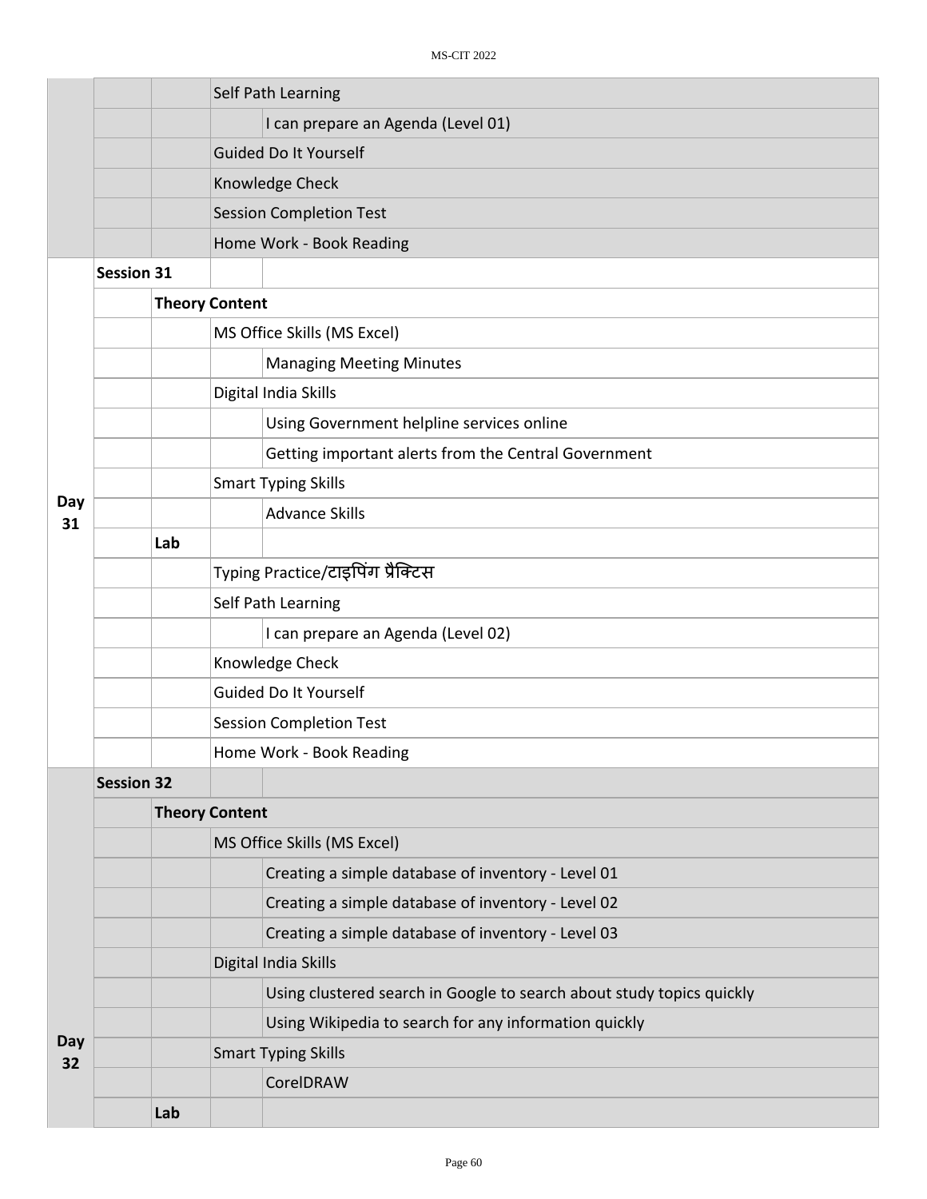|           |                   | Self Path Learning |                                                                       |  |  |  |
|-----------|-------------------|--------------------|-----------------------------------------------------------------------|--|--|--|
|           |                   |                    | I can prepare an Agenda (Level 01)                                    |  |  |  |
|           |                   |                    | Guided Do It Yourself                                                 |  |  |  |
|           |                   |                    | Knowledge Check                                                       |  |  |  |
|           |                   |                    | <b>Session Completion Test</b>                                        |  |  |  |
|           |                   |                    | Home Work - Book Reading                                              |  |  |  |
|           | <b>Session 31</b> |                    |                                                                       |  |  |  |
|           |                   |                    | <b>Theory Content</b>                                                 |  |  |  |
|           |                   |                    | MS Office Skills (MS Excel)                                           |  |  |  |
|           |                   |                    | <b>Managing Meeting Minutes</b>                                       |  |  |  |
|           |                   |                    | Digital India Skills                                                  |  |  |  |
|           |                   |                    | Using Government helpline services online                             |  |  |  |
|           |                   |                    | Getting important alerts from the Central Government                  |  |  |  |
|           |                   |                    | <b>Smart Typing Skills</b>                                            |  |  |  |
| Day<br>31 |                   |                    | <b>Advance Skills</b>                                                 |  |  |  |
|           |                   | Lab                |                                                                       |  |  |  |
|           |                   |                    | Typing Practice/टाइपिंग प्रैक्टिस                                     |  |  |  |
|           |                   |                    | Self Path Learning                                                    |  |  |  |
|           |                   |                    | I can prepare an Agenda (Level 02)                                    |  |  |  |
|           |                   |                    | Knowledge Check                                                       |  |  |  |
|           |                   |                    | Guided Do It Yourself                                                 |  |  |  |
|           |                   |                    | <b>Session Completion Test</b>                                        |  |  |  |
|           |                   |                    | Home Work - Book Reading                                              |  |  |  |
|           | <b>Session 32</b> |                    |                                                                       |  |  |  |
|           |                   |                    | <b>Theory Content</b>                                                 |  |  |  |
|           |                   |                    | MS Office Skills (MS Excel)                                           |  |  |  |
|           |                   |                    | Creating a simple database of inventory - Level 01                    |  |  |  |
|           |                   |                    | Creating a simple database of inventory - Level 02                    |  |  |  |
|           |                   |                    | Creating a simple database of inventory - Level 03                    |  |  |  |
|           |                   |                    | Digital India Skills                                                  |  |  |  |
|           |                   |                    | Using clustered search in Google to search about study topics quickly |  |  |  |
| Day       |                   |                    | Using Wikipedia to search for any information quickly                 |  |  |  |
| 32        |                   |                    | <b>Smart Typing Skills</b>                                            |  |  |  |
|           |                   |                    | CorelDRAW                                                             |  |  |  |
|           |                   | Lab                |                                                                       |  |  |  |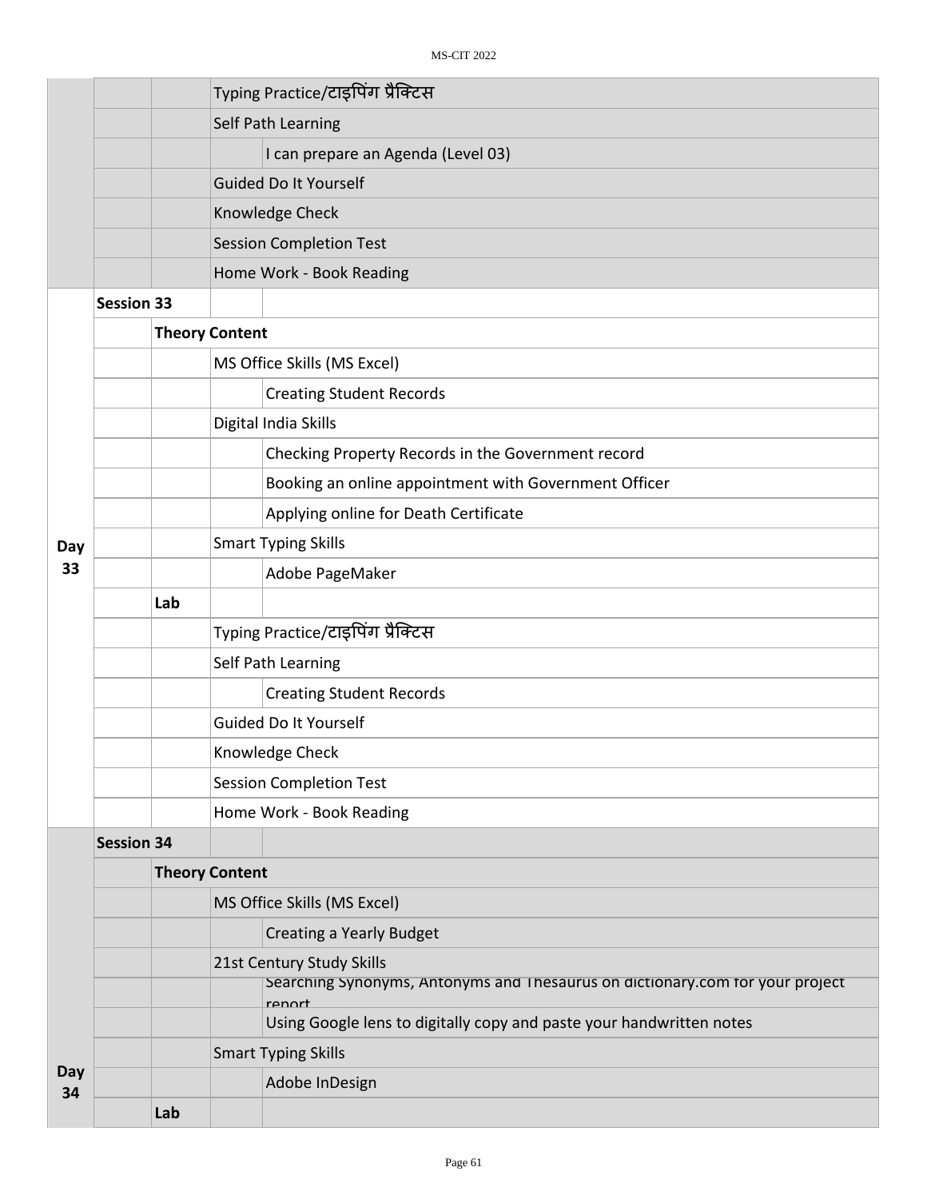|           |                   |     | Typing Practice/टाइपिंग प्रैक्टिस                                                       |  |  |
|-----------|-------------------|-----|-----------------------------------------------------------------------------------------|--|--|
|           |                   |     | Self Path Learning                                                                      |  |  |
|           |                   |     | I can prepare an Agenda (Level 03)                                                      |  |  |
|           |                   |     | <b>Guided Do It Yourself</b>                                                            |  |  |
|           |                   |     | Knowledge Check                                                                         |  |  |
|           |                   |     | <b>Session Completion Test</b>                                                          |  |  |
|           |                   |     | Home Work - Book Reading                                                                |  |  |
|           | <b>Session 33</b> |     |                                                                                         |  |  |
|           |                   |     | <b>Theory Content</b>                                                                   |  |  |
|           |                   |     | MS Office Skills (MS Excel)                                                             |  |  |
|           |                   |     | <b>Creating Student Records</b>                                                         |  |  |
|           |                   |     | Digital India Skills                                                                    |  |  |
|           |                   |     | Checking Property Records in the Government record                                      |  |  |
|           |                   |     | Booking an online appointment with Government Officer                                   |  |  |
|           |                   |     | Applying online for Death Certificate                                                   |  |  |
| Day       |                   |     | <b>Smart Typing Skills</b>                                                              |  |  |
| 33        |                   |     | Adobe PageMaker                                                                         |  |  |
|           |                   | Lab |                                                                                         |  |  |
|           |                   |     | Typing Practice/टाइपिंग प्रैक्टिस                                                       |  |  |
|           |                   |     | Self Path Learning                                                                      |  |  |
|           |                   |     | <b>Creating Student Records</b>                                                         |  |  |
|           |                   |     | Guided Do It Yourself                                                                   |  |  |
|           |                   |     | Knowledge Check                                                                         |  |  |
|           |                   |     | <b>Session Completion Test</b>                                                          |  |  |
|           |                   |     | Home Work - Book Reading                                                                |  |  |
|           | <b>Session 34</b> |     |                                                                                         |  |  |
|           |                   |     | <b>Theory Content</b>                                                                   |  |  |
|           |                   |     | MS Office Skills (MS Excel)                                                             |  |  |
|           |                   |     | <b>Creating a Yearly Budget</b>                                                         |  |  |
|           |                   |     | 21st Century Study Skills                                                               |  |  |
|           |                   |     | Searching Synonyms, Antonyms and Thesaurus on dictionary.com for your project<br>rennrt |  |  |
|           |                   |     | Using Google lens to digitally copy and paste your handwritten notes                    |  |  |
|           |                   |     | <b>Smart Typing Skills</b>                                                              |  |  |
| Day<br>34 |                   |     | Adobe InDesign                                                                          |  |  |
|           |                   | Lab |                                                                                         |  |  |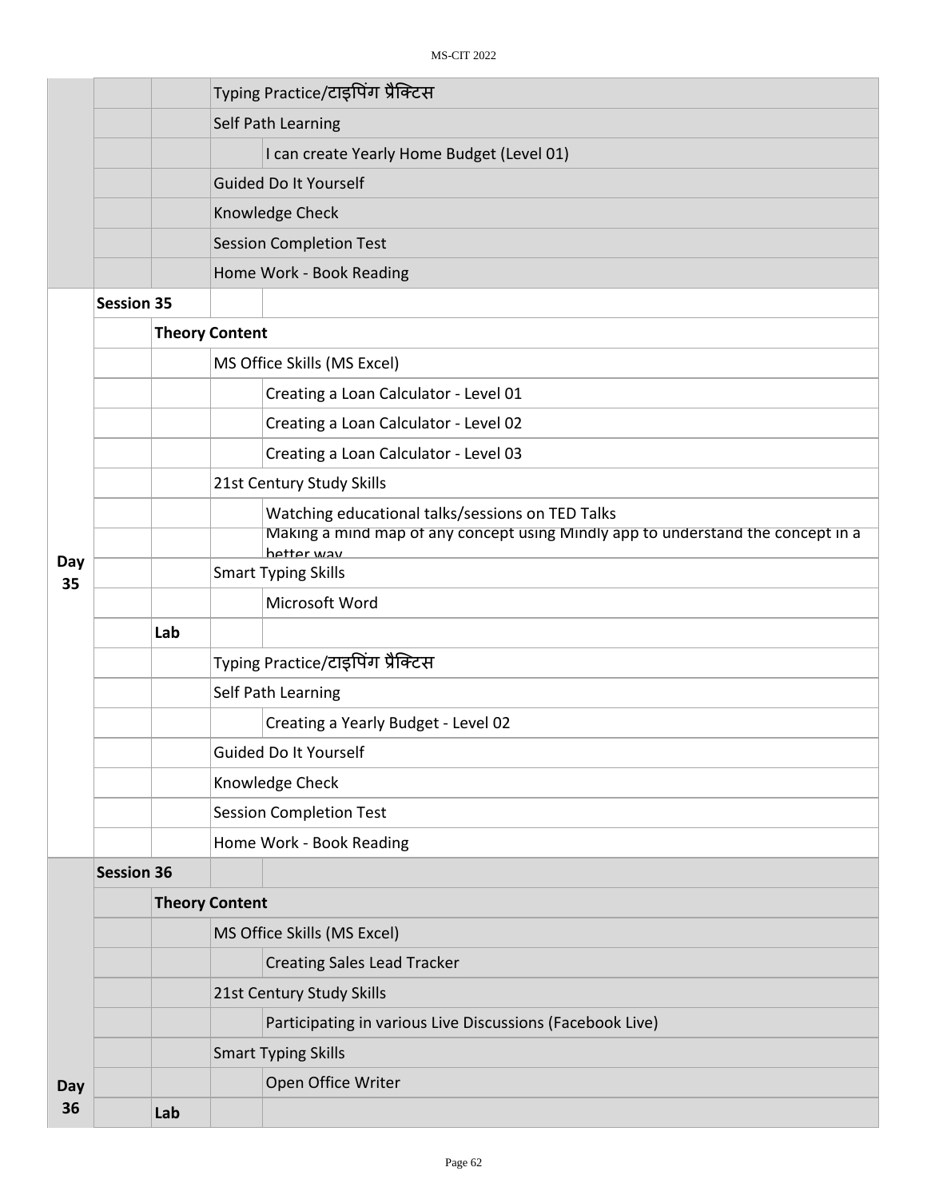|           |                   |     | Typing Practice/टाइपिंग प्रैक्टिस                                                              |  |  |
|-----------|-------------------|-----|------------------------------------------------------------------------------------------------|--|--|
|           |                   |     | Self Path Learning                                                                             |  |  |
|           |                   |     | I can create Yearly Home Budget (Level 01)                                                     |  |  |
|           |                   |     | <b>Guided Do It Yourself</b>                                                                   |  |  |
|           |                   |     | Knowledge Check                                                                                |  |  |
|           |                   |     | <b>Session Completion Test</b>                                                                 |  |  |
|           |                   |     | Home Work - Book Reading                                                                       |  |  |
|           | <b>Session 35</b> |     |                                                                                                |  |  |
|           |                   |     | <b>Theory Content</b>                                                                          |  |  |
|           |                   |     | MS Office Skills (MS Excel)                                                                    |  |  |
|           |                   |     | Creating a Loan Calculator - Level 01                                                          |  |  |
|           |                   |     | Creating a Loan Calculator - Level 02                                                          |  |  |
|           |                   |     | Creating a Loan Calculator - Level 03                                                          |  |  |
|           |                   |     | 21st Century Study Skills                                                                      |  |  |
|           |                   |     | Watching educational talks/sessions on TED Talks                                               |  |  |
|           |                   |     | Making a mind map of any concept using Mindly app to understand the concept in a<br>hetter way |  |  |
| Day<br>35 |                   |     | <b>Smart Typing Skills</b>                                                                     |  |  |
|           |                   |     | Microsoft Word                                                                                 |  |  |
|           |                   | Lab |                                                                                                |  |  |
|           |                   |     | Typing Practice/टाइपिंग प्रैक्टिस                                                              |  |  |
|           |                   |     | Self Path Learning                                                                             |  |  |
|           |                   |     | Creating a Yearly Budget - Level 02                                                            |  |  |
|           |                   |     | Guided Do It Yourself                                                                          |  |  |
|           |                   |     | Knowledge Check                                                                                |  |  |
|           |                   |     | <b>Session Completion Test</b>                                                                 |  |  |
|           |                   |     | Home Work - Book Reading                                                                       |  |  |
|           | <b>Session 36</b> |     |                                                                                                |  |  |
|           |                   |     | <b>Theory Content</b>                                                                          |  |  |
|           |                   |     | MS Office Skills (MS Excel)                                                                    |  |  |
|           |                   |     | <b>Creating Sales Lead Tracker</b>                                                             |  |  |
|           |                   |     | 21st Century Study Skills                                                                      |  |  |
|           |                   |     | Participating in various Live Discussions (Facebook Live)                                      |  |  |
|           |                   |     | <b>Smart Typing Skills</b>                                                                     |  |  |
| Day       |                   |     | Open Office Writer                                                                             |  |  |
| 36        |                   | Lab |                                                                                                |  |  |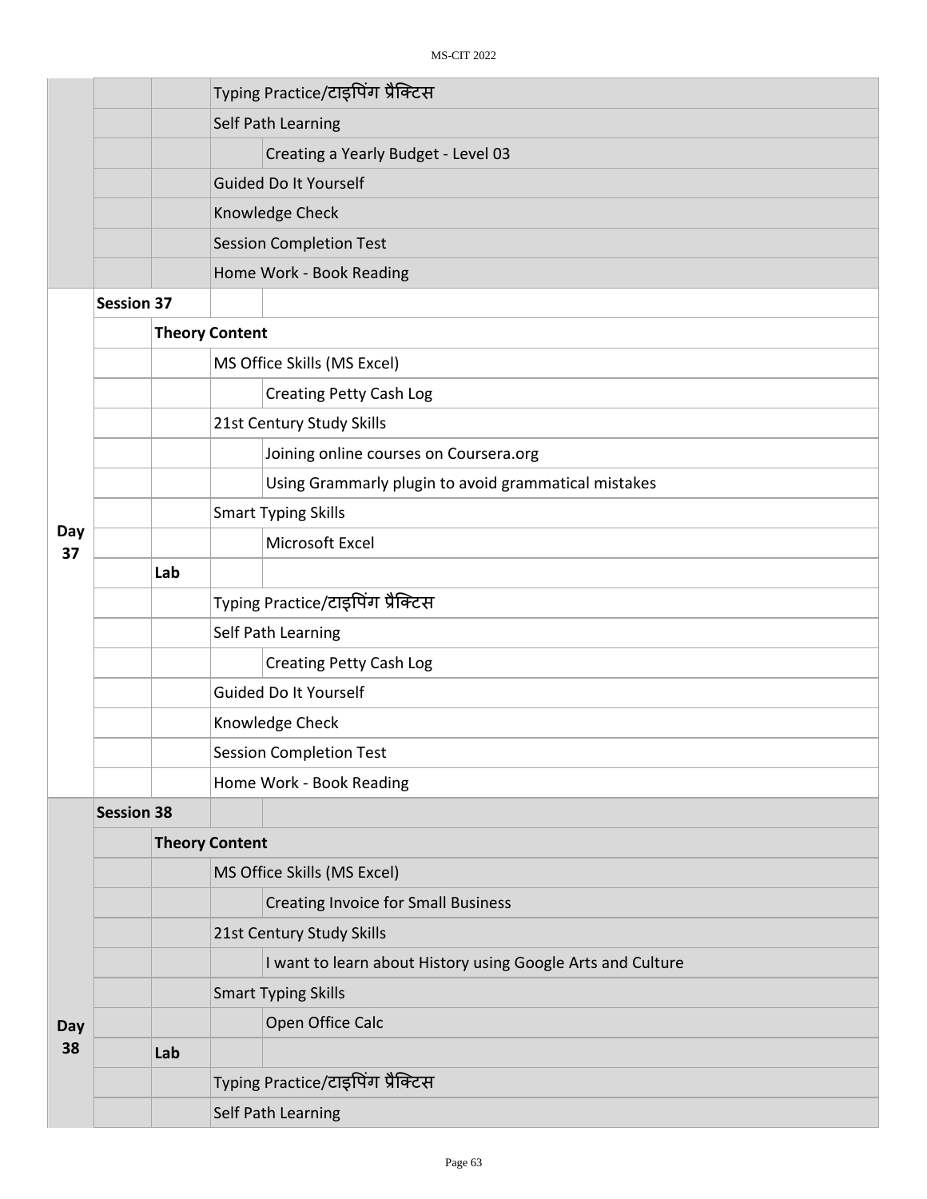|           |                   |                       | Typing Practice/टाइपिंग प्रैक्टिस |                                                             |  |  |  |
|-----------|-------------------|-----------------------|-----------------------------------|-------------------------------------------------------------|--|--|--|
|           |                   |                       |                                   | Self Path Learning                                          |  |  |  |
|           |                   |                       |                                   | Creating a Yearly Budget - Level 03                         |  |  |  |
|           |                   |                       |                                   | <b>Guided Do It Yourself</b>                                |  |  |  |
|           |                   |                       |                                   | Knowledge Check                                             |  |  |  |
|           |                   |                       |                                   | <b>Session Completion Test</b>                              |  |  |  |
|           |                   |                       |                                   | Home Work - Book Reading                                    |  |  |  |
|           | <b>Session 37</b> |                       |                                   |                                                             |  |  |  |
|           |                   | <b>Theory Content</b> |                                   |                                                             |  |  |  |
|           |                   |                       |                                   | MS Office Skills (MS Excel)                                 |  |  |  |
|           |                   |                       |                                   | <b>Creating Petty Cash Log</b>                              |  |  |  |
|           |                   |                       |                                   | 21st Century Study Skills                                   |  |  |  |
|           |                   |                       |                                   | Joining online courses on Coursera.org                      |  |  |  |
|           |                   |                       |                                   | Using Grammarly plugin to avoid grammatical mistakes        |  |  |  |
|           |                   |                       |                                   | <b>Smart Typing Skills</b>                                  |  |  |  |
| Day<br>37 |                   |                       |                                   | Microsoft Excel                                             |  |  |  |
|           |                   | Lab                   |                                   |                                                             |  |  |  |
|           |                   |                       | Typing Practice/टाइपिंग प्रैक्टिस |                                                             |  |  |  |
|           |                   |                       |                                   | Self Path Learning                                          |  |  |  |
|           |                   |                       |                                   | <b>Creating Petty Cash Log</b>                              |  |  |  |
|           |                   |                       |                                   | Guided Do It Yourself                                       |  |  |  |
|           |                   |                       | Knowledge Check                   |                                                             |  |  |  |
|           |                   |                       | <b>Session Completion Test</b>    |                                                             |  |  |  |
|           |                   |                       | Home Work - Book Reading          |                                                             |  |  |  |
|           | <b>Session 38</b> |                       |                                   |                                                             |  |  |  |
|           |                   | <b>Theory Content</b> |                                   |                                                             |  |  |  |
|           |                   |                       |                                   | MS Office Skills (MS Excel)                                 |  |  |  |
|           |                   |                       |                                   | <b>Creating Invoice for Small Business</b>                  |  |  |  |
|           |                   |                       |                                   | 21st Century Study Skills                                   |  |  |  |
|           |                   |                       |                                   | I want to learn about History using Google Arts and Culture |  |  |  |
|           |                   |                       |                                   | <b>Smart Typing Skills</b>                                  |  |  |  |
| Day       |                   |                       |                                   | Open Office Calc                                            |  |  |  |
| 38        |                   | Lab                   |                                   |                                                             |  |  |  |
|           |                   |                       |                                   | Typing Practice/टाइपिंग प्रैक्टिस                           |  |  |  |
|           |                   |                       |                                   | Self Path Learning                                          |  |  |  |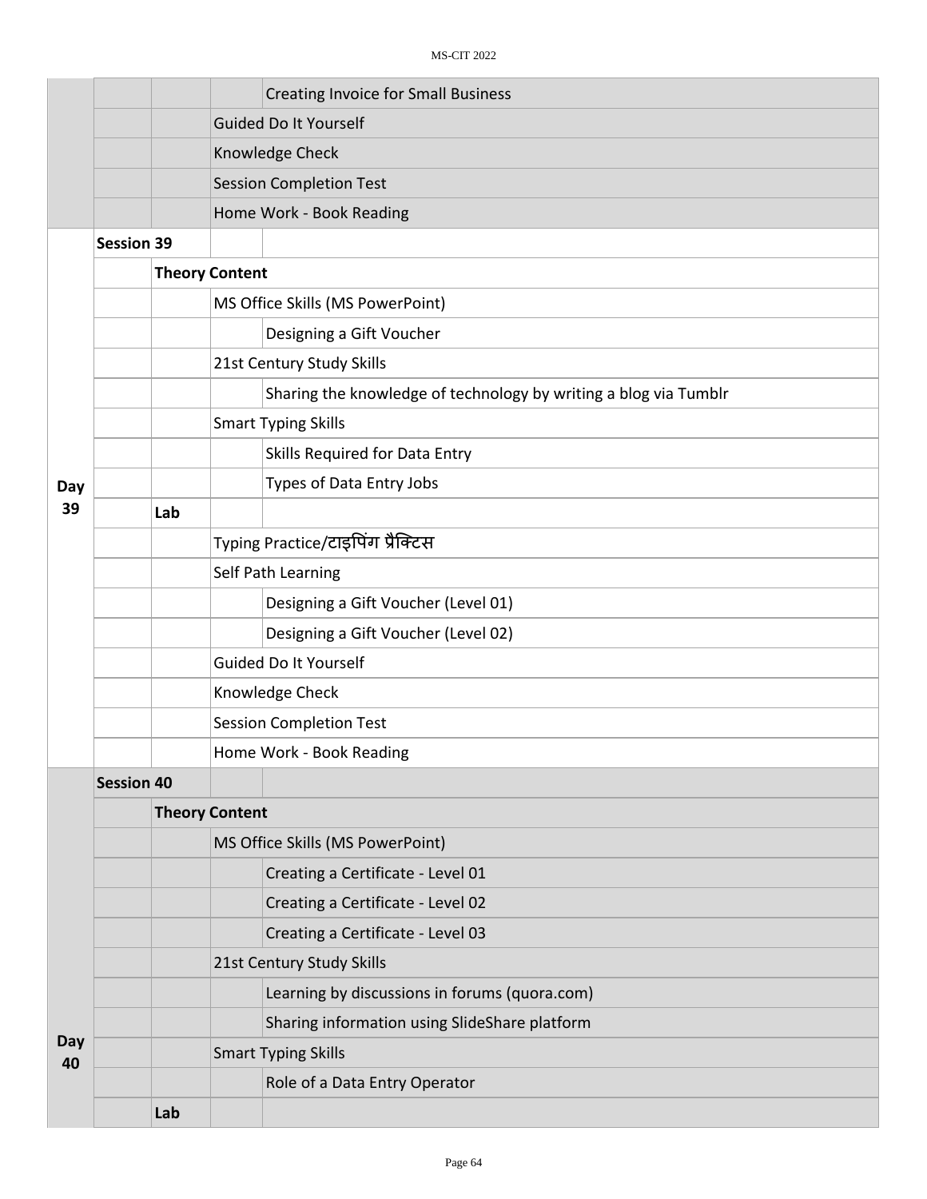|           |                   |     | <b>Creating Invoice for Small Business</b>                       |  |  |  |  |
|-----------|-------------------|-----|------------------------------------------------------------------|--|--|--|--|
|           |                   |     | <b>Guided Do It Yourself</b>                                     |  |  |  |  |
|           |                   |     | Knowledge Check                                                  |  |  |  |  |
|           |                   |     | <b>Session Completion Test</b>                                   |  |  |  |  |
|           |                   |     | Home Work - Book Reading                                         |  |  |  |  |
|           | <b>Session 39</b> |     |                                                                  |  |  |  |  |
|           |                   |     | <b>Theory Content</b>                                            |  |  |  |  |
|           |                   |     | MS Office Skills (MS PowerPoint)                                 |  |  |  |  |
|           |                   |     | Designing a Gift Voucher                                         |  |  |  |  |
|           |                   |     | 21st Century Study Skills                                        |  |  |  |  |
|           |                   |     | Sharing the knowledge of technology by writing a blog via Tumblr |  |  |  |  |
|           |                   |     | <b>Smart Typing Skills</b>                                       |  |  |  |  |
|           |                   |     | Skills Required for Data Entry                                   |  |  |  |  |
| Day       |                   |     | Types of Data Entry Jobs                                         |  |  |  |  |
| 39        |                   | Lab |                                                                  |  |  |  |  |
|           |                   |     | Typing Practice/टाइपिंग प्रैक्टिस                                |  |  |  |  |
|           |                   |     | Self Path Learning                                               |  |  |  |  |
|           |                   |     | Designing a Gift Voucher (Level 01)                              |  |  |  |  |
|           |                   |     | Designing a Gift Voucher (Level 02)                              |  |  |  |  |
|           |                   |     | Guided Do It Yourself                                            |  |  |  |  |
|           |                   |     | Knowledge Check                                                  |  |  |  |  |
|           |                   |     | <b>Session Completion Test</b>                                   |  |  |  |  |
|           |                   |     | Home Work - Book Reading                                         |  |  |  |  |
|           | <b>Session 40</b> |     |                                                                  |  |  |  |  |
|           |                   |     | <b>Theory Content</b>                                            |  |  |  |  |
|           |                   |     | MS Office Skills (MS PowerPoint)                                 |  |  |  |  |
|           |                   |     | Creating a Certificate - Level 01                                |  |  |  |  |
|           |                   |     | Creating a Certificate - Level 02                                |  |  |  |  |
|           |                   |     | Creating a Certificate - Level 03                                |  |  |  |  |
|           |                   |     | 21st Century Study Skills                                        |  |  |  |  |
|           |                   |     | Learning by discussions in forums (quora.com)                    |  |  |  |  |
|           |                   |     | Sharing information using SlideShare platform                    |  |  |  |  |
| Day<br>40 |                   |     | <b>Smart Typing Skills</b>                                       |  |  |  |  |
|           |                   |     | Role of a Data Entry Operator                                    |  |  |  |  |
|           |                   | Lab |                                                                  |  |  |  |  |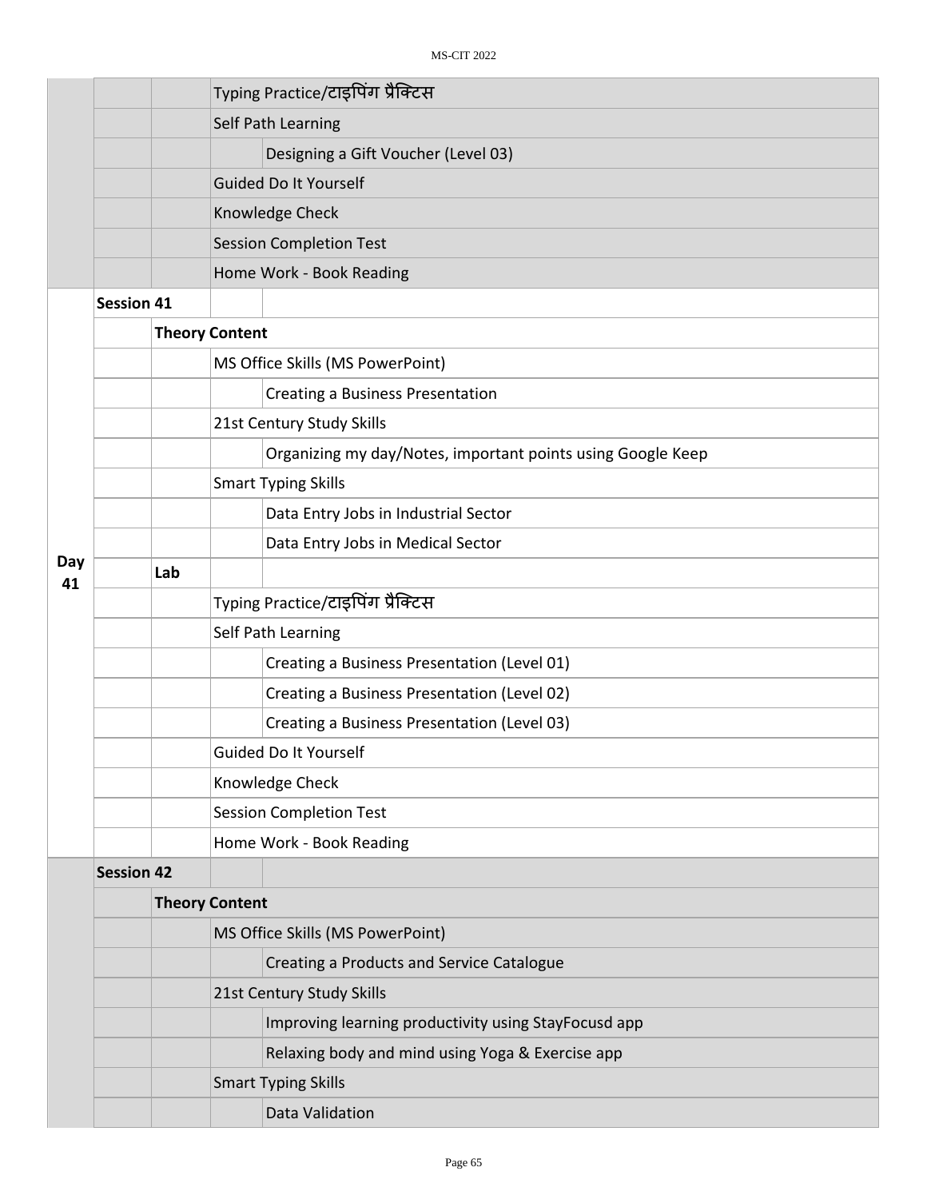|           |                   |     |                                   | Typing Practice/टाइपिंग प्रैक्टिस                           |  |  |
|-----------|-------------------|-----|-----------------------------------|-------------------------------------------------------------|--|--|
|           |                   |     |                                   | Self Path Learning                                          |  |  |
|           |                   |     |                                   | Designing a Gift Voucher (Level 03)                         |  |  |
|           |                   |     |                                   | <b>Guided Do It Yourself</b>                                |  |  |
|           |                   |     |                                   | Knowledge Check                                             |  |  |
|           |                   |     |                                   | <b>Session Completion Test</b>                              |  |  |
|           |                   |     |                                   | Home Work - Book Reading                                    |  |  |
|           | <b>Session 41</b> |     |                                   |                                                             |  |  |
|           |                   |     | <b>Theory Content</b>             |                                                             |  |  |
|           |                   |     |                                   | MS Office Skills (MS PowerPoint)                            |  |  |
|           |                   |     |                                   | <b>Creating a Business Presentation</b>                     |  |  |
|           |                   |     |                                   | 21st Century Study Skills                                   |  |  |
|           |                   |     |                                   | Organizing my day/Notes, important points using Google Keep |  |  |
|           |                   |     |                                   | <b>Smart Typing Skills</b>                                  |  |  |
|           |                   |     |                                   | Data Entry Jobs in Industrial Sector                        |  |  |
|           |                   |     |                                   | Data Entry Jobs in Medical Sector                           |  |  |
| Day<br>41 |                   | Lab |                                   |                                                             |  |  |
|           |                   |     | Typing Practice/टाइपिंग प्रैक्टिस |                                                             |  |  |
|           |                   |     |                                   | Self Path Learning                                          |  |  |
|           |                   |     |                                   | Creating a Business Presentation (Level 01)                 |  |  |
|           |                   |     |                                   | Creating a Business Presentation (Level 02)                 |  |  |
|           |                   |     |                                   | Creating a Business Presentation (Level 03)                 |  |  |
|           |                   |     |                                   | Guided Do It Yourself                                       |  |  |
|           |                   |     | Knowledge Check                   |                                                             |  |  |
|           |                   |     | <b>Session Completion Test</b>    |                                                             |  |  |
|           |                   |     |                                   | Home Work - Book Reading                                    |  |  |
|           | <b>Session 42</b> |     |                                   |                                                             |  |  |
|           |                   |     | <b>Theory Content</b>             |                                                             |  |  |
|           |                   |     |                                   | MS Office Skills (MS PowerPoint)                            |  |  |
|           |                   |     |                                   | Creating a Products and Service Catalogue                   |  |  |
|           |                   |     | 21st Century Study Skills         |                                                             |  |  |
|           |                   |     |                                   | Improving learning productivity using StayFocusd app        |  |  |
|           |                   |     |                                   | Relaxing body and mind using Yoga & Exercise app            |  |  |
|           |                   |     |                                   | <b>Smart Typing Skills</b>                                  |  |  |
|           |                   |     |                                   | Data Validation                                             |  |  |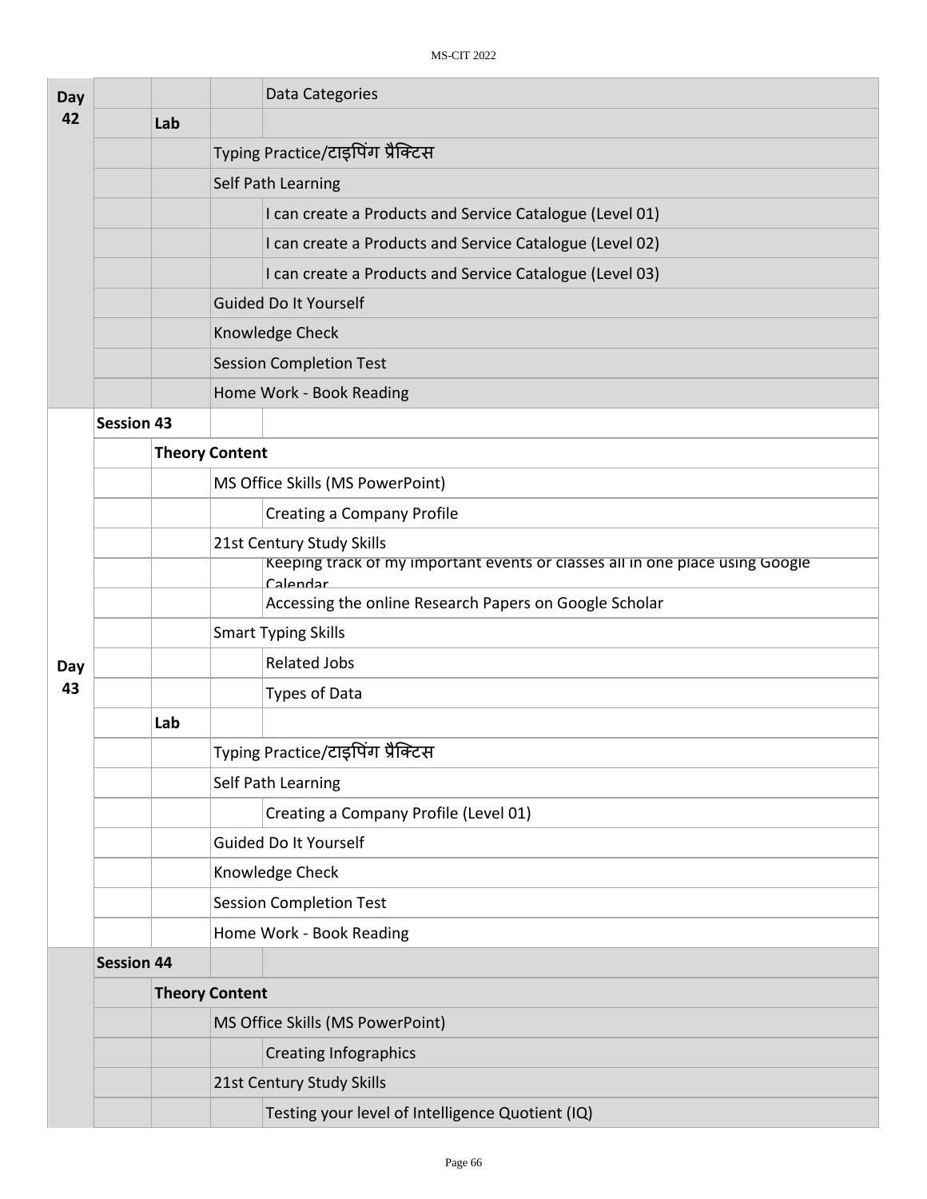| Day |                   |     | Data Categories                                                                           |  |  |  |  |
|-----|-------------------|-----|-------------------------------------------------------------------------------------------|--|--|--|--|
| 42  |                   | Lab |                                                                                           |  |  |  |  |
|     |                   |     | Typing Practice/टाइपिंग प्रैक्टिस                                                         |  |  |  |  |
|     |                   |     | Self Path Learning                                                                        |  |  |  |  |
|     |                   |     | I can create a Products and Service Catalogue (Level 01)                                  |  |  |  |  |
|     |                   |     | I can create a Products and Service Catalogue (Level 02)                                  |  |  |  |  |
|     |                   |     | I can create a Products and Service Catalogue (Level 03)                                  |  |  |  |  |
|     |                   |     | <b>Guided Do It Yourself</b>                                                              |  |  |  |  |
|     |                   |     | Knowledge Check                                                                           |  |  |  |  |
|     |                   |     | <b>Session Completion Test</b>                                                            |  |  |  |  |
|     |                   |     | Home Work - Book Reading                                                                  |  |  |  |  |
|     | <b>Session 43</b> |     |                                                                                           |  |  |  |  |
|     |                   |     | <b>Theory Content</b>                                                                     |  |  |  |  |
|     |                   |     | MS Office Skills (MS PowerPoint)                                                          |  |  |  |  |
|     |                   |     | <b>Creating a Company Profile</b>                                                         |  |  |  |  |
|     |                   |     | 21st Century Study Skills                                                                 |  |  |  |  |
|     |                   |     | Keeping track of my important events or classes all in one place using Google<br>Calendar |  |  |  |  |
|     |                   |     | Accessing the online Research Papers on Google Scholar                                    |  |  |  |  |
|     |                   |     | <b>Smart Typing Skills</b>                                                                |  |  |  |  |
| Day |                   |     | <b>Related Jobs</b>                                                                       |  |  |  |  |
| 43  |                   |     | <b>Types of Data</b>                                                                      |  |  |  |  |
|     |                   | Lab |                                                                                           |  |  |  |  |
|     |                   |     | Typing Practice/टाइपिंग प्रैक्टिस                                                         |  |  |  |  |
|     |                   |     | Self Path Learning                                                                        |  |  |  |  |
|     |                   |     | Creating a Company Profile (Level 01)                                                     |  |  |  |  |
|     |                   |     | Guided Do It Yourself                                                                     |  |  |  |  |
|     |                   |     | Knowledge Check                                                                           |  |  |  |  |
|     |                   |     | <b>Session Completion Test</b>                                                            |  |  |  |  |
|     |                   |     | Home Work - Book Reading                                                                  |  |  |  |  |
|     | <b>Session 44</b> |     |                                                                                           |  |  |  |  |
|     |                   |     | <b>Theory Content</b>                                                                     |  |  |  |  |
|     |                   |     | MS Office Skills (MS PowerPoint)                                                          |  |  |  |  |
|     |                   |     | <b>Creating Infographics</b>                                                              |  |  |  |  |
|     |                   |     | 21st Century Study Skills                                                                 |  |  |  |  |
|     |                   |     | Testing your level of Intelligence Quotient (IQ)                                          |  |  |  |  |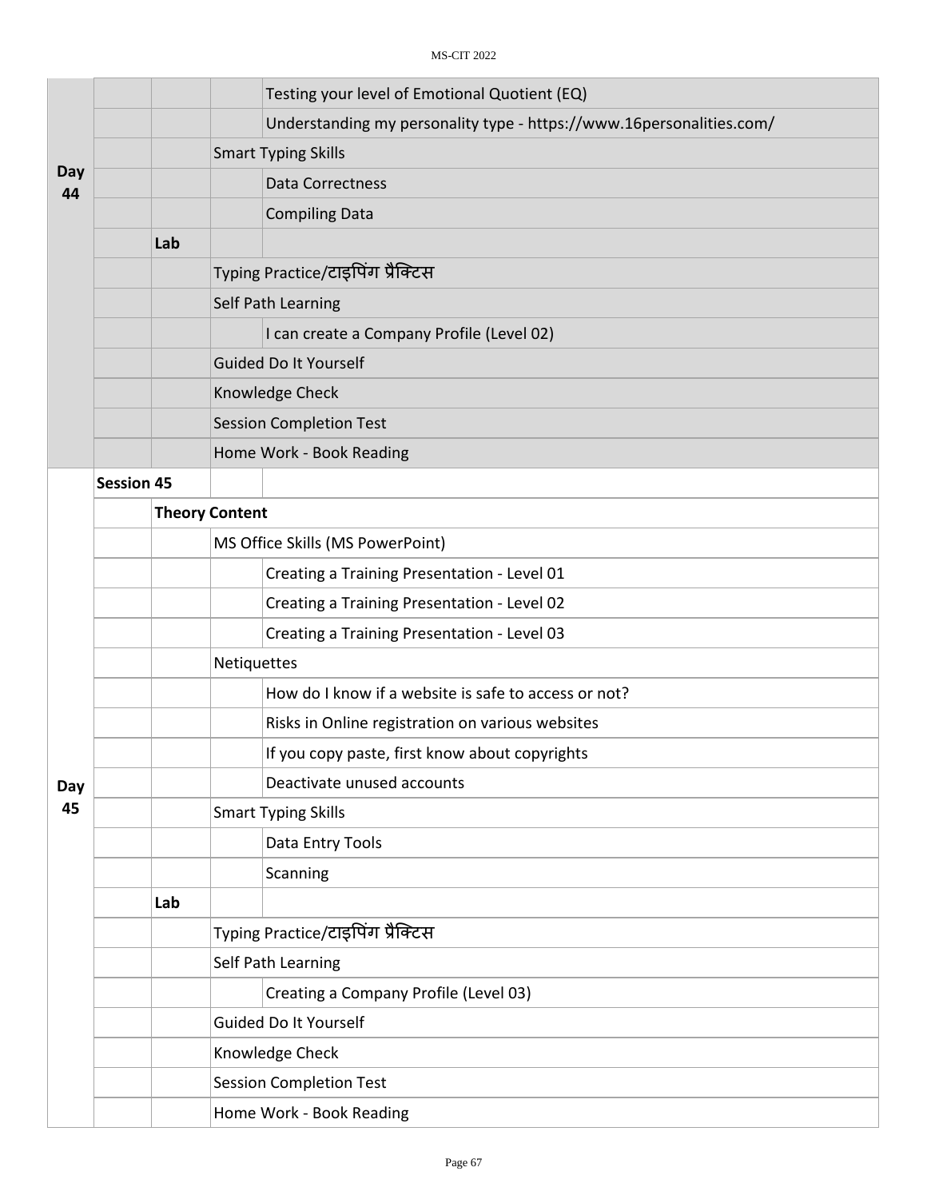|           |                   |     | Testing your level of Emotional Quotient (EQ)                        |  |  |  |
|-----------|-------------------|-----|----------------------------------------------------------------------|--|--|--|
|           |                   |     | Understanding my personality type - https://www.16personalities.com/ |  |  |  |
|           |                   |     | <b>Smart Typing Skills</b>                                           |  |  |  |
| Day<br>44 |                   |     | <b>Data Correctness</b>                                              |  |  |  |
|           |                   |     | <b>Compiling Data</b>                                                |  |  |  |
|           |                   | Lab |                                                                      |  |  |  |
|           |                   |     | Typing Practice/टाइपिंग प्रैक्टिस                                    |  |  |  |
|           |                   |     | <b>Self Path Learning</b>                                            |  |  |  |
|           |                   |     | I can create a Company Profile (Level 02)                            |  |  |  |
|           |                   |     | <b>Guided Do It Yourself</b>                                         |  |  |  |
|           |                   |     | Knowledge Check                                                      |  |  |  |
|           |                   |     | <b>Session Completion Test</b>                                       |  |  |  |
|           |                   |     | Home Work - Book Reading                                             |  |  |  |
|           | <b>Session 45</b> |     |                                                                      |  |  |  |
|           |                   |     | <b>Theory Content</b>                                                |  |  |  |
|           |                   |     | MS Office Skills (MS PowerPoint)                                     |  |  |  |
|           |                   |     | Creating a Training Presentation - Level 01                          |  |  |  |
|           |                   |     | Creating a Training Presentation - Level 02                          |  |  |  |
|           |                   |     | Creating a Training Presentation - Level 03                          |  |  |  |
|           |                   |     | Netiquettes                                                          |  |  |  |
|           |                   |     | How do I know if a website is safe to access or not?                 |  |  |  |
|           |                   |     | Risks in Online registration on various websites                     |  |  |  |
|           |                   |     | If you copy paste, first know about copyrights                       |  |  |  |
| Day       |                   |     | Deactivate unused accounts                                           |  |  |  |
| 45        |                   |     | <b>Smart Typing Skills</b>                                           |  |  |  |
|           |                   |     | Data Entry Tools                                                     |  |  |  |
|           |                   |     | Scanning                                                             |  |  |  |
|           |                   | Lab |                                                                      |  |  |  |
|           |                   |     | Typing Practice/टाइपिंग प्रैक्टिस                                    |  |  |  |
|           |                   |     | Self Path Learning                                                   |  |  |  |
|           |                   |     | Creating a Company Profile (Level 03)                                |  |  |  |
|           |                   |     | Guided Do It Yourself                                                |  |  |  |
|           |                   |     | Knowledge Check                                                      |  |  |  |
|           |                   |     | <b>Session Completion Test</b>                                       |  |  |  |
|           |                   |     | Home Work - Book Reading                                             |  |  |  |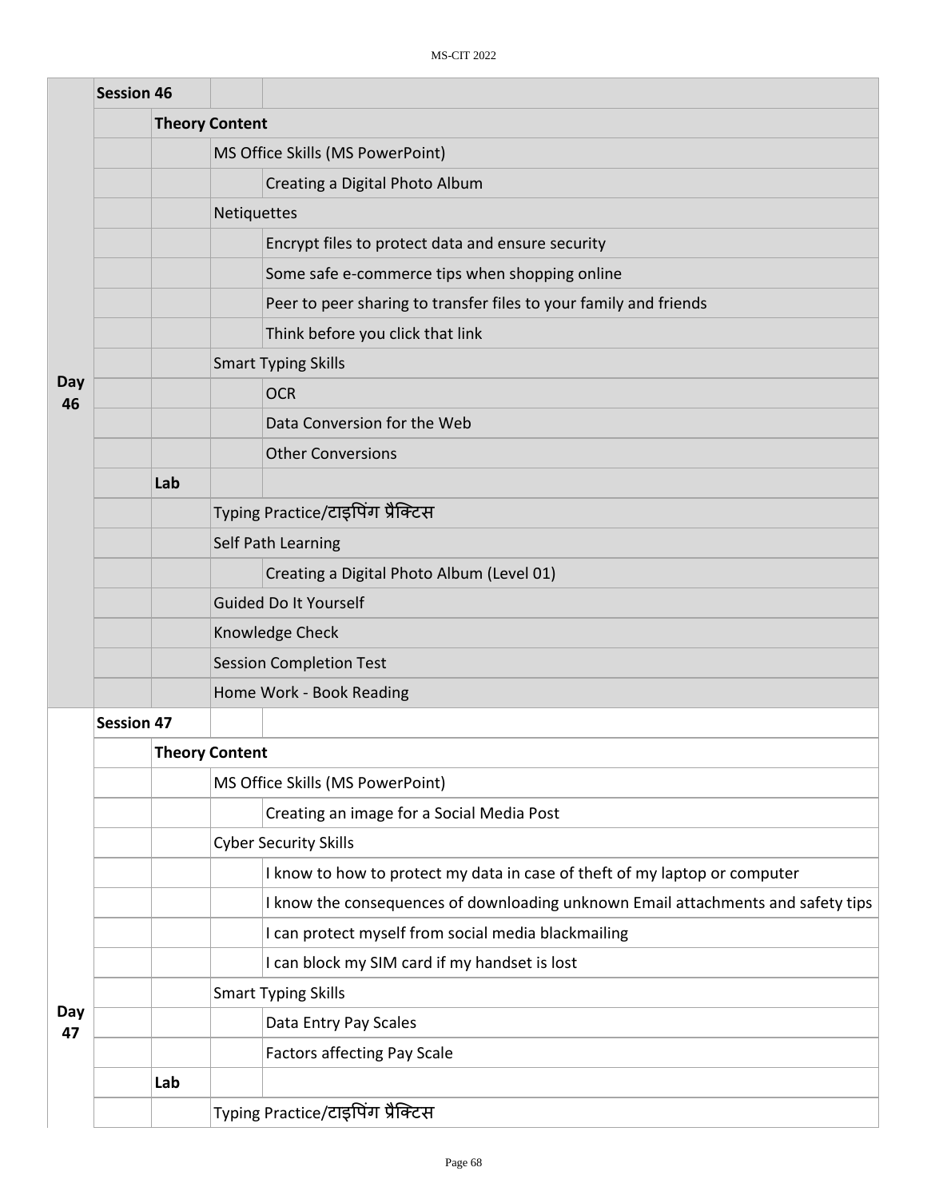|           | <b>Session 46</b> |     |                                                                                  |  |  |  |
|-----------|-------------------|-----|----------------------------------------------------------------------------------|--|--|--|
|           |                   |     | <b>Theory Content</b>                                                            |  |  |  |
|           |                   |     | MS Office Skills (MS PowerPoint)                                                 |  |  |  |
|           |                   |     | Creating a Digital Photo Album                                                   |  |  |  |
|           |                   |     | Netiquettes                                                                      |  |  |  |
|           |                   |     | Encrypt files to protect data and ensure security                                |  |  |  |
|           |                   |     | Some safe e-commerce tips when shopping online                                   |  |  |  |
|           |                   |     | Peer to peer sharing to transfer files to your family and friends                |  |  |  |
|           |                   |     | Think before you click that link                                                 |  |  |  |
|           |                   |     | <b>Smart Typing Skills</b>                                                       |  |  |  |
| Day<br>46 |                   |     | <b>OCR</b>                                                                       |  |  |  |
|           |                   |     | Data Conversion for the Web                                                      |  |  |  |
|           |                   |     | <b>Other Conversions</b>                                                         |  |  |  |
|           |                   | Lab |                                                                                  |  |  |  |
|           |                   |     | Typing Practice/टाइपिंग प्रैक्टिस                                                |  |  |  |
|           |                   |     | Self Path Learning                                                               |  |  |  |
|           |                   |     | Creating a Digital Photo Album (Level 01)                                        |  |  |  |
|           |                   |     | <b>Guided Do It Yourself</b>                                                     |  |  |  |
|           |                   |     | Knowledge Check                                                                  |  |  |  |
|           |                   |     | <b>Session Completion Test</b>                                                   |  |  |  |
|           |                   |     | Home Work - Book Reading                                                         |  |  |  |
|           | <b>Session 47</b> |     |                                                                                  |  |  |  |
|           |                   |     | <b>Theory Content</b>                                                            |  |  |  |
|           |                   |     | MS Office Skills (MS PowerPoint)                                                 |  |  |  |
|           |                   |     | Creating an image for a Social Media Post                                        |  |  |  |
|           |                   |     | <b>Cyber Security Skills</b>                                                     |  |  |  |
|           |                   |     | I know to how to protect my data in case of theft of my laptop or computer       |  |  |  |
|           |                   |     | I know the consequences of downloading unknown Email attachments and safety tips |  |  |  |
|           |                   |     | I can protect myself from social media blackmailing                              |  |  |  |
|           |                   |     | I can block my SIM card if my handset is lost                                    |  |  |  |
|           |                   |     | <b>Smart Typing Skills</b>                                                       |  |  |  |
| Day<br>47 |                   |     | Data Entry Pay Scales                                                            |  |  |  |
|           |                   |     | <b>Factors affecting Pay Scale</b>                                               |  |  |  |
|           |                   | Lab |                                                                                  |  |  |  |
|           |                   |     | Typing Practice/टाइपिंग प्रैक्टिस                                                |  |  |  |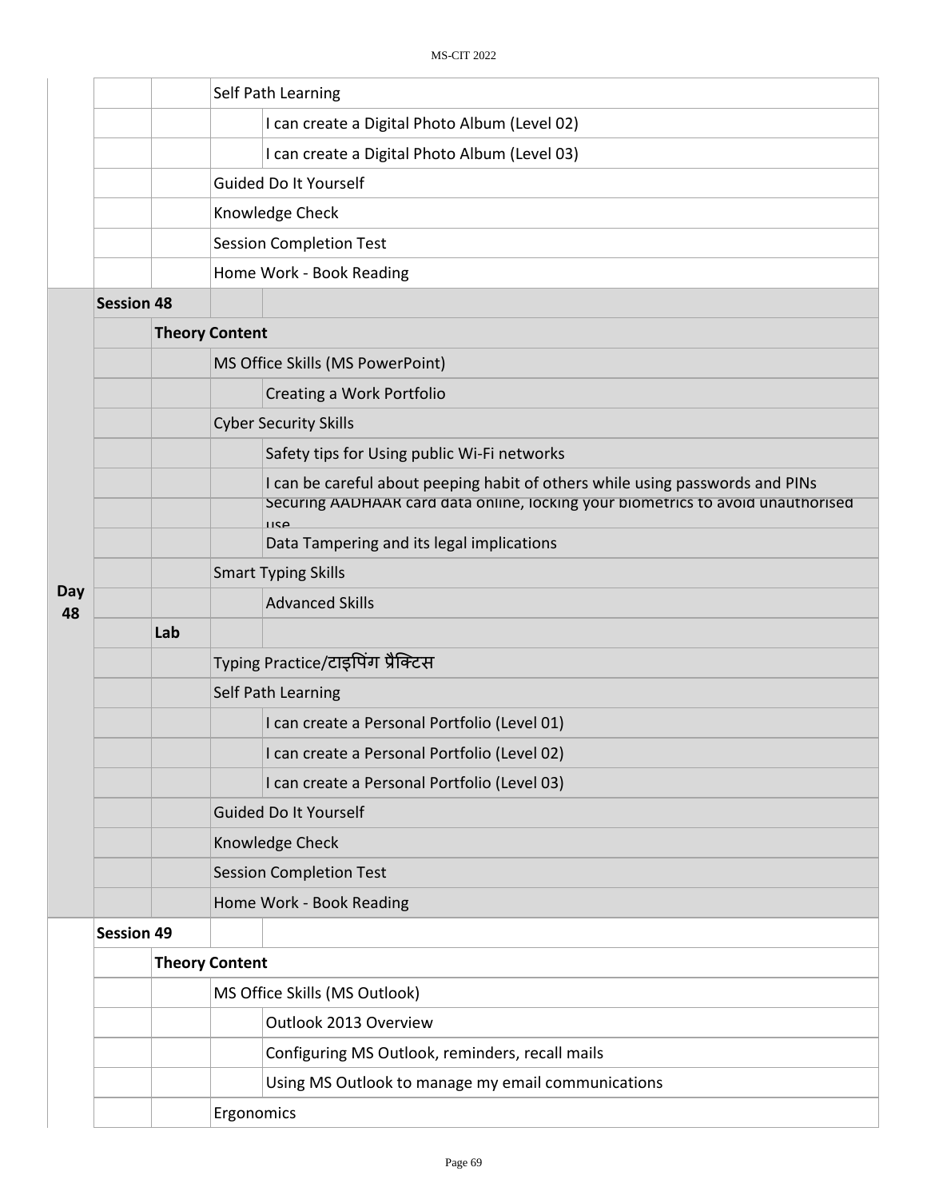|           |                   |                       | Self Path Learning                                                                                                                                                        |  |  |  |
|-----------|-------------------|-----------------------|---------------------------------------------------------------------------------------------------------------------------------------------------------------------------|--|--|--|
|           |                   |                       | I can create a Digital Photo Album (Level 02)                                                                                                                             |  |  |  |
|           |                   |                       |                                                                                                                                                                           |  |  |  |
|           |                   |                       | I can create a Digital Photo Album (Level 03)                                                                                                                             |  |  |  |
|           |                   |                       | Guided Do It Yourself                                                                                                                                                     |  |  |  |
|           |                   |                       | Knowledge Check                                                                                                                                                           |  |  |  |
|           |                   |                       | <b>Session Completion Test</b>                                                                                                                                            |  |  |  |
|           |                   |                       | Home Work - Book Reading                                                                                                                                                  |  |  |  |
|           | <b>Session 48</b> |                       |                                                                                                                                                                           |  |  |  |
|           |                   | <b>Theory Content</b> |                                                                                                                                                                           |  |  |  |
|           |                   |                       | MS Office Skills (MS PowerPoint)                                                                                                                                          |  |  |  |
|           |                   |                       | Creating a Work Portfolio                                                                                                                                                 |  |  |  |
|           |                   |                       | <b>Cyber Security Skills</b>                                                                                                                                              |  |  |  |
|           |                   |                       | Safety tips for Using public Wi-Fi networks                                                                                                                               |  |  |  |
|           |                   |                       | I can be careful about peeping habit of others while using passwords and PINs<br>Securing AADHAAR card data online, locking your biometrics to avoid unauthorised<br>1190 |  |  |  |
|           |                   |                       | Data Tampering and its legal implications                                                                                                                                 |  |  |  |
|           |                   |                       | <b>Smart Typing Skills</b>                                                                                                                                                |  |  |  |
| Day<br>48 |                   |                       | <b>Advanced Skills</b>                                                                                                                                                    |  |  |  |
|           |                   | Lab                   |                                                                                                                                                                           |  |  |  |
|           |                   |                       | Typing Practice/टाइपिंग प्रैक्टिस                                                                                                                                         |  |  |  |
|           |                   |                       | Self Path Learning                                                                                                                                                        |  |  |  |
|           |                   |                       | I can create a Personal Portfolio (Level 01)                                                                                                                              |  |  |  |
|           |                   |                       | I can create a Personal Portfolio (Level 02)                                                                                                                              |  |  |  |
|           |                   |                       | I can create a Personal Portfolio (Level 03)                                                                                                                              |  |  |  |
|           |                   |                       | <b>Guided Do It Yourself</b>                                                                                                                                              |  |  |  |
|           |                   |                       | Knowledge Check                                                                                                                                                           |  |  |  |
|           |                   |                       | <b>Session Completion Test</b>                                                                                                                                            |  |  |  |
|           |                   |                       | Home Work - Book Reading                                                                                                                                                  |  |  |  |
|           | <b>Session 49</b> |                       |                                                                                                                                                                           |  |  |  |
|           |                   |                       | <b>Theory Content</b>                                                                                                                                                     |  |  |  |
|           |                   |                       | MS Office Skills (MS Outlook)                                                                                                                                             |  |  |  |
|           |                   |                       | Outlook 2013 Overview                                                                                                                                                     |  |  |  |
|           |                   |                       | Configuring MS Outlook, reminders, recall mails                                                                                                                           |  |  |  |
|           |                   |                       | Using MS Outlook to manage my email communications                                                                                                                        |  |  |  |
|           |                   |                       | Ergonomics                                                                                                                                                                |  |  |  |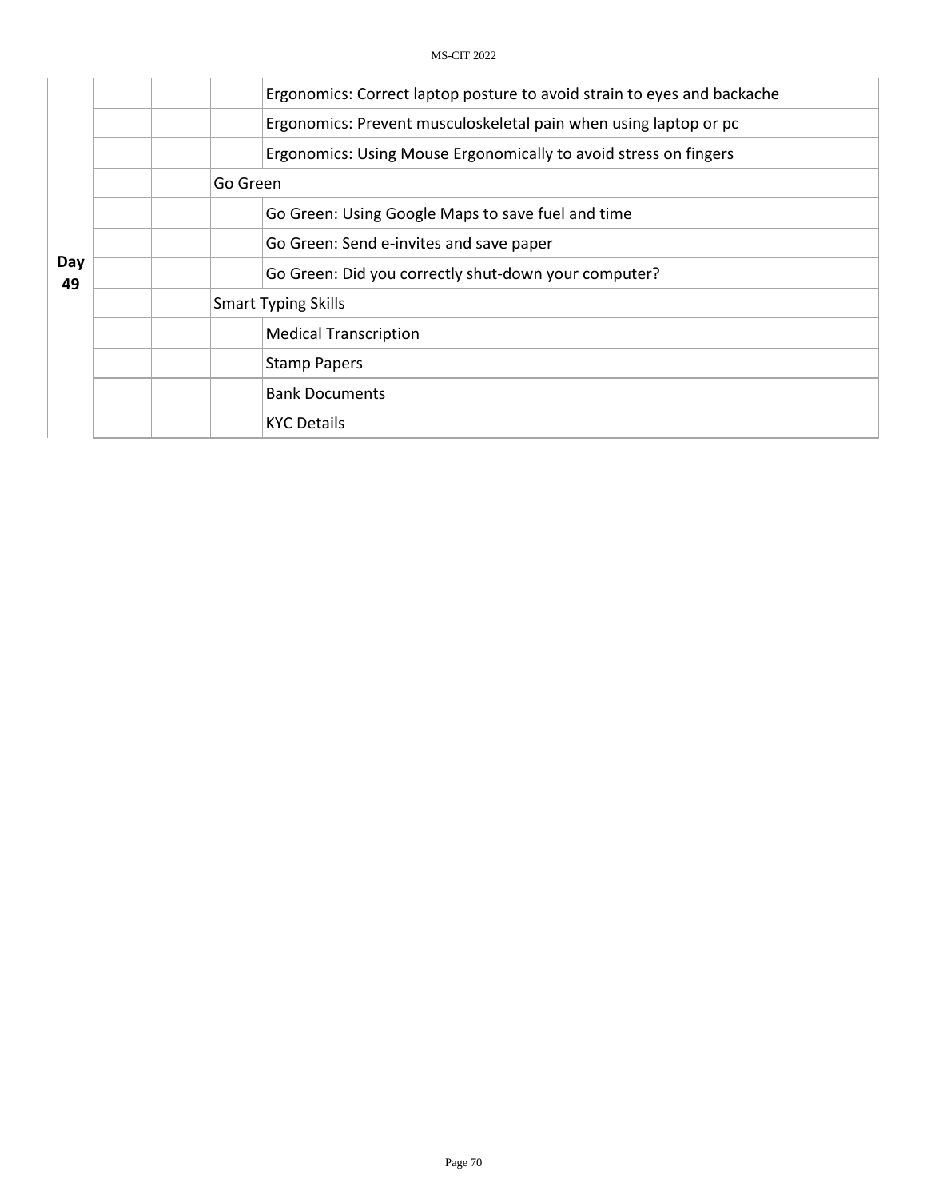|           | Ergonomics: Correct laptop posture to avoid strain to eyes and backache |  |  |  |  |
|-----------|-------------------------------------------------------------------------|--|--|--|--|
|           | Ergonomics: Prevent musculoskeletal pain when using laptop or pc        |  |  |  |  |
|           | Ergonomics: Using Mouse Ergonomically to avoid stress on fingers        |  |  |  |  |
|           | Go Green                                                                |  |  |  |  |
|           | Go Green: Using Google Maps to save fuel and time                       |  |  |  |  |
|           | Go Green: Send e-invites and save paper                                 |  |  |  |  |
| Day<br>49 | Go Green: Did you correctly shut-down your computer?                    |  |  |  |  |
|           | <b>Smart Typing Skills</b>                                              |  |  |  |  |
|           | <b>Medical Transcription</b>                                            |  |  |  |  |
|           | <b>Stamp Papers</b>                                                     |  |  |  |  |
|           | <b>Bank Documents</b>                                                   |  |  |  |  |
|           | <b>KYC Details</b>                                                      |  |  |  |  |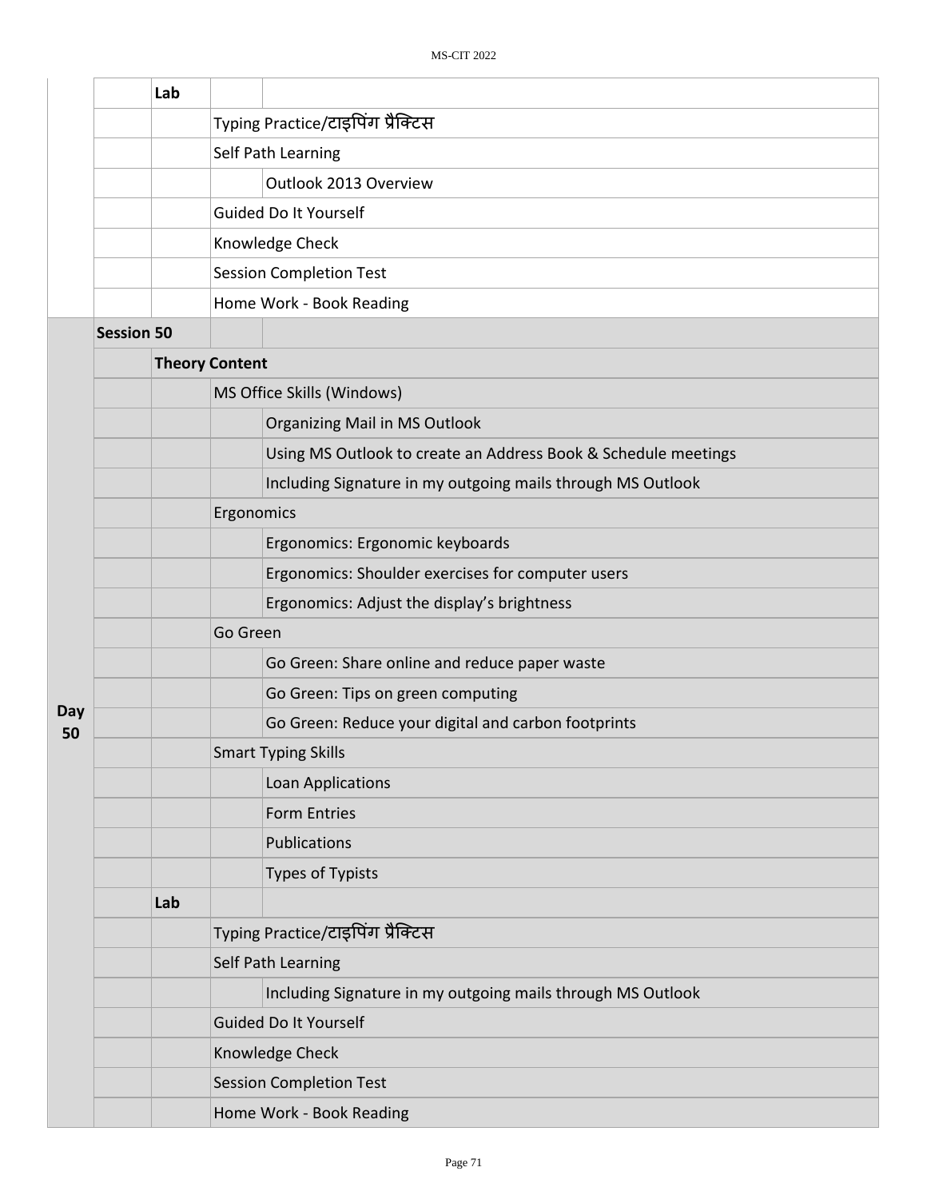|           | Lab               |                       |                                                                |
|-----------|-------------------|-----------------------|----------------------------------------------------------------|
|           |                   |                       | Typing Practice/टाइपिंग प्रैक्टिस                              |
|           |                   |                       | Self Path Learning                                             |
|           |                   |                       | Outlook 2013 Overview                                          |
|           |                   |                       | Guided Do It Yourself                                          |
|           |                   |                       | Knowledge Check                                                |
|           |                   |                       | <b>Session Completion Test</b>                                 |
|           |                   |                       | Home Work - Book Reading                                       |
|           | <b>Session 50</b> |                       |                                                                |
|           |                   | <b>Theory Content</b> |                                                                |
|           |                   |                       | MS Office Skills (Windows)                                     |
|           |                   |                       | Organizing Mail in MS Outlook                                  |
|           |                   |                       | Using MS Outlook to create an Address Book & Schedule meetings |
|           |                   |                       | Including Signature in my outgoing mails through MS Outlook    |
|           |                   | Ergonomics            |                                                                |
|           |                   |                       | Ergonomics: Ergonomic keyboards                                |
|           |                   |                       | Ergonomics: Shoulder exercises for computer users              |
|           |                   |                       | Ergonomics: Adjust the display's brightness                    |
|           |                   | Go Green              |                                                                |
|           |                   |                       | Go Green: Share online and reduce paper waste                  |
|           |                   |                       | Go Green: Tips on green computing                              |
| Day<br>50 |                   |                       | Go Green: Reduce your digital and carbon footprints            |
|           |                   |                       | <b>Smart Typing Skills</b>                                     |
|           |                   |                       | Loan Applications                                              |
|           |                   |                       | <b>Form Entries</b>                                            |
|           |                   |                       | Publications                                                   |
|           |                   |                       | Types of Typists                                               |
|           | Lab               |                       |                                                                |
|           |                   |                       | Typing Practice/टाइपिंग प्रैक्टिस                              |
|           |                   |                       | Self Path Learning                                             |
|           |                   |                       | Including Signature in my outgoing mails through MS Outlook    |
|           |                   |                       | Guided Do It Yourself                                          |
|           |                   |                       | Knowledge Check                                                |
|           |                   |                       | <b>Session Completion Test</b>                                 |
|           |                   |                       | Home Work - Book Reading                                       |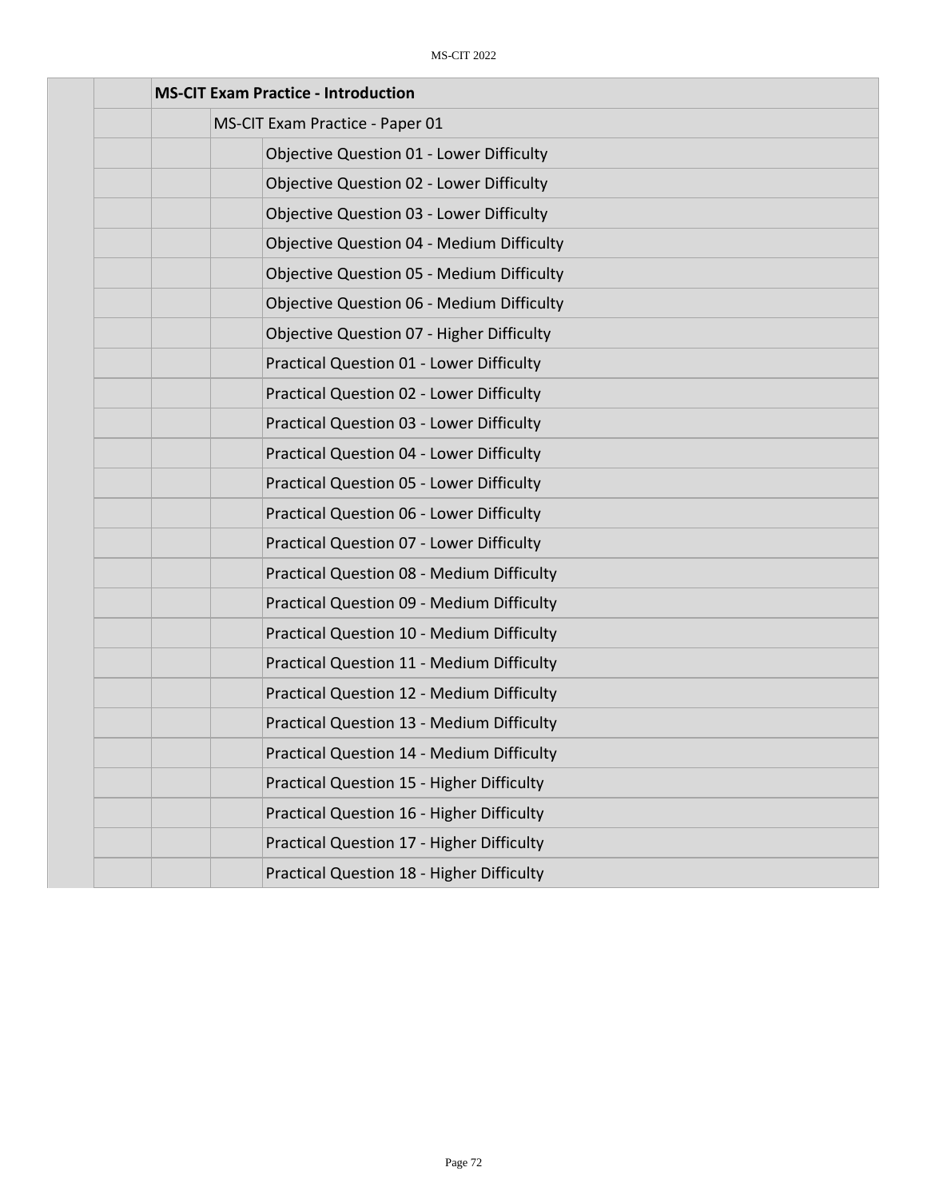| <b>MS-CIT Exam Practice - Introduction</b>       |
|--------------------------------------------------|
| MS-CIT Exam Practice - Paper 01                  |
| Objective Question 01 - Lower Difficulty         |
| <b>Objective Question 02 - Lower Difficulty</b>  |
| <b>Objective Question 03 - Lower Difficulty</b>  |
| <b>Objective Question 04 - Medium Difficulty</b> |
| <b>Objective Question 05 - Medium Difficulty</b> |
| <b>Objective Question 06 - Medium Difficulty</b> |
| Objective Question 07 - Higher Difficulty        |
| <b>Practical Question 01 - Lower Difficulty</b>  |
| Practical Question 02 - Lower Difficulty         |
| <b>Practical Question 03 - Lower Difficulty</b>  |
| Practical Question 04 - Lower Difficulty         |
| <b>Practical Question 05 - Lower Difficulty</b>  |
| <b>Practical Question 06 - Lower Difficulty</b>  |
| Practical Question 07 - Lower Difficulty         |
| <b>Practical Question 08 - Medium Difficulty</b> |
| Practical Question 09 - Medium Difficulty        |
| Practical Question 10 - Medium Difficulty        |
| <b>Practical Question 11 - Medium Difficulty</b> |
| <b>Practical Question 12 - Medium Difficulty</b> |
| Practical Question 13 - Medium Difficulty        |
| <b>Practical Question 14 - Medium Difficulty</b> |
| Practical Question 15 - Higher Difficulty        |
| Practical Question 16 - Higher Difficulty        |
| Practical Question 17 - Higher Difficulty        |
| Practical Question 18 - Higher Difficulty        |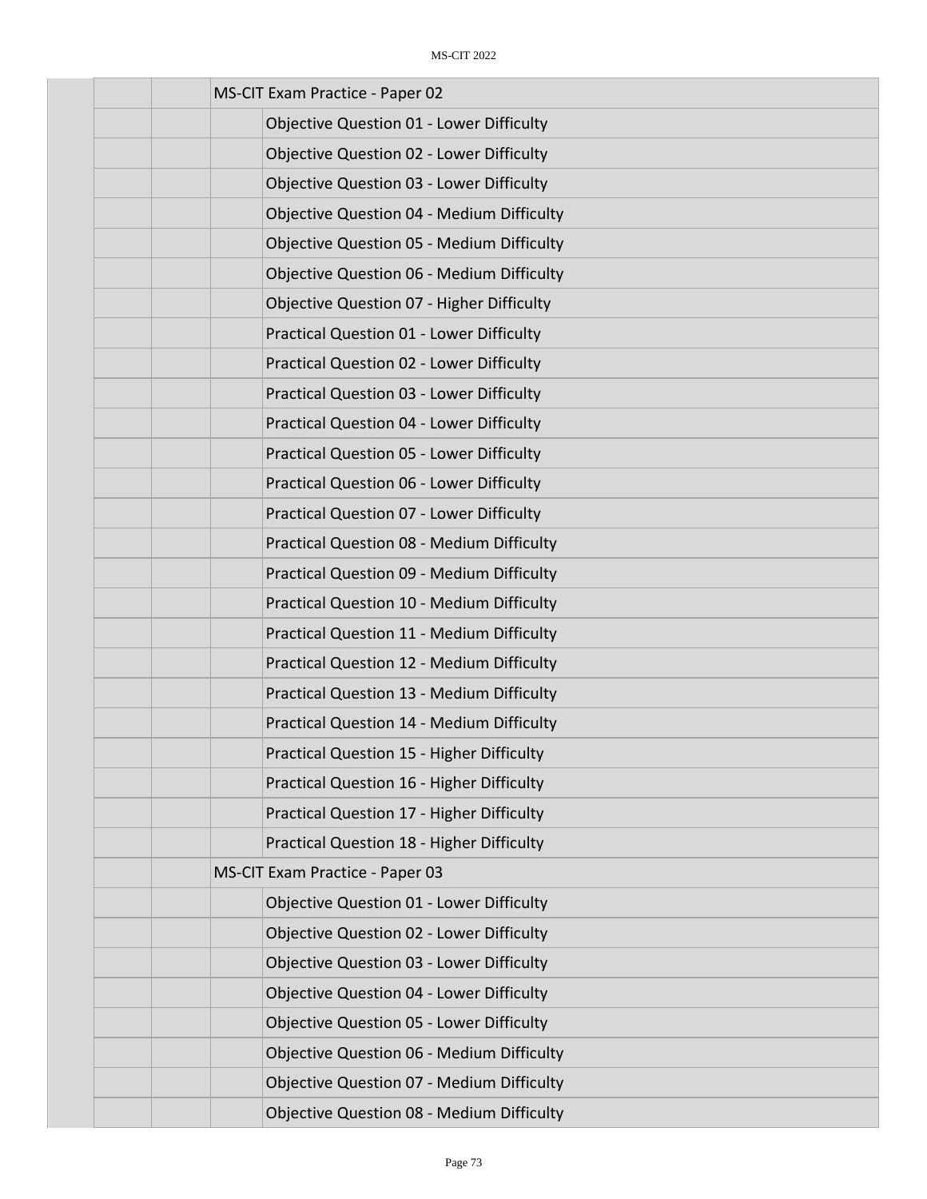| MS-CIT Exam Practice - Paper 02                  |
|--------------------------------------------------|
| <b>Objective Question 01 - Lower Difficulty</b>  |
| <b>Objective Question 02 - Lower Difficulty</b>  |
| <b>Objective Question 03 - Lower Difficulty</b>  |
| <b>Objective Question 04 - Medium Difficulty</b> |
| <b>Objective Question 05 - Medium Difficulty</b> |
| <b>Objective Question 06 - Medium Difficulty</b> |
| <b>Objective Question 07 - Higher Difficulty</b> |
| <b>Practical Question 01 - Lower Difficulty</b>  |
| Practical Question 02 - Lower Difficulty         |
| Practical Question 03 - Lower Difficulty         |
| <b>Practical Question 04 - Lower Difficulty</b>  |
| <b>Practical Question 05 - Lower Difficulty</b>  |
| <b>Practical Question 06 - Lower Difficulty</b>  |
| Practical Question 07 - Lower Difficulty         |
| <b>Practical Question 08 - Medium Difficulty</b> |
| Practical Question 09 - Medium Difficulty        |
| Practical Question 10 - Medium Difficulty        |
| Practical Question 11 - Medium Difficulty        |
| <b>Practical Question 12 - Medium Difficulty</b> |
| Practical Question 13 - Medium Difficulty        |
| Practical Question 14 - Medium Difficulty        |
| <b>Practical Question 15 - Higher Difficulty</b> |
| Practical Question 16 - Higher Difficulty        |
| Practical Question 17 - Higher Difficulty        |
| Practical Question 18 - Higher Difficulty        |
| MS-CIT Exam Practice - Paper 03                  |
| <b>Objective Question 01 - Lower Difficulty</b>  |
| <b>Objective Question 02 - Lower Difficulty</b>  |
| <b>Objective Question 03 - Lower Difficulty</b>  |
| <b>Objective Question 04 - Lower Difficulty</b>  |
| <b>Objective Question 05 - Lower Difficulty</b>  |
| <b>Objective Question 06 - Medium Difficulty</b> |
| <b>Objective Question 07 - Medium Difficulty</b> |
| Objective Question 08 - Medium Difficulty        |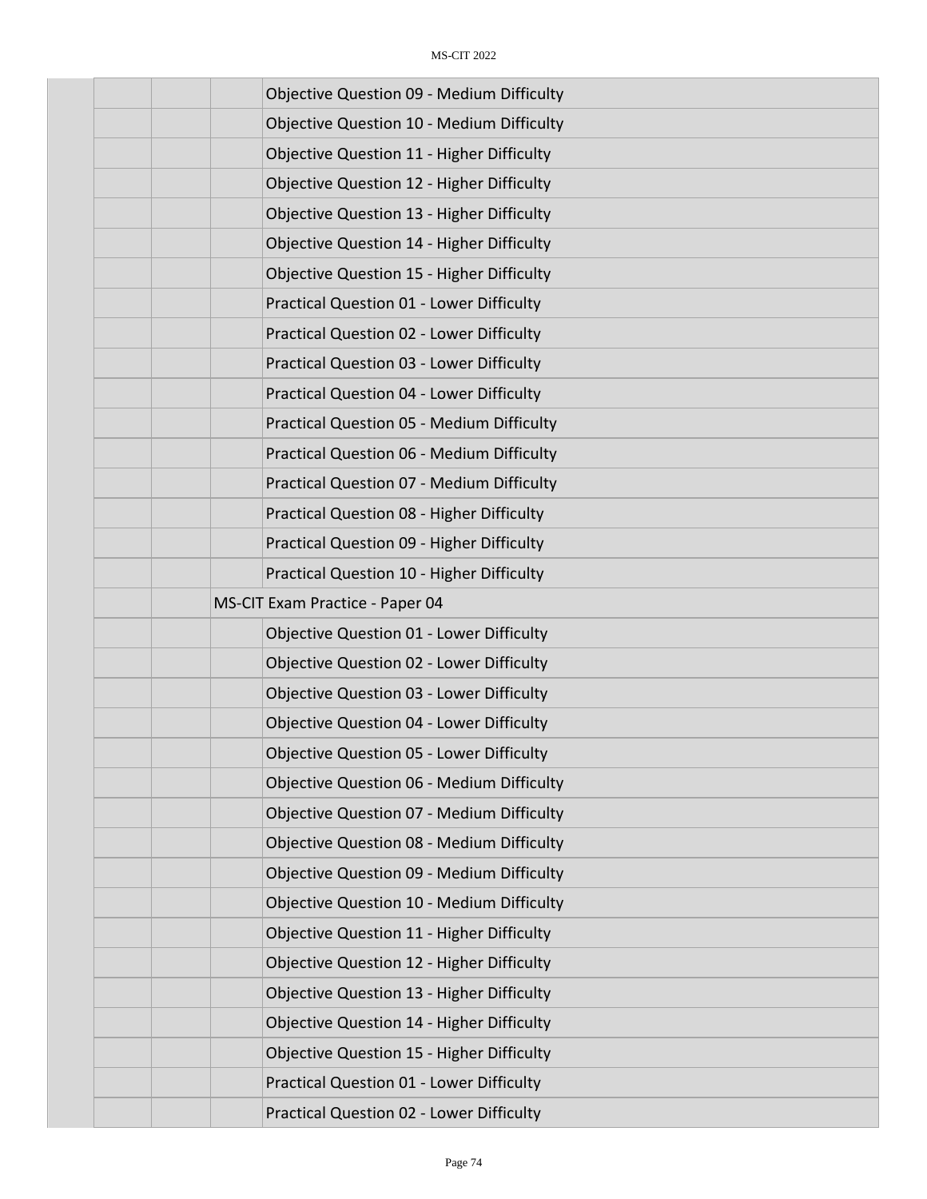| <b>Objective Question 09 - Medium Difficulty</b> |
|--------------------------------------------------|
| <b>Objective Question 10 - Medium Difficulty</b> |
| <b>Objective Question 11 - Higher Difficulty</b> |
| Objective Question 12 - Higher Difficulty        |
| <b>Objective Question 13 - Higher Difficulty</b> |
| <b>Objective Question 14 - Higher Difficulty</b> |
| <b>Objective Question 15 - Higher Difficulty</b> |
| Practical Question 01 - Lower Difficulty         |
| Practical Question 02 - Lower Difficulty         |
| Practical Question 03 - Lower Difficulty         |
| <b>Practical Question 04 - Lower Difficulty</b>  |
| Practical Question 05 - Medium Difficulty        |
| Practical Question 06 - Medium Difficulty        |
| Practical Question 07 - Medium Difficulty        |
| Practical Question 08 - Higher Difficulty        |
| Practical Question 09 - Higher Difficulty        |
| Practical Question 10 - Higher Difficulty        |
| MS-CIT Exam Practice - Paper 04                  |
| <b>Objective Question 01 - Lower Difficulty</b>  |
| <b>Objective Question 02 - Lower Difficulty</b>  |
| <b>Objective Question 03 - Lower Difficulty</b>  |
| <b>Objective Question 04 - Lower Difficulty</b>  |
| <b>Objective Question 05 - Lower Difficulty</b>  |
| <b>Objective Question 06 - Medium Difficulty</b> |
| <b>Objective Question 07 - Medium Difficulty</b> |
| Objective Question 08 - Medium Difficulty        |
| <b>Objective Question 09 - Medium Difficulty</b> |
| <b>Objective Question 10 - Medium Difficulty</b> |
| Objective Question 11 - Higher Difficulty        |
| <b>Objective Question 12 - Higher Difficulty</b> |
| Objective Question 13 - Higher Difficulty        |
| Objective Question 14 - Higher Difficulty        |
| <b>Objective Question 15 - Higher Difficulty</b> |
| Practical Question 01 - Lower Difficulty         |
| Practical Question 02 - Lower Difficulty         |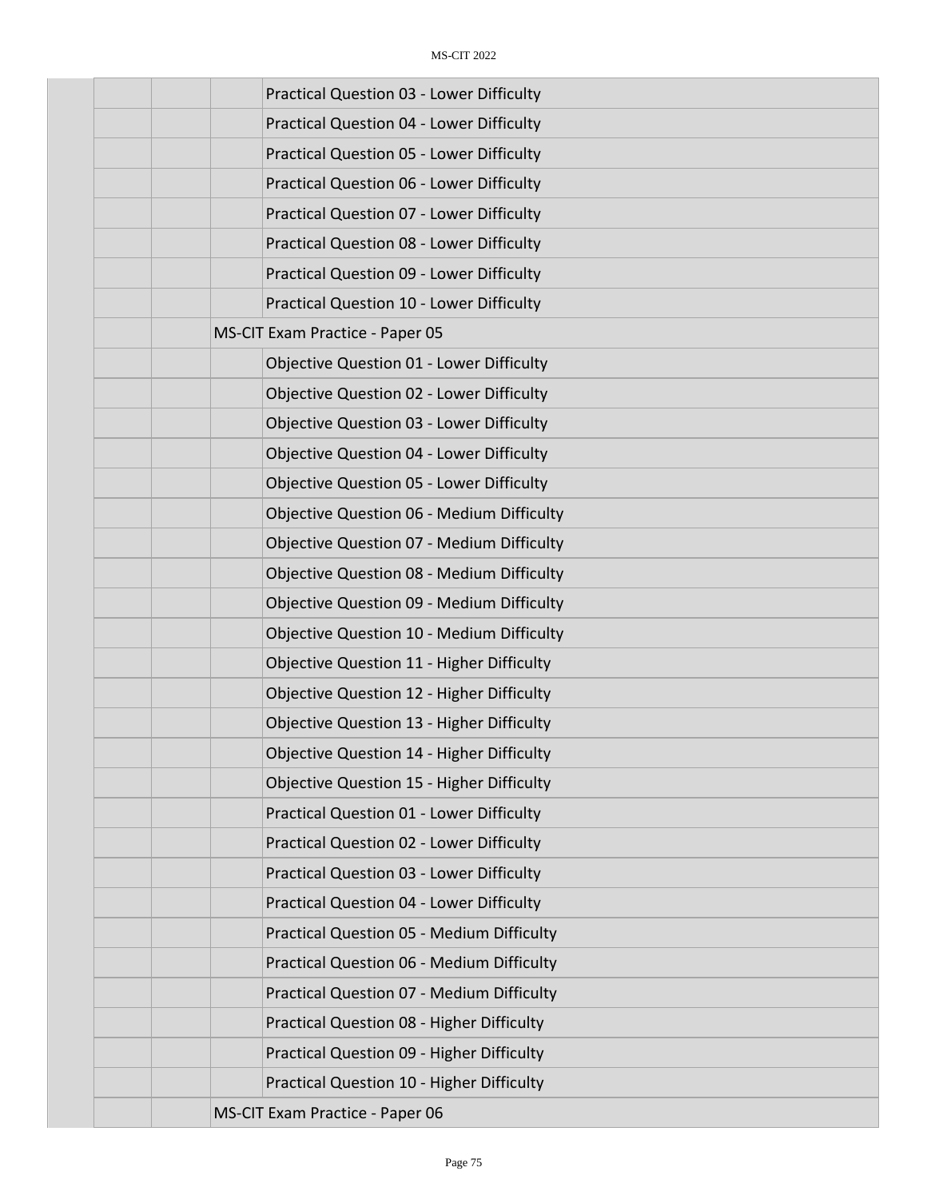| <b>Practical Question 03 - Lower Difficulty</b>  |
|--------------------------------------------------|
| <b>Practical Question 04 - Lower Difficulty</b>  |
| <b>Practical Question 05 - Lower Difficulty</b>  |
| Practical Question 06 - Lower Difficulty         |
| <b>Practical Question 07 - Lower Difficulty</b>  |
| Practical Question 08 - Lower Difficulty         |
| Practical Question 09 - Lower Difficulty         |
| Practical Question 10 - Lower Difficulty         |
| MS-CIT Exam Practice - Paper 05                  |
| Objective Question 01 - Lower Difficulty         |
| Objective Question 02 - Lower Difficulty         |
| <b>Objective Question 03 - Lower Difficulty</b>  |
| <b>Objective Question 04 - Lower Difficulty</b>  |
| <b>Objective Question 05 - Lower Difficulty</b>  |
| <b>Objective Question 06 - Medium Difficulty</b> |
| <b>Objective Question 07 - Medium Difficulty</b> |
| <b>Objective Question 08 - Medium Difficulty</b> |
| <b>Objective Question 09 - Medium Difficulty</b> |
| <b>Objective Question 10 - Medium Difficulty</b> |
| Objective Question 11 - Higher Difficulty        |
| Objective Question 12 - Higher Difficulty        |
| Objective Question 13 - Higher Difficulty        |
| Objective Question 14 - Higher Difficulty        |
| <b>Objective Question 15 - Higher Difficulty</b> |
| <b>Practical Question 01 - Lower Difficulty</b>  |
| Practical Question 02 - Lower Difficulty         |
| <b>Practical Question 03 - Lower Difficulty</b>  |
| <b>Practical Question 04 - Lower Difficulty</b>  |
| <b>Practical Question 05 - Medium Difficulty</b> |
| <b>Practical Question 06 - Medium Difficulty</b> |
| Practical Question 07 - Medium Difficulty        |
| Practical Question 08 - Higher Difficulty        |
| Practical Question 09 - Higher Difficulty        |
| Practical Question 10 - Higher Difficulty        |
| MS-CIT Exam Practice - Paper 06                  |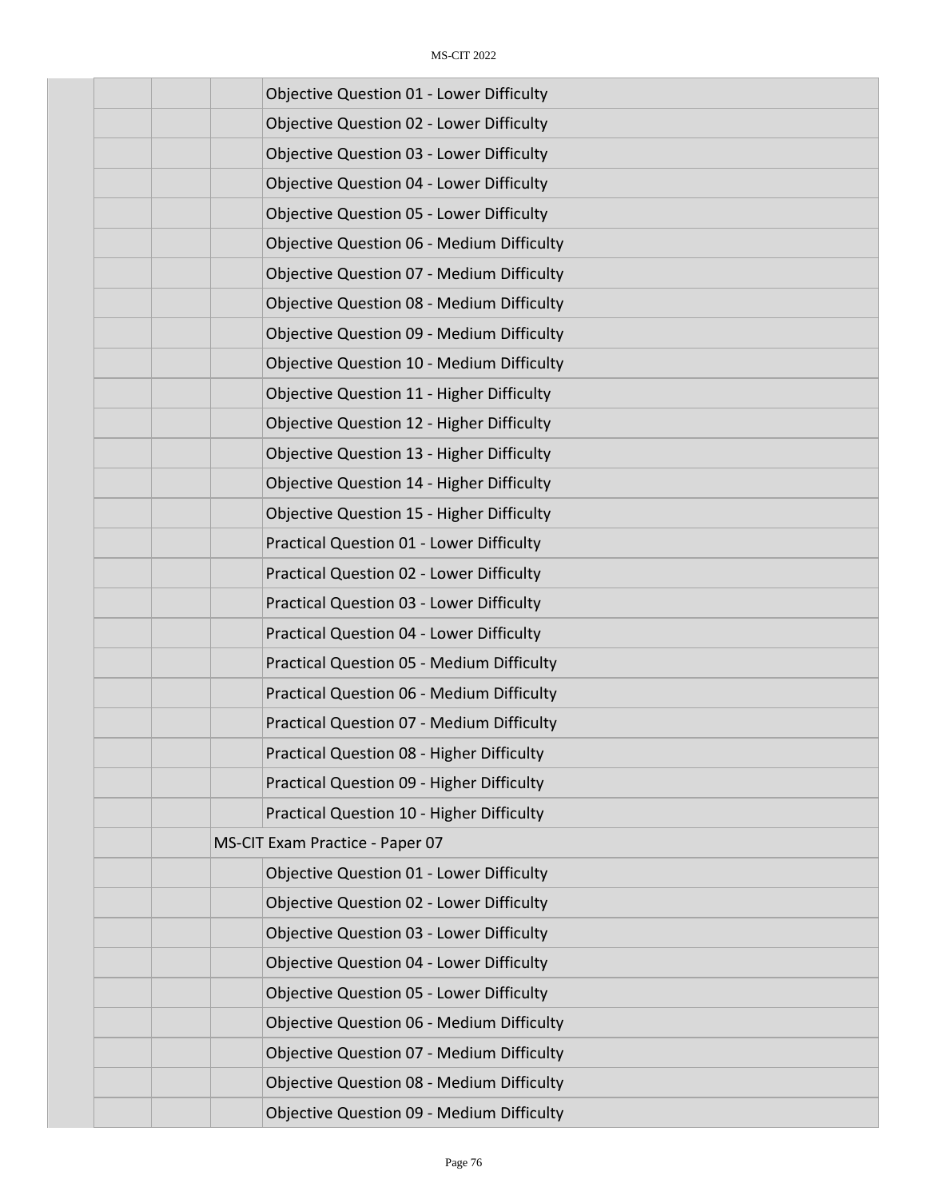| <b>Objective Question 01 - Lower Difficulty</b>  |
|--------------------------------------------------|
| <b>Objective Question 02 - Lower Difficulty</b>  |
| <b>Objective Question 03 - Lower Difficulty</b>  |
| <b>Objective Question 04 - Lower Difficulty</b>  |
| <b>Objective Question 05 - Lower Difficulty</b>  |
| <b>Objective Question 06 - Medium Difficulty</b> |
| <b>Objective Question 07 - Medium Difficulty</b> |
| <b>Objective Question 08 - Medium Difficulty</b> |
| <b>Objective Question 09 - Medium Difficulty</b> |
| <b>Objective Question 10 - Medium Difficulty</b> |
| <b>Objective Question 11 - Higher Difficulty</b> |
| Objective Question 12 - Higher Difficulty        |
| Objective Question 13 - Higher Difficulty        |
| <b>Objective Question 14 - Higher Difficulty</b> |
| <b>Objective Question 15 - Higher Difficulty</b> |
| Practical Question 01 - Lower Difficulty         |
| Practical Question 02 - Lower Difficulty         |
| Practical Question 03 - Lower Difficulty         |
| Practical Question 04 - Lower Difficulty         |
| Practical Question 05 - Medium Difficulty        |
| Practical Question 06 - Medium Difficulty        |
| Practical Question 07 - Medium Difficulty        |
| <b>Practical Question 08 - Higher Difficulty</b> |
| Practical Question 09 - Higher Difficulty        |
| Practical Question 10 - Higher Difficulty        |
| MS-CIT Exam Practice - Paper 07                  |
| <b>Objective Question 01 - Lower Difficulty</b>  |
| Objective Question 02 - Lower Difficulty         |
| <b>Objective Question 03 - Lower Difficulty</b>  |
| <b>Objective Question 04 - Lower Difficulty</b>  |
| <b>Objective Question 05 - Lower Difficulty</b>  |
| <b>Objective Question 06 - Medium Difficulty</b> |
| <b>Objective Question 07 - Medium Difficulty</b> |
| <b>Objective Question 08 - Medium Difficulty</b> |
| <b>Objective Question 09 - Medium Difficulty</b> |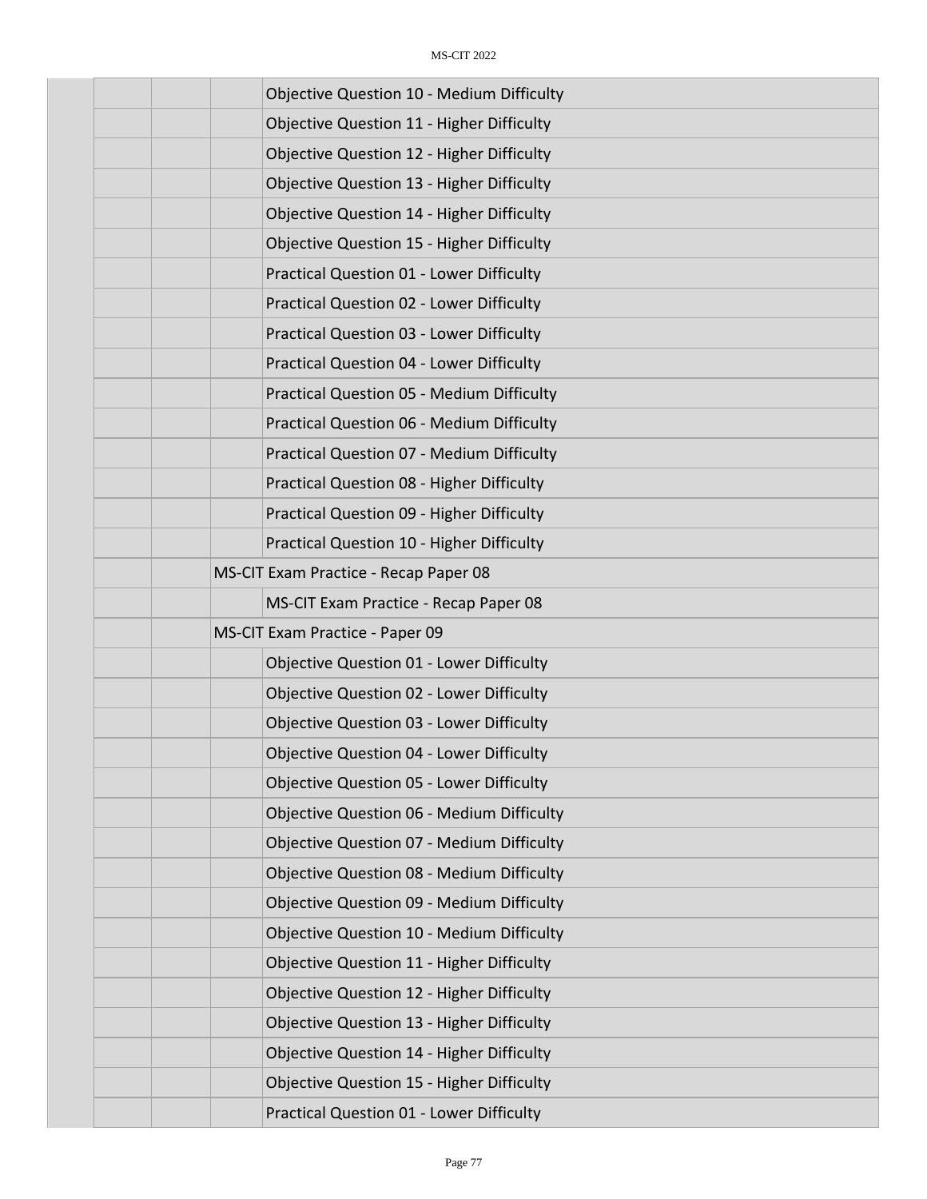| <b>Objective Question 10 - Medium Difficulty</b> |
|--------------------------------------------------|
| <b>Objective Question 11 - Higher Difficulty</b> |
| <b>Objective Question 12 - Higher Difficulty</b> |
| Objective Question 13 - Higher Difficulty        |
| <b>Objective Question 14 - Higher Difficulty</b> |
| <b>Objective Question 15 - Higher Difficulty</b> |
| <b>Practical Question 01 - Lower Difficulty</b>  |
| Practical Question 02 - Lower Difficulty         |
| Practical Question 03 - Lower Difficulty         |
| Practical Question 04 - Lower Difficulty         |
| <b>Practical Question 05 - Medium Difficulty</b> |
| Practical Question 06 - Medium Difficulty        |
| Practical Question 07 - Medium Difficulty        |
| Practical Question 08 - Higher Difficulty        |
| Practical Question 09 - Higher Difficulty        |
| Practical Question 10 - Higher Difficulty        |
| MS-CIT Exam Practice - Recap Paper 08            |
| MS-CIT Exam Practice - Recap Paper 08            |
| MS-CIT Exam Practice - Paper 09                  |
| Objective Question 01 - Lower Difficulty         |
| <b>Objective Question 02 - Lower Difficulty</b>  |
| <b>Objective Question 03 - Lower Difficulty</b>  |
| <b>Objective Question 04 - Lower Difficulty</b>  |
| <b>Objective Question 05 - Lower Difficulty</b>  |
| <b>Objective Question 06 - Medium Difficulty</b> |
| <b>Objective Question 07 - Medium Difficulty</b> |
| <b>Objective Question 08 - Medium Difficulty</b> |
| <b>Objective Question 09 - Medium Difficulty</b> |
| <b>Objective Question 10 - Medium Difficulty</b> |
| Objective Question 11 - Higher Difficulty        |
| Objective Question 12 - Higher Difficulty        |
| Objective Question 13 - Higher Difficulty        |
| Objective Question 14 - Higher Difficulty        |
| <b>Objective Question 15 - Higher Difficulty</b> |
| Practical Question 01 - Lower Difficulty         |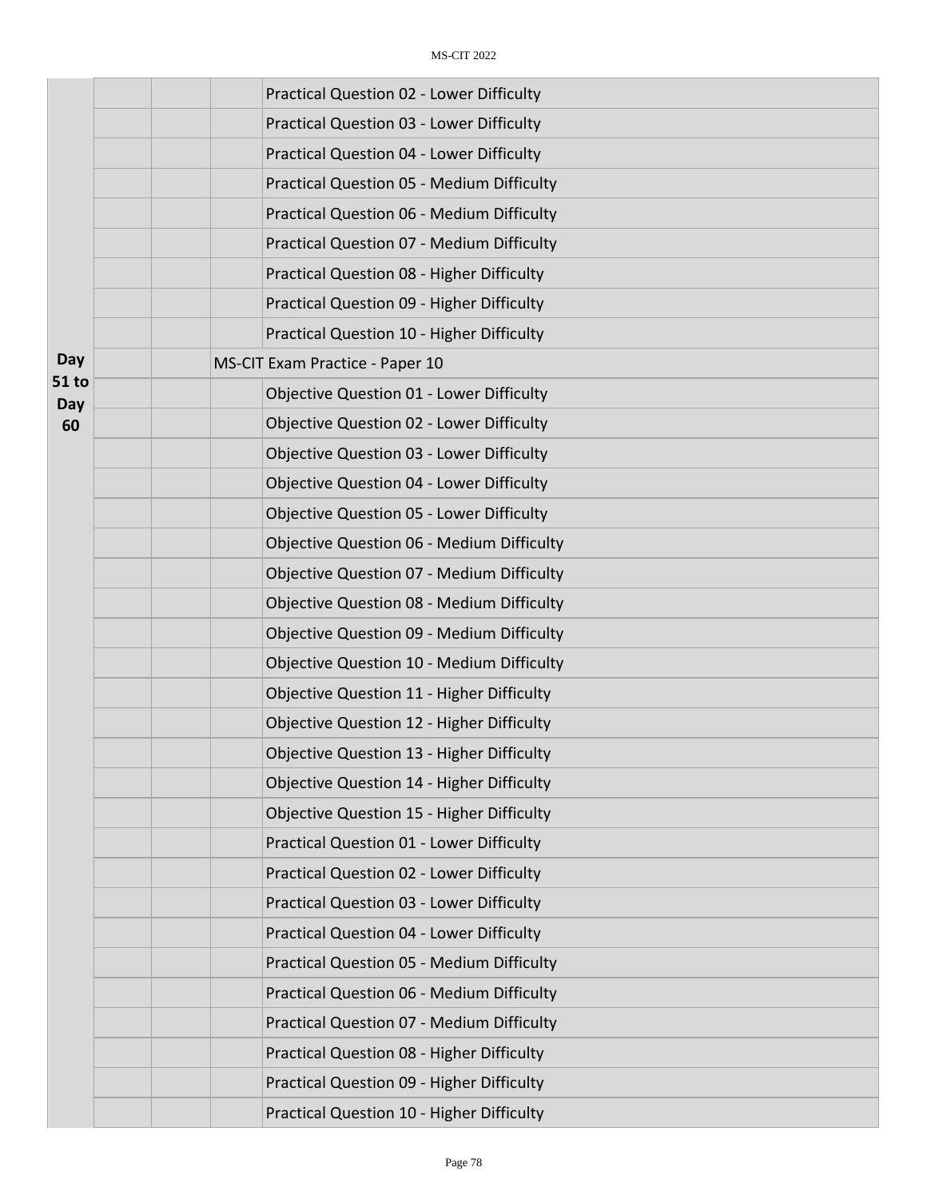|              | Practical Question 02 - Lower Difficulty         |
|--------------|--------------------------------------------------|
|              | <b>Practical Question 03 - Lower Difficulty</b>  |
|              | Practical Question 04 - Lower Difficulty         |
|              | <b>Practical Question 05 - Medium Difficulty</b> |
|              | Practical Question 06 - Medium Difficulty        |
|              | Practical Question 07 - Medium Difficulty        |
|              | Practical Question 08 - Higher Difficulty        |
|              | Practical Question 09 - Higher Difficulty        |
|              | Practical Question 10 - Higher Difficulty        |
| Day          | MS-CIT Exam Practice - Paper 10                  |
| 51 to<br>Day | <b>Objective Question 01 - Lower Difficulty</b>  |
| 60           | <b>Objective Question 02 - Lower Difficulty</b>  |
|              | <b>Objective Question 03 - Lower Difficulty</b>  |
|              | <b>Objective Question 04 - Lower Difficulty</b>  |
|              | <b>Objective Question 05 - Lower Difficulty</b>  |
|              | <b>Objective Question 06 - Medium Difficulty</b> |
|              | <b>Objective Question 07 - Medium Difficulty</b> |
|              | <b>Objective Question 08 - Medium Difficulty</b> |
|              | <b>Objective Question 09 - Medium Difficulty</b> |
|              | <b>Objective Question 10 - Medium Difficulty</b> |
|              | <b>Objective Question 11 - Higher Difficulty</b> |
|              | Objective Question 12 - Higher Difficulty        |
|              | <b>Objective Question 13 - Higher Difficulty</b> |
|              | Objective Question 14 - Higher Difficulty        |
|              | <b>Objective Question 15 - Higher Difficulty</b> |
|              | Practical Question 01 - Lower Difficulty         |
|              | <b>Practical Question 02 - Lower Difficulty</b>  |
|              | Practical Question 03 - Lower Difficulty         |
|              | Practical Question 04 - Lower Difficulty         |
|              | <b>Practical Question 05 - Medium Difficulty</b> |
|              | Practical Question 06 - Medium Difficulty        |
|              | Practical Question 07 - Medium Difficulty        |
|              | Practical Question 08 - Higher Difficulty        |
|              | Practical Question 09 - Higher Difficulty        |
|              | Practical Question 10 - Higher Difficulty        |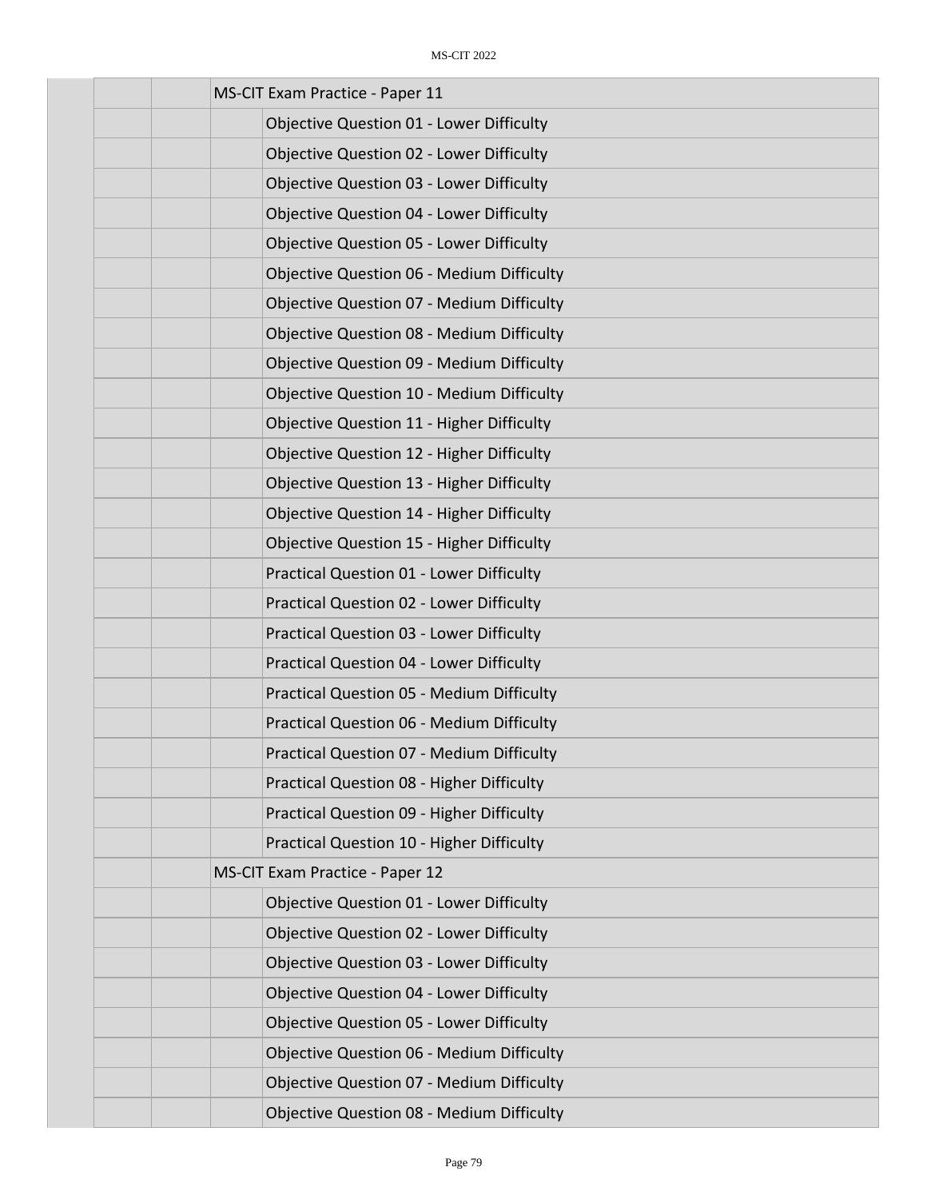| MS-CIT Exam Practice - Paper 11                  |
|--------------------------------------------------|
| <b>Objective Question 01 - Lower Difficulty</b>  |
| <b>Objective Question 02 - Lower Difficulty</b>  |
| <b>Objective Question 03 - Lower Difficulty</b>  |
| <b>Objective Question 04 - Lower Difficulty</b>  |
| <b>Objective Question 05 - Lower Difficulty</b>  |
| <b>Objective Question 06 - Medium Difficulty</b> |
| <b>Objective Question 07 - Medium Difficulty</b> |
| <b>Objective Question 08 - Medium Difficulty</b> |
| <b>Objective Question 09 - Medium Difficulty</b> |
| <b>Objective Question 10 - Medium Difficulty</b> |
| Objective Question 11 - Higher Difficulty        |
| Objective Question 12 - Higher Difficulty        |
| Objective Question 13 - Higher Difficulty        |
| <b>Objective Question 14 - Higher Difficulty</b> |
| <b>Objective Question 15 - Higher Difficulty</b> |
| <b>Practical Question 01 - Lower Difficulty</b>  |
| <b>Practical Question 02 - Lower Difficulty</b>  |
| <b>Practical Question 03 - Lower Difficulty</b>  |
| Practical Question 04 - Lower Difficulty         |
| Practical Question 05 - Medium Difficulty        |
| Practical Question 06 - Medium Difficulty        |
| <b>Practical Question 07 - Medium Difficulty</b> |
| Practical Question 08 - Higher Difficulty        |
| Practical Question 09 - Higher Difficulty        |
| Practical Question 10 - Higher Difficulty        |
| MS-CIT Exam Practice - Paper 12                  |
| <b>Objective Question 01 - Lower Difficulty</b>  |
| <b>Objective Question 02 - Lower Difficulty</b>  |
| <b>Objective Question 03 - Lower Difficulty</b>  |
| <b>Objective Question 04 - Lower Difficulty</b>  |
| <b>Objective Question 05 - Lower Difficulty</b>  |
| <b>Objective Question 06 - Medium Difficulty</b> |
| <b>Objective Question 07 - Medium Difficulty</b> |
| Objective Question 08 - Medium Difficulty        |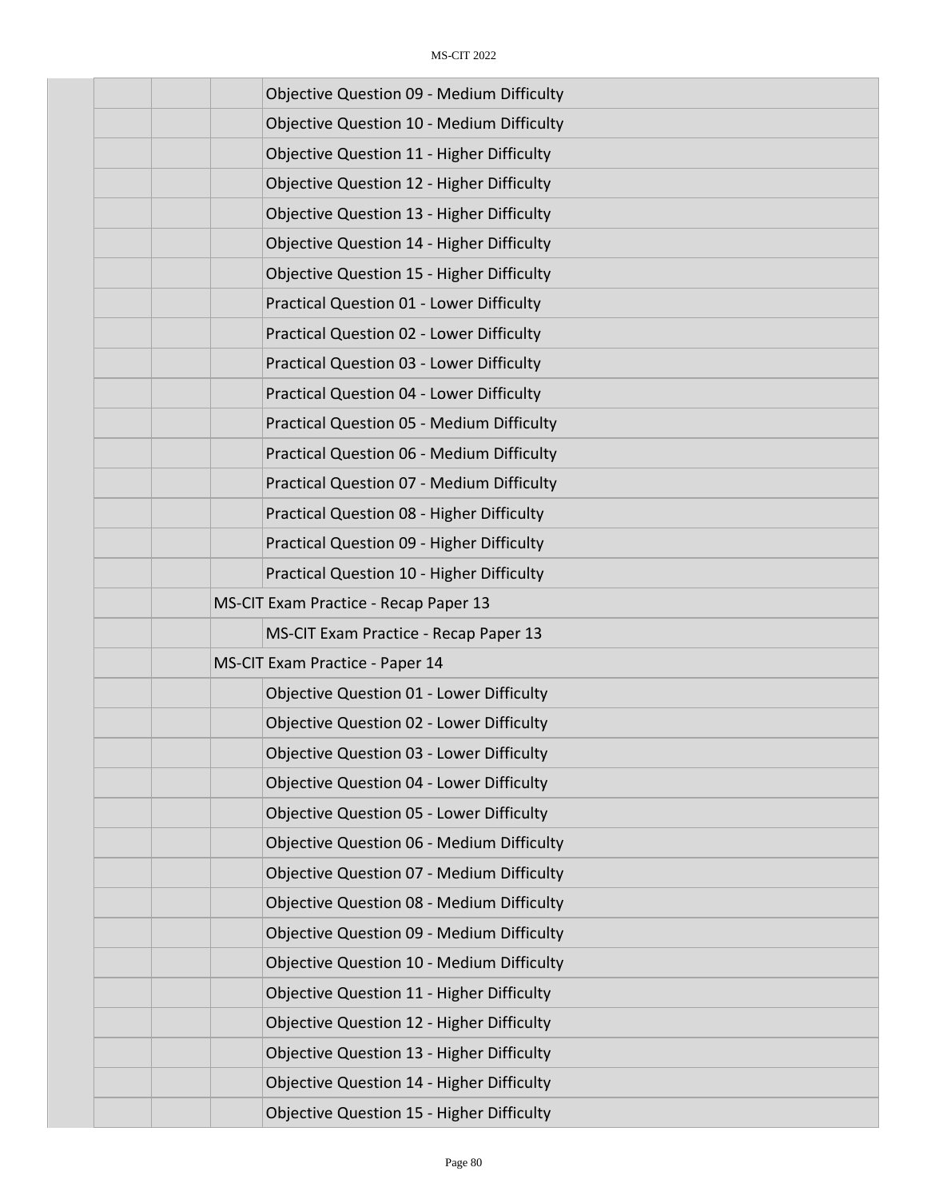| <b>Objective Question 09 - Medium Difficulty</b> |
|--------------------------------------------------|
| Objective Question 10 - Medium Difficulty        |
| Objective Question 11 - Higher Difficulty        |
| <b>Objective Question 12 - Higher Difficulty</b> |
| Objective Question 13 - Higher Difficulty        |
| <b>Objective Question 14 - Higher Difficulty</b> |
| <b>Objective Question 15 - Higher Difficulty</b> |
| Practical Question 01 - Lower Difficulty         |
| Practical Question 02 - Lower Difficulty         |
| Practical Question 03 - Lower Difficulty         |
| Practical Question 04 - Lower Difficulty         |
| <b>Practical Question 05 - Medium Difficulty</b> |
| Practical Question 06 - Medium Difficulty        |
| Practical Question 07 - Medium Difficulty        |
| Practical Question 08 - Higher Difficulty        |
| Practical Question 09 - Higher Difficulty        |
| Practical Question 10 - Higher Difficulty        |
| MS-CIT Exam Practice - Recap Paper 13            |
| MS-CIT Exam Practice - Recap Paper 13            |
| MS-CIT Exam Practice - Paper 14                  |
| Objective Question 01 - Lower Difficulty         |
| <b>Objective Question 02 - Lower Difficulty</b>  |
| <b>Objective Question 03 - Lower Difficulty</b>  |
| <b>Objective Question 04 - Lower Difficulty</b>  |
| <b>Objective Question 05 - Lower Difficulty</b>  |
| <b>Objective Question 06 - Medium Difficulty</b> |
| <b>Objective Question 07 - Medium Difficulty</b> |
| <b>Objective Question 08 - Medium Difficulty</b> |
| <b>Objective Question 09 - Medium Difficulty</b> |
| Objective Question 10 - Medium Difficulty        |
| Objective Question 11 - Higher Difficulty        |
| Objective Question 12 - Higher Difficulty        |
| Objective Question 13 - Higher Difficulty        |
| Objective Question 14 - Higher Difficulty        |
| <b>Objective Question 15 - Higher Difficulty</b> |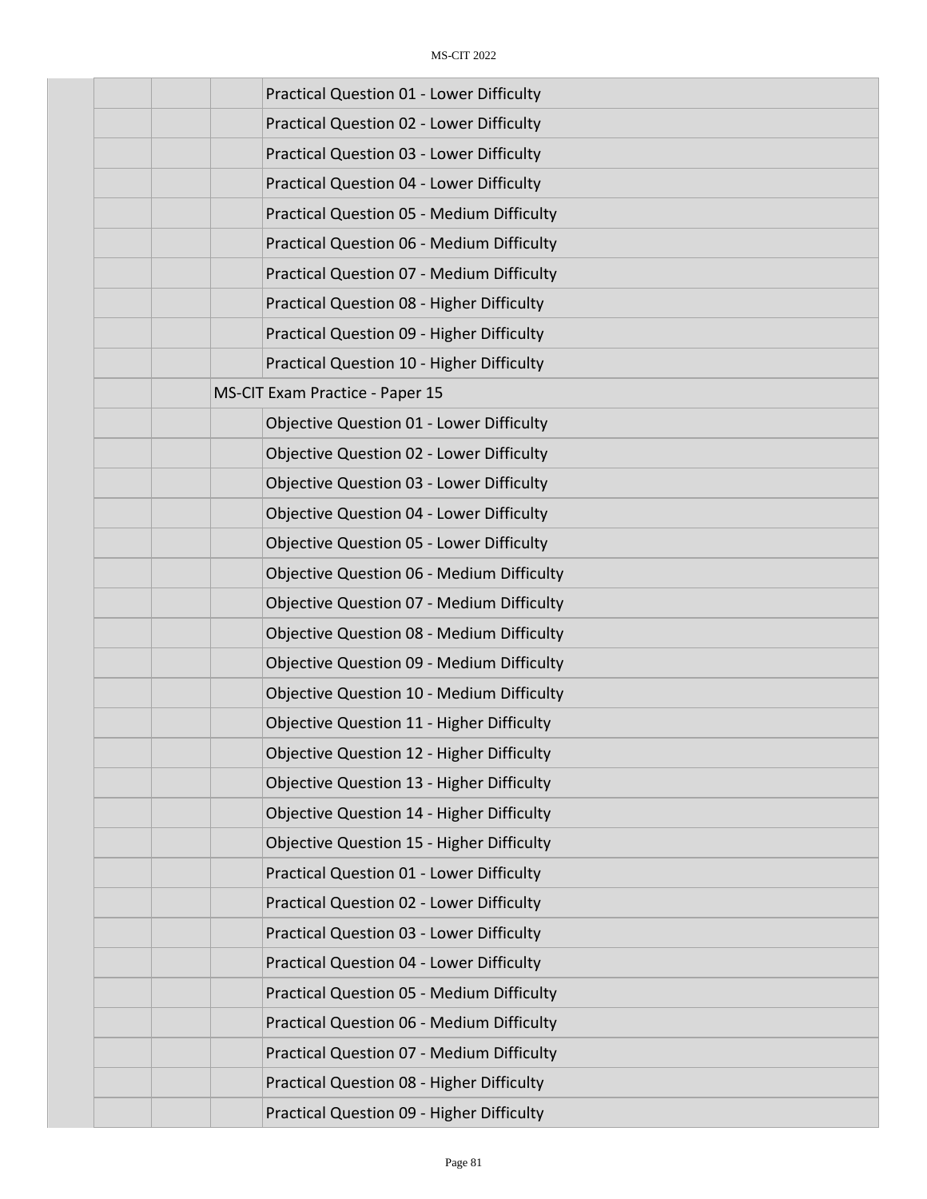| <b>Practical Question 01 - Lower Difficulty</b>  |
|--------------------------------------------------|
| Practical Question 02 - Lower Difficulty         |
| Practical Question 03 - Lower Difficulty         |
| <b>Practical Question 04 - Lower Difficulty</b>  |
| <b>Practical Question 05 - Medium Difficulty</b> |
| Practical Question 06 - Medium Difficulty        |
| Practical Question 07 - Medium Difficulty        |
| Practical Question 08 - Higher Difficulty        |
| Practical Question 09 - Higher Difficulty        |
| Practical Question 10 - Higher Difficulty        |
| MS-CIT Exam Practice - Paper 15                  |
| <b>Objective Question 01 - Lower Difficulty</b>  |
| <b>Objective Question 02 - Lower Difficulty</b>  |
| <b>Objective Question 03 - Lower Difficulty</b>  |
| <b>Objective Question 04 - Lower Difficulty</b>  |
| <b>Objective Question 05 - Lower Difficulty</b>  |
| <b>Objective Question 06 - Medium Difficulty</b> |
| <b>Objective Question 07 - Medium Difficulty</b> |
| <b>Objective Question 08 - Medium Difficulty</b> |
| <b>Objective Question 09 - Medium Difficulty</b> |
| <b>Objective Question 10 - Medium Difficulty</b> |
| <b>Objective Question 11 - Higher Difficulty</b> |
| Objective Question 12 - Higher Difficulty        |
| Objective Question 13 - Higher Difficulty        |
| <b>Objective Question 14 - Higher Difficulty</b> |
| <b>Objective Question 15 - Higher Difficulty</b> |
| <b>Practical Question 01 - Lower Difficulty</b>  |
| Practical Question 02 - Lower Difficulty         |
| <b>Practical Question 03 - Lower Difficulty</b>  |
| Practical Question 04 - Lower Difficulty         |
| <b>Practical Question 05 - Medium Difficulty</b> |
| Practical Question 06 - Medium Difficulty        |
| Practical Question 07 - Medium Difficulty        |
| Practical Question 08 - Higher Difficulty        |
| Practical Question 09 - Higher Difficulty        |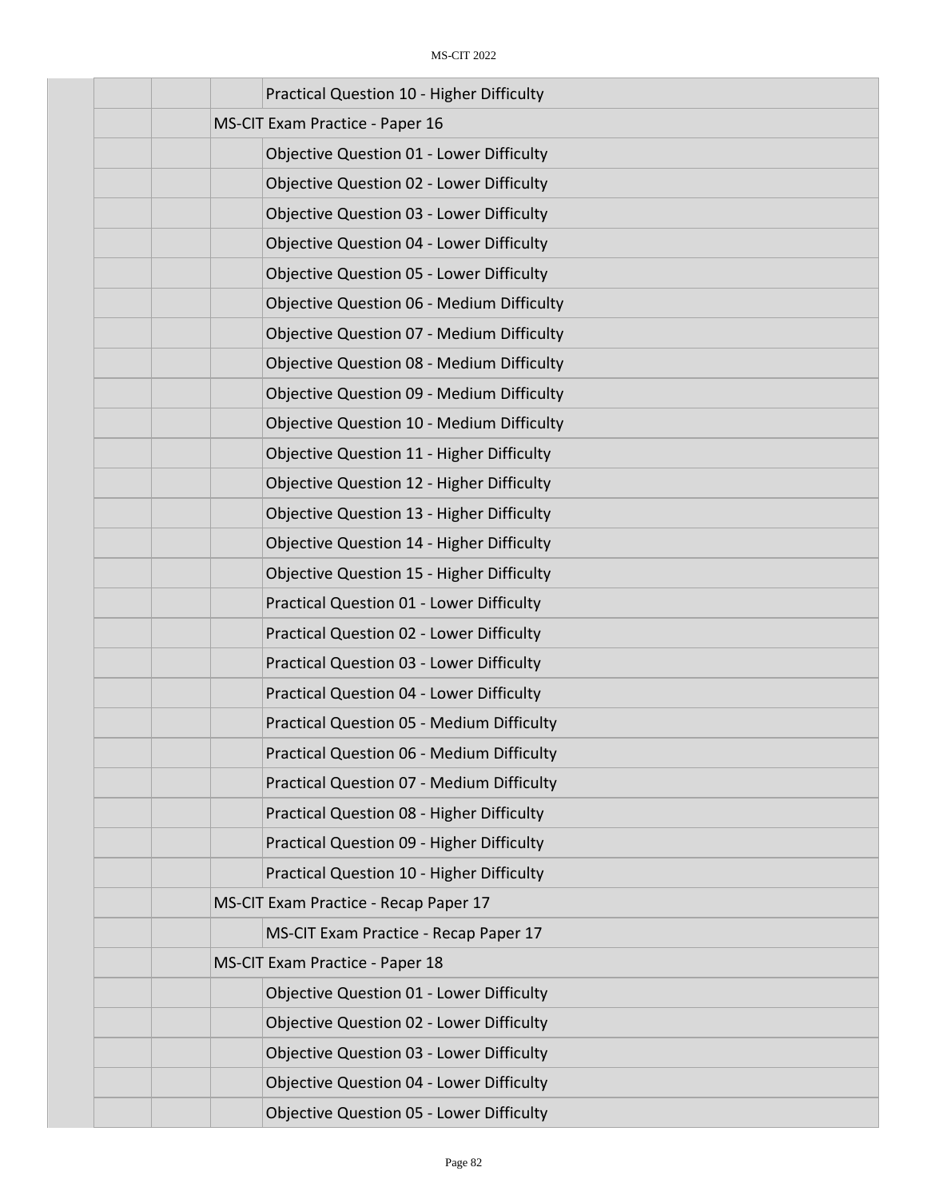| Practical Question 10 - Higher Difficulty        |
|--------------------------------------------------|
| MS-CIT Exam Practice - Paper 16                  |
| <b>Objective Question 01 - Lower Difficulty</b>  |
| Objective Question 02 - Lower Difficulty         |
| <b>Objective Question 03 - Lower Difficulty</b>  |
| <b>Objective Question 04 - Lower Difficulty</b>  |
| <b>Objective Question 05 - Lower Difficulty</b>  |
| <b>Objective Question 06 - Medium Difficulty</b> |
| <b>Objective Question 07 - Medium Difficulty</b> |
| <b>Objective Question 08 - Medium Difficulty</b> |
| <b>Objective Question 09 - Medium Difficulty</b> |
| Objective Question 10 - Medium Difficulty        |
| Objective Question 11 - Higher Difficulty        |
| Objective Question 12 - Higher Difficulty        |
| Objective Question 13 - Higher Difficulty        |
| Objective Question 14 - Higher Difficulty        |
| <b>Objective Question 15 - Higher Difficulty</b> |
| Practical Question 01 - Lower Difficulty         |
| <b>Practical Question 02 - Lower Difficulty</b>  |
| Practical Question 03 - Lower Difficulty         |
| <b>Practical Question 04 - Lower Difficulty</b>  |
| <b>Practical Question 05 - Medium Difficulty</b> |
| <b>Practical Question 06 - Medium Difficulty</b> |
| Practical Question 07 - Medium Difficulty        |
| Practical Question 08 - Higher Difficulty        |
| Practical Question 09 - Higher Difficulty        |
| Practical Question 10 - Higher Difficulty        |
| MS-CIT Exam Practice - Recap Paper 17            |
| MS-CIT Exam Practice - Recap Paper 17            |
| MS-CIT Exam Practice - Paper 18                  |
| <b>Objective Question 01 - Lower Difficulty</b>  |
| Objective Question 02 - Lower Difficulty         |
| <b>Objective Question 03 - Lower Difficulty</b>  |
| <b>Objective Question 04 - Lower Difficulty</b>  |
| <b>Objective Question 05 - Lower Difficulty</b>  |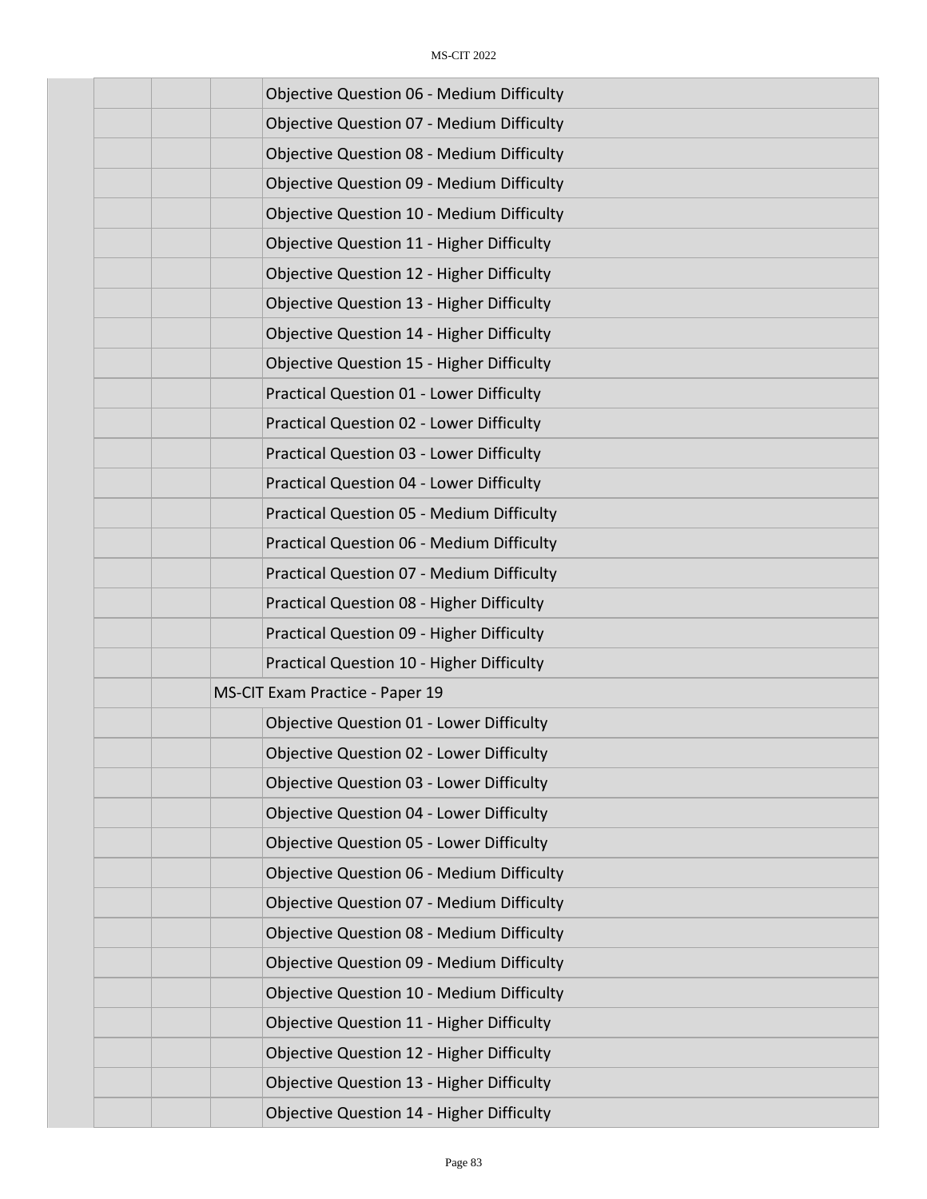| <b>Objective Question 06 - Medium Difficulty</b> |
|--------------------------------------------------|
| <b>Objective Question 07 - Medium Difficulty</b> |
| <b>Objective Question 08 - Medium Difficulty</b> |
| <b>Objective Question 09 - Medium Difficulty</b> |
| Objective Question 10 - Medium Difficulty        |
| Objective Question 11 - Higher Difficulty        |
| Objective Question 12 - Higher Difficulty        |
| Objective Question 13 - Higher Difficulty        |
| Objective Question 14 - Higher Difficulty        |
| <b>Objective Question 15 - Higher Difficulty</b> |
| Practical Question 01 - Lower Difficulty         |
| <b>Practical Question 02 - Lower Difficulty</b>  |
| <b>Practical Question 03 - Lower Difficulty</b>  |
| Practical Question 04 - Lower Difficulty         |
| <b>Practical Question 05 - Medium Difficulty</b> |
| Practical Question 06 - Medium Difficulty        |
| Practical Question 07 - Medium Difficulty        |
| Practical Question 08 - Higher Difficulty        |
| Practical Question 09 - Higher Difficulty        |
| Practical Question 10 - Higher Difficulty        |
| MS-CIT Exam Practice - Paper 19                  |
| Objective Question 01 - Lower Difficulty         |
| <b>Objective Question 02 - Lower Difficulty</b>  |
| <b>Objective Question 03 - Lower Difficulty</b>  |
| <b>Objective Question 04 - Lower Difficulty</b>  |
| <b>Objective Question 05 - Lower Difficulty</b>  |
| <b>Objective Question 06 - Medium Difficulty</b> |
| <b>Objective Question 07 - Medium Difficulty</b> |
| <b>Objective Question 08 - Medium Difficulty</b> |
| <b>Objective Question 09 - Medium Difficulty</b> |
| Objective Question 10 - Medium Difficulty        |
| Objective Question 11 - Higher Difficulty        |
| Objective Question 12 - Higher Difficulty        |
| Objective Question 13 - Higher Difficulty        |
| Objective Question 14 - Higher Difficulty        |